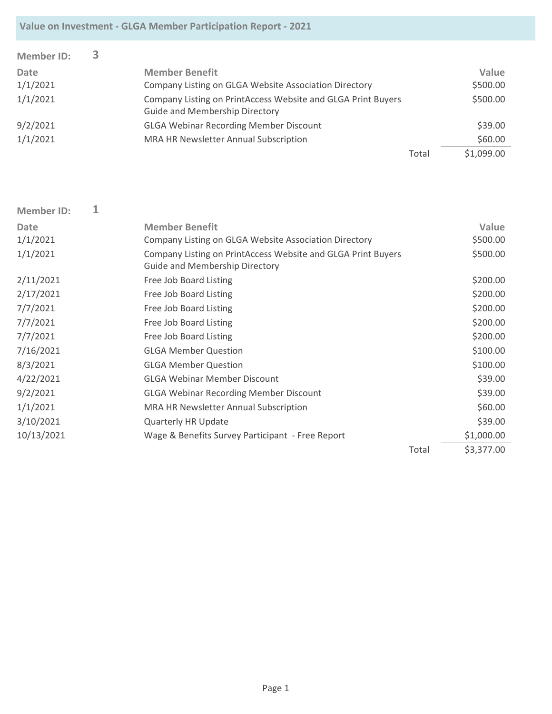| <b>Member ID:</b> |                                                                                                       |       |            |
|-------------------|-------------------------------------------------------------------------------------------------------|-------|------------|
| Date              | <b>Member Benefit</b>                                                                                 |       | Value      |
| 1/1/2021          | Company Listing on GLGA Website Association Directory                                                 |       | \$500.00   |
| 1/1/2021          | Company Listing on PrintAccess Website and GLGA Print Buyers<br><b>Guide and Membership Directory</b> |       | \$500.00   |
| 9/2/2021          | <b>GLGA Webinar Recording Member Discount</b>                                                         |       | \$39.00    |
| 1/1/2021          | MRA HR Newsletter Annual Subscription                                                                 |       | \$60.00    |
|                   |                                                                                                       | Total | \$1,099.00 |

| <b>Member ID:</b> |                                                                                                       |       |            |
|-------------------|-------------------------------------------------------------------------------------------------------|-------|------------|
| <b>Date</b>       | <b>Member Benefit</b>                                                                                 |       | Value      |
| 1/1/2021          | Company Listing on GLGA Website Association Directory                                                 |       | \$500.00   |
| 1/1/2021          | Company Listing on PrintAccess Website and GLGA Print Buyers<br><b>Guide and Membership Directory</b> |       | \$500.00   |
| 2/11/2021         | Free Job Board Listing                                                                                |       | \$200.00   |
| 2/17/2021         | Free Job Board Listing                                                                                |       | \$200.00   |
| 7/7/2021          | Free Job Board Listing                                                                                |       | \$200.00   |
| 7/7/2021          | Free Job Board Listing                                                                                |       | \$200.00   |
| 7/7/2021          | Free Job Board Listing                                                                                |       | \$200.00   |
| 7/16/2021         | <b>GLGA Member Question</b>                                                                           |       | \$100.00   |
| 8/3/2021          | <b>GLGA Member Question</b>                                                                           |       | \$100.00   |
| 4/22/2021         | <b>GLGA Webinar Member Discount</b>                                                                   |       | \$39.00    |
| 9/2/2021          | <b>GLGA Webinar Recording Member Discount</b>                                                         |       | \$39.00    |
| 1/1/2021          | MRA HR Newsletter Annual Subscription                                                                 |       | \$60.00    |
| 3/10/2021         | <b>Quarterly HR Update</b>                                                                            |       | \$39.00    |
| 10/13/2021        | Wage & Benefits Survey Participant - Free Report                                                      |       | \$1,000.00 |
|                   |                                                                                                       | Total | \$3,377.00 |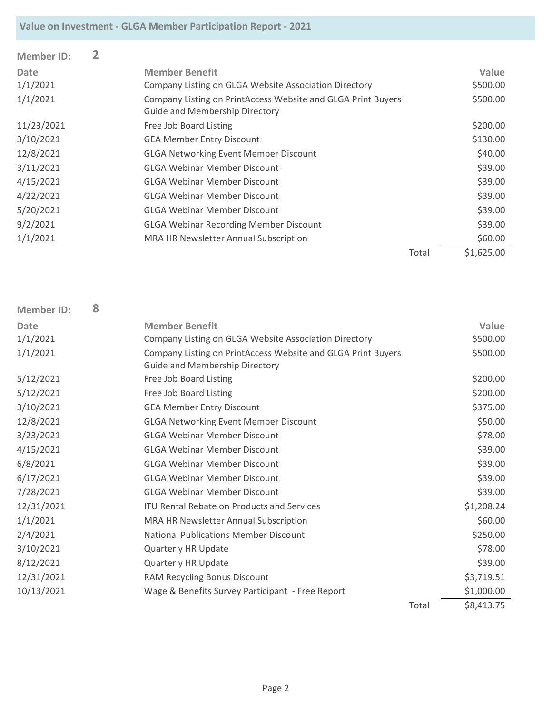| <b>Member ID:</b> |                                                                                                       |       |            |
|-------------------|-------------------------------------------------------------------------------------------------------|-------|------------|
| Date              | <b>Member Benefit</b>                                                                                 |       | Value      |
| 1/1/2021          | Company Listing on GLGA Website Association Directory                                                 |       | \$500.00   |
| 1/1/2021          | Company Listing on PrintAccess Website and GLGA Print Buyers<br><b>Guide and Membership Directory</b> |       | \$500.00   |
| 11/23/2021        | Free Job Board Listing                                                                                |       | \$200.00   |
| 3/10/2021         | <b>GEA Member Entry Discount</b>                                                                      |       | \$130.00   |
| 12/8/2021         | <b>GLGA Networking Event Member Discount</b>                                                          |       | \$40.00    |
| 3/11/2021         | <b>GLGA Webinar Member Discount</b>                                                                   |       | \$39.00    |
| 4/15/2021         | <b>GLGA Webinar Member Discount</b>                                                                   |       | \$39.00    |
| 4/22/2021         | <b>GLGA Webinar Member Discount</b>                                                                   |       | \$39.00    |
| 5/20/2021         | <b>GLGA Webinar Member Discount</b>                                                                   |       | \$39.00    |
| 9/2/2021          | <b>GLGA Webinar Recording Member Discount</b>                                                         |       | \$39.00    |
| 1/1/2021          | MRA HR Newsletter Annual Subscription                                                                 |       | \$60.00    |
|                   |                                                                                                       | Total | \$1,625.00 |

| <b>Member ID:</b> | 8 |                                                                                                |       |            |
|-------------------|---|------------------------------------------------------------------------------------------------|-------|------------|
| <b>Date</b>       |   | <b>Member Benefit</b>                                                                          |       | Value      |
| 1/1/2021          |   | Company Listing on GLGA Website Association Directory                                          |       | \$500.00   |
| 1/1/2021          |   | Company Listing on PrintAccess Website and GLGA Print Buyers<br>Guide and Membership Directory |       | \$500.00   |
| 5/12/2021         |   | Free Job Board Listing                                                                         |       | \$200.00   |
| 5/12/2021         |   | Free Job Board Listing                                                                         |       | \$200.00   |
| 3/10/2021         |   | <b>GEA Member Entry Discount</b>                                                               |       | \$375.00   |
| 12/8/2021         |   | <b>GLGA Networking Event Member Discount</b>                                                   |       | \$50.00    |
| 3/23/2021         |   | <b>GLGA Webinar Member Discount</b>                                                            |       | \$78.00    |
| 4/15/2021         |   | <b>GLGA Webinar Member Discount</b>                                                            |       | \$39.00    |
| 6/8/2021          |   | <b>GLGA Webinar Member Discount</b>                                                            |       | \$39.00    |
| 6/17/2021         |   | <b>GLGA Webinar Member Discount</b>                                                            |       | \$39.00    |
| 7/28/2021         |   | <b>GLGA Webinar Member Discount</b>                                                            |       | \$39.00    |
| 12/31/2021        |   | <b>ITU Rental Rebate on Products and Services</b>                                              |       | \$1,208.24 |
| 1/1/2021          |   | MRA HR Newsletter Annual Subscription                                                          |       | \$60.00    |
| 2/4/2021          |   | <b>National Publications Member Discount</b>                                                   |       | \$250.00   |
| 3/10/2021         |   | Quarterly HR Update                                                                            |       | \$78.00    |
| 8/12/2021         |   | <b>Quarterly HR Update</b>                                                                     |       | \$39.00    |
| 12/31/2021        |   | RAM Recycling Bonus Discount                                                                   |       | \$3,719.51 |
| 10/13/2021        |   | Wage & Benefits Survey Participant - Free Report                                               |       | \$1,000.00 |
|                   |   |                                                                                                | Total | \$8,413.75 |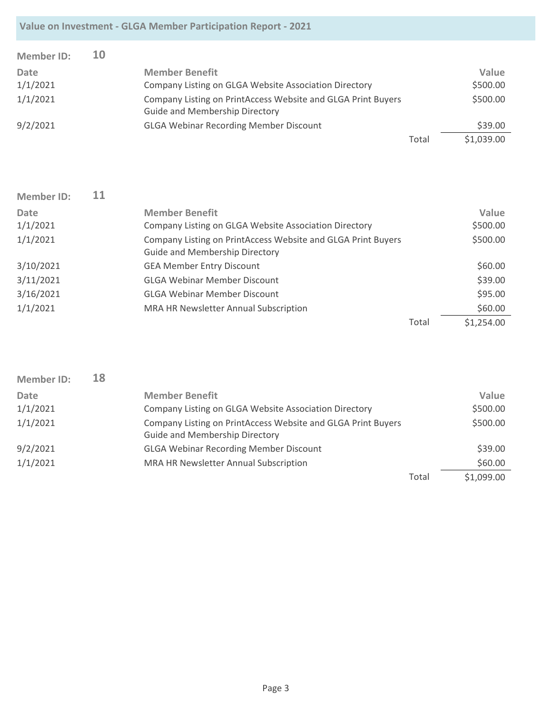| <b>Member ID:</b> | 10 |                                                                                                       |       |            |
|-------------------|----|-------------------------------------------------------------------------------------------------------|-------|------------|
| Date              |    | <b>Member Benefit</b>                                                                                 |       | Value      |
| 1/1/2021          |    | Company Listing on GLGA Website Association Directory                                                 |       | \$500.00   |
| 1/1/2021          |    | Company Listing on PrintAccess Website and GLGA Print Buyers<br><b>Guide and Membership Directory</b> |       | \$500.00   |
| 9/2/2021          |    | <b>GLGA Webinar Recording Member Discount</b>                                                         |       | \$39.00    |
|                   |    |                                                                                                       | Total | \$1,039.00 |

| <b>Member ID:</b> | 11 |                                                                                                       |       |            |
|-------------------|----|-------------------------------------------------------------------------------------------------------|-------|------------|
| Date              |    | <b>Member Benefit</b>                                                                                 |       | Value      |
| 1/1/2021          |    | Company Listing on GLGA Website Association Directory                                                 |       | \$500.00   |
| 1/1/2021          |    | Company Listing on PrintAccess Website and GLGA Print Buyers<br><b>Guide and Membership Directory</b> |       | \$500.00   |
| 3/10/2021         |    | <b>GEA Member Entry Discount</b>                                                                      |       | \$60.00    |
| 3/11/2021         |    | <b>GLGA Webinar Member Discount</b>                                                                   |       | \$39.00    |
| 3/16/2021         |    | <b>GLGA Webinar Member Discount</b>                                                                   |       | \$95.00    |
| 1/1/2021          |    | MRA HR Newsletter Annual Subscription                                                                 |       | \$60.00    |
|                   |    |                                                                                                       | Total | \$1,254.00 |

| <b>Member ID:</b> | 18 |                                                              |       |            |
|-------------------|----|--------------------------------------------------------------|-------|------------|
| Date              |    | <b>Member Benefit</b>                                        |       | Value      |
| 1/1/2021          |    | Company Listing on GLGA Website Association Directory        |       | \$500.00   |
| 1/1/2021          |    | Company Listing on PrintAccess Website and GLGA Print Buyers |       | \$500.00   |
|                   |    | <b>Guide and Membership Directory</b>                        |       |            |
| 9/2/2021          |    | <b>GLGA Webinar Recording Member Discount</b>                |       | \$39.00    |
| 1/1/2021          |    | MRA HR Newsletter Annual Subscription                        |       | \$60.00    |
|                   |    |                                                              | Total | \$1,099.00 |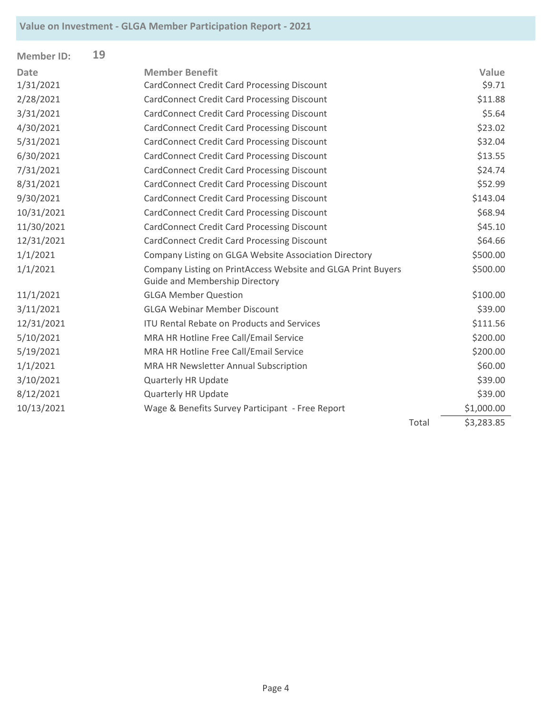| <b>Member ID:</b> | 19 |                                                                                                |       |            |
|-------------------|----|------------------------------------------------------------------------------------------------|-------|------------|
| <b>Date</b>       |    | <b>Member Benefit</b>                                                                          |       | Value      |
| 1/31/2021         |    | CardConnect Credit Card Processing Discount                                                    |       | \$9.71     |
| 2/28/2021         |    | <b>CardConnect Credit Card Processing Discount</b>                                             |       | \$11.88    |
| 3/31/2021         |    | <b>CardConnect Credit Card Processing Discount</b>                                             |       | \$5.64     |
| 4/30/2021         |    | <b>CardConnect Credit Card Processing Discount</b>                                             |       | \$23.02    |
| 5/31/2021         |    | <b>CardConnect Credit Card Processing Discount</b>                                             |       | \$32.04    |
| 6/30/2021         |    | <b>CardConnect Credit Card Processing Discount</b>                                             |       | \$13.55    |
| 7/31/2021         |    | <b>CardConnect Credit Card Processing Discount</b>                                             |       | \$24.74    |
| 8/31/2021         |    | <b>CardConnect Credit Card Processing Discount</b>                                             |       | \$52.99    |
| 9/30/2021         |    | <b>CardConnect Credit Card Processing Discount</b>                                             |       | \$143.04   |
| 10/31/2021        |    | <b>CardConnect Credit Card Processing Discount</b>                                             |       | \$68.94    |
| 11/30/2021        |    | <b>CardConnect Credit Card Processing Discount</b>                                             |       | \$45.10    |
| 12/31/2021        |    | <b>CardConnect Credit Card Processing Discount</b>                                             |       | \$64.66    |
| 1/1/2021          |    | Company Listing on GLGA Website Association Directory                                          |       | \$500.00   |
| 1/1/2021          |    | Company Listing on PrintAccess Website and GLGA Print Buyers<br>Guide and Membership Directory |       | \$500.00   |
| 11/1/2021         |    | <b>GLGA Member Question</b>                                                                    |       | \$100.00   |
| 3/11/2021         |    | <b>GLGA Webinar Member Discount</b>                                                            |       | \$39.00    |
| 12/31/2021        |    | <b>ITU Rental Rebate on Products and Services</b>                                              |       | \$111.56   |
| 5/10/2021         |    | MRA HR Hotline Free Call/Email Service                                                         |       | \$200.00   |
| 5/19/2021         |    | MRA HR Hotline Free Call/Email Service                                                         |       | \$200.00   |
| 1/1/2021          |    | MRA HR Newsletter Annual Subscription                                                          |       | \$60.00    |
| 3/10/2021         |    | <b>Quarterly HR Update</b>                                                                     |       | \$39.00    |
| 8/12/2021         |    | <b>Quarterly HR Update</b>                                                                     |       | \$39.00    |
| 10/13/2021        |    | Wage & Benefits Survey Participant - Free Report                                               |       | \$1,000.00 |
|                   |    |                                                                                                | Total | \$3,283.85 |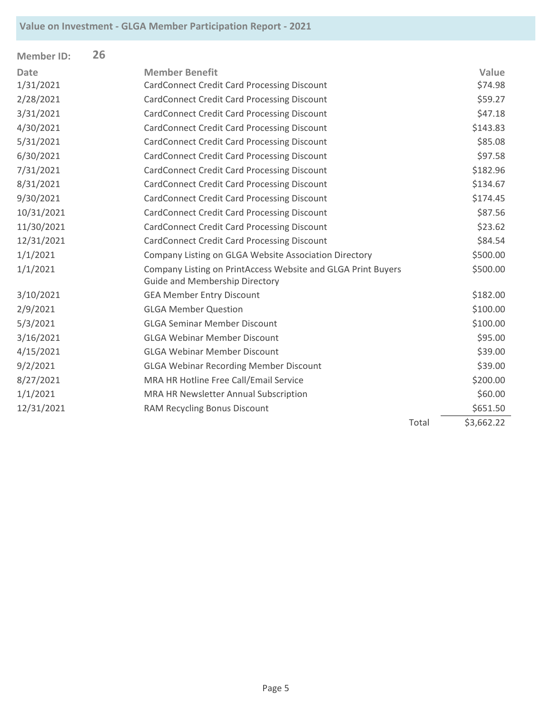| <b>Member ID:</b> | 26 |                                                                                                |       |            |
|-------------------|----|------------------------------------------------------------------------------------------------|-------|------------|
| <b>Date</b>       |    | <b>Member Benefit</b>                                                                          |       | Value      |
| 1/31/2021         |    | CardConnect Credit Card Processing Discount                                                    |       | \$74.98    |
| 2/28/2021         |    | <b>CardConnect Credit Card Processing Discount</b>                                             |       | \$59.27    |
| 3/31/2021         |    | <b>CardConnect Credit Card Processing Discount</b>                                             |       | \$47.18    |
| 4/30/2021         |    | <b>CardConnect Credit Card Processing Discount</b>                                             |       | \$143.83   |
| 5/31/2021         |    | <b>CardConnect Credit Card Processing Discount</b>                                             |       | \$85.08    |
| 6/30/2021         |    | <b>CardConnect Credit Card Processing Discount</b>                                             |       | \$97.58    |
| 7/31/2021         |    | <b>CardConnect Credit Card Processing Discount</b>                                             |       | \$182.96   |
| 8/31/2021         |    | <b>CardConnect Credit Card Processing Discount</b>                                             |       | \$134.67   |
| 9/30/2021         |    | <b>CardConnect Credit Card Processing Discount</b>                                             |       | \$174.45   |
| 10/31/2021        |    | <b>CardConnect Credit Card Processing Discount</b>                                             |       | \$87.56    |
| 11/30/2021        |    | <b>CardConnect Credit Card Processing Discount</b>                                             |       | \$23.62    |
| 12/31/2021        |    | <b>CardConnect Credit Card Processing Discount</b>                                             |       | \$84.54    |
| 1/1/2021          |    | Company Listing on GLGA Website Association Directory                                          |       | \$500.00   |
| 1/1/2021          |    | Company Listing on PrintAccess Website and GLGA Print Buyers<br>Guide and Membership Directory |       | \$500.00   |
| 3/10/2021         |    | <b>GEA Member Entry Discount</b>                                                               |       | \$182.00   |
| 2/9/2021          |    | <b>GLGA Member Question</b>                                                                    |       | \$100.00   |
| 5/3/2021          |    | <b>GLGA Seminar Member Discount</b>                                                            |       | \$100.00   |
| 3/16/2021         |    | <b>GLGA Webinar Member Discount</b>                                                            |       | \$95.00    |
| 4/15/2021         |    | <b>GLGA Webinar Member Discount</b>                                                            |       | \$39.00    |
| 9/2/2021          |    | <b>GLGA Webinar Recording Member Discount</b>                                                  |       | \$39.00    |
| 8/27/2021         |    | MRA HR Hotline Free Call/Email Service                                                         |       | \$200.00   |
| 1/1/2021          |    | MRA HR Newsletter Annual Subscription                                                          |       | \$60.00    |
| 12/31/2021        |    | RAM Recycling Bonus Discount                                                                   |       | \$651.50   |
|                   |    |                                                                                                | Total | \$3,662.22 |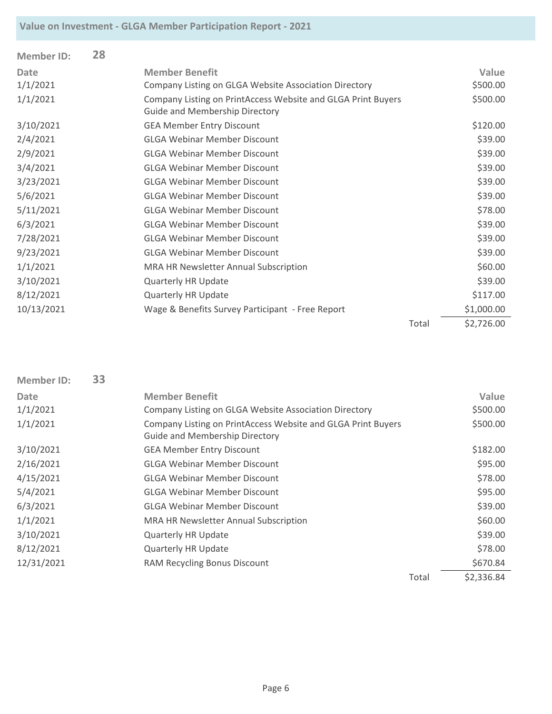| <b>Member ID:</b> | 28 |                                                                                                |            |
|-------------------|----|------------------------------------------------------------------------------------------------|------------|
| <b>Date</b>       |    | <b>Member Benefit</b>                                                                          | Value      |
| 1/1/2021          |    | Company Listing on GLGA Website Association Directory                                          | \$500.00   |
| 1/1/2021          |    | Company Listing on PrintAccess Website and GLGA Print Buyers<br>Guide and Membership Directory | \$500.00   |
| 3/10/2021         |    | <b>GEA Member Entry Discount</b>                                                               | \$120.00   |
| 2/4/2021          |    | <b>GLGA Webinar Member Discount</b>                                                            | \$39.00    |
| 2/9/2021          |    | <b>GLGA Webinar Member Discount</b>                                                            | \$39.00    |
| 3/4/2021          |    | <b>GLGA Webinar Member Discount</b>                                                            | \$39.00    |
| 3/23/2021         |    | <b>GLGA Webinar Member Discount</b>                                                            | \$39.00    |
| 5/6/2021          |    | <b>GLGA Webinar Member Discount</b>                                                            | \$39.00    |
| 5/11/2021         |    | <b>GLGA Webinar Member Discount</b>                                                            | \$78.00    |
| 6/3/2021          |    | <b>GLGA Webinar Member Discount</b>                                                            | \$39.00    |
| 7/28/2021         |    | <b>GLGA Webinar Member Discount</b>                                                            | \$39.00    |
| 9/23/2021         |    | <b>GLGA Webinar Member Discount</b>                                                            | \$39.00    |
| 1/1/2021          |    | MRA HR Newsletter Annual Subscription                                                          | \$60.00    |
| 3/10/2021         |    | <b>Quarterly HR Update</b>                                                                     | \$39.00    |
| 8/12/2021         |    | <b>Quarterly HR Update</b>                                                                     | \$117.00   |
| 10/13/2021        |    | Wage & Benefits Survey Participant - Free Report                                               | \$1,000.00 |
|                   |    | Total                                                                                          | \$2,726.00 |

| Member ID:  | 33 |                                                                                                       |       |            |
|-------------|----|-------------------------------------------------------------------------------------------------------|-------|------------|
| <b>Date</b> |    | <b>Member Benefit</b>                                                                                 |       | Value      |
| 1/1/2021    |    | Company Listing on GLGA Website Association Directory                                                 |       | \$500.00   |
| 1/1/2021    |    | Company Listing on PrintAccess Website and GLGA Print Buyers<br><b>Guide and Membership Directory</b> |       | \$500.00   |
| 3/10/2021   |    | <b>GEA Member Entry Discount</b>                                                                      |       | \$182.00   |
| 2/16/2021   |    | <b>GLGA Webinar Member Discount</b>                                                                   |       | \$95.00    |
| 4/15/2021   |    | <b>GLGA Webinar Member Discount</b>                                                                   |       | \$78.00    |
| 5/4/2021    |    | <b>GLGA Webinar Member Discount</b>                                                                   |       | \$95.00    |
| 6/3/2021    |    | <b>GLGA Webinar Member Discount</b>                                                                   |       | \$39.00    |
| 1/1/2021    |    | MRA HR Newsletter Annual Subscription                                                                 |       | \$60.00    |
| 3/10/2021   |    | Quarterly HR Update                                                                                   |       | \$39.00    |
| 8/12/2021   |    | <b>Quarterly HR Update</b>                                                                            |       | \$78.00    |
| 12/31/2021  |    | RAM Recycling Bonus Discount                                                                          |       | \$670.84   |
|             |    |                                                                                                       | Total | \$2,336.84 |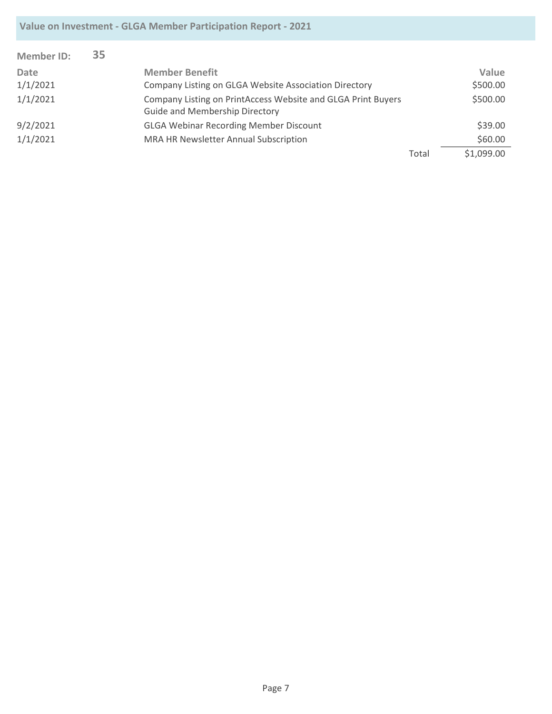|                   |    | Value on Investment - GLGA Member Participation Report - 2021                                         |       |            |
|-------------------|----|-------------------------------------------------------------------------------------------------------|-------|------------|
| <b>Member ID:</b> | 35 |                                                                                                       |       |            |
| <b>Date</b>       |    | <b>Member Benefit</b>                                                                                 |       | Value      |
| 1/1/2021          |    | Company Listing on GLGA Website Association Directory                                                 |       | \$500.00   |
| 1/1/2021          |    | Company Listing on PrintAccess Website and GLGA Print Buyers<br><b>Guide and Membership Directory</b> |       | \$500.00   |
| 9/2/2021          |    | <b>GLGA Webinar Recording Member Discount</b>                                                         |       | \$39.00    |
| 1/1/2021          |    | MRA HR Newsletter Annual Subscription                                                                 |       | \$60.00    |
|                   |    |                                                                                                       | Total | \$1,099.00 |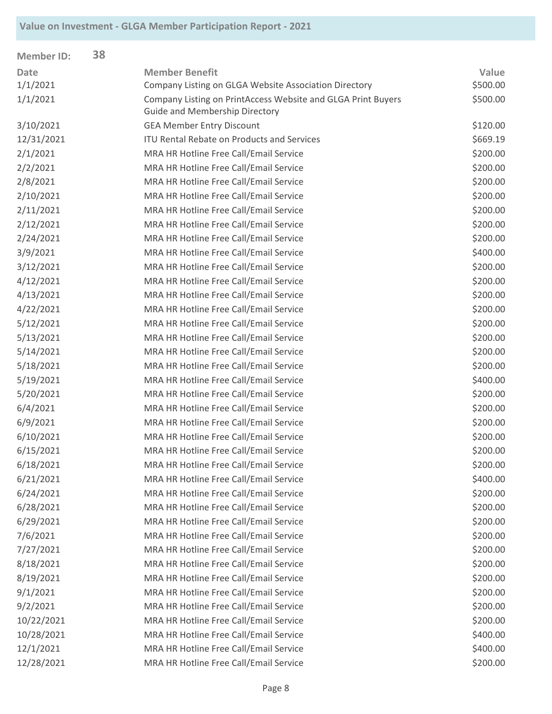| <b>Member ID:</b> | 38 |                                                                                                       |          |
|-------------------|----|-------------------------------------------------------------------------------------------------------|----------|
| <b>Date</b>       |    | <b>Member Benefit</b>                                                                                 | Value    |
| 1/1/2021          |    | Company Listing on GLGA Website Association Directory                                                 | \$500.00 |
| 1/1/2021          |    | Company Listing on PrintAccess Website and GLGA Print Buyers<br><b>Guide and Membership Directory</b> | \$500.00 |
| 3/10/2021         |    | <b>GEA Member Entry Discount</b>                                                                      | \$120.00 |
| 12/31/2021        |    | <b>ITU Rental Rebate on Products and Services</b>                                                     | \$669.19 |
| 2/1/2021          |    | MRA HR Hotline Free Call/Email Service                                                                | \$200.00 |
| 2/2/2021          |    | MRA HR Hotline Free Call/Email Service                                                                | \$200.00 |
| 2/8/2021          |    | MRA HR Hotline Free Call/Email Service                                                                | \$200.00 |
| 2/10/2021         |    | MRA HR Hotline Free Call/Email Service                                                                | \$200.00 |
| 2/11/2021         |    | MRA HR Hotline Free Call/Email Service                                                                | \$200.00 |
| 2/12/2021         |    | MRA HR Hotline Free Call/Email Service                                                                | \$200.00 |
| 2/24/2021         |    | MRA HR Hotline Free Call/Email Service                                                                | \$200.00 |
| 3/9/2021          |    | MRA HR Hotline Free Call/Email Service                                                                | \$400.00 |
| 3/12/2021         |    | MRA HR Hotline Free Call/Email Service                                                                | \$200.00 |
| 4/12/2021         |    | MRA HR Hotline Free Call/Email Service                                                                | \$200.00 |
| 4/13/2021         |    | MRA HR Hotline Free Call/Email Service                                                                | \$200.00 |
| 4/22/2021         |    | MRA HR Hotline Free Call/Email Service                                                                | \$200.00 |
| 5/12/2021         |    | MRA HR Hotline Free Call/Email Service                                                                | \$200.00 |
| 5/13/2021         |    | MRA HR Hotline Free Call/Email Service                                                                | \$200.00 |
| 5/14/2021         |    | MRA HR Hotline Free Call/Email Service                                                                | \$200.00 |
| 5/18/2021         |    | MRA HR Hotline Free Call/Email Service                                                                | \$200.00 |
| 5/19/2021         |    | MRA HR Hotline Free Call/Email Service                                                                | \$400.00 |
| 5/20/2021         |    | MRA HR Hotline Free Call/Email Service                                                                | \$200.00 |
| 6/4/2021          |    | MRA HR Hotline Free Call/Email Service                                                                | \$200.00 |
| 6/9/2021          |    | MRA HR Hotline Free Call/Email Service                                                                | \$200.00 |
| 6/10/2021         |    | MRA HR Hotline Free Call/Email Service                                                                | \$200.00 |
| 6/15/2021         |    | MRA HR Hotline Free Call/Email Service                                                                | \$200.00 |
| 6/18/2021         |    | MRA HR Hotline Free Call/Email Service                                                                | \$200.00 |
| 6/21/2021         |    | MRA HR Hotline Free Call/Email Service                                                                | \$400.00 |
| 6/24/2021         |    | MRA HR Hotline Free Call/Email Service                                                                | \$200.00 |
| 6/28/2021         |    | MRA HR Hotline Free Call/Email Service                                                                | \$200.00 |
| 6/29/2021         |    | MRA HR Hotline Free Call/Email Service                                                                | \$200.00 |
| 7/6/2021          |    | MRA HR Hotline Free Call/Email Service                                                                | \$200.00 |
| 7/27/2021         |    | MRA HR Hotline Free Call/Email Service                                                                | \$200.00 |
| 8/18/2021         |    | MRA HR Hotline Free Call/Email Service                                                                | \$200.00 |
| 8/19/2021         |    | MRA HR Hotline Free Call/Email Service                                                                | \$200.00 |
| 9/1/2021          |    | MRA HR Hotline Free Call/Email Service                                                                | \$200.00 |
| 9/2/2021          |    | MRA HR Hotline Free Call/Email Service                                                                | \$200.00 |
| 10/22/2021        |    | MRA HR Hotline Free Call/Email Service                                                                | \$200.00 |
| 10/28/2021        |    | MRA HR Hotline Free Call/Email Service                                                                | \$400.00 |
| 12/1/2021         |    | MRA HR Hotline Free Call/Email Service                                                                | \$400.00 |
| 12/28/2021        |    | MRA HR Hotline Free Call/Email Service                                                                | \$200.00 |
|                   |    |                                                                                                       |          |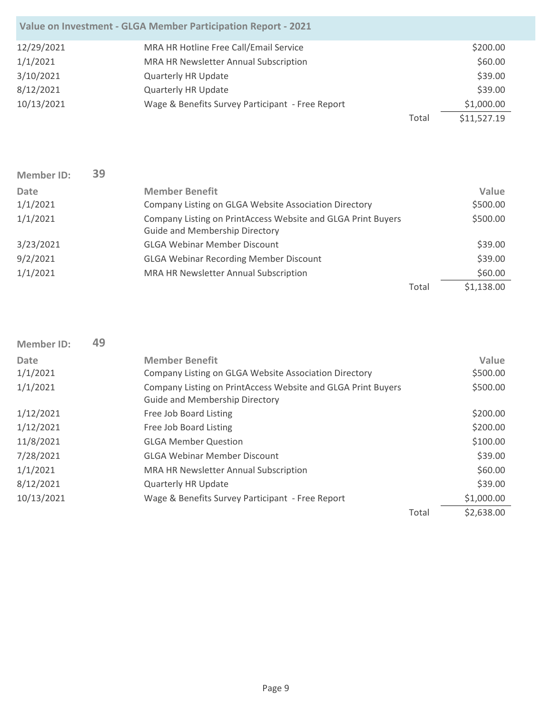|            | Value on Investment - GLGA Member Participation Report - 2021 |       |             |
|------------|---------------------------------------------------------------|-------|-------------|
| 12/29/2021 | MRA HR Hotline Free Call/Email Service                        |       | \$200.00    |
| 1/1/2021   | MRA HR Newsletter Annual Subscription                         |       | \$60.00     |
| 3/10/2021  | <b>Quarterly HR Update</b>                                    |       | \$39.00     |
| 8/12/2021  | <b>Quarterly HR Update</b>                                    |       | \$39.00     |
| 10/13/2021 | Wage & Benefits Survey Participant - Free Report              |       | \$1,000.00  |
|            |                                                               | Total | \$11,527.19 |

| <b>Member ID:</b> | 39                                    |                                                              |       |            |
|-------------------|---------------------------------------|--------------------------------------------------------------|-------|------------|
| Date              | <b>Member Benefit</b>                 |                                                              |       | Value      |
| 1/1/2021          |                                       | Company Listing on GLGA Website Association Directory        |       | \$500.00   |
| 1/1/2021          | <b>Guide and Membership Directory</b> | Company Listing on PrintAccess Website and GLGA Print Buyers |       | \$500.00   |
| 3/23/2021         | <b>GLGA Webinar Member Discount</b>   |                                                              |       | \$39.00    |
| 9/2/2021          |                                       | <b>GLGA Webinar Recording Member Discount</b>                |       | \$39.00    |
| 1/1/2021          |                                       | MRA HR Newsletter Annual Subscription                        |       | \$60.00    |
|                   |                                       |                                                              | Total | \$1,138.00 |

| <b>Member ID:</b> | 49 |                                                                                                       |       |            |
|-------------------|----|-------------------------------------------------------------------------------------------------------|-------|------------|
| Date              |    | <b>Member Benefit</b>                                                                                 |       | Value      |
| 1/1/2021          |    | Company Listing on GLGA Website Association Directory                                                 |       | \$500.00   |
| 1/1/2021          |    | Company Listing on PrintAccess Website and GLGA Print Buyers<br><b>Guide and Membership Directory</b> |       | \$500.00   |
| 1/12/2021         |    | Free Job Board Listing                                                                                |       | \$200.00   |
| 1/12/2021         |    | Free Job Board Listing                                                                                |       | \$200.00   |
| 11/8/2021         |    | <b>GLGA Member Question</b>                                                                           |       | \$100.00   |
| 7/28/2021         |    | <b>GLGA Webinar Member Discount</b>                                                                   |       | \$39.00    |
| 1/1/2021          |    | MRA HR Newsletter Annual Subscription                                                                 |       | \$60.00    |
| 8/12/2021         |    | <b>Quarterly HR Update</b>                                                                            |       | \$39.00    |
| 10/13/2021        |    | Wage & Benefits Survey Participant - Free Report                                                      |       | \$1,000.00 |
|                   |    |                                                                                                       | Total | \$2,638.00 |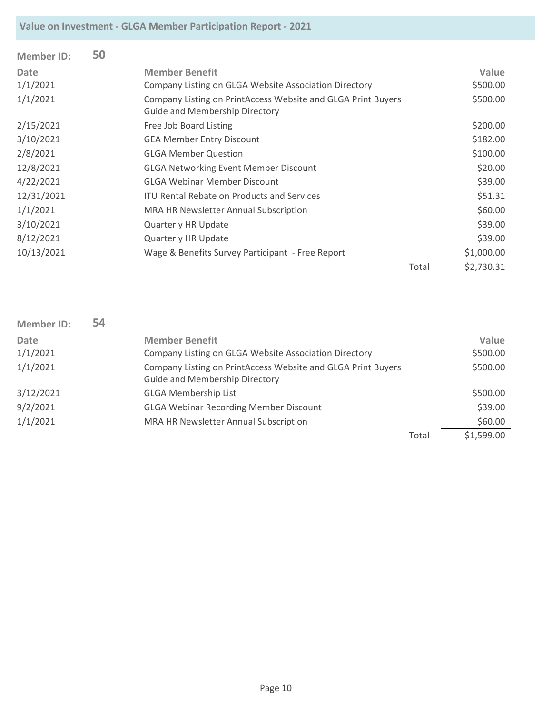| <b>Member ID:</b> | 50 |                                                                                                       |       |            |
|-------------------|----|-------------------------------------------------------------------------------------------------------|-------|------------|
| Date              |    | <b>Member Benefit</b>                                                                                 |       | Value      |
| 1/1/2021          |    | Company Listing on GLGA Website Association Directory                                                 |       | \$500.00   |
| 1/1/2021          |    | Company Listing on PrintAccess Website and GLGA Print Buyers<br><b>Guide and Membership Directory</b> |       | \$500.00   |
| 2/15/2021         |    | Free Job Board Listing                                                                                |       | \$200.00   |
| 3/10/2021         |    | <b>GEA Member Entry Discount</b>                                                                      |       | \$182.00   |
| 2/8/2021          |    | <b>GLGA Member Question</b>                                                                           |       | \$100.00   |
| 12/8/2021         |    | <b>GLGA Networking Event Member Discount</b>                                                          |       | \$20.00    |
| 4/22/2021         |    | <b>GLGA Webinar Member Discount</b>                                                                   |       | \$39.00    |
| 12/31/2021        |    | <b>ITU Rental Rebate on Products and Services</b>                                                     |       | \$51.31    |
| 1/1/2021          |    | <b>MRA HR Newsletter Annual Subscription</b>                                                          |       | \$60.00    |
| 3/10/2021         |    | <b>Quarterly HR Update</b>                                                                            |       | \$39.00    |
| 8/12/2021         |    | <b>Quarterly HR Update</b>                                                                            |       | \$39.00    |
| 10/13/2021        |    | Wage & Benefits Survey Participant - Free Report                                                      |       | \$1,000.00 |
|                   |    |                                                                                                       | Total | \$2,730.31 |

| <b>Member ID:</b> | 54 |                                                                                                       |       |            |
|-------------------|----|-------------------------------------------------------------------------------------------------------|-------|------------|
| Date              |    | <b>Member Benefit</b>                                                                                 |       | Value      |
| 1/1/2021          |    | Company Listing on GLGA Website Association Directory                                                 |       | \$500.00   |
| 1/1/2021          |    | Company Listing on PrintAccess Website and GLGA Print Buyers<br><b>Guide and Membership Directory</b> |       | \$500.00   |
| 3/12/2021         |    | <b>GLGA Membership List</b>                                                                           |       | \$500.00   |
| 9/2/2021          |    | <b>GLGA Webinar Recording Member Discount</b>                                                         |       | \$39.00    |
| 1/1/2021          |    | MRA HR Newsletter Annual Subscription                                                                 |       | \$60.00    |
|                   |    |                                                                                                       | Total | \$1,599.00 |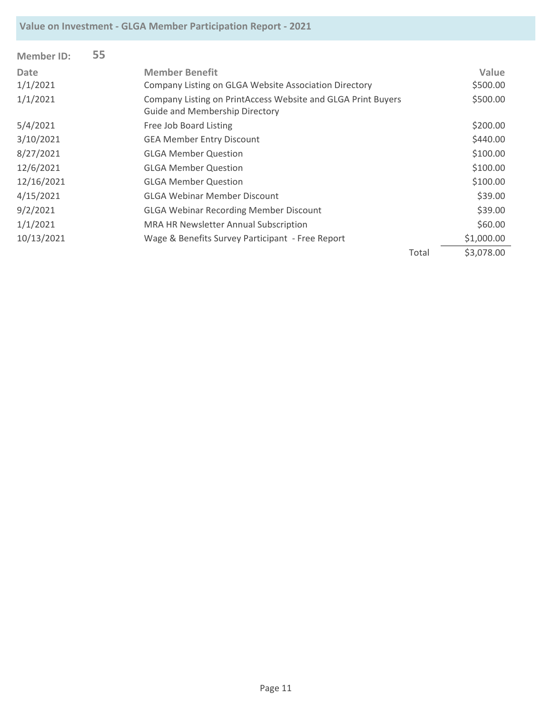| <b>Member ID:</b> | 55 |                                                                                                       |       |            |
|-------------------|----|-------------------------------------------------------------------------------------------------------|-------|------------|
| Date              |    | <b>Member Benefit</b>                                                                                 |       | Value      |
| 1/1/2021          |    | Company Listing on GLGA Website Association Directory                                                 |       | \$500.00   |
| 1/1/2021          |    | Company Listing on PrintAccess Website and GLGA Print Buyers<br><b>Guide and Membership Directory</b> |       | \$500.00   |
| 5/4/2021          |    | Free Job Board Listing                                                                                |       | \$200.00   |
| 3/10/2021         |    | <b>GEA Member Entry Discount</b>                                                                      |       | \$440.00   |
| 8/27/2021         |    | <b>GLGA Member Question</b>                                                                           |       | \$100.00   |
| 12/6/2021         |    | <b>GLGA Member Question</b>                                                                           |       | \$100.00   |
| 12/16/2021        |    | <b>GLGA Member Question</b>                                                                           |       | \$100.00   |
| 4/15/2021         |    | <b>GLGA Webinar Member Discount</b>                                                                   |       | \$39.00    |
| 9/2/2021          |    | <b>GLGA Webinar Recording Member Discount</b>                                                         |       | \$39.00    |
| 1/1/2021          |    | MRA HR Newsletter Annual Subscription                                                                 |       | \$60.00    |
| 10/13/2021        |    | Wage & Benefits Survey Participant - Free Report                                                      |       | \$1,000.00 |
|                   |    |                                                                                                       | Total | \$3,078.00 |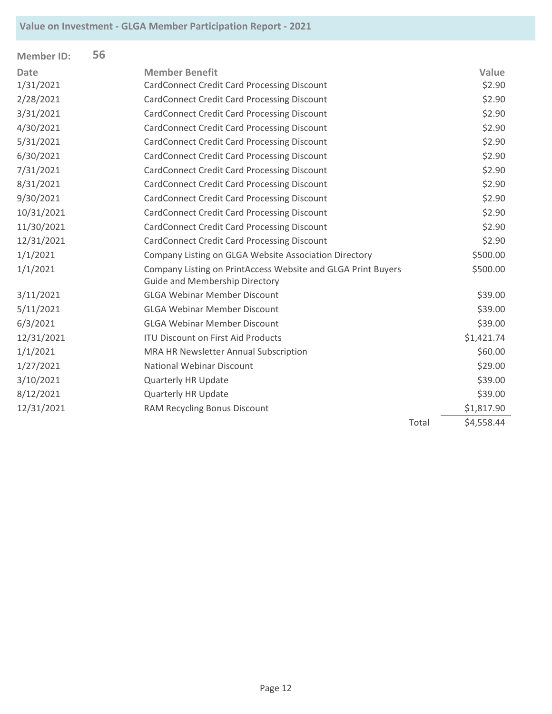| <b>Member ID:</b> | 56 |                                                                                                |       |            |
|-------------------|----|------------------------------------------------------------------------------------------------|-------|------------|
| <b>Date</b>       |    | <b>Member Benefit</b>                                                                          |       | Value      |
| 1/31/2021         |    | <b>CardConnect Credit Card Processing Discount</b>                                             |       | \$2.90     |
| 2/28/2021         |    | <b>CardConnect Credit Card Processing Discount</b>                                             |       | \$2.90     |
| 3/31/2021         |    | <b>CardConnect Credit Card Processing Discount</b>                                             |       | \$2.90     |
| 4/30/2021         |    | <b>CardConnect Credit Card Processing Discount</b>                                             |       | \$2.90     |
| 5/31/2021         |    | <b>CardConnect Credit Card Processing Discount</b>                                             |       | \$2.90     |
| 6/30/2021         |    | <b>CardConnect Credit Card Processing Discount</b>                                             |       | \$2.90     |
| 7/31/2021         |    | <b>CardConnect Credit Card Processing Discount</b>                                             |       | \$2.90     |
| 8/31/2021         |    | <b>CardConnect Credit Card Processing Discount</b>                                             |       | \$2.90     |
| 9/30/2021         |    | <b>CardConnect Credit Card Processing Discount</b>                                             |       | \$2.90     |
| 10/31/2021        |    | <b>CardConnect Credit Card Processing Discount</b>                                             |       | \$2.90     |
| 11/30/2021        |    | <b>CardConnect Credit Card Processing Discount</b>                                             |       | \$2.90     |
| 12/31/2021        |    | <b>CardConnect Credit Card Processing Discount</b>                                             |       | \$2.90     |
| 1/1/2021          |    | Company Listing on GLGA Website Association Directory                                          |       | \$500.00   |
| 1/1/2021          |    | Company Listing on PrintAccess Website and GLGA Print Buyers<br>Guide and Membership Directory |       | \$500.00   |
| 3/11/2021         |    | <b>GLGA Webinar Member Discount</b>                                                            |       | \$39.00    |
| 5/11/2021         |    | <b>GLGA Webinar Member Discount</b>                                                            |       | \$39.00    |
| 6/3/2021          |    | <b>GLGA Webinar Member Discount</b>                                                            |       | \$39.00    |
| 12/31/2021        |    | <b>ITU Discount on First Aid Products</b>                                                      |       | \$1,421.74 |
| 1/1/2021          |    | MRA HR Newsletter Annual Subscription                                                          |       | \$60.00    |
| 1/27/2021         |    | <b>National Webinar Discount</b>                                                               |       | \$29.00    |
| 3/10/2021         |    | <b>Quarterly HR Update</b>                                                                     |       | \$39.00    |
| 8/12/2021         |    | <b>Quarterly HR Update</b>                                                                     |       | \$39.00    |
| 12/31/2021        |    | RAM Recycling Bonus Discount                                                                   |       | \$1,817.90 |
|                   |    |                                                                                                | Total | \$4,558.44 |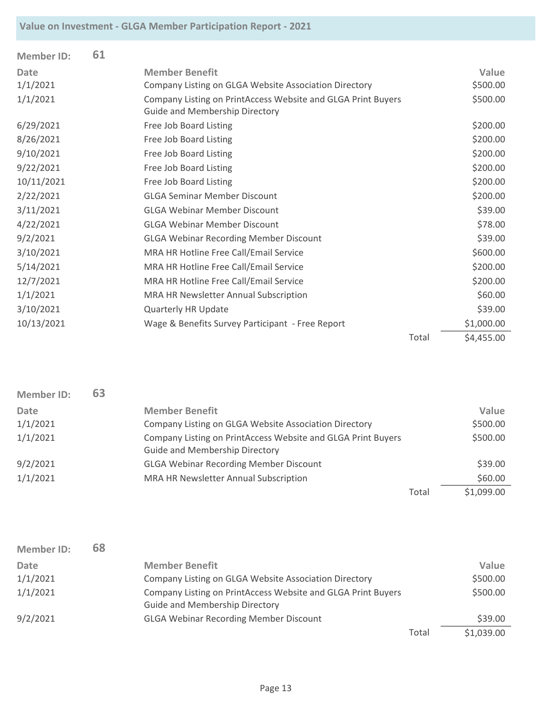| <b>Member ID:</b> | 61 |                                                                                                       |       |            |
|-------------------|----|-------------------------------------------------------------------------------------------------------|-------|------------|
| <b>Date</b>       |    | <b>Member Benefit</b>                                                                                 |       | Value      |
| 1/1/2021          |    | Company Listing on GLGA Website Association Directory                                                 |       | \$500.00   |
| 1/1/2021          |    | Company Listing on PrintAccess Website and GLGA Print Buyers<br><b>Guide and Membership Directory</b> |       | \$500.00   |
| 6/29/2021         |    | Free Job Board Listing                                                                                |       | \$200.00   |
| 8/26/2021         |    | Free Job Board Listing                                                                                |       | \$200.00   |
| 9/10/2021         |    | Free Job Board Listing                                                                                |       | \$200.00   |
| 9/22/2021         |    | Free Job Board Listing                                                                                |       | \$200.00   |
| 10/11/2021        |    | Free Job Board Listing                                                                                |       | \$200.00   |
| 2/22/2021         |    | <b>GLGA Seminar Member Discount</b>                                                                   |       | \$200.00   |
| 3/11/2021         |    | <b>GLGA Webinar Member Discount</b>                                                                   |       | \$39.00    |
| 4/22/2021         |    | <b>GLGA Webinar Member Discount</b>                                                                   |       | \$78.00    |
| 9/2/2021          |    | <b>GLGA Webinar Recording Member Discount</b>                                                         |       | \$39.00    |
| 3/10/2021         |    | MRA HR Hotline Free Call/Email Service                                                                |       | \$600.00   |
| 5/14/2021         |    | MRA HR Hotline Free Call/Email Service                                                                |       | \$200.00   |
| 12/7/2021         |    | MRA HR Hotline Free Call/Email Service                                                                |       | \$200.00   |
| 1/1/2021          |    | MRA HR Newsletter Annual Subscription                                                                 |       | \$60.00    |
| 3/10/2021         |    | Quarterly HR Update                                                                                   |       | \$39.00    |
| 10/13/2021        |    | Wage & Benefits Survey Participant - Free Report                                                      |       | \$1,000.00 |
|                   |    |                                                                                                       | Total | \$4,455.00 |

| <b>Member ID:</b> | 63 |                                                                                                       |       |            |
|-------------------|----|-------------------------------------------------------------------------------------------------------|-------|------------|
| <b>Date</b>       |    | <b>Member Benefit</b>                                                                                 |       | Value      |
| 1/1/2021          |    | Company Listing on GLGA Website Association Directory                                                 |       | \$500.00   |
| 1/1/2021          |    | Company Listing on PrintAccess Website and GLGA Print Buyers<br><b>Guide and Membership Directory</b> |       | \$500.00   |
| 9/2/2021          |    | <b>GLGA Webinar Recording Member Discount</b>                                                         |       | \$39.00    |
| 1/1/2021          |    | MRA HR Newsletter Annual Subscription                                                                 |       | \$60.00    |
|                   |    |                                                                                                       | Total | \$1,099.00 |

| <b>Member ID:</b> | 68 |                                                                                                       |       |            |
|-------------------|----|-------------------------------------------------------------------------------------------------------|-------|------------|
| Date              |    | <b>Member Benefit</b>                                                                                 |       | Value      |
| 1/1/2021          |    | Company Listing on GLGA Website Association Directory                                                 |       | \$500.00   |
| 1/1/2021          |    | Company Listing on PrintAccess Website and GLGA Print Buyers<br><b>Guide and Membership Directory</b> |       | \$500.00   |
| 9/2/2021          |    | <b>GLGA Webinar Recording Member Discount</b>                                                         |       | \$39.00    |
|                   |    |                                                                                                       | Total | \$1,039.00 |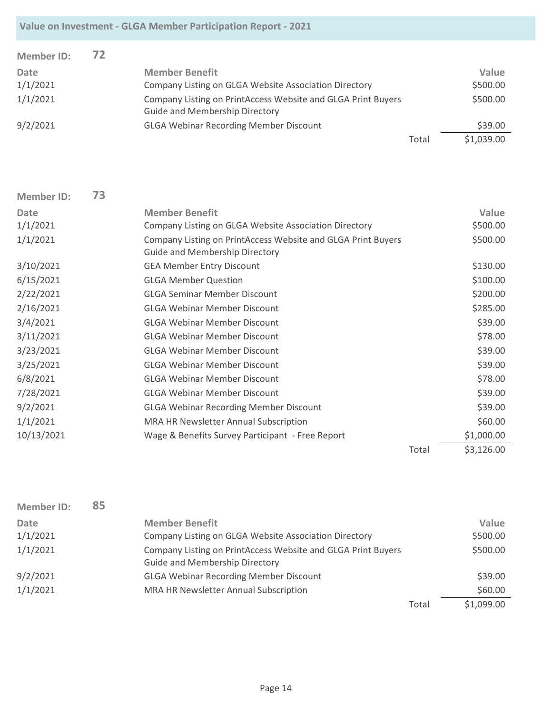| <b>Member ID:</b> | 72 |                                                                                                       |       |            |
|-------------------|----|-------------------------------------------------------------------------------------------------------|-------|------------|
| Date              |    | <b>Member Benefit</b>                                                                                 |       | Value      |
| 1/1/2021          |    | Company Listing on GLGA Website Association Directory                                                 |       | \$500.00   |
| 1/1/2021          |    | Company Listing on PrintAccess Website and GLGA Print Buyers<br><b>Guide and Membership Directory</b> |       | \$500.00   |
| 9/2/2021          |    | <b>GLGA Webinar Recording Member Discount</b>                                                         |       | \$39.00    |
|                   |    |                                                                                                       | Total | \$1,039.00 |

| <b>Member ID:</b> | 73 |                                                                                                       |       |            |
|-------------------|----|-------------------------------------------------------------------------------------------------------|-------|------------|
| <b>Date</b>       |    | <b>Member Benefit</b>                                                                                 |       | Value      |
| 1/1/2021          |    | Company Listing on GLGA Website Association Directory                                                 |       | \$500.00   |
| 1/1/2021          |    | Company Listing on PrintAccess Website and GLGA Print Buyers<br><b>Guide and Membership Directory</b> |       | \$500.00   |
| 3/10/2021         |    | <b>GEA Member Entry Discount</b>                                                                      |       | \$130.00   |
| 6/15/2021         |    | <b>GLGA Member Question</b>                                                                           |       | \$100.00   |
| 2/22/2021         |    | <b>GLGA Seminar Member Discount</b>                                                                   |       | \$200.00   |
| 2/16/2021         |    | <b>GLGA Webinar Member Discount</b>                                                                   |       | \$285.00   |
| 3/4/2021          |    | <b>GLGA Webinar Member Discount</b>                                                                   |       | \$39.00    |
| 3/11/2021         |    | <b>GLGA Webinar Member Discount</b>                                                                   |       | \$78.00    |
| 3/23/2021         |    | <b>GLGA Webinar Member Discount</b>                                                                   |       | \$39.00    |
| 3/25/2021         |    | <b>GLGA Webinar Member Discount</b>                                                                   |       | \$39.00    |
| 6/8/2021          |    | <b>GLGA Webinar Member Discount</b>                                                                   |       | \$78.00    |
| 7/28/2021         |    | <b>GLGA Webinar Member Discount</b>                                                                   |       | \$39.00    |
| 9/2/2021          |    | <b>GLGA Webinar Recording Member Discount</b>                                                         |       | \$39.00    |
| 1/1/2021          |    | <b>MRA HR Newsletter Annual Subscription</b>                                                          |       | \$60.00    |
| 10/13/2021        |    | Wage & Benefits Survey Participant - Free Report                                                      |       | \$1,000.00 |
|                   |    |                                                                                                       | Total | \$3,126.00 |

| <b>Member ID:</b> | 85 |                                                                                                       |       |            |
|-------------------|----|-------------------------------------------------------------------------------------------------------|-------|------------|
| Date              |    | <b>Member Benefit</b>                                                                                 |       | Value      |
| 1/1/2021          |    | Company Listing on GLGA Website Association Directory                                                 |       | \$500.00   |
| 1/1/2021          |    | Company Listing on PrintAccess Website and GLGA Print Buyers<br><b>Guide and Membership Directory</b> |       | \$500.00   |
| 9/2/2021          |    | <b>GLGA Webinar Recording Member Discount</b>                                                         |       | \$39.00    |
| 1/1/2021          |    | MRA HR Newsletter Annual Subscription                                                                 |       | \$60.00    |
|                   |    |                                                                                                       | Total | \$1,099.00 |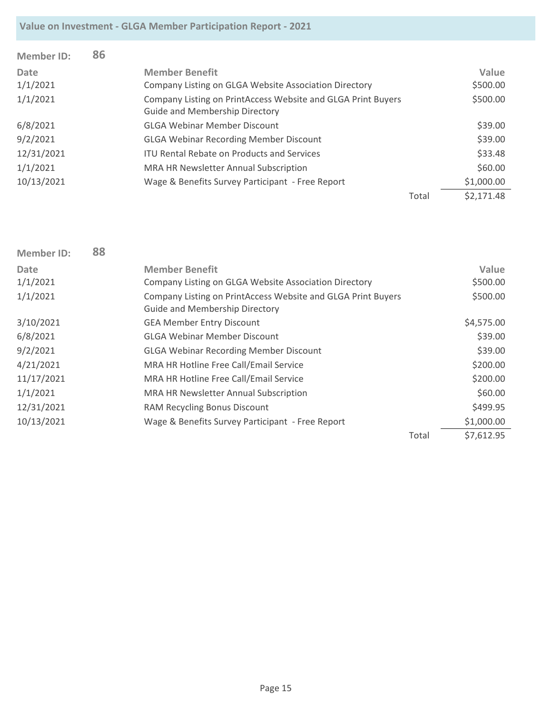| <b>Member ID:</b> | 86 |                                                                                                       |       |            |
|-------------------|----|-------------------------------------------------------------------------------------------------------|-------|------------|
| Date              |    | <b>Member Benefit</b>                                                                                 |       | Value      |
| 1/1/2021          |    | Company Listing on GLGA Website Association Directory                                                 |       | \$500.00   |
| 1/1/2021          |    | Company Listing on PrintAccess Website and GLGA Print Buyers<br><b>Guide and Membership Directory</b> |       | \$500.00   |
| 6/8/2021          |    | <b>GLGA Webinar Member Discount</b>                                                                   |       | \$39.00    |
| 9/2/2021          |    | <b>GLGA Webinar Recording Member Discount</b>                                                         |       | \$39.00    |
| 12/31/2021        |    | <b>ITU Rental Rebate on Products and Services</b>                                                     |       | \$33.48    |
| 1/1/2021          |    | MRA HR Newsletter Annual Subscription                                                                 |       | \$60.00    |
| 10/13/2021        |    | Wage & Benefits Survey Participant - Free Report                                                      |       | \$1,000.00 |
|                   |    |                                                                                                       | Total | \$2,171.48 |

| Member ID:  | 88 |                                                                                                       |       |            |
|-------------|----|-------------------------------------------------------------------------------------------------------|-------|------------|
| <b>Date</b> |    | <b>Member Benefit</b>                                                                                 |       | Value      |
| 1/1/2021    |    | Company Listing on GLGA Website Association Directory                                                 |       | \$500.00   |
| 1/1/2021    |    | Company Listing on PrintAccess Website and GLGA Print Buyers<br><b>Guide and Membership Directory</b> |       | \$500.00   |
| 3/10/2021   |    | <b>GEA Member Entry Discount</b>                                                                      |       | \$4,575.00 |
| 6/8/2021    |    | <b>GLGA Webinar Member Discount</b>                                                                   |       | \$39.00    |
| 9/2/2021    |    | <b>GLGA Webinar Recording Member Discount</b>                                                         |       | \$39.00    |
| 4/21/2021   |    | MRA HR Hotline Free Call/Email Service                                                                |       | \$200.00   |
| 11/17/2021  |    | MRA HR Hotline Free Call/Email Service                                                                |       | \$200.00   |
| 1/1/2021    |    | MRA HR Newsletter Annual Subscription                                                                 |       | \$60.00    |
| 12/31/2021  |    | RAM Recycling Bonus Discount                                                                          |       | \$499.95   |
| 10/13/2021  |    | Wage & Benefits Survey Participant - Free Report                                                      |       | \$1,000.00 |
|             |    |                                                                                                       | Total | \$7,612.95 |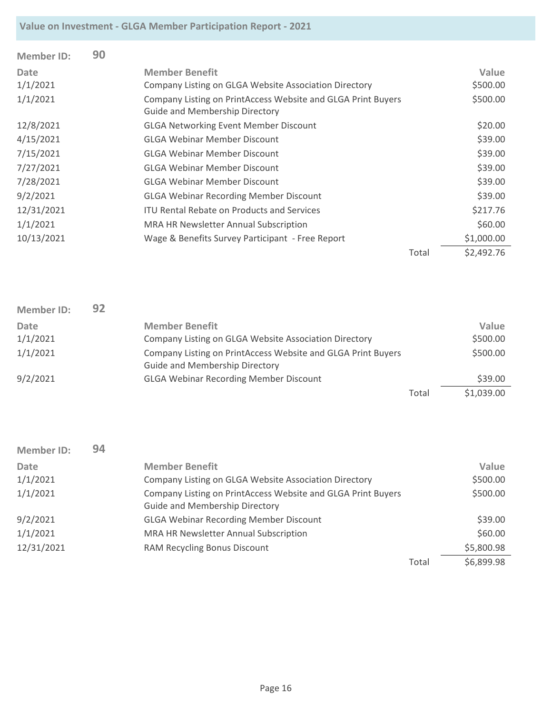| <b>Member ID:</b> | 90 |                                                                                                       |       |            |
|-------------------|----|-------------------------------------------------------------------------------------------------------|-------|------------|
| <b>Date</b>       |    | <b>Member Benefit</b>                                                                                 |       | Value      |
| 1/1/2021          |    | Company Listing on GLGA Website Association Directory                                                 |       | \$500.00   |
| 1/1/2021          |    | Company Listing on PrintAccess Website and GLGA Print Buyers<br><b>Guide and Membership Directory</b> |       | \$500.00   |
| 12/8/2021         |    | <b>GLGA Networking Event Member Discount</b>                                                          |       | \$20.00    |
| 4/15/2021         |    | <b>GLGA Webinar Member Discount</b>                                                                   |       | \$39.00    |
| 7/15/2021         |    | <b>GLGA Webinar Member Discount</b>                                                                   |       | \$39.00    |
| 7/27/2021         |    | <b>GLGA Webinar Member Discount</b>                                                                   |       | \$39.00    |
| 7/28/2021         |    | <b>GLGA Webinar Member Discount</b>                                                                   |       | \$39.00    |
| 9/2/2021          |    | <b>GLGA Webinar Recording Member Discount</b>                                                         |       | \$39.00    |
| 12/31/2021        |    | <b>ITU Rental Rebate on Products and Services</b>                                                     |       | \$217.76   |
| 1/1/2021          |    | MRA HR Newsletter Annual Subscription                                                                 |       | \$60.00    |
| 10/13/2021        |    | Wage & Benefits Survey Participant - Free Report                                                      |       | \$1,000.00 |
|                   |    |                                                                                                       | Total | \$2,492.76 |

| Member ID:  | 92 |                                                                                                       |       |            |
|-------------|----|-------------------------------------------------------------------------------------------------------|-------|------------|
| <b>Date</b> |    | <b>Member Benefit</b>                                                                                 |       | Value      |
| 1/1/2021    |    | Company Listing on GLGA Website Association Directory                                                 |       | \$500.00   |
| 1/1/2021    |    | Company Listing on PrintAccess Website and GLGA Print Buyers<br><b>Guide and Membership Directory</b> |       | \$500.00   |
| 9/2/2021    |    | <b>GLGA Webinar Recording Member Discount</b>                                                         |       | \$39.00    |
|             |    |                                                                                                       | Total | \$1,039.00 |

| <b>Member ID:</b> | 94 |                                                                                                       |       |            |
|-------------------|----|-------------------------------------------------------------------------------------------------------|-------|------------|
| Date              |    | <b>Member Benefit</b>                                                                                 |       | Value      |
| 1/1/2021          |    | Company Listing on GLGA Website Association Directory                                                 |       | \$500.00   |
| 1/1/2021          |    | Company Listing on PrintAccess Website and GLGA Print Buyers<br><b>Guide and Membership Directory</b> |       | \$500.00   |
| 9/2/2021          |    | <b>GLGA Webinar Recording Member Discount</b>                                                         |       | \$39.00    |
| 1/1/2021          |    | MRA HR Newsletter Annual Subscription                                                                 |       | \$60.00    |
| 12/31/2021        |    | RAM Recycling Bonus Discount                                                                          |       | \$5,800.98 |
|                   |    |                                                                                                       | Total | \$6,899.98 |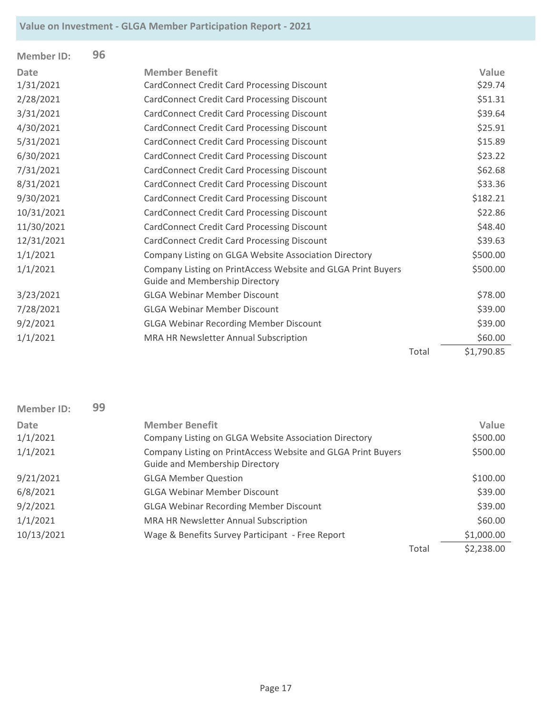| <b>Member ID:</b> | 96 |                                                                                                |       |            |
|-------------------|----|------------------------------------------------------------------------------------------------|-------|------------|
| <b>Date</b>       |    | <b>Member Benefit</b>                                                                          |       | Value      |
| 1/31/2021         |    | CardConnect Credit Card Processing Discount                                                    |       | \$29.74    |
| 2/28/2021         |    | <b>CardConnect Credit Card Processing Discount</b>                                             |       | \$51.31    |
| 3/31/2021         |    | <b>CardConnect Credit Card Processing Discount</b>                                             |       | \$39.64    |
| 4/30/2021         |    | <b>CardConnect Credit Card Processing Discount</b>                                             |       | \$25.91    |
| 5/31/2021         |    | <b>CardConnect Credit Card Processing Discount</b>                                             |       | \$15.89    |
| 6/30/2021         |    | <b>CardConnect Credit Card Processing Discount</b>                                             |       | \$23.22    |
| 7/31/2021         |    | <b>CardConnect Credit Card Processing Discount</b>                                             |       | \$62.68    |
| 8/31/2021         |    | <b>CardConnect Credit Card Processing Discount</b>                                             |       | \$33.36    |
| 9/30/2021         |    | <b>CardConnect Credit Card Processing Discount</b>                                             |       | \$182.21   |
| 10/31/2021        |    | <b>CardConnect Credit Card Processing Discount</b>                                             |       | \$22.86    |
| 11/30/2021        |    | <b>CardConnect Credit Card Processing Discount</b>                                             |       | \$48.40    |
| 12/31/2021        |    | <b>CardConnect Credit Card Processing Discount</b>                                             |       | \$39.63    |
| 1/1/2021          |    | Company Listing on GLGA Website Association Directory                                          |       | \$500.00   |
| 1/1/2021          |    | Company Listing on PrintAccess Website and GLGA Print Buyers<br>Guide and Membership Directory |       | \$500.00   |
| 3/23/2021         |    | <b>GLGA Webinar Member Discount</b>                                                            |       | \$78.00    |
| 7/28/2021         |    | <b>GLGA Webinar Member Discount</b>                                                            |       | \$39.00    |
| 9/2/2021          |    | <b>GLGA Webinar Recording Member Discount</b>                                                  |       | \$39.00    |
| 1/1/2021          |    | MRA HR Newsletter Annual Subscription                                                          |       | \$60.00    |
|                   |    |                                                                                                | Total | \$1,790.85 |

| <b>Member ID:</b> | 99 |                                                                                                       |       |            |
|-------------------|----|-------------------------------------------------------------------------------------------------------|-------|------------|
| <b>Date</b>       |    | <b>Member Benefit</b>                                                                                 |       | Value      |
| 1/1/2021          |    | Company Listing on GLGA Website Association Directory                                                 |       | \$500.00   |
| 1/1/2021          |    | Company Listing on PrintAccess Website and GLGA Print Buyers<br><b>Guide and Membership Directory</b> |       | \$500.00   |
| 9/21/2021         |    | <b>GLGA Member Question</b>                                                                           |       | \$100.00   |
| 6/8/2021          |    | <b>GLGA Webinar Member Discount</b>                                                                   |       | \$39.00    |
| 9/2/2021          |    | <b>GLGA Webinar Recording Member Discount</b>                                                         |       | \$39.00    |
| 1/1/2021          |    | MRA HR Newsletter Annual Subscription                                                                 |       | \$60.00    |
| 10/13/2021        |    | Wage & Benefits Survey Participant - Free Report                                                      |       | \$1,000.00 |
|                   |    |                                                                                                       | Total | \$2,238.00 |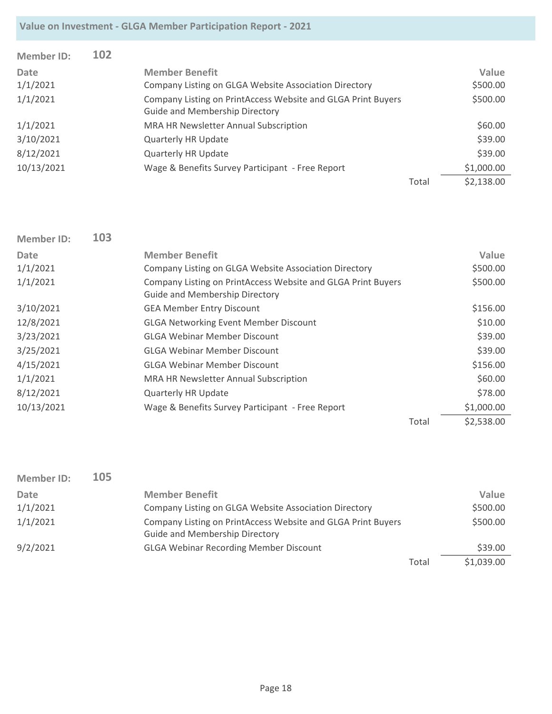| <b>Member ID:</b> | 102 |                                                                                                       |       |            |
|-------------------|-----|-------------------------------------------------------------------------------------------------------|-------|------------|
| Date              |     | <b>Member Benefit</b>                                                                                 |       | Value      |
| 1/1/2021          |     | Company Listing on GLGA Website Association Directory                                                 |       | \$500.00   |
| 1/1/2021          |     | Company Listing on PrintAccess Website and GLGA Print Buyers<br><b>Guide and Membership Directory</b> |       | \$500.00   |
| 1/1/2021          |     | MRA HR Newsletter Annual Subscription                                                                 |       | \$60.00    |
| 3/10/2021         |     | <b>Quarterly HR Update</b>                                                                            |       | \$39.00    |
| 8/12/2021         |     | <b>Quarterly HR Update</b>                                                                            |       | \$39.00    |
| 10/13/2021        |     | Wage & Benefits Survey Participant - Free Report                                                      |       | \$1,000.00 |
|                   |     |                                                                                                       | Total | \$2,138.00 |

| <b>Member ID:</b> | 103 |                                                                                                       |       |            |
|-------------------|-----|-------------------------------------------------------------------------------------------------------|-------|------------|
| <b>Date</b>       |     | <b>Member Benefit</b>                                                                                 |       | Value      |
| 1/1/2021          |     | Company Listing on GLGA Website Association Directory                                                 |       | \$500.00   |
| 1/1/2021          |     | Company Listing on PrintAccess Website and GLGA Print Buyers<br><b>Guide and Membership Directory</b> |       | \$500.00   |
| 3/10/2021         |     | <b>GEA Member Entry Discount</b>                                                                      |       | \$156.00   |
| 12/8/2021         |     | <b>GLGA Networking Event Member Discount</b>                                                          |       | \$10.00    |
| 3/23/2021         |     | <b>GLGA Webinar Member Discount</b>                                                                   |       | \$39.00    |
| 3/25/2021         |     | <b>GLGA Webinar Member Discount</b>                                                                   |       | \$39.00    |
| 4/15/2021         |     | <b>GLGA Webinar Member Discount</b>                                                                   |       | \$156.00   |
| 1/1/2021          |     | MRA HR Newsletter Annual Subscription                                                                 |       | \$60.00    |
| 8/12/2021         |     | <b>Quarterly HR Update</b>                                                                            |       | \$78.00    |
| 10/13/2021        |     | Wage & Benefits Survey Participant - Free Report                                                      |       | \$1,000.00 |
|                   |     |                                                                                                       | Total | \$2,538.00 |

| <b>Member ID:</b> | 105 |                                                                                                       |       |            |
|-------------------|-----|-------------------------------------------------------------------------------------------------------|-------|------------|
| Date              |     | <b>Member Benefit</b>                                                                                 |       | Value      |
| 1/1/2021          |     | Company Listing on GLGA Website Association Directory                                                 |       | \$500.00   |
| 1/1/2021          |     | Company Listing on PrintAccess Website and GLGA Print Buyers<br><b>Guide and Membership Directory</b> |       | \$500.00   |
| 9/2/2021          |     | <b>GLGA Webinar Recording Member Discount</b>                                                         |       | \$39.00    |
|                   |     |                                                                                                       | Total | \$1,039.00 |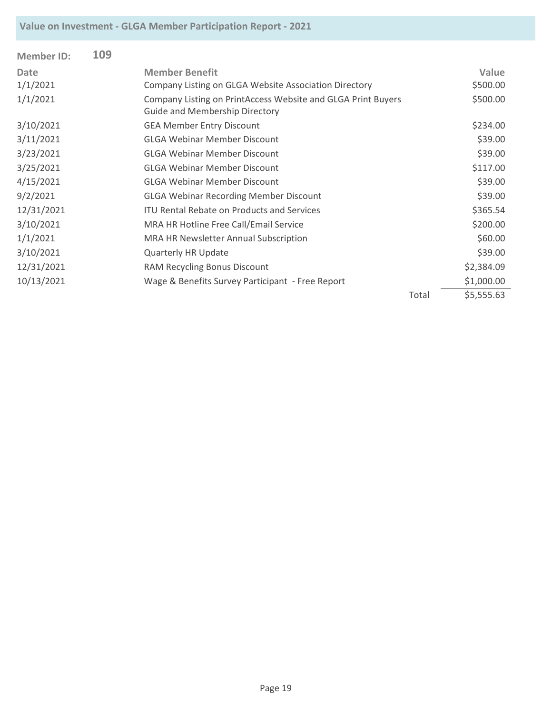| <b>Member ID:</b> | 109 |                                                                                                       |       |            |
|-------------------|-----|-------------------------------------------------------------------------------------------------------|-------|------------|
| <b>Date</b>       |     | <b>Member Benefit</b>                                                                                 |       | Value      |
| 1/1/2021          |     | Company Listing on GLGA Website Association Directory                                                 |       | \$500.00   |
| 1/1/2021          |     | Company Listing on PrintAccess Website and GLGA Print Buyers<br><b>Guide and Membership Directory</b> |       | \$500.00   |
| 3/10/2021         |     | <b>GEA Member Entry Discount</b>                                                                      |       | \$234.00   |
| 3/11/2021         |     | <b>GLGA Webinar Member Discount</b>                                                                   |       | \$39.00    |
| 3/23/2021         |     | <b>GLGA Webinar Member Discount</b>                                                                   |       | \$39.00    |
| 3/25/2021         |     | <b>GLGA Webinar Member Discount</b>                                                                   |       | \$117.00   |
| 4/15/2021         |     | <b>GLGA Webinar Member Discount</b>                                                                   |       | \$39.00    |
| 9/2/2021          |     | <b>GLGA Webinar Recording Member Discount</b>                                                         |       | \$39.00    |
| 12/31/2021        |     | <b>ITU Rental Rebate on Products and Services</b>                                                     |       | \$365.54   |
| 3/10/2021         |     | MRA HR Hotline Free Call/Email Service                                                                |       | \$200.00   |
| 1/1/2021          |     | MRA HR Newsletter Annual Subscription                                                                 |       | \$60.00    |
| 3/10/2021         |     | <b>Quarterly HR Update</b>                                                                            |       | \$39.00    |
| 12/31/2021        |     | RAM Recycling Bonus Discount                                                                          |       | \$2,384.09 |
| 10/13/2021        |     | Wage & Benefits Survey Participant - Free Report                                                      |       | \$1,000.00 |
|                   |     |                                                                                                       | Total | \$5,555.63 |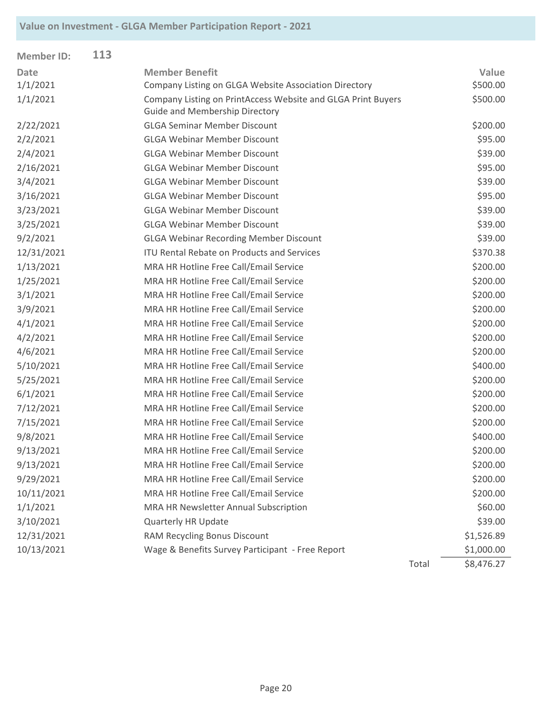| <b>Member ID:</b> | 113 |                                                                                                       |       |            |
|-------------------|-----|-------------------------------------------------------------------------------------------------------|-------|------------|
| <b>Date</b>       |     | <b>Member Benefit</b>                                                                                 |       | Value      |
| 1/1/2021          |     | Company Listing on GLGA Website Association Directory                                                 |       | \$500.00   |
| 1/1/2021          |     | Company Listing on PrintAccess Website and GLGA Print Buyers<br><b>Guide and Membership Directory</b> |       | \$500.00   |
| 2/22/2021         |     | <b>GLGA Seminar Member Discount</b>                                                                   |       | \$200.00   |
| 2/2/2021          |     | <b>GLGA Webinar Member Discount</b>                                                                   |       | \$95.00    |
| 2/4/2021          |     | <b>GLGA Webinar Member Discount</b>                                                                   |       | \$39.00    |
| 2/16/2021         |     | <b>GLGA Webinar Member Discount</b>                                                                   |       | \$95.00    |
| 3/4/2021          |     | <b>GLGA Webinar Member Discount</b>                                                                   |       | \$39.00    |
| 3/16/2021         |     | <b>GLGA Webinar Member Discount</b>                                                                   |       | \$95.00    |
| 3/23/2021         |     | <b>GLGA Webinar Member Discount</b>                                                                   |       | \$39.00    |
| 3/25/2021         |     | <b>GLGA Webinar Member Discount</b>                                                                   |       | \$39.00    |
| 9/2/2021          |     | <b>GLGA Webinar Recording Member Discount</b>                                                         |       | \$39.00    |
| 12/31/2021        |     | <b>ITU Rental Rebate on Products and Services</b>                                                     |       | \$370.38   |
| 1/13/2021         |     | MRA HR Hotline Free Call/Email Service                                                                |       | \$200.00   |
| 1/25/2021         |     | MRA HR Hotline Free Call/Email Service                                                                |       | \$200.00   |
| 3/1/2021          |     | MRA HR Hotline Free Call/Email Service                                                                |       | \$200.00   |
| 3/9/2021          |     | MRA HR Hotline Free Call/Email Service                                                                |       | \$200.00   |
| 4/1/2021          |     | MRA HR Hotline Free Call/Email Service                                                                |       | \$200.00   |
| 4/2/2021          |     | MRA HR Hotline Free Call/Email Service                                                                |       | \$200.00   |
| 4/6/2021          |     | MRA HR Hotline Free Call/Email Service                                                                |       | \$200.00   |
| 5/10/2021         |     | MRA HR Hotline Free Call/Email Service                                                                |       | \$400.00   |
| 5/25/2021         |     | MRA HR Hotline Free Call/Email Service                                                                |       | \$200.00   |
| 6/1/2021          |     | MRA HR Hotline Free Call/Email Service                                                                |       | \$200.00   |
| 7/12/2021         |     | MRA HR Hotline Free Call/Email Service                                                                |       | \$200.00   |
| 7/15/2021         |     | MRA HR Hotline Free Call/Email Service                                                                |       | \$200.00   |
| 9/8/2021          |     | MRA HR Hotline Free Call/Email Service                                                                |       | \$400.00   |
| 9/13/2021         |     | MRA HR Hotline Free Call/Email Service                                                                |       | \$200.00   |
| 9/13/2021         |     | MRA HR Hotline Free Call/Email Service                                                                |       | \$200.00   |
| 9/29/2021         |     | MRA HR Hotline Free Call/Email Service                                                                |       | \$200.00   |
| 10/11/2021        |     | MRA HR Hotline Free Call/Email Service                                                                |       | \$200.00   |
| 1/1/2021          |     | MRA HR Newsletter Annual Subscription                                                                 |       | \$60.00    |
| 3/10/2021         |     | <b>Quarterly HR Update</b>                                                                            |       | \$39.00    |
| 12/31/2021        |     | RAM Recycling Bonus Discount                                                                          |       | \$1,526.89 |
| 10/13/2021        |     | Wage & Benefits Survey Participant - Free Report                                                      |       | \$1,000.00 |
|                   |     |                                                                                                       | Total | \$8,476.27 |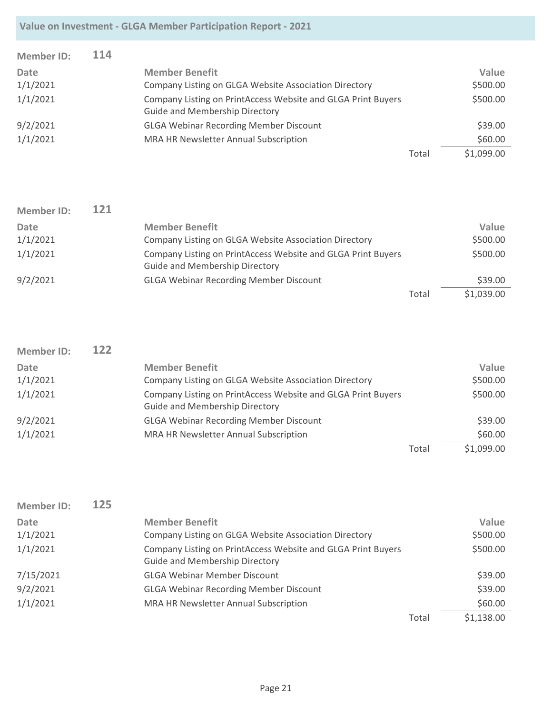| <b>Member ID:</b> | 114 |                                                                                                       |       |            |
|-------------------|-----|-------------------------------------------------------------------------------------------------------|-------|------------|
| Date              |     | <b>Member Benefit</b>                                                                                 |       | Value      |
| 1/1/2021          |     | Company Listing on GLGA Website Association Directory                                                 |       | \$500.00   |
| 1/1/2021          |     | Company Listing on PrintAccess Website and GLGA Print Buyers<br><b>Guide and Membership Directory</b> |       | \$500.00   |
| 9/2/2021          |     | <b>GLGA Webinar Recording Member Discount</b>                                                         |       | \$39.00    |
| 1/1/2021          |     | MRA HR Newsletter Annual Subscription                                                                 |       | \$60.00    |
|                   |     |                                                                                                       | Total | \$1,099.00 |

| <b>Member ID:</b> | 121 |                                                                                                       |       |            |
|-------------------|-----|-------------------------------------------------------------------------------------------------------|-------|------------|
| Date              |     | <b>Member Benefit</b>                                                                                 |       | Value      |
| 1/1/2021          |     | Company Listing on GLGA Website Association Directory                                                 |       | \$500.00   |
| 1/1/2021          |     | Company Listing on PrintAccess Website and GLGA Print Buyers<br><b>Guide and Membership Directory</b> |       | \$500.00   |
| 9/2/2021          |     | <b>GLGA Webinar Recording Member Discount</b>                                                         |       | \$39.00    |
|                   |     |                                                                                                       | Total | \$1,039.00 |

| <b>Member ID:</b> | 122 |                                                                                                       |       |            |
|-------------------|-----|-------------------------------------------------------------------------------------------------------|-------|------------|
| Date              |     | <b>Member Benefit</b>                                                                                 |       | Value      |
| 1/1/2021          |     | Company Listing on GLGA Website Association Directory                                                 |       | \$500.00   |
| 1/1/2021          |     | Company Listing on PrintAccess Website and GLGA Print Buyers<br><b>Guide and Membership Directory</b> |       | \$500.00   |
|                   |     |                                                                                                       |       |            |
| 9/2/2021          |     | <b>GLGA Webinar Recording Member Discount</b>                                                         |       | \$39.00    |
| 1/1/2021          |     | MRA HR Newsletter Annual Subscription                                                                 |       | \$60.00    |
|                   |     |                                                                                                       | Total | \$1,099.00 |

| Member ID:  | 125 |                                                                                                       |       |            |
|-------------|-----|-------------------------------------------------------------------------------------------------------|-------|------------|
| <b>Date</b> |     | <b>Member Benefit</b>                                                                                 |       | Value      |
| 1/1/2021    |     | Company Listing on GLGA Website Association Directory                                                 |       | \$500.00   |
| 1/1/2021    |     | Company Listing on PrintAccess Website and GLGA Print Buyers<br><b>Guide and Membership Directory</b> |       | \$500.00   |
| 7/15/2021   |     | <b>GLGA Webinar Member Discount</b>                                                                   |       | \$39.00    |
| 9/2/2021    |     | <b>GLGA Webinar Recording Member Discount</b>                                                         |       | \$39.00    |
| 1/1/2021    |     | MRA HR Newsletter Annual Subscription                                                                 |       | \$60.00    |
|             |     |                                                                                                       | Total | \$1,138.00 |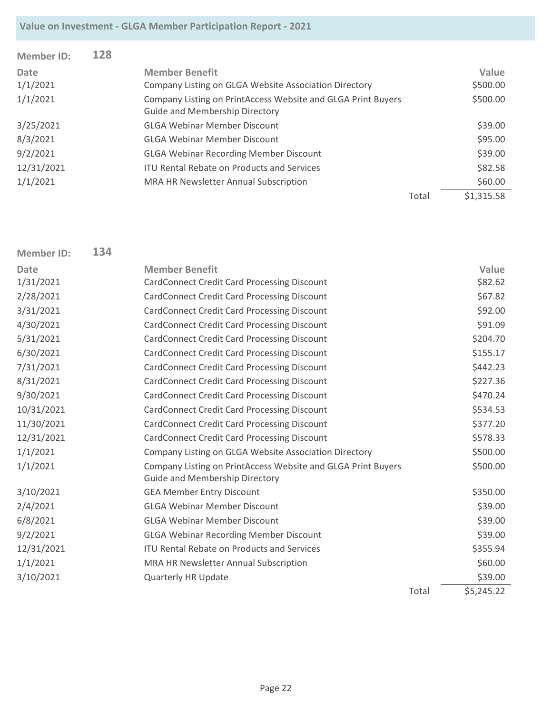| <b>Member ID:</b> | 128 |                                                                                                       |       |            |
|-------------------|-----|-------------------------------------------------------------------------------------------------------|-------|------------|
| Date              |     | <b>Member Benefit</b>                                                                                 |       | Value      |
| 1/1/2021          |     | Company Listing on GLGA Website Association Directory                                                 |       | \$500.00   |
| 1/1/2021          |     | Company Listing on PrintAccess Website and GLGA Print Buyers<br><b>Guide and Membership Directory</b> |       | \$500.00   |
| 3/25/2021         |     | <b>GLGA Webinar Member Discount</b>                                                                   |       | \$39.00    |
| 8/3/2021          |     | <b>GLGA Webinar Member Discount</b>                                                                   |       | \$95.00    |
| 9/2/2021          |     | <b>GLGA Webinar Recording Member Discount</b>                                                         |       | \$39.00    |
| 12/31/2021        |     | <b>ITU Rental Rebate on Products and Services</b>                                                     |       | \$82.58    |
| 1/1/2021          |     | <b>MRA HR Newsletter Annual Subscription</b>                                                          |       | \$60.00    |
|                   |     |                                                                                                       | Total | \$1,315.58 |

| <b>Member ID:</b> | 134 |                                                                                                       |       |            |
|-------------------|-----|-------------------------------------------------------------------------------------------------------|-------|------------|
| <b>Date</b>       |     | <b>Member Benefit</b>                                                                                 |       | Value      |
| 1/31/2021         |     | <b>CardConnect Credit Card Processing Discount</b>                                                    |       | \$82.62    |
| 2/28/2021         |     | <b>CardConnect Credit Card Processing Discount</b>                                                    |       | \$67.82    |
| 3/31/2021         |     | <b>CardConnect Credit Card Processing Discount</b>                                                    |       | \$92.00    |
| 4/30/2021         |     | <b>CardConnect Credit Card Processing Discount</b>                                                    |       | \$91.09    |
| 5/31/2021         |     | <b>CardConnect Credit Card Processing Discount</b>                                                    |       | \$204.70   |
| 6/30/2021         |     | <b>CardConnect Credit Card Processing Discount</b>                                                    |       | \$155.17   |
| 7/31/2021         |     | <b>CardConnect Credit Card Processing Discount</b>                                                    |       | \$442.23   |
| 8/31/2021         |     | <b>CardConnect Credit Card Processing Discount</b>                                                    |       | \$227.36   |
| 9/30/2021         |     | <b>CardConnect Credit Card Processing Discount</b>                                                    |       | \$470.24   |
| 10/31/2021        |     | <b>CardConnect Credit Card Processing Discount</b>                                                    |       | \$534.53   |
| 11/30/2021        |     | <b>CardConnect Credit Card Processing Discount</b>                                                    |       | \$377.20   |
| 12/31/2021        |     | <b>CardConnect Credit Card Processing Discount</b>                                                    |       | \$578.33   |
| 1/1/2021          |     | Company Listing on GLGA Website Association Directory                                                 |       | \$500.00   |
| 1/1/2021          |     | Company Listing on PrintAccess Website and GLGA Print Buyers<br><b>Guide and Membership Directory</b> |       | \$500.00   |
| 3/10/2021         |     | <b>GEA Member Entry Discount</b>                                                                      |       | \$350.00   |
| 2/4/2021          |     | <b>GLGA Webinar Member Discount</b>                                                                   |       | \$39.00    |
| 6/8/2021          |     | <b>GLGA Webinar Member Discount</b>                                                                   |       | \$39.00    |
| 9/2/2021          |     | <b>GLGA Webinar Recording Member Discount</b>                                                         |       | \$39.00    |
| 12/31/2021        |     | <b>ITU Rental Rebate on Products and Services</b>                                                     |       | \$355.94   |
| 1/1/2021          |     | MRA HR Newsletter Annual Subscription                                                                 |       | \$60.00    |
| 3/10/2021         |     | <b>Quarterly HR Update</b>                                                                            |       | \$39.00    |
|                   |     |                                                                                                       | Total | \$5,245.22 |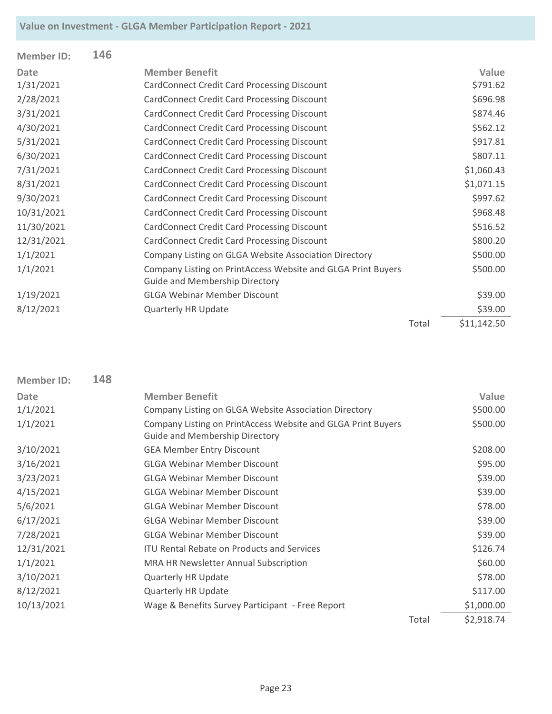| <b>Member ID:</b> | 146 |                                                              |       |             |
|-------------------|-----|--------------------------------------------------------------|-------|-------------|
| <b>Date</b>       |     | <b>Member Benefit</b>                                        |       | Value       |
| 1/31/2021         |     | <b>CardConnect Credit Card Processing Discount</b>           |       | \$791.62    |
| 2/28/2021         |     | <b>CardConnect Credit Card Processing Discount</b>           |       | \$696.98    |
| 3/31/2021         |     | <b>CardConnect Credit Card Processing Discount</b>           |       | \$874.46    |
| 4/30/2021         |     | <b>CardConnect Credit Card Processing Discount</b>           |       | \$562.12    |
| 5/31/2021         |     | <b>CardConnect Credit Card Processing Discount</b>           |       | \$917.81    |
| 6/30/2021         |     | CardConnect Credit Card Processing Discount                  |       | \$807.11    |
| 7/31/2021         |     | <b>CardConnect Credit Card Processing Discount</b>           |       | \$1,060.43  |
| 8/31/2021         |     | <b>CardConnect Credit Card Processing Discount</b>           |       | \$1,071.15  |
| 9/30/2021         |     | <b>CardConnect Credit Card Processing Discount</b>           |       | \$997.62    |
| 10/31/2021        |     | <b>CardConnect Credit Card Processing Discount</b>           |       | \$968.48    |
| 11/30/2021        |     | <b>CardConnect Credit Card Processing Discount</b>           |       | \$516.52    |
| 12/31/2021        |     | <b>CardConnect Credit Card Processing Discount</b>           |       | \$800.20    |
| 1/1/2021          |     | Company Listing on GLGA Website Association Directory        |       | \$500.00    |
| 1/1/2021          |     | Company Listing on PrintAccess Website and GLGA Print Buyers |       | \$500.00    |
|                   |     | Guide and Membership Directory                               |       |             |
| 1/19/2021         |     | <b>GLGA Webinar Member Discount</b>                          |       | \$39.00     |
| 8/12/2021         |     | <b>Quarterly HR Update</b>                                   |       | \$39.00     |
|                   |     |                                                              | Total | \$11,142.50 |

| <b>Member ID:</b> | 148 |                                                                                                       |       |            |
|-------------------|-----|-------------------------------------------------------------------------------------------------------|-------|------------|
| <b>Date</b>       |     | <b>Member Benefit</b>                                                                                 |       | Value      |
| 1/1/2021          |     | Company Listing on GLGA Website Association Directory                                                 |       | \$500.00   |
| 1/1/2021          |     | Company Listing on PrintAccess Website and GLGA Print Buyers<br><b>Guide and Membership Directory</b> |       | \$500.00   |
| 3/10/2021         |     | <b>GEA Member Entry Discount</b>                                                                      |       | \$208.00   |
| 3/16/2021         |     | <b>GLGA Webinar Member Discount</b>                                                                   |       | \$95.00    |
| 3/23/2021         |     | <b>GLGA Webinar Member Discount</b>                                                                   |       | \$39.00    |
| 4/15/2021         |     | <b>GLGA Webinar Member Discount</b>                                                                   |       | \$39.00    |
| 5/6/2021          |     | <b>GLGA Webinar Member Discount</b>                                                                   |       | \$78.00    |
| 6/17/2021         |     | <b>GLGA Webinar Member Discount</b>                                                                   |       | \$39.00    |
| 7/28/2021         |     | <b>GLGA Webinar Member Discount</b>                                                                   |       | \$39.00    |
| 12/31/2021        |     | <b>ITU Rental Rebate on Products and Services</b>                                                     |       | \$126.74   |
| 1/1/2021          |     | <b>MRA HR Newsletter Annual Subscription</b>                                                          |       | \$60.00    |
| 3/10/2021         |     | <b>Quarterly HR Update</b>                                                                            |       | \$78.00    |
| 8/12/2021         |     | <b>Quarterly HR Update</b>                                                                            |       | \$117.00   |
| 10/13/2021        |     | Wage & Benefits Survey Participant - Free Report                                                      |       | \$1,000.00 |
|                   |     |                                                                                                       | Total | \$2,918.74 |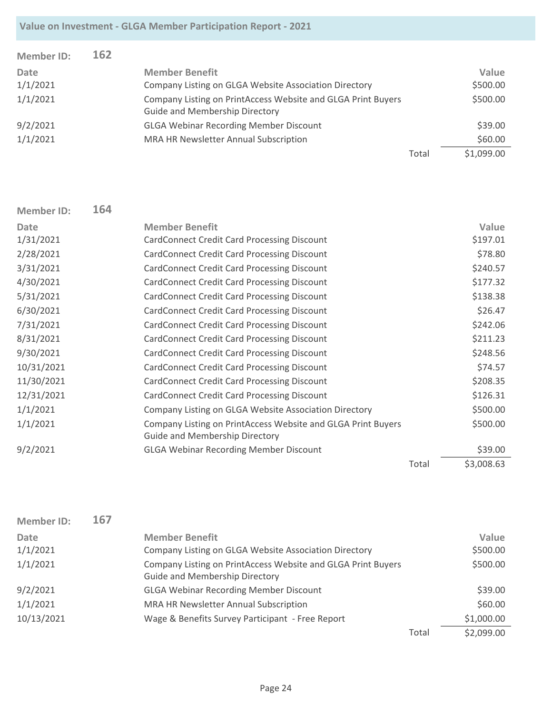| <b>Member ID:</b> | 162 |                                                                                                       |       |            |
|-------------------|-----|-------------------------------------------------------------------------------------------------------|-------|------------|
| Date              |     | <b>Member Benefit</b>                                                                                 |       | Value      |
| 1/1/2021          |     | Company Listing on GLGA Website Association Directory                                                 |       | \$500.00   |
| 1/1/2021          |     | Company Listing on PrintAccess Website and GLGA Print Buyers<br><b>Guide and Membership Directory</b> |       | \$500.00   |
| 9/2/2021          |     | <b>GLGA Webinar Recording Member Discount</b>                                                         |       | \$39.00    |
| 1/1/2021          |     | MRA HR Newsletter Annual Subscription                                                                 |       | \$60.00    |
|                   |     |                                                                                                       | Total | \$1,099.00 |

| <b>Member ID:</b> | 164 |                                                                                                       |       |            |
|-------------------|-----|-------------------------------------------------------------------------------------------------------|-------|------------|
| <b>Date</b>       |     | <b>Member Benefit</b>                                                                                 |       | Value      |
| 1/31/2021         |     | <b>CardConnect Credit Card Processing Discount</b>                                                    |       | \$197.01   |
| 2/28/2021         |     | CardConnect Credit Card Processing Discount                                                           |       | \$78.80    |
| 3/31/2021         |     | <b>CardConnect Credit Card Processing Discount</b>                                                    |       | \$240.57   |
| 4/30/2021         |     | <b>CardConnect Credit Card Processing Discount</b>                                                    |       | \$177.32   |
| 5/31/2021         |     | CardConnect Credit Card Processing Discount                                                           |       | \$138.38   |
| 6/30/2021         |     | CardConnect Credit Card Processing Discount                                                           |       | \$26.47    |
| 7/31/2021         |     | <b>CardConnect Credit Card Processing Discount</b>                                                    |       | \$242.06   |
| 8/31/2021         |     | <b>CardConnect Credit Card Processing Discount</b>                                                    |       | \$211.23   |
| 9/30/2021         |     | <b>CardConnect Credit Card Processing Discount</b>                                                    |       | \$248.56   |
| 10/31/2021        |     | CardConnect Credit Card Processing Discount                                                           |       | \$74.57    |
| 11/30/2021        |     | <b>CardConnect Credit Card Processing Discount</b>                                                    |       | \$208.35   |
| 12/31/2021        |     | <b>CardConnect Credit Card Processing Discount</b>                                                    |       | \$126.31   |
| 1/1/2021          |     | Company Listing on GLGA Website Association Directory                                                 |       | \$500.00   |
| 1/1/2021          |     | Company Listing on PrintAccess Website and GLGA Print Buyers<br><b>Guide and Membership Directory</b> |       | \$500.00   |
| 9/2/2021          |     | <b>GLGA Webinar Recording Member Discount</b>                                                         |       | \$39.00    |
|                   |     |                                                                                                       | Total | \$3,008.63 |

| <b>Member ID:</b> | 167 |                                                                                                       |       |            |
|-------------------|-----|-------------------------------------------------------------------------------------------------------|-------|------------|
| Date              |     | <b>Member Benefit</b>                                                                                 |       | Value      |
| 1/1/2021          |     | Company Listing on GLGA Website Association Directory                                                 |       | \$500.00   |
| 1/1/2021          |     | Company Listing on PrintAccess Website and GLGA Print Buyers<br><b>Guide and Membership Directory</b> |       | \$500.00   |
| 9/2/2021          |     | <b>GLGA Webinar Recording Member Discount</b>                                                         |       | \$39.00    |
| 1/1/2021          |     | MRA HR Newsletter Annual Subscription                                                                 |       | \$60.00    |
| 10/13/2021        |     | Wage & Benefits Survey Participant - Free Report                                                      |       | \$1,000.00 |
|                   |     |                                                                                                       | Total | \$2,099.00 |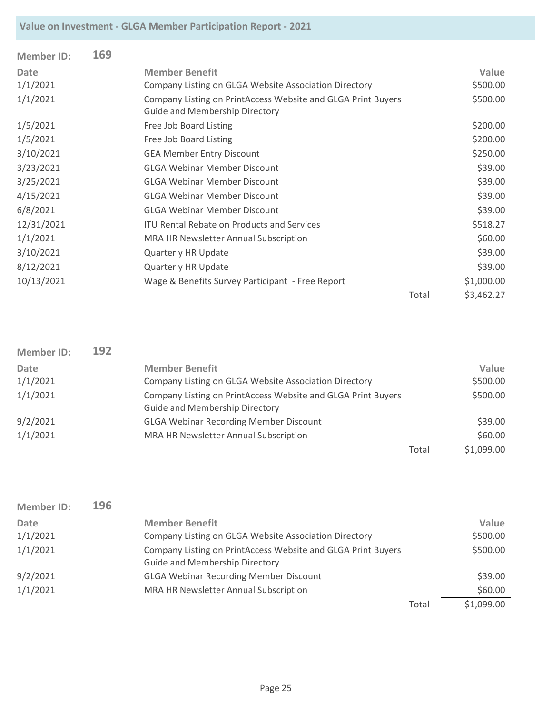| <b>Member ID:</b> | 169 |                                                                                                       |       |            |
|-------------------|-----|-------------------------------------------------------------------------------------------------------|-------|------------|
| <b>Date</b>       |     | <b>Member Benefit</b>                                                                                 |       | Value      |
| 1/1/2021          |     | Company Listing on GLGA Website Association Directory                                                 |       | \$500.00   |
| 1/1/2021          |     | Company Listing on PrintAccess Website and GLGA Print Buyers<br><b>Guide and Membership Directory</b> |       | \$500.00   |
| 1/5/2021          |     | Free Job Board Listing                                                                                |       | \$200.00   |
| 1/5/2021          |     | Free Job Board Listing                                                                                |       | \$200.00   |
| 3/10/2021         |     | <b>GEA Member Entry Discount</b>                                                                      |       | \$250.00   |
| 3/23/2021         |     | <b>GLGA Webinar Member Discount</b>                                                                   |       | \$39.00    |
| 3/25/2021         |     | <b>GLGA Webinar Member Discount</b>                                                                   |       | \$39.00    |
| 4/15/2021         |     | <b>GLGA Webinar Member Discount</b>                                                                   |       | \$39.00    |
| 6/8/2021          |     | <b>GLGA Webinar Member Discount</b>                                                                   |       | \$39.00    |
| 12/31/2021        |     | <b>ITU Rental Rebate on Products and Services</b>                                                     |       | \$518.27   |
| 1/1/2021          |     | MRA HR Newsletter Annual Subscription                                                                 |       | \$60.00    |
| 3/10/2021         |     | <b>Quarterly HR Update</b>                                                                            |       | \$39.00    |
| 8/12/2021         |     | <b>Quarterly HR Update</b>                                                                            |       | \$39.00    |
| 10/13/2021        |     | Wage & Benefits Survey Participant - Free Report                                                      |       | \$1,000.00 |
|                   |     |                                                                                                       | Total | \$3,462.27 |

| Member ID:  | 192 |                                                              |       |            |
|-------------|-----|--------------------------------------------------------------|-------|------------|
| <b>Date</b> |     | <b>Member Benefit</b>                                        |       | Value      |
| 1/1/2021    |     | Company Listing on GLGA Website Association Directory        |       | \$500.00   |
| 1/1/2021    |     | Company Listing on PrintAccess Website and GLGA Print Buyers |       | \$500.00   |
|             |     | <b>Guide and Membership Directory</b>                        |       |            |
| 9/2/2021    |     | <b>GLGA Webinar Recording Member Discount</b>                |       | \$39.00    |
| 1/1/2021    |     | MRA HR Newsletter Annual Subscription                        |       | \$60.00    |
|             |     |                                                              | Total | \$1,099.00 |

| Member ID:  | 196 |                                                                                                       |       |            |
|-------------|-----|-------------------------------------------------------------------------------------------------------|-------|------------|
| <b>Date</b> |     | <b>Member Benefit</b>                                                                                 |       | Value      |
| 1/1/2021    |     | Company Listing on GLGA Website Association Directory                                                 |       | \$500.00   |
| 1/1/2021    |     | Company Listing on PrintAccess Website and GLGA Print Buyers<br><b>Guide and Membership Directory</b> |       | \$500.00   |
| 9/2/2021    |     | <b>GLGA Webinar Recording Member Discount</b>                                                         |       | \$39.00    |
| 1/1/2021    |     | MRA HR Newsletter Annual Subscription                                                                 |       | \$60.00    |
|             |     |                                                                                                       | Total | \$1,099.00 |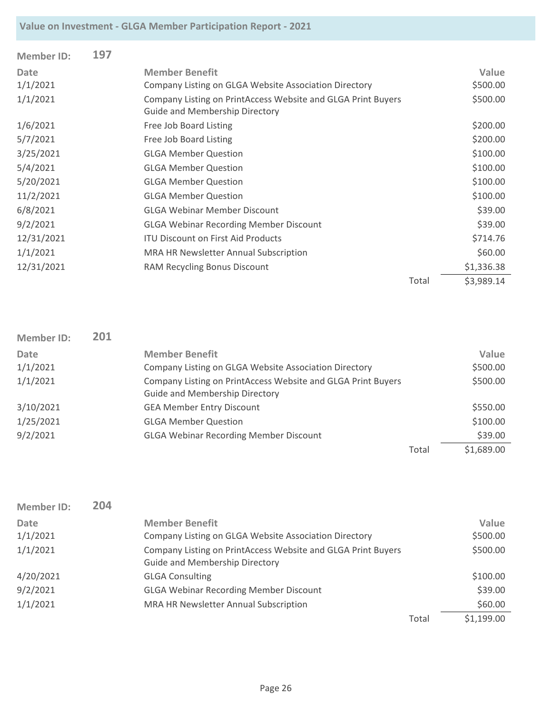| <b>Member ID:</b> | 197 |                                                                                                       |            |
|-------------------|-----|-------------------------------------------------------------------------------------------------------|------------|
| <b>Date</b>       |     | <b>Member Benefit</b>                                                                                 | Value      |
| 1/1/2021          |     | Company Listing on GLGA Website Association Directory                                                 | \$500.00   |
| 1/1/2021          |     | Company Listing on PrintAccess Website and GLGA Print Buyers<br><b>Guide and Membership Directory</b> | \$500.00   |
| 1/6/2021          |     | Free Job Board Listing                                                                                | \$200.00   |
| 5/7/2021          |     | Free Job Board Listing                                                                                | \$200.00   |
| 3/25/2021         |     | <b>GLGA Member Question</b>                                                                           | \$100.00   |
| 5/4/2021          |     | <b>GLGA Member Question</b>                                                                           | \$100.00   |
| 5/20/2021         |     | <b>GLGA Member Question</b>                                                                           | \$100.00   |
| 11/2/2021         |     | <b>GLGA Member Question</b>                                                                           | \$100.00   |
| 6/8/2021          |     | <b>GLGA Webinar Member Discount</b>                                                                   | \$39.00    |
| 9/2/2021          |     | <b>GLGA Webinar Recording Member Discount</b>                                                         | \$39.00    |
| 12/31/2021        |     | <b>ITU Discount on First Aid Products</b>                                                             | \$714.76   |
| 1/1/2021          |     | <b>MRA HR Newsletter Annual Subscription</b>                                                          | \$60.00    |
| 12/31/2021        |     | RAM Recycling Bonus Discount                                                                          | \$1,336.38 |
|                   |     | Total                                                                                                 | \$3,989.14 |

| Member ID:  | 201 |                                                                                                       |       |            |
|-------------|-----|-------------------------------------------------------------------------------------------------------|-------|------------|
| <b>Date</b> |     | <b>Member Benefit</b>                                                                                 |       | Value      |
| 1/1/2021    |     | Company Listing on GLGA Website Association Directory                                                 |       | \$500.00   |
| 1/1/2021    |     | Company Listing on PrintAccess Website and GLGA Print Buyers<br><b>Guide and Membership Directory</b> |       | \$500.00   |
| 3/10/2021   |     | <b>GEA Member Entry Discount</b>                                                                      |       | \$550.00   |
| 1/25/2021   |     | <b>GLGA Member Question</b>                                                                           |       | \$100.00   |
| 9/2/2021    |     | <b>GLGA Webinar Recording Member Discount</b>                                                         |       | \$39.00    |
|             |     |                                                                                                       | Total | \$1,689.00 |

| <b>Member ID:</b> | 204 |                                                                                                       |       |            |
|-------------------|-----|-------------------------------------------------------------------------------------------------------|-------|------------|
| <b>Date</b>       |     | <b>Member Benefit</b>                                                                                 |       | Value      |
| 1/1/2021          |     | Company Listing on GLGA Website Association Directory                                                 |       | \$500.00   |
| 1/1/2021          |     | Company Listing on PrintAccess Website and GLGA Print Buyers<br><b>Guide and Membership Directory</b> |       | \$500.00   |
| 4/20/2021         |     | <b>GLGA Consulting</b>                                                                                |       | \$100.00   |
| 9/2/2021          |     | <b>GLGA Webinar Recording Member Discount</b>                                                         |       | \$39.00    |
| 1/1/2021          |     | MRA HR Newsletter Annual Subscription                                                                 |       | \$60.00    |
|                   |     |                                                                                                       | Total | \$1,199.00 |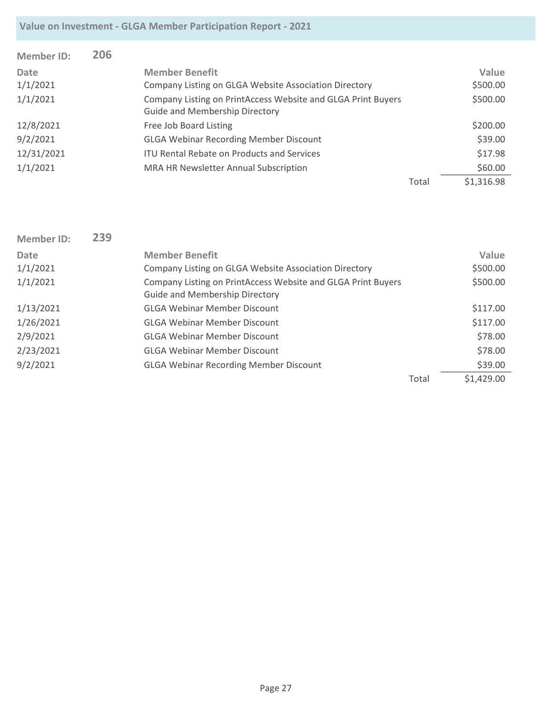| <b>Member ID:</b> | 206 |                                                                                                       |       |            |
|-------------------|-----|-------------------------------------------------------------------------------------------------------|-------|------------|
| Date              |     | <b>Member Benefit</b>                                                                                 |       | Value      |
| 1/1/2021          |     | Company Listing on GLGA Website Association Directory                                                 |       | \$500.00   |
| 1/1/2021          |     | Company Listing on PrintAccess Website and GLGA Print Buyers<br><b>Guide and Membership Directory</b> |       | \$500.00   |
| 12/8/2021         |     | Free Job Board Listing                                                                                |       | \$200.00   |
| 9/2/2021          |     | <b>GLGA Webinar Recording Member Discount</b>                                                         |       | \$39.00    |
| 12/31/2021        |     | <b>ITU Rental Rebate on Products and Services</b>                                                     |       | \$17.98    |
| 1/1/2021          |     | MRA HR Newsletter Annual Subscription                                                                 |       | \$60.00    |
|                   |     |                                                                                                       | Total | \$1,316.98 |

| Member ID:  | 239 |                                                                                                       |       |            |
|-------------|-----|-------------------------------------------------------------------------------------------------------|-------|------------|
| <b>Date</b> |     | <b>Member Benefit</b>                                                                                 |       | Value      |
| 1/1/2021    |     | Company Listing on GLGA Website Association Directory                                                 |       | \$500.00   |
| 1/1/2021    |     | Company Listing on PrintAccess Website and GLGA Print Buyers<br><b>Guide and Membership Directory</b> |       | \$500.00   |
| 1/13/2021   |     | <b>GLGA Webinar Member Discount</b>                                                                   |       | \$117.00   |
| 1/26/2021   |     | <b>GLGA Webinar Member Discount</b>                                                                   |       | \$117.00   |
| 2/9/2021    |     | <b>GLGA Webinar Member Discount</b>                                                                   |       | \$78.00    |
| 2/23/2021   |     | <b>GLGA Webinar Member Discount</b>                                                                   |       | \$78.00    |
| 9/2/2021    |     | <b>GLGA Webinar Recording Member Discount</b>                                                         |       | \$39.00    |
|             |     |                                                                                                       | Total | \$1,429.00 |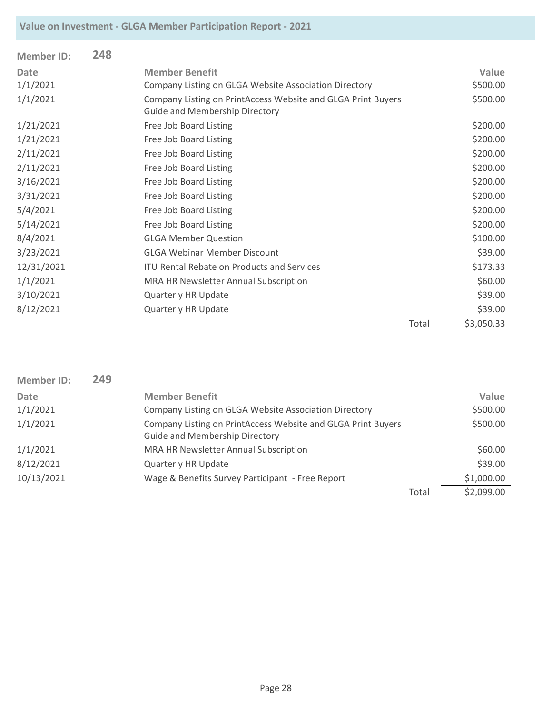| <b>Member ID:</b> | 248 |                                                                                                       |       |            |
|-------------------|-----|-------------------------------------------------------------------------------------------------------|-------|------------|
| <b>Date</b>       |     | <b>Member Benefit</b>                                                                                 |       | Value      |
| 1/1/2021          |     | Company Listing on GLGA Website Association Directory                                                 |       | \$500.00   |
| 1/1/2021          |     | Company Listing on PrintAccess Website and GLGA Print Buyers<br><b>Guide and Membership Directory</b> |       | \$500.00   |
| 1/21/2021         |     | Free Job Board Listing                                                                                |       | \$200.00   |
| 1/21/2021         |     | Free Job Board Listing                                                                                |       | \$200.00   |
| 2/11/2021         |     | Free Job Board Listing                                                                                |       | \$200.00   |
| 2/11/2021         |     | Free Job Board Listing                                                                                |       | \$200.00   |
| 3/16/2021         |     | Free Job Board Listing                                                                                |       | \$200.00   |
| 3/31/2021         |     | Free Job Board Listing                                                                                |       | \$200.00   |
| 5/4/2021          |     | Free Job Board Listing                                                                                |       | \$200.00   |
| 5/14/2021         |     | Free Job Board Listing                                                                                |       | \$200.00   |
| 8/4/2021          |     | <b>GLGA Member Question</b>                                                                           |       | \$100.00   |
| 3/23/2021         |     | <b>GLGA Webinar Member Discount</b>                                                                   |       | \$39.00    |
| 12/31/2021        |     | <b>ITU Rental Rebate on Products and Services</b>                                                     |       | \$173.33   |
| 1/1/2021          |     | MRA HR Newsletter Annual Subscription                                                                 |       | \$60.00    |
| 3/10/2021         |     | <b>Quarterly HR Update</b>                                                                            |       | \$39.00    |
| 8/12/2021         |     | <b>Quarterly HR Update</b>                                                                            |       | \$39.00    |
|                   |     |                                                                                                       | Total | \$3,050.33 |

| <b>Member ID:</b> | 249 |                                                                                                       |       |            |
|-------------------|-----|-------------------------------------------------------------------------------------------------------|-------|------------|
| Date              |     | <b>Member Benefit</b>                                                                                 |       | Value      |
| 1/1/2021          |     | Company Listing on GLGA Website Association Directory                                                 |       | \$500.00   |
| 1/1/2021          |     | Company Listing on PrintAccess Website and GLGA Print Buyers<br><b>Guide and Membership Directory</b> |       | \$500.00   |
| 1/1/2021          |     | MRA HR Newsletter Annual Subscription                                                                 |       | \$60.00    |
| 8/12/2021         |     | <b>Quarterly HR Update</b>                                                                            |       | \$39.00    |
| 10/13/2021        |     | Wage & Benefits Survey Participant - Free Report                                                      |       | \$1,000.00 |
|                   |     |                                                                                                       | Total | \$2,099.00 |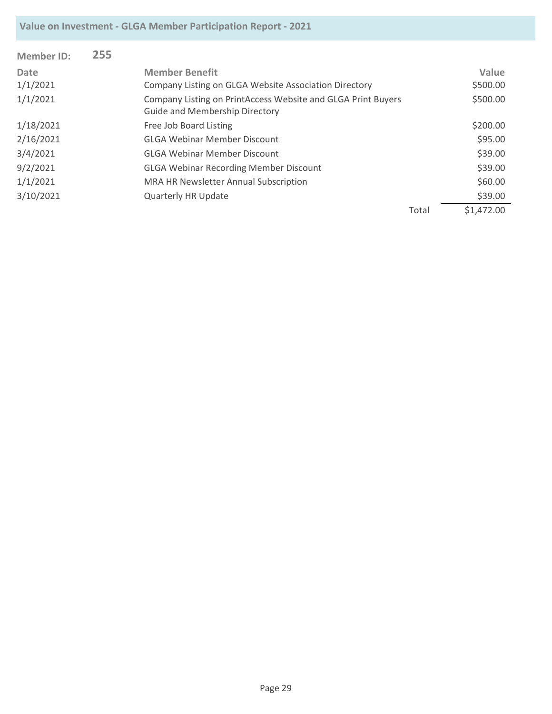| <b>Member ID:</b> | 255 |                                                                                                       |       |            |
|-------------------|-----|-------------------------------------------------------------------------------------------------------|-------|------------|
| Date              |     | <b>Member Benefit</b>                                                                                 |       | Value      |
| 1/1/2021          |     | Company Listing on GLGA Website Association Directory                                                 |       | \$500.00   |
| 1/1/2021          |     | Company Listing on PrintAccess Website and GLGA Print Buyers<br><b>Guide and Membership Directory</b> |       | \$500.00   |
| 1/18/2021         |     | Free Job Board Listing                                                                                |       | \$200.00   |
| 2/16/2021         |     | <b>GLGA Webinar Member Discount</b>                                                                   |       | \$95.00    |
| 3/4/2021          |     | <b>GLGA Webinar Member Discount</b>                                                                   |       | \$39.00    |
| 9/2/2021          |     | <b>GLGA Webinar Recording Member Discount</b>                                                         |       | \$39.00    |
| 1/1/2021          |     | MRA HR Newsletter Annual Subscription                                                                 |       | \$60.00    |
| 3/10/2021         |     | <b>Quarterly HR Update</b>                                                                            |       | \$39.00    |
|                   |     |                                                                                                       | Total | \$1,472.00 |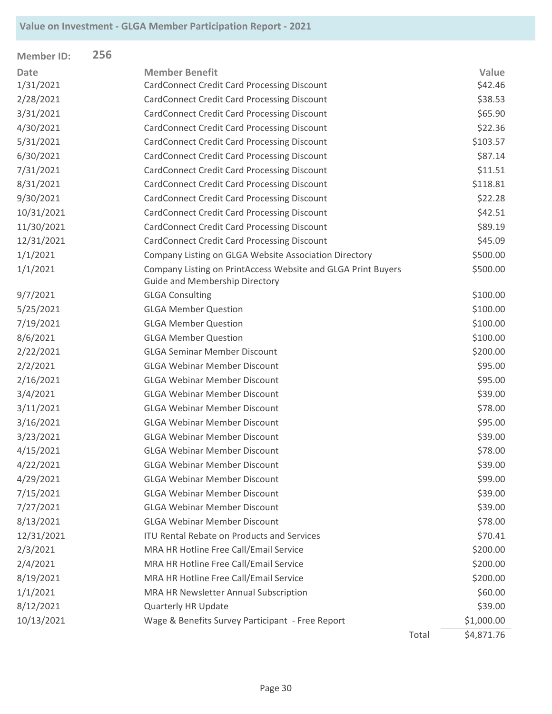| Member ID:  | 256 |                                                                                                       |       |            |
|-------------|-----|-------------------------------------------------------------------------------------------------------|-------|------------|
| <b>Date</b> |     | <b>Member Benefit</b>                                                                                 |       | Value      |
| 1/31/2021   |     | <b>CardConnect Credit Card Processing Discount</b>                                                    |       | \$42.46    |
| 2/28/2021   |     | <b>CardConnect Credit Card Processing Discount</b>                                                    |       | \$38.53    |
| 3/31/2021   |     | <b>CardConnect Credit Card Processing Discount</b>                                                    |       | \$65.90    |
| 4/30/2021   |     | <b>CardConnect Credit Card Processing Discount</b>                                                    |       | \$22.36    |
| 5/31/2021   |     | <b>CardConnect Credit Card Processing Discount</b>                                                    |       | \$103.57   |
| 6/30/2021   |     | <b>CardConnect Credit Card Processing Discount</b>                                                    |       | \$87.14    |
| 7/31/2021   |     | <b>CardConnect Credit Card Processing Discount</b>                                                    |       | \$11.51    |
| 8/31/2021   |     | <b>CardConnect Credit Card Processing Discount</b>                                                    |       | \$118.81   |
| 9/30/2021   |     | <b>CardConnect Credit Card Processing Discount</b>                                                    |       | \$22.28    |
| 10/31/2021  |     | <b>CardConnect Credit Card Processing Discount</b>                                                    |       | \$42.51    |
| 11/30/2021  |     | <b>CardConnect Credit Card Processing Discount</b>                                                    |       | \$89.19    |
| 12/31/2021  |     | <b>CardConnect Credit Card Processing Discount</b>                                                    |       | \$45.09    |
| 1/1/2021    |     | Company Listing on GLGA Website Association Directory                                                 |       | \$500.00   |
| 1/1/2021    |     | Company Listing on PrintAccess Website and GLGA Print Buyers<br><b>Guide and Membership Directory</b> |       | \$500.00   |
| 9/7/2021    |     | <b>GLGA Consulting</b>                                                                                |       | \$100.00   |
| 5/25/2021   |     | <b>GLGA Member Question</b>                                                                           |       | \$100.00   |
| 7/19/2021   |     | <b>GLGA Member Question</b>                                                                           |       | \$100.00   |
| 8/6/2021    |     | <b>GLGA Member Question</b>                                                                           |       | \$100.00   |
| 2/22/2021   |     | <b>GLGA Seminar Member Discount</b>                                                                   |       | \$200.00   |
| 2/2/2021    |     | <b>GLGA Webinar Member Discount</b>                                                                   |       | \$95.00    |
| 2/16/2021   |     | <b>GLGA Webinar Member Discount</b>                                                                   |       | \$95.00    |
| 3/4/2021    |     | <b>GLGA Webinar Member Discount</b>                                                                   |       | \$39.00    |
| 3/11/2021   |     | <b>GLGA Webinar Member Discount</b>                                                                   |       | \$78.00    |
| 3/16/2021   |     | <b>GLGA Webinar Member Discount</b>                                                                   |       | \$95.00    |
| 3/23/2021   |     | <b>GLGA Webinar Member Discount</b>                                                                   |       | \$39.00    |
| 4/15/2021   |     | <b>GLGA Webinar Member Discount</b>                                                                   |       | \$78.00    |
| 4/22/2021   |     | <b>GLGA Webinar Member Discount</b>                                                                   |       | \$39.00    |
| 4/29/2021   |     | <b>GLGA Webinar Member Discount</b>                                                                   |       | \$99.00    |
| 7/15/2021   |     | <b>GLGA Webinar Member Discount</b>                                                                   |       | \$39.00    |
| 7/27/2021   |     | <b>GLGA Webinar Member Discount</b>                                                                   |       | \$39.00    |
| 8/13/2021   |     | <b>GLGA Webinar Member Discount</b>                                                                   |       | \$78.00    |
| 12/31/2021  |     | <b>ITU Rental Rebate on Products and Services</b>                                                     |       | \$70.41    |
| 2/3/2021    |     | MRA HR Hotline Free Call/Email Service                                                                |       | \$200.00   |
| 2/4/2021    |     | MRA HR Hotline Free Call/Email Service                                                                |       | \$200.00   |
| 8/19/2021   |     | MRA HR Hotline Free Call/Email Service                                                                |       | \$200.00   |
| 1/1/2021    |     | MRA HR Newsletter Annual Subscription                                                                 |       | \$60.00    |
| 8/12/2021   |     | Quarterly HR Update                                                                                   |       | \$39.00    |
| 10/13/2021  |     | Wage & Benefits Survey Participant - Free Report                                                      |       | \$1,000.00 |
|             |     |                                                                                                       | Total | \$4,871.76 |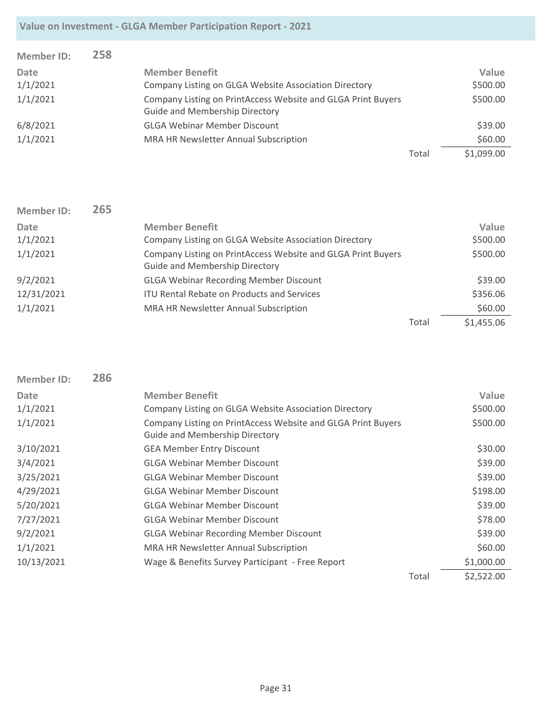| <b>Member ID:</b> | 258 |                                                                                                       |       |            |
|-------------------|-----|-------------------------------------------------------------------------------------------------------|-------|------------|
| <b>Date</b>       |     | <b>Member Benefit</b>                                                                                 |       | Value      |
| 1/1/2021          |     | Company Listing on GLGA Website Association Directory                                                 |       | \$500.00   |
| 1/1/2021          |     | Company Listing on PrintAccess Website and GLGA Print Buyers<br><b>Guide and Membership Directory</b> |       | \$500.00   |
| 6/8/2021          |     | <b>GLGA Webinar Member Discount</b>                                                                   |       | \$39.00    |
| 1/1/2021          |     | MRA HR Newsletter Annual Subscription                                                                 |       | \$60.00    |
|                   |     |                                                                                                       | Total | \$1,099.00 |

| <b>Member ID:</b> | 265 |                                                                                                       |       |            |
|-------------------|-----|-------------------------------------------------------------------------------------------------------|-------|------------|
| <b>Date</b>       |     | <b>Member Benefit</b>                                                                                 |       | Value      |
| 1/1/2021          |     | Company Listing on GLGA Website Association Directory                                                 |       | \$500.00   |
| 1/1/2021          |     | Company Listing on PrintAccess Website and GLGA Print Buyers<br><b>Guide and Membership Directory</b> |       | \$500.00   |
| 9/2/2021          |     | <b>GLGA Webinar Recording Member Discount</b>                                                         |       | \$39.00    |
| 12/31/2021        |     | <b>ITU Rental Rebate on Products and Services</b>                                                     |       | \$356.06   |
| 1/1/2021          |     | MRA HR Newsletter Annual Subscription                                                                 |       | \$60.00    |
|                   |     |                                                                                                       | Total | \$1,455.06 |

| <b>Member ID:</b> | 286 |                                                                                                       |       |            |
|-------------------|-----|-------------------------------------------------------------------------------------------------------|-------|------------|
| Date              |     | <b>Member Benefit</b>                                                                                 |       | Value      |
| 1/1/2021          |     | Company Listing on GLGA Website Association Directory                                                 |       | \$500.00   |
| 1/1/2021          |     | Company Listing on PrintAccess Website and GLGA Print Buyers<br><b>Guide and Membership Directory</b> |       | \$500.00   |
| 3/10/2021         |     | <b>GEA Member Entry Discount</b>                                                                      |       | \$30.00    |
| 3/4/2021          |     | <b>GLGA Webinar Member Discount</b>                                                                   |       | \$39.00    |
| 3/25/2021         |     | <b>GLGA Webinar Member Discount</b>                                                                   |       | \$39.00    |
| 4/29/2021         |     | <b>GLGA Webinar Member Discount</b>                                                                   |       | \$198.00   |
| 5/20/2021         |     | <b>GLGA Webinar Member Discount</b>                                                                   |       | \$39.00    |
| 7/27/2021         |     | <b>GLGA Webinar Member Discount</b>                                                                   |       | \$78.00    |
| 9/2/2021          |     | <b>GLGA Webinar Recording Member Discount</b>                                                         |       | \$39.00    |
| 1/1/2021          |     | <b>MRA HR Newsletter Annual Subscription</b>                                                          |       | \$60.00    |
| 10/13/2021        |     | Wage & Benefits Survey Participant - Free Report                                                      |       | \$1,000.00 |
|                   |     |                                                                                                       | Total | \$2,522.00 |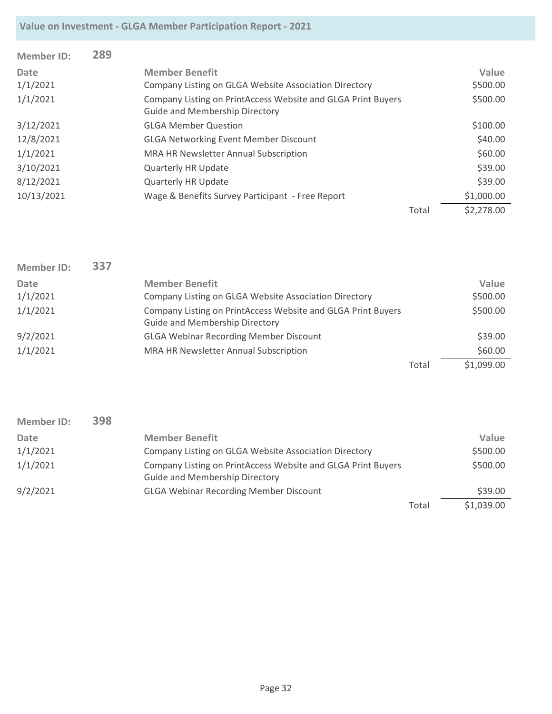| <b>Member ID:</b> | 289 |                                                                                                       |       |            |
|-------------------|-----|-------------------------------------------------------------------------------------------------------|-------|------------|
| <b>Date</b>       |     | <b>Member Benefit</b>                                                                                 |       | Value      |
| 1/1/2021          |     | Company Listing on GLGA Website Association Directory                                                 |       | \$500.00   |
| 1/1/2021          |     | Company Listing on PrintAccess Website and GLGA Print Buyers<br><b>Guide and Membership Directory</b> |       | \$500.00   |
| 3/12/2021         |     | <b>GLGA Member Question</b>                                                                           |       | \$100.00   |
| 12/8/2021         |     | <b>GLGA Networking Event Member Discount</b>                                                          |       | \$40.00    |
| 1/1/2021          |     | <b>MRA HR Newsletter Annual Subscription</b>                                                          |       | \$60.00    |
| 3/10/2021         |     | <b>Quarterly HR Update</b>                                                                            |       | \$39.00    |
| 8/12/2021         |     | <b>Quarterly HR Update</b>                                                                            |       | \$39.00    |
| 10/13/2021        |     | Wage & Benefits Survey Participant - Free Report                                                      |       | \$1,000.00 |
|                   |     |                                                                                                       | Total | \$2,278.00 |

| <b>Member ID:</b> | 337 |                                                                                                       |       |            |
|-------------------|-----|-------------------------------------------------------------------------------------------------------|-------|------------|
| Date              |     | <b>Member Benefit</b>                                                                                 |       | Value      |
| 1/1/2021          |     | Company Listing on GLGA Website Association Directory                                                 |       | \$500.00   |
| 1/1/2021          |     | Company Listing on PrintAccess Website and GLGA Print Buyers<br><b>Guide and Membership Directory</b> |       | \$500.00   |
| 9/2/2021          |     | <b>GLGA Webinar Recording Member Discount</b>                                                         |       | \$39.00    |
| 1/1/2021          |     | MRA HR Newsletter Annual Subscription                                                                 |       | \$60.00    |
|                   |     |                                                                                                       | Total | \$1,099.00 |

| <b>Member ID:</b> | 398 |                                                                                                       |       |            |
|-------------------|-----|-------------------------------------------------------------------------------------------------------|-------|------------|
| <b>Date</b>       |     | <b>Member Benefit</b>                                                                                 |       | Value      |
| 1/1/2021          |     | Company Listing on GLGA Website Association Directory                                                 |       | \$500.00   |
| 1/1/2021          |     | Company Listing on PrintAccess Website and GLGA Print Buyers<br><b>Guide and Membership Directory</b> |       | \$500.00   |
| 9/2/2021          |     | <b>GLGA Webinar Recording Member Discount</b>                                                         |       | \$39.00    |
|                   |     |                                                                                                       | Total | \$1,039.00 |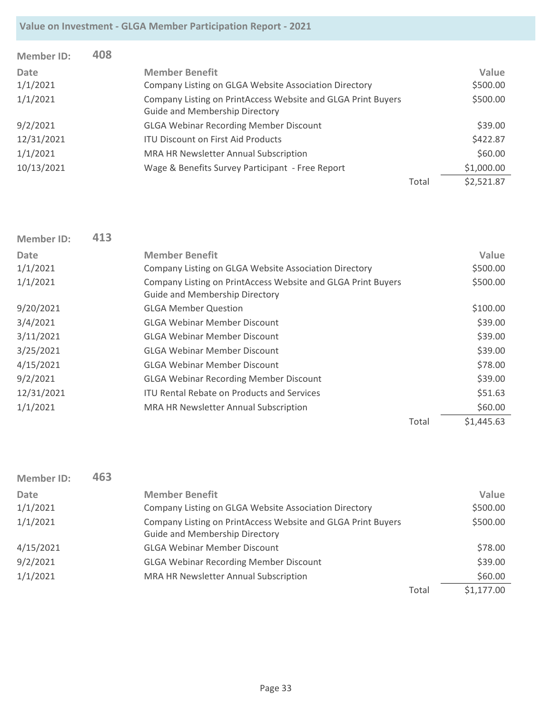| <b>Member ID:</b> | 408 |                                                                                                       |       |            |
|-------------------|-----|-------------------------------------------------------------------------------------------------------|-------|------------|
| Date              |     | <b>Member Benefit</b>                                                                                 |       | Value      |
| 1/1/2021          |     | Company Listing on GLGA Website Association Directory                                                 |       | \$500.00   |
| 1/1/2021          |     | Company Listing on PrintAccess Website and GLGA Print Buyers<br><b>Guide and Membership Directory</b> |       | \$500.00   |
| 9/2/2021          |     | <b>GLGA Webinar Recording Member Discount</b>                                                         |       | \$39.00    |
| 12/31/2021        |     | <b>ITU Discount on First Aid Products</b>                                                             |       | \$422.87   |
| 1/1/2021          |     | MRA HR Newsletter Annual Subscription                                                                 |       | \$60.00    |
| 10/13/2021        |     | Wage & Benefits Survey Participant - Free Report                                                      |       | \$1,000.00 |
|                   |     |                                                                                                       | Total | \$2,521.87 |

| <b>Member ID:</b> | 413 |                                                                                                       |       |            |
|-------------------|-----|-------------------------------------------------------------------------------------------------------|-------|------------|
| <b>Date</b>       |     | <b>Member Benefit</b>                                                                                 |       | Value      |
| 1/1/2021          |     | Company Listing on GLGA Website Association Directory                                                 |       | \$500.00   |
| 1/1/2021          |     | Company Listing on PrintAccess Website and GLGA Print Buyers<br><b>Guide and Membership Directory</b> |       | \$500.00   |
| 9/20/2021         |     | <b>GLGA Member Question</b>                                                                           |       | \$100.00   |
| 3/4/2021          |     | <b>GLGA Webinar Member Discount</b>                                                                   |       | \$39.00    |
| 3/11/2021         |     | <b>GLGA Webinar Member Discount</b>                                                                   |       | \$39.00    |
| 3/25/2021         |     | <b>GLGA Webinar Member Discount</b>                                                                   |       | \$39.00    |
| 4/15/2021         |     | <b>GLGA Webinar Member Discount</b>                                                                   |       | \$78.00    |
| 9/2/2021          |     | <b>GLGA Webinar Recording Member Discount</b>                                                         |       | \$39.00    |
| 12/31/2021        |     | <b>ITU Rental Rebate on Products and Services</b>                                                     |       | \$51.63    |
| 1/1/2021          |     | MRA HR Newsletter Annual Subscription                                                                 |       | \$60.00    |
|                   |     |                                                                                                       | Total | \$1,445.63 |

| <b>Member ID:</b> | 463 |                                                                                                       |       |            |
|-------------------|-----|-------------------------------------------------------------------------------------------------------|-------|------------|
| Date              |     | <b>Member Benefit</b>                                                                                 |       | Value      |
| 1/1/2021          |     | Company Listing on GLGA Website Association Directory                                                 |       | \$500.00   |
| 1/1/2021          |     | Company Listing on PrintAccess Website and GLGA Print Buyers<br><b>Guide and Membership Directory</b> |       | \$500.00   |
| 4/15/2021         |     | <b>GLGA Webinar Member Discount</b>                                                                   |       | \$78.00    |
| 9/2/2021          |     | <b>GLGA Webinar Recording Member Discount</b>                                                         |       | \$39.00    |
| 1/1/2021          |     | MRA HR Newsletter Annual Subscription                                                                 |       | \$60.00    |
|                   |     |                                                                                                       | Total | \$1,177.00 |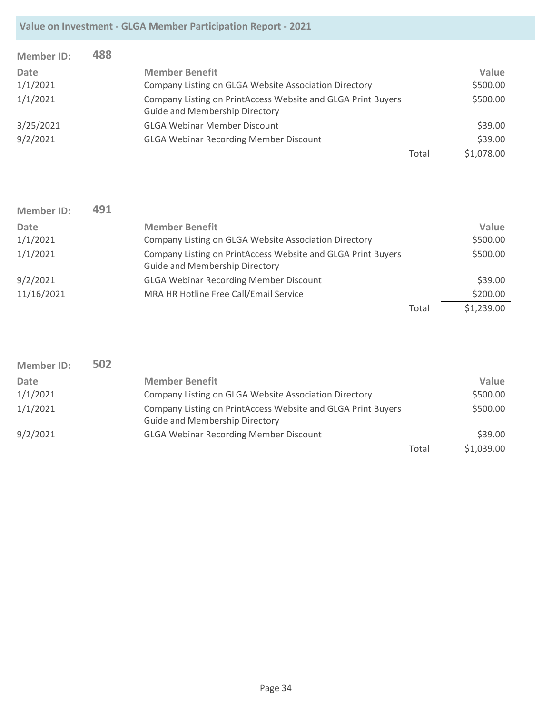| <b>Member ID:</b> | 488 |                                                                                                       |       |            |
|-------------------|-----|-------------------------------------------------------------------------------------------------------|-------|------------|
| <b>Date</b>       |     | <b>Member Benefit</b>                                                                                 |       | Value      |
| 1/1/2021          |     | Company Listing on GLGA Website Association Directory                                                 |       | \$500.00   |
| 1/1/2021          |     | Company Listing on PrintAccess Website and GLGA Print Buyers<br><b>Guide and Membership Directory</b> |       | \$500.00   |
| 3/25/2021         |     | <b>GLGA Webinar Member Discount</b>                                                                   |       | \$39.00    |
| 9/2/2021          |     | <b>GLGA Webinar Recording Member Discount</b>                                                         |       | \$39.00    |
|                   |     |                                                                                                       | Total | \$1,078.00 |

| <b>Member ID:</b> | 491 |                                                              |       |            |
|-------------------|-----|--------------------------------------------------------------|-------|------------|
| Date              |     | <b>Member Benefit</b>                                        |       | Value      |
| 1/1/2021          |     | Company Listing on GLGA Website Association Directory        |       | \$500.00   |
| 1/1/2021          |     | Company Listing on PrintAccess Website and GLGA Print Buyers |       | \$500.00   |
|                   |     | <b>Guide and Membership Directory</b>                        |       |            |
| 9/2/2021          |     | <b>GLGA Webinar Recording Member Discount</b>                |       | \$39.00    |
| 11/16/2021        |     | MRA HR Hotline Free Call/Email Service                       |       | \$200.00   |
|                   |     |                                                              | Total | \$1,239.00 |

| <b>Member ID:</b> | 502 |                                                                                                       |       |            |
|-------------------|-----|-------------------------------------------------------------------------------------------------------|-------|------------|
| Date              |     | <b>Member Benefit</b>                                                                                 |       | Value      |
| 1/1/2021          |     | Company Listing on GLGA Website Association Directory                                                 |       | \$500.00   |
| 1/1/2021          |     | Company Listing on PrintAccess Website and GLGA Print Buyers<br><b>Guide and Membership Directory</b> |       | \$500.00   |
| 9/2/2021          |     | <b>GLGA Webinar Recording Member Discount</b>                                                         |       | \$39.00    |
|                   |     |                                                                                                       | Total | \$1,039.00 |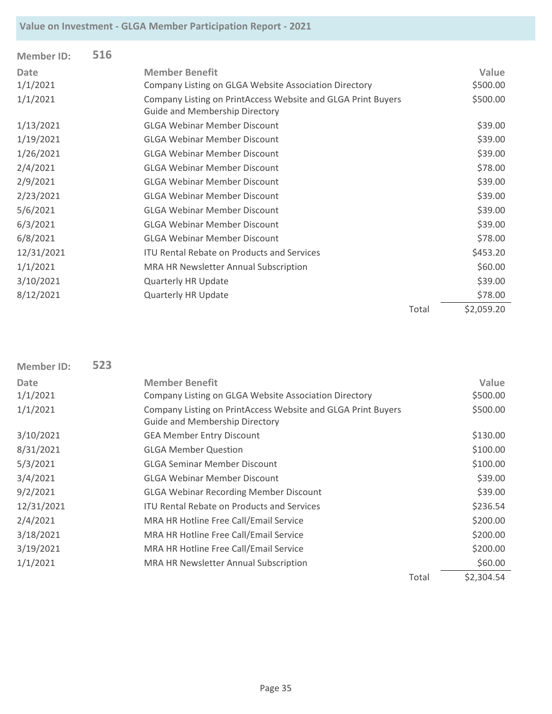| <b>Member ID:</b> | 516 |                                                                                                |       |            |
|-------------------|-----|------------------------------------------------------------------------------------------------|-------|------------|
| <b>Date</b>       |     | <b>Member Benefit</b>                                                                          |       | Value      |
| 1/1/2021          |     | Company Listing on GLGA Website Association Directory                                          |       | \$500.00   |
| 1/1/2021          |     | Company Listing on PrintAccess Website and GLGA Print Buyers<br>Guide and Membership Directory |       | \$500.00   |
| 1/13/2021         |     | <b>GLGA Webinar Member Discount</b>                                                            |       | \$39.00    |
| 1/19/2021         |     | <b>GLGA Webinar Member Discount</b>                                                            |       | \$39.00    |
| 1/26/2021         |     | <b>GLGA Webinar Member Discount</b>                                                            |       | \$39.00    |
| 2/4/2021          |     | <b>GLGA Webinar Member Discount</b>                                                            |       | \$78.00    |
| 2/9/2021          |     | <b>GLGA Webinar Member Discount</b>                                                            |       | \$39.00    |
| 2/23/2021         |     | <b>GLGA Webinar Member Discount</b>                                                            |       | \$39.00    |
| 5/6/2021          |     | <b>GLGA Webinar Member Discount</b>                                                            |       | \$39.00    |
| 6/3/2021          |     | <b>GLGA Webinar Member Discount</b>                                                            |       | \$39.00    |
| 6/8/2021          |     | <b>GLGA Webinar Member Discount</b>                                                            |       | \$78.00    |
| 12/31/2021        |     | <b>ITU Rental Rebate on Products and Services</b>                                              |       | \$453.20   |
| 1/1/2021          |     | <b>MRA HR Newsletter Annual Subscription</b>                                                   |       | \$60.00    |
| 3/10/2021         |     | <b>Quarterly HR Update</b>                                                                     |       | \$39.00    |
| 8/12/2021         |     | <b>Quarterly HR Update</b>                                                                     |       | \$78.00    |
|                   |     |                                                                                                | Total | \$2,059.20 |

| <b>Member ID:</b> | 523 |                                                                                                       |       |            |
|-------------------|-----|-------------------------------------------------------------------------------------------------------|-------|------------|
| Date              |     | <b>Member Benefit</b>                                                                                 |       | Value      |
| 1/1/2021          |     | Company Listing on GLGA Website Association Directory                                                 |       | \$500.00   |
| 1/1/2021          |     | Company Listing on PrintAccess Website and GLGA Print Buyers<br><b>Guide and Membership Directory</b> |       | \$500.00   |
| 3/10/2021         |     | <b>GEA Member Entry Discount</b>                                                                      |       | \$130.00   |
| 8/31/2021         |     | <b>GLGA Member Question</b>                                                                           |       | \$100.00   |
| 5/3/2021          |     | <b>GLGA Seminar Member Discount</b>                                                                   |       | \$100.00   |
| 3/4/2021          |     | <b>GLGA Webinar Member Discount</b>                                                                   |       | \$39.00    |
| 9/2/2021          |     | <b>GLGA Webinar Recording Member Discount</b>                                                         |       | \$39.00    |
| 12/31/2021        |     | <b>ITU Rental Rebate on Products and Services</b>                                                     |       | \$236.54   |
| 2/4/2021          |     | MRA HR Hotline Free Call/Email Service                                                                |       | \$200.00   |
| 3/18/2021         |     | MRA HR Hotline Free Call/Email Service                                                                |       | \$200.00   |
| 3/19/2021         |     | MRA HR Hotline Free Call/Email Service                                                                |       | \$200.00   |
| 1/1/2021          |     | MRA HR Newsletter Annual Subscription                                                                 |       | \$60.00    |
|                   |     |                                                                                                       | Total | \$2,304.54 |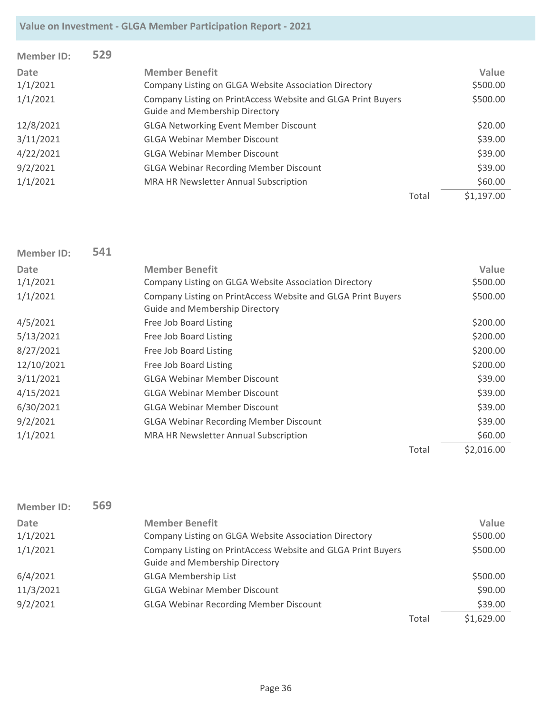| <b>Member ID:</b> | 529 |                                                                                                       |       |            |
|-------------------|-----|-------------------------------------------------------------------------------------------------------|-------|------------|
| <b>Date</b>       |     | <b>Member Benefit</b>                                                                                 |       | Value      |
| 1/1/2021          |     | Company Listing on GLGA Website Association Directory                                                 |       | \$500.00   |
| 1/1/2021          |     | Company Listing on PrintAccess Website and GLGA Print Buyers<br><b>Guide and Membership Directory</b> |       | \$500.00   |
| 12/8/2021         |     | <b>GLGA Networking Event Member Discount</b>                                                          |       | \$20.00    |
| 3/11/2021         |     | <b>GLGA Webinar Member Discount</b>                                                                   |       | \$39.00    |
| 4/22/2021         |     | <b>GLGA Webinar Member Discount</b>                                                                   |       | \$39.00    |
| 9/2/2021          |     | <b>GLGA Webinar Recording Member Discount</b>                                                         |       | \$39.00    |
| 1/1/2021          |     | MRA HR Newsletter Annual Subscription                                                                 |       | \$60.00    |
|                   |     |                                                                                                       | Total | \$1,197.00 |

| <b>Member ID:</b> | 541 |                                                                                                       |       |            |
|-------------------|-----|-------------------------------------------------------------------------------------------------------|-------|------------|
| <b>Date</b>       |     | <b>Member Benefit</b>                                                                                 |       | Value      |
| 1/1/2021          |     | Company Listing on GLGA Website Association Directory                                                 |       | \$500.00   |
| 1/1/2021          |     | Company Listing on PrintAccess Website and GLGA Print Buyers<br><b>Guide and Membership Directory</b> |       | \$500.00   |
| 4/5/2021          |     | Free Job Board Listing                                                                                |       | \$200.00   |
| 5/13/2021         |     | Free Job Board Listing                                                                                |       | \$200.00   |
| 8/27/2021         |     | Free Job Board Listing                                                                                |       | \$200.00   |
| 12/10/2021        |     | Free Job Board Listing                                                                                |       | \$200.00   |
| 3/11/2021         |     | <b>GLGA Webinar Member Discount</b>                                                                   |       | \$39.00    |
| 4/15/2021         |     | <b>GLGA Webinar Member Discount</b>                                                                   |       | \$39.00    |
| 6/30/2021         |     | <b>GLGA Webinar Member Discount</b>                                                                   |       | \$39.00    |
| 9/2/2021          |     | <b>GLGA Webinar Recording Member Discount</b>                                                         |       | \$39.00    |
| 1/1/2021          |     | MRA HR Newsletter Annual Subscription                                                                 |       | \$60.00    |
|                   |     |                                                                                                       | Total | \$2,016.00 |

| <b>Member ID:</b> | 569 |                                                                                                       |       |            |
|-------------------|-----|-------------------------------------------------------------------------------------------------------|-------|------------|
| <b>Date</b>       |     | <b>Member Benefit</b>                                                                                 |       | Value      |
| 1/1/2021          |     | Company Listing on GLGA Website Association Directory                                                 |       | \$500.00   |
| 1/1/2021          |     | Company Listing on PrintAccess Website and GLGA Print Buyers<br><b>Guide and Membership Directory</b> |       | \$500.00   |
| 6/4/2021          |     | <b>GLGA Membership List</b>                                                                           |       | \$500.00   |
| 11/3/2021         |     | <b>GLGA Webinar Member Discount</b>                                                                   |       | \$90.00    |
| 9/2/2021          |     | <b>GLGA Webinar Recording Member Discount</b>                                                         |       | \$39.00    |
|                   |     |                                                                                                       | Total | \$1,629.00 |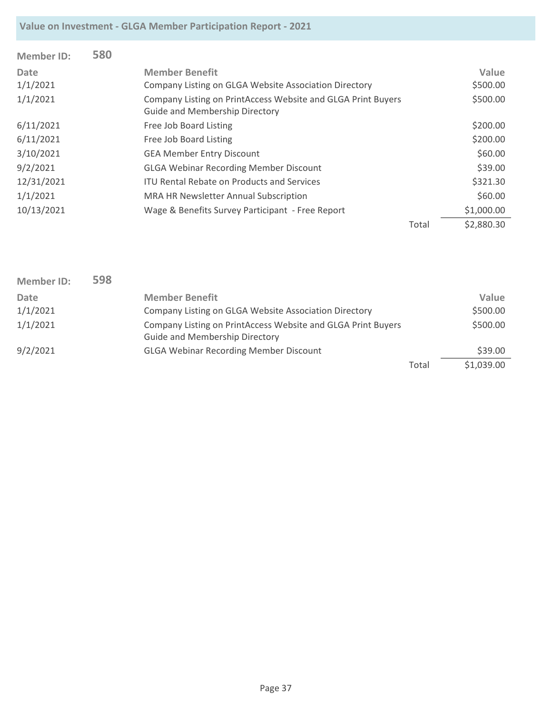| <b>Member ID:</b> | 580 |                                                                                                       |       |            |
|-------------------|-----|-------------------------------------------------------------------------------------------------------|-------|------------|
| <b>Date</b>       |     | <b>Member Benefit</b>                                                                                 |       | Value      |
| 1/1/2021          |     | Company Listing on GLGA Website Association Directory                                                 |       | \$500.00   |
| 1/1/2021          |     | Company Listing on PrintAccess Website and GLGA Print Buyers<br><b>Guide and Membership Directory</b> |       | \$500.00   |
| 6/11/2021         |     | Free Job Board Listing                                                                                |       | \$200.00   |
| 6/11/2021         |     | Free Job Board Listing                                                                                |       | \$200.00   |
| 3/10/2021         |     | <b>GEA Member Entry Discount</b>                                                                      |       | \$60.00    |
| 9/2/2021          |     | <b>GLGA Webinar Recording Member Discount</b>                                                         |       | \$39.00    |
| 12/31/2021        |     | <b>ITU Rental Rebate on Products and Services</b>                                                     |       | \$321.30   |
| 1/1/2021          |     | MRA HR Newsletter Annual Subscription                                                                 |       | \$60.00    |
| 10/13/2021        |     | Wage & Benefits Survey Participant - Free Report                                                      |       | \$1,000.00 |
|                   |     |                                                                                                       | Total | \$2,880.30 |

| <b>Member ID:</b> | 598 |                                                                                                       |       |            |
|-------------------|-----|-------------------------------------------------------------------------------------------------------|-------|------------|
| Date              |     | <b>Member Benefit</b>                                                                                 |       | Value      |
| 1/1/2021          |     | Company Listing on GLGA Website Association Directory                                                 |       | \$500.00   |
| 1/1/2021          |     | Company Listing on PrintAccess Website and GLGA Print Buyers<br><b>Guide and Membership Directory</b> |       | \$500.00   |
| 9/2/2021          |     | <b>GLGA Webinar Recording Member Discount</b>                                                         |       | \$39.00    |
|                   |     |                                                                                                       | Total | \$1,039.00 |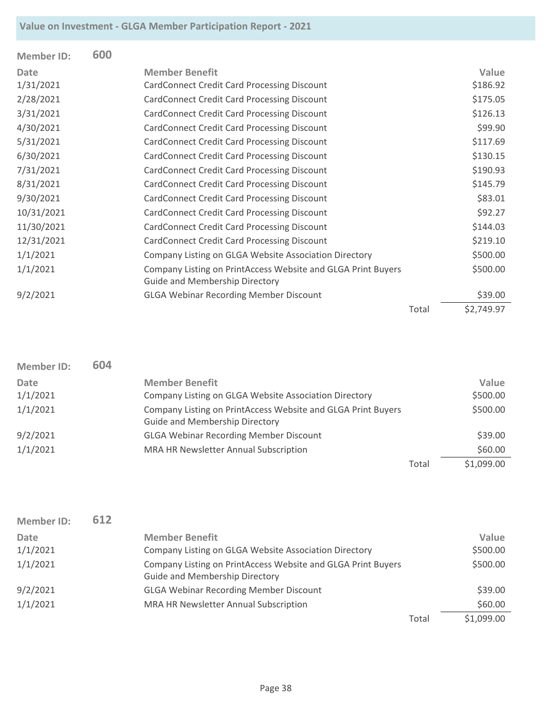| <b>Member ID:</b> | 600 |                                                                                                |       |            |
|-------------------|-----|------------------------------------------------------------------------------------------------|-------|------------|
| <b>Date</b>       |     | <b>Member Benefit</b>                                                                          |       | Value      |
| 1/31/2021         |     | <b>CardConnect Credit Card Processing Discount</b>                                             |       | \$186.92   |
| 2/28/2021         |     | <b>CardConnect Credit Card Processing Discount</b>                                             |       | \$175.05   |
| 3/31/2021         |     | <b>CardConnect Credit Card Processing Discount</b>                                             |       | \$126.13   |
| 4/30/2021         |     | <b>CardConnect Credit Card Processing Discount</b>                                             |       | \$99.90    |
| 5/31/2021         |     | <b>CardConnect Credit Card Processing Discount</b>                                             |       | \$117.69   |
| 6/30/2021         |     | <b>CardConnect Credit Card Processing Discount</b>                                             |       | \$130.15   |
| 7/31/2021         |     | <b>CardConnect Credit Card Processing Discount</b>                                             |       | \$190.93   |
| 8/31/2021         |     | <b>CardConnect Credit Card Processing Discount</b>                                             |       | \$145.79   |
| 9/30/2021         |     | <b>CardConnect Credit Card Processing Discount</b>                                             |       | \$83.01    |
| 10/31/2021        |     | <b>CardConnect Credit Card Processing Discount</b>                                             |       | \$92.27    |
| 11/30/2021        |     | <b>CardConnect Credit Card Processing Discount</b>                                             |       | \$144.03   |
| 12/31/2021        |     | <b>CardConnect Credit Card Processing Discount</b>                                             |       | \$219.10   |
| 1/1/2021          |     | Company Listing on GLGA Website Association Directory                                          |       | \$500.00   |
| 1/1/2021          |     | Company Listing on PrintAccess Website and GLGA Print Buyers<br>Guide and Membership Directory |       | \$500.00   |
| 9/2/2021          |     | <b>GLGA Webinar Recording Member Discount</b>                                                  |       | \$39.00    |
|                   |     |                                                                                                | Total | \$2,749.97 |

| <b>Member ID:</b> | 604 |                                                                                                       |       |            |
|-------------------|-----|-------------------------------------------------------------------------------------------------------|-------|------------|
| <b>Date</b>       |     | <b>Member Benefit</b>                                                                                 |       | Value      |
| 1/1/2021          |     | Company Listing on GLGA Website Association Directory                                                 |       | \$500.00   |
| 1/1/2021          |     | Company Listing on PrintAccess Website and GLGA Print Buyers<br><b>Guide and Membership Directory</b> |       | \$500.00   |
| 9/2/2021          |     | <b>GLGA Webinar Recording Member Discount</b>                                                         |       | \$39.00    |
| 1/1/2021          |     | MRA HR Newsletter Annual Subscription                                                                 |       | \$60.00    |
|                   |     |                                                                                                       | Total | \$1,099.00 |

| <b>Member ID:</b> | 612 |                                                                                                       |       |            |
|-------------------|-----|-------------------------------------------------------------------------------------------------------|-------|------------|
| Date              |     | <b>Member Benefit</b>                                                                                 |       | Value      |
| 1/1/2021          |     | Company Listing on GLGA Website Association Directory                                                 |       | \$500.00   |
| 1/1/2021          |     | Company Listing on PrintAccess Website and GLGA Print Buyers<br><b>Guide and Membership Directory</b> |       | \$500.00   |
| 9/2/2021          |     | <b>GLGA Webinar Recording Member Discount</b>                                                         |       | \$39.00    |
| 1/1/2021          |     | MRA HR Newsletter Annual Subscription                                                                 |       | \$60.00    |
|                   |     |                                                                                                       | Total | \$1,099.00 |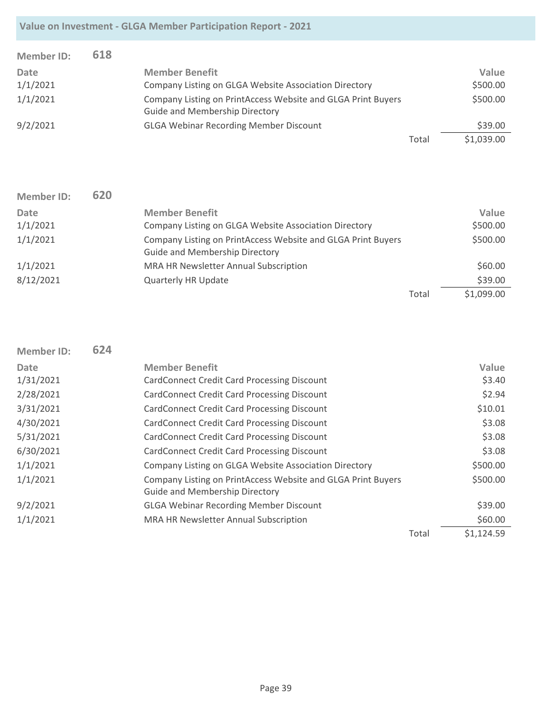| <b>Member ID:</b> | 618 |                                                                                                       |       |            |
|-------------------|-----|-------------------------------------------------------------------------------------------------------|-------|------------|
| Date              |     | <b>Member Benefit</b>                                                                                 |       | Value      |
| 1/1/2021          |     | Company Listing on GLGA Website Association Directory                                                 |       | \$500.00   |
| 1/1/2021          |     | Company Listing on PrintAccess Website and GLGA Print Buyers<br><b>Guide and Membership Directory</b> |       | \$500.00   |
| 9/2/2021          |     | <b>GLGA Webinar Recording Member Discount</b>                                                         |       | \$39.00    |
|                   |     |                                                                                                       | Total | \$1,039.00 |

| <b>Member ID:</b> | 620 |                                                                                                       |       |            |
|-------------------|-----|-------------------------------------------------------------------------------------------------------|-------|------------|
| <b>Date</b>       |     | <b>Member Benefit</b>                                                                                 |       | Value      |
| 1/1/2021          |     | Company Listing on GLGA Website Association Directory                                                 |       | \$500.00   |
| 1/1/2021          |     | Company Listing on PrintAccess Website and GLGA Print Buyers<br><b>Guide and Membership Directory</b> |       | \$500.00   |
| 1/1/2021          |     | MRA HR Newsletter Annual Subscription                                                                 |       | \$60.00    |
| 8/12/2021         |     | <b>Quarterly HR Update</b>                                                                            |       | \$39.00    |
|                   |     |                                                                                                       | Total | \$1,099.00 |

| <b>Member ID:</b> | 624 |                                                              |       |            |
|-------------------|-----|--------------------------------------------------------------|-------|------------|
| Date              |     | <b>Member Benefit</b>                                        |       | Value      |
| 1/31/2021         |     | <b>CardConnect Credit Card Processing Discount</b>           |       | \$3.40     |
| 2/28/2021         |     | <b>CardConnect Credit Card Processing Discount</b>           |       | \$2.94     |
| 3/31/2021         |     | <b>CardConnect Credit Card Processing Discount</b>           |       | \$10.01    |
| 4/30/2021         |     | <b>CardConnect Credit Card Processing Discount</b>           |       | \$3.08     |
| 5/31/2021         |     | <b>CardConnect Credit Card Processing Discount</b>           |       | \$3.08     |
| 6/30/2021         |     | <b>CardConnect Credit Card Processing Discount</b>           |       | \$3.08     |
| 1/1/2021          |     | Company Listing on GLGA Website Association Directory        |       | \$500.00   |
| 1/1/2021          |     | Company Listing on PrintAccess Website and GLGA Print Buyers |       | \$500.00   |
|                   |     | <b>Guide and Membership Directory</b>                        |       |            |
| 9/2/2021          |     | <b>GLGA Webinar Recording Member Discount</b>                |       | \$39.00    |
| 1/1/2021          |     | MRA HR Newsletter Annual Subscription                        |       | \$60.00    |
|                   |     |                                                              | Total | \$1,124.59 |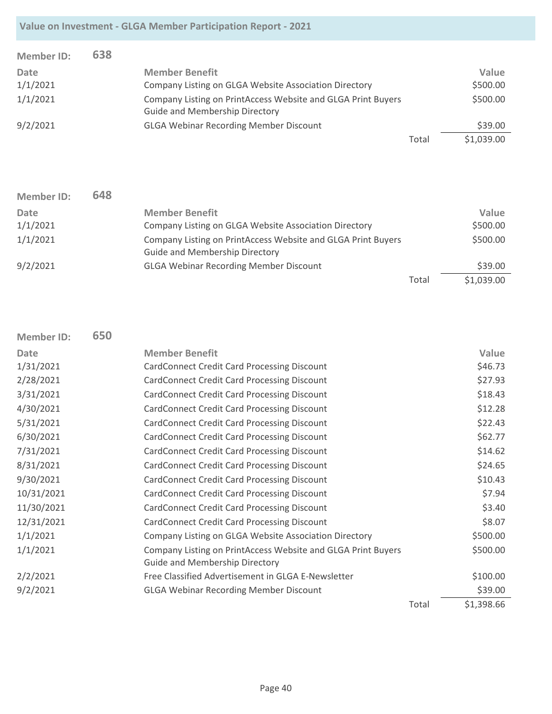| Member ID: | 638 |                                                                                                       |       |            |
|------------|-----|-------------------------------------------------------------------------------------------------------|-------|------------|
| Date       |     | <b>Member Benefit</b>                                                                                 |       | Value      |
| 1/1/2021   |     | Company Listing on GLGA Website Association Directory                                                 |       | \$500.00   |
| 1/1/2021   |     | Company Listing on PrintAccess Website and GLGA Print Buyers<br><b>Guide and Membership Directory</b> |       | \$500.00   |
| 9/2/2021   |     | <b>GLGA Webinar Recording Member Discount</b>                                                         |       | \$39.00    |
|            |     |                                                                                                       | Total | \$1,039.00 |

| Member ID: | 648 |                                                                                                       |       |            |
|------------|-----|-------------------------------------------------------------------------------------------------------|-------|------------|
| Date       |     | <b>Member Benefit</b>                                                                                 |       | Value      |
| 1/1/2021   |     | Company Listing on GLGA Website Association Directory                                                 |       | \$500.00   |
| 1/1/2021   |     | Company Listing on PrintAccess Website and GLGA Print Buyers<br><b>Guide and Membership Directory</b> |       | \$500.00   |
| 9/2/2021   |     | <b>GLGA Webinar Recording Member Discount</b>                                                         |       | \$39.00    |
|            |     |                                                                                                       | Total | \$1,039.00 |

| <b>Member ID:</b> | 650 |                                                                                                       |       |            |
|-------------------|-----|-------------------------------------------------------------------------------------------------------|-------|------------|
| Date              |     | <b>Member Benefit</b>                                                                                 |       | Value      |
| 1/31/2021         |     | CardConnect Credit Card Processing Discount                                                           |       | \$46.73    |
| 2/28/2021         |     | <b>CardConnect Credit Card Processing Discount</b>                                                    |       | \$27.93    |
| 3/31/2021         |     | <b>CardConnect Credit Card Processing Discount</b>                                                    |       | \$18.43    |
| 4/30/2021         |     | <b>CardConnect Credit Card Processing Discount</b>                                                    |       | \$12.28    |
| 5/31/2021         |     | <b>CardConnect Credit Card Processing Discount</b>                                                    |       | \$22.43    |
| 6/30/2021         |     | <b>CardConnect Credit Card Processing Discount</b>                                                    |       | \$62.77    |
| 7/31/2021         |     | <b>CardConnect Credit Card Processing Discount</b>                                                    |       | \$14.62    |
| 8/31/2021         |     | <b>CardConnect Credit Card Processing Discount</b>                                                    |       | \$24.65    |
| 9/30/2021         |     | <b>CardConnect Credit Card Processing Discount</b>                                                    |       | \$10.43    |
| 10/31/2021        |     | <b>CardConnect Credit Card Processing Discount</b>                                                    |       | \$7.94     |
| 11/30/2021        |     | <b>CardConnect Credit Card Processing Discount</b>                                                    |       | \$3.40     |
| 12/31/2021        |     | <b>CardConnect Credit Card Processing Discount</b>                                                    |       | \$8.07     |
| 1/1/2021          |     | Company Listing on GLGA Website Association Directory                                                 |       | \$500.00   |
| 1/1/2021          |     | Company Listing on PrintAccess Website and GLGA Print Buyers<br><b>Guide and Membership Directory</b> |       | \$500.00   |
| 2/2/2021          |     | Free Classified Advertisement in GLGA E-Newsletter                                                    |       | \$100.00   |
| 9/2/2021          |     | <b>GLGA Webinar Recording Member Discount</b>                                                         |       | \$39.00    |
|                   |     |                                                                                                       | Total | \$1,398.66 |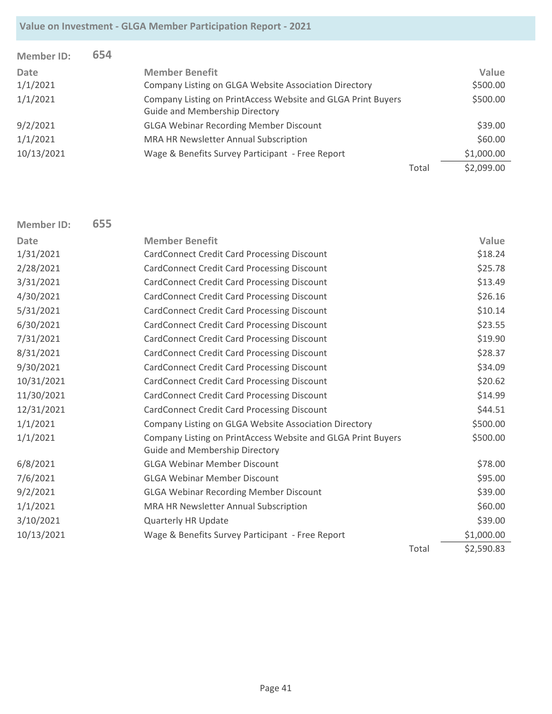| <b>Member ID:</b> | 654 |                                                                                                       |       |            |
|-------------------|-----|-------------------------------------------------------------------------------------------------------|-------|------------|
| Date              |     | <b>Member Benefit</b>                                                                                 |       | Value      |
| 1/1/2021          |     | Company Listing on GLGA Website Association Directory                                                 |       | \$500.00   |
| 1/1/2021          |     | Company Listing on PrintAccess Website and GLGA Print Buyers<br><b>Guide and Membership Directory</b> |       | \$500.00   |
| 9/2/2021          |     | <b>GLGA Webinar Recording Member Discount</b>                                                         |       | \$39.00    |
| 1/1/2021          |     | MRA HR Newsletter Annual Subscription                                                                 |       | \$60.00    |
| 10/13/2021        |     | Wage & Benefits Survey Participant - Free Report                                                      |       | \$1,000.00 |
|                   |     |                                                                                                       | Total | \$2,099.00 |

| <b>Member ID:</b> | 655 |                                                                                                |       |            |
|-------------------|-----|------------------------------------------------------------------------------------------------|-------|------------|
| <b>Date</b>       |     | <b>Member Benefit</b>                                                                          |       | Value      |
| 1/31/2021         |     | <b>CardConnect Credit Card Processing Discount</b>                                             |       | \$18.24    |
| 2/28/2021         |     | <b>CardConnect Credit Card Processing Discount</b>                                             |       | \$25.78    |
| 3/31/2021         |     | <b>CardConnect Credit Card Processing Discount</b>                                             |       | \$13.49    |
| 4/30/2021         |     | <b>CardConnect Credit Card Processing Discount</b>                                             |       | \$26.16    |
| 5/31/2021         |     | <b>CardConnect Credit Card Processing Discount</b>                                             |       | \$10.14    |
| 6/30/2021         |     | <b>CardConnect Credit Card Processing Discount</b>                                             |       | \$23.55    |
| 7/31/2021         |     | <b>CardConnect Credit Card Processing Discount</b>                                             |       | \$19.90    |
| 8/31/2021         |     | <b>CardConnect Credit Card Processing Discount</b>                                             |       | \$28.37    |
| 9/30/2021         |     | <b>CardConnect Credit Card Processing Discount</b>                                             |       | \$34.09    |
| 10/31/2021        |     | <b>CardConnect Credit Card Processing Discount</b>                                             |       | \$20.62    |
| 11/30/2021        |     | <b>CardConnect Credit Card Processing Discount</b>                                             |       | \$14.99    |
| 12/31/2021        |     | <b>CardConnect Credit Card Processing Discount</b>                                             |       | \$44.51    |
| 1/1/2021          |     | Company Listing on GLGA Website Association Directory                                          |       | \$500.00   |
| 1/1/2021          |     | Company Listing on PrintAccess Website and GLGA Print Buyers<br>Guide and Membership Directory |       | \$500.00   |
| 6/8/2021          |     | <b>GLGA Webinar Member Discount</b>                                                            |       | \$78.00    |
| 7/6/2021          |     | <b>GLGA Webinar Member Discount</b>                                                            |       | \$95.00    |
| 9/2/2021          |     | <b>GLGA Webinar Recording Member Discount</b>                                                  |       | \$39.00    |
| 1/1/2021          |     | MRA HR Newsletter Annual Subscription                                                          |       | \$60.00    |
| 3/10/2021         |     | <b>Quarterly HR Update</b>                                                                     |       | \$39.00    |
| 10/13/2021        |     | Wage & Benefits Survey Participant - Free Report                                               |       | \$1,000.00 |
|                   |     |                                                                                                | Total | \$2,590.83 |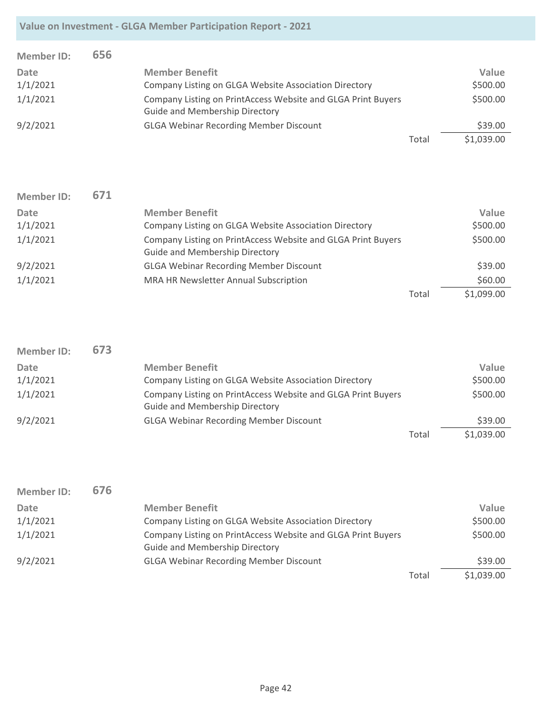|  | Value on Investment - GLGA Member Participation Report - 2021 |
|--|---------------------------------------------------------------|
|--|---------------------------------------------------------------|

| Member ID: | 656 |                                                                                                       |       |            |
|------------|-----|-------------------------------------------------------------------------------------------------------|-------|------------|
| Date       |     | <b>Member Benefit</b>                                                                                 |       | Value      |
| 1/1/2021   |     | Company Listing on GLGA Website Association Directory                                                 |       | \$500.00   |
| 1/1/2021   |     | Company Listing on PrintAccess Website and GLGA Print Buyers<br><b>Guide and Membership Directory</b> |       | \$500.00   |
| 9/2/2021   |     | <b>GLGA Webinar Recording Member Discount</b>                                                         |       | \$39.00    |
|            |     |                                                                                                       | Total | \$1,039.00 |

| <b>Member ID:</b>       | 671 |                                                                                                       |       |                   |
|-------------------------|-----|-------------------------------------------------------------------------------------------------------|-------|-------------------|
| <b>Date</b><br>1/1/2021 |     | <b>Member Benefit</b><br>Company Listing on GLGA Website Association Directory                        |       | Value<br>\$500.00 |
| 1/1/2021                |     | Company Listing on PrintAccess Website and GLGA Print Buyers<br><b>Guide and Membership Directory</b> |       | \$500.00          |
| 9/2/2021                |     | <b>GLGA Webinar Recording Member Discount</b>                                                         |       | \$39.00           |
| 1/1/2021                |     | MRA HR Newsletter Annual Subscription                                                                 |       | \$60.00           |
|                         |     |                                                                                                       | Total | \$1,099.00        |

| <b>Member ID:</b> | 673 |                                                                                                       |       |            |
|-------------------|-----|-------------------------------------------------------------------------------------------------------|-------|------------|
| Date              |     | <b>Member Benefit</b>                                                                                 |       | Value      |
| 1/1/2021          |     | Company Listing on GLGA Website Association Directory                                                 |       | \$500.00   |
| 1/1/2021          |     | Company Listing on PrintAccess Website and GLGA Print Buyers<br><b>Guide and Membership Directory</b> |       | \$500.00   |
| 9/2/2021          |     | <b>GLGA Webinar Recording Member Discount</b>                                                         |       | \$39.00    |
|                   |     |                                                                                                       | Total | \$1,039.00 |

| <b>Member ID:</b> | 676 |                                                                                                       |       |            |
|-------------------|-----|-------------------------------------------------------------------------------------------------------|-------|------------|
| Date              |     | <b>Member Benefit</b>                                                                                 |       | Value      |
| 1/1/2021          |     | Company Listing on GLGA Website Association Directory                                                 |       | \$500.00   |
| 1/1/2021          |     | Company Listing on PrintAccess Website and GLGA Print Buyers<br><b>Guide and Membership Directory</b> |       | \$500.00   |
| 9/2/2021          |     | <b>GLGA Webinar Recording Member Discount</b>                                                         |       | \$39.00    |
|                   |     |                                                                                                       | Total | \$1,039.00 |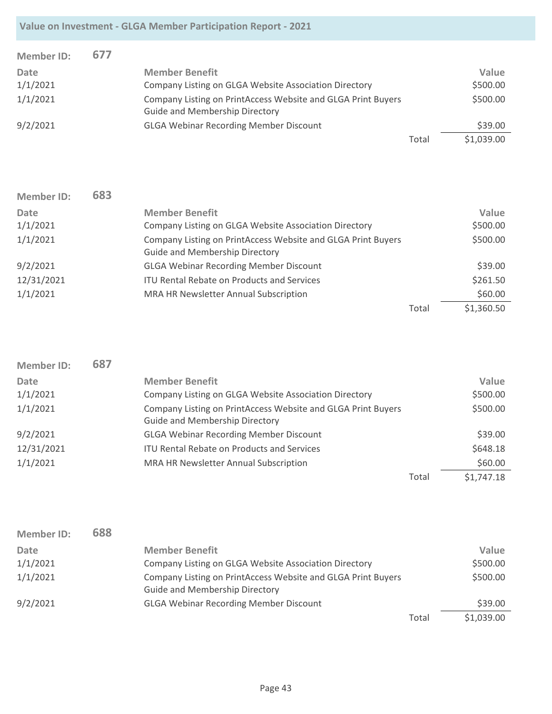| Member ID: | 677 |                                                                                                       |       |            |
|------------|-----|-------------------------------------------------------------------------------------------------------|-------|------------|
| Date       |     | <b>Member Benefit</b>                                                                                 |       | Value      |
| 1/1/2021   |     | Company Listing on GLGA Website Association Directory                                                 |       | \$500.00   |
| 1/1/2021   |     | Company Listing on PrintAccess Website and GLGA Print Buyers<br><b>Guide and Membership Directory</b> |       | \$500.00   |
| 9/2/2021   |     | <b>GLGA Webinar Recording Member Discount</b>                                                         |       | \$39.00    |
|            |     |                                                                                                       | Total | \$1,039.00 |

| <b>Member ID:</b> | 683 |                                                                                                       |       |            |
|-------------------|-----|-------------------------------------------------------------------------------------------------------|-------|------------|
| Date              |     | <b>Member Benefit</b>                                                                                 |       | Value      |
| 1/1/2021          |     | Company Listing on GLGA Website Association Directory                                                 |       | \$500.00   |
| 1/1/2021          |     | Company Listing on PrintAccess Website and GLGA Print Buyers<br><b>Guide and Membership Directory</b> |       | \$500.00   |
| 9/2/2021          |     | <b>GLGA Webinar Recording Member Discount</b>                                                         |       | \$39.00    |
| 12/31/2021        |     | <b>ITU Rental Rebate on Products and Services</b>                                                     |       | \$261.50   |
| 1/1/2021          |     | MRA HR Newsletter Annual Subscription                                                                 |       | \$60.00    |
|                   |     |                                                                                                       | Total | \$1,360.50 |

| <b>Member ID:</b> | 687 |                                                                                                       |       |            |
|-------------------|-----|-------------------------------------------------------------------------------------------------------|-------|------------|
| Date              |     | <b>Member Benefit</b>                                                                                 |       | Value      |
| 1/1/2021          |     | Company Listing on GLGA Website Association Directory                                                 |       | \$500.00   |
| 1/1/2021          |     | Company Listing on PrintAccess Website and GLGA Print Buyers<br><b>Guide and Membership Directory</b> |       | \$500.00   |
| 9/2/2021          |     | <b>GLGA Webinar Recording Member Discount</b>                                                         |       | \$39.00    |
| 12/31/2021        |     | <b>ITU Rental Rebate on Products and Services</b>                                                     |       | \$648.18   |
| 1/1/2021          |     | MRA HR Newsletter Annual Subscription                                                                 |       | \$60.00    |
|                   |     |                                                                                                       | Total | \$1,747.18 |

| Member ID: | 688 |                                                                                                       |       |            |
|------------|-----|-------------------------------------------------------------------------------------------------------|-------|------------|
| Date       |     | <b>Member Benefit</b>                                                                                 |       | Value      |
| 1/1/2021   |     | Company Listing on GLGA Website Association Directory                                                 |       | \$500.00   |
| 1/1/2021   |     | Company Listing on PrintAccess Website and GLGA Print Buyers<br><b>Guide and Membership Directory</b> |       | \$500.00   |
| 9/2/2021   |     | <b>GLGA Webinar Recording Member Discount</b>                                                         |       | \$39.00    |
|            |     |                                                                                                       | Total | \$1,039.00 |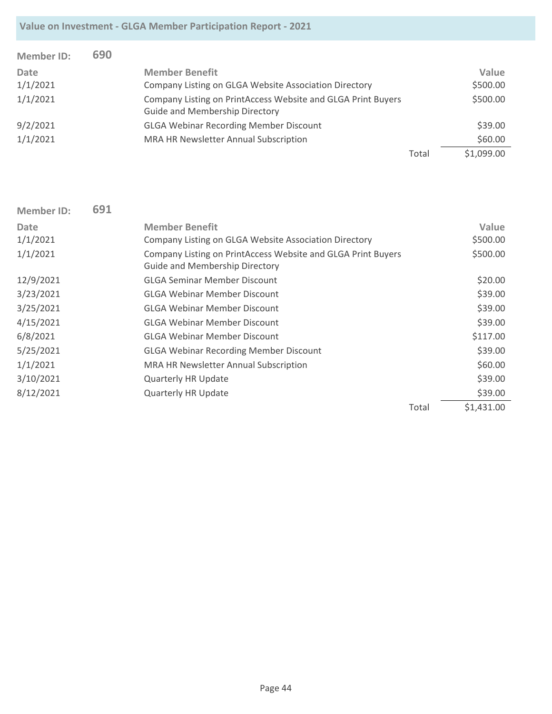| <b>Member ID:</b> | 690 |                                                                                                       |       |            |
|-------------------|-----|-------------------------------------------------------------------------------------------------------|-------|------------|
| Date              |     | <b>Member Benefit</b>                                                                                 |       | Value      |
| 1/1/2021          |     | Company Listing on GLGA Website Association Directory                                                 |       | \$500.00   |
| 1/1/2021          |     | Company Listing on PrintAccess Website and GLGA Print Buyers<br><b>Guide and Membership Directory</b> |       | \$500.00   |
| 9/2/2021          |     | <b>GLGA Webinar Recording Member Discount</b>                                                         |       | \$39.00    |
| 1/1/2021          |     | MRA HR Newsletter Annual Subscription                                                                 |       | \$60.00    |
|                   |     |                                                                                                       | Total | \$1,099.00 |

| <b>Member ID:</b> | 691 |                                                                                                       |       |            |
|-------------------|-----|-------------------------------------------------------------------------------------------------------|-------|------------|
| <b>Date</b>       |     | <b>Member Benefit</b>                                                                                 |       | Value      |
| 1/1/2021          |     | Company Listing on GLGA Website Association Directory                                                 |       | \$500.00   |
| 1/1/2021          |     | Company Listing on PrintAccess Website and GLGA Print Buyers<br><b>Guide and Membership Directory</b> |       | \$500.00   |
| 12/9/2021         |     | <b>GLGA Seminar Member Discount</b>                                                                   |       | \$20.00    |
| 3/23/2021         |     | <b>GLGA Webinar Member Discount</b>                                                                   |       | \$39.00    |
| 3/25/2021         |     | <b>GLGA Webinar Member Discount</b>                                                                   |       | \$39.00    |
| 4/15/2021         |     | <b>GLGA Webinar Member Discount</b>                                                                   |       | \$39.00    |
| 6/8/2021          |     | <b>GLGA Webinar Member Discount</b>                                                                   |       | \$117.00   |
| 5/25/2021         |     | <b>GLGA Webinar Recording Member Discount</b>                                                         |       | \$39.00    |
| 1/1/2021          |     | MRA HR Newsletter Annual Subscription                                                                 |       | \$60.00    |
| 3/10/2021         |     | <b>Quarterly HR Update</b>                                                                            |       | \$39.00    |
| 8/12/2021         |     | <b>Quarterly HR Update</b>                                                                            |       | \$39.00    |
|                   |     |                                                                                                       | Total | \$1,431.00 |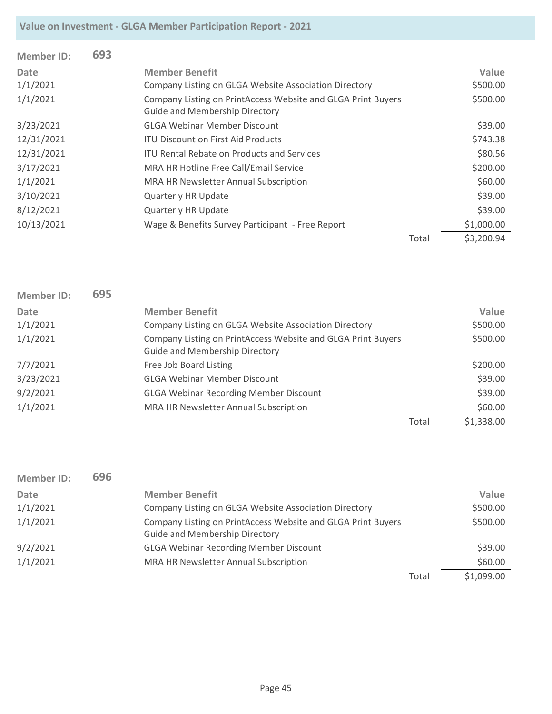| <b>Member ID:</b> | 693 |                                                                                                       |       |            |
|-------------------|-----|-------------------------------------------------------------------------------------------------------|-------|------------|
| Date              |     | <b>Member Benefit</b>                                                                                 |       | Value      |
| 1/1/2021          |     | Company Listing on GLGA Website Association Directory                                                 |       | \$500.00   |
| 1/1/2021          |     | Company Listing on PrintAccess Website and GLGA Print Buyers<br><b>Guide and Membership Directory</b> |       | \$500.00   |
| 3/23/2021         |     | <b>GLGA Webinar Member Discount</b>                                                                   |       | \$39.00    |
| 12/31/2021        |     | <b>ITU Discount on First Aid Products</b>                                                             |       | \$743.38   |
| 12/31/2021        |     | <b>ITU Rental Rebate on Products and Services</b>                                                     |       | \$80.56    |
| 3/17/2021         |     | MRA HR Hotline Free Call/Email Service                                                                |       | \$200.00   |
| 1/1/2021          |     | MRA HR Newsletter Annual Subscription                                                                 |       | \$60.00    |
| 3/10/2021         |     | <b>Quarterly HR Update</b>                                                                            |       | \$39.00    |
| 8/12/2021         |     | <b>Quarterly HR Update</b>                                                                            |       | \$39.00    |
| 10/13/2021        |     | Wage & Benefits Survey Participant - Free Report                                                      |       | \$1,000.00 |
|                   |     |                                                                                                       | Total | \$3,200.94 |

| Member ID:  | 695 |                                                                                                       |       |            |
|-------------|-----|-------------------------------------------------------------------------------------------------------|-------|------------|
| <b>Date</b> |     | <b>Member Benefit</b>                                                                                 |       | Value      |
| 1/1/2021    |     | Company Listing on GLGA Website Association Directory                                                 |       | \$500.00   |
| 1/1/2021    |     | Company Listing on PrintAccess Website and GLGA Print Buyers<br><b>Guide and Membership Directory</b> |       | \$500.00   |
| 7/7/2021    |     | Free Job Board Listing                                                                                |       | \$200.00   |
| 3/23/2021   |     | <b>GLGA Webinar Member Discount</b>                                                                   |       | \$39.00    |
| 9/2/2021    |     | <b>GLGA Webinar Recording Member Discount</b>                                                         |       | \$39.00    |
| 1/1/2021    |     | MRA HR Newsletter Annual Subscription                                                                 |       | \$60.00    |
|             |     |                                                                                                       | Total | \$1,338.00 |

| <b>Member ID:</b> | 696 |                                                              |       |            |
|-------------------|-----|--------------------------------------------------------------|-------|------------|
| Date              |     | <b>Member Benefit</b>                                        |       | Value      |
| 1/1/2021          |     | Company Listing on GLGA Website Association Directory        |       | \$500.00   |
| 1/1/2021          |     | Company Listing on PrintAccess Website and GLGA Print Buyers |       | \$500.00   |
|                   |     | <b>Guide and Membership Directory</b>                        |       |            |
| 9/2/2021          |     | <b>GLGA Webinar Recording Member Discount</b>                |       | \$39.00    |
| 1/1/2021          |     | MRA HR Newsletter Annual Subscription                        |       | \$60.00    |
|                   |     |                                                              | Total | \$1,099.00 |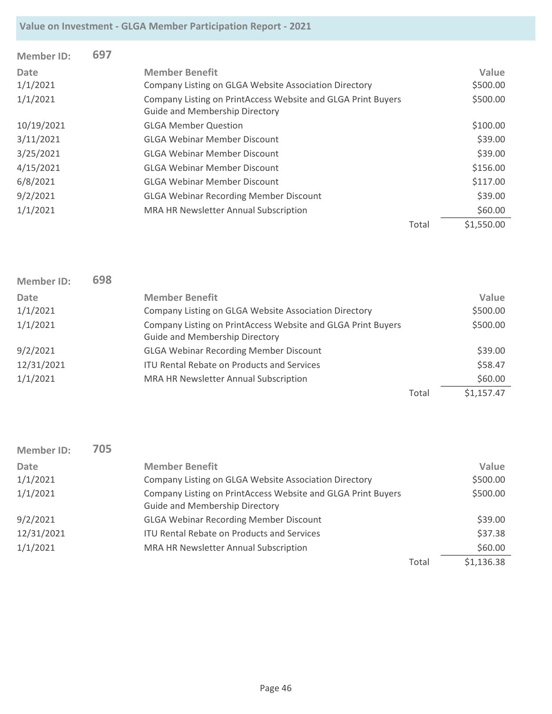| <b>Member ID:</b> | 697 |                                                                                                       |       |            |
|-------------------|-----|-------------------------------------------------------------------------------------------------------|-------|------------|
| <b>Date</b>       |     | <b>Member Benefit</b>                                                                                 |       | Value      |
| 1/1/2021          |     | Company Listing on GLGA Website Association Directory                                                 |       | \$500.00   |
| 1/1/2021          |     | Company Listing on PrintAccess Website and GLGA Print Buyers<br><b>Guide and Membership Directory</b> |       | \$500.00   |
| 10/19/2021        |     | <b>GLGA Member Question</b>                                                                           |       | \$100.00   |
| 3/11/2021         |     | <b>GLGA Webinar Member Discount</b>                                                                   |       | \$39.00    |
| 3/25/2021         |     | <b>GLGA Webinar Member Discount</b>                                                                   |       | \$39.00    |
| 4/15/2021         |     | <b>GLGA Webinar Member Discount</b>                                                                   |       | \$156.00   |
| 6/8/2021          |     | <b>GLGA Webinar Member Discount</b>                                                                   |       | \$117.00   |
| 9/2/2021          |     | <b>GLGA Webinar Recording Member Discount</b>                                                         |       | \$39.00    |
| 1/1/2021          |     | MRA HR Newsletter Annual Subscription                                                                 |       | \$60.00    |
|                   |     |                                                                                                       | Total | \$1,550.00 |

| <b>Member ID:</b> | 698 |                                                                                                       |       |            |
|-------------------|-----|-------------------------------------------------------------------------------------------------------|-------|------------|
| Date              |     | <b>Member Benefit</b>                                                                                 |       | Value      |
| 1/1/2021          |     | Company Listing on GLGA Website Association Directory                                                 |       | \$500.00   |
| 1/1/2021          |     | Company Listing on PrintAccess Website and GLGA Print Buyers<br><b>Guide and Membership Directory</b> |       | \$500.00   |
| 9/2/2021          |     | <b>GLGA Webinar Recording Member Discount</b>                                                         |       | \$39.00    |
| 12/31/2021        |     | <b>ITU Rental Rebate on Products and Services</b>                                                     |       | \$58.47    |
| 1/1/2021          |     | MRA HR Newsletter Annual Subscription                                                                 |       | \$60.00    |
|                   |     |                                                                                                       | Total | \$1,157.47 |

| <b>Member ID:</b> | 705 |                                                                                                       |       |            |
|-------------------|-----|-------------------------------------------------------------------------------------------------------|-------|------------|
| Date              |     | <b>Member Benefit</b>                                                                                 |       | Value      |
| 1/1/2021          |     | Company Listing on GLGA Website Association Directory                                                 |       | \$500.00   |
| 1/1/2021          |     | Company Listing on PrintAccess Website and GLGA Print Buyers<br><b>Guide and Membership Directory</b> |       | \$500.00   |
| 9/2/2021          |     | <b>GLGA Webinar Recording Member Discount</b>                                                         |       | \$39.00    |
| 12/31/2021        |     | <b>ITU Rental Rebate on Products and Services</b>                                                     |       | \$37.38    |
| 1/1/2021          |     | MRA HR Newsletter Annual Subscription                                                                 |       | \$60.00    |
|                   |     |                                                                                                       | Total | \$1,136.38 |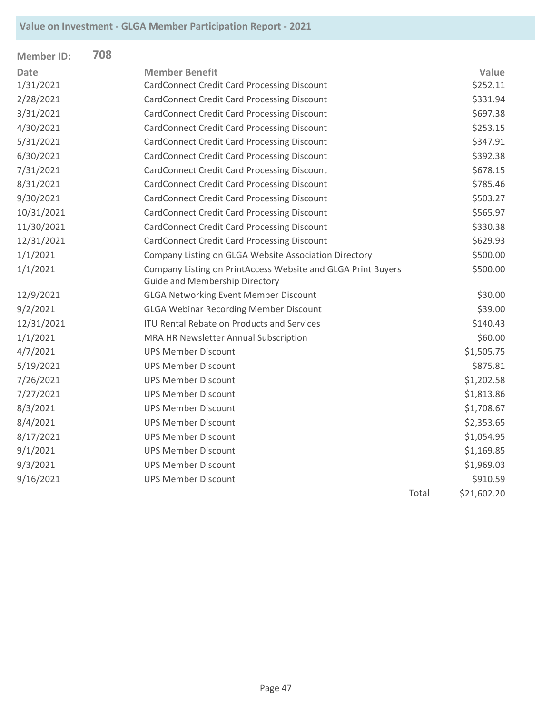| <b>Member ID:</b> | 708 |                                                              |       |             |
|-------------------|-----|--------------------------------------------------------------|-------|-------------|
| <b>Date</b>       |     | <b>Member Benefit</b>                                        |       | Value       |
| 1/31/2021         |     | <b>CardConnect Credit Card Processing Discount</b>           |       | \$252.11    |
| 2/28/2021         |     | <b>CardConnect Credit Card Processing Discount</b>           |       | \$331.94    |
| 3/31/2021         |     | <b>CardConnect Credit Card Processing Discount</b>           |       | \$697.38    |
| 4/30/2021         |     | <b>CardConnect Credit Card Processing Discount</b>           |       | \$253.15    |
| 5/31/2021         |     | <b>CardConnect Credit Card Processing Discount</b>           |       | \$347.91    |
| 6/30/2021         |     | <b>CardConnect Credit Card Processing Discount</b>           |       | \$392.38    |
| 7/31/2021         |     | <b>CardConnect Credit Card Processing Discount</b>           |       | \$678.15    |
| 8/31/2021         |     | <b>CardConnect Credit Card Processing Discount</b>           |       | \$785.46    |
| 9/30/2021         |     | <b>CardConnect Credit Card Processing Discount</b>           |       | \$503.27    |
| 10/31/2021        |     | <b>CardConnect Credit Card Processing Discount</b>           |       | \$565.97    |
| 11/30/2021        |     | <b>CardConnect Credit Card Processing Discount</b>           |       | \$330.38    |
| 12/31/2021        |     | <b>CardConnect Credit Card Processing Discount</b>           |       | \$629.93    |
| 1/1/2021          |     | Company Listing on GLGA Website Association Directory        |       | \$500.00    |
| 1/1/2021          |     | Company Listing on PrintAccess Website and GLGA Print Buyers |       | \$500.00    |
|                   |     | Guide and Membership Directory                               |       |             |
| 12/9/2021         |     | <b>GLGA Networking Event Member Discount</b>                 |       | \$30.00     |
| 9/2/2021          |     | <b>GLGA Webinar Recording Member Discount</b>                |       | \$39.00     |
| 12/31/2021        |     | <b>ITU Rental Rebate on Products and Services</b>            |       | \$140.43    |
| 1/1/2021          |     | MRA HR Newsletter Annual Subscription                        |       | \$60.00     |
| 4/7/2021          |     | <b>UPS Member Discount</b>                                   |       | \$1,505.75  |
| 5/19/2021         |     | <b>UPS Member Discount</b>                                   |       | \$875.81    |
| 7/26/2021         |     | <b>UPS Member Discount</b>                                   |       | \$1,202.58  |
| 7/27/2021         |     | <b>UPS Member Discount</b>                                   |       | \$1,813.86  |
| 8/3/2021          |     | <b>UPS Member Discount</b>                                   |       | \$1,708.67  |
| 8/4/2021          |     | <b>UPS Member Discount</b>                                   |       | \$2,353.65  |
| 8/17/2021         |     | <b>UPS Member Discount</b>                                   |       | \$1,054.95  |
| 9/1/2021          |     | <b>UPS Member Discount</b>                                   |       | \$1,169.85  |
| 9/3/2021          |     | <b>UPS Member Discount</b>                                   |       | \$1,969.03  |
| 9/16/2021         |     | <b>UPS Member Discount</b>                                   |       | \$910.59    |
|                   |     |                                                              | Total | \$21,602.20 |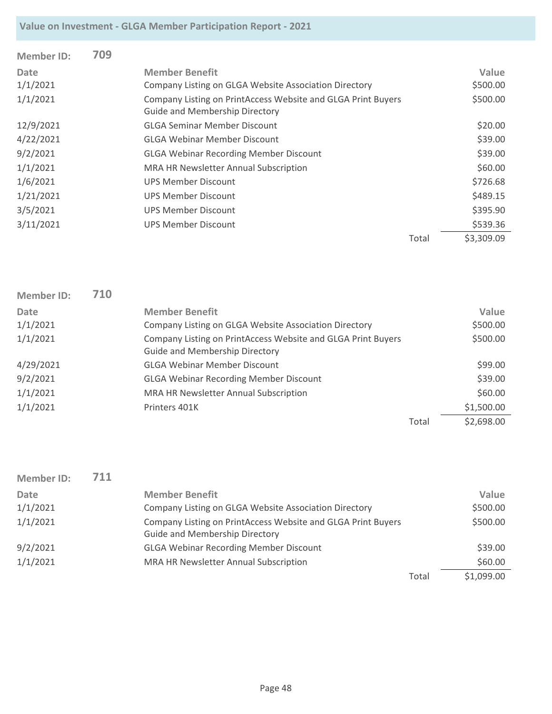| <b>Member ID:</b> | 709 |                                                                                                       |       |            |
|-------------------|-----|-------------------------------------------------------------------------------------------------------|-------|------------|
| <b>Date</b>       |     | <b>Member Benefit</b>                                                                                 |       | Value      |
| 1/1/2021          |     | Company Listing on GLGA Website Association Directory                                                 |       | \$500.00   |
| 1/1/2021          |     | Company Listing on PrintAccess Website and GLGA Print Buyers<br><b>Guide and Membership Directory</b> |       | \$500.00   |
| 12/9/2021         |     | <b>GLGA Seminar Member Discount</b>                                                                   |       | \$20.00    |
| 4/22/2021         |     | <b>GLGA Webinar Member Discount</b>                                                                   |       | \$39.00    |
| 9/2/2021          |     | <b>GLGA Webinar Recording Member Discount</b>                                                         |       | \$39.00    |
| 1/1/2021          |     | MRA HR Newsletter Annual Subscription                                                                 |       | \$60.00    |
| 1/6/2021          |     | UPS Member Discount                                                                                   |       | \$726.68   |
| 1/21/2021         |     | UPS Member Discount                                                                                   |       | \$489.15   |
| 3/5/2021          |     | <b>UPS Member Discount</b>                                                                            |       | \$395.90   |
| 3/11/2021         |     | UPS Member Discount                                                                                   |       | \$539.36   |
|                   |     |                                                                                                       | Total | \$3,309.09 |

| Member ID:  | 710 |                                                                                                       |       |            |
|-------------|-----|-------------------------------------------------------------------------------------------------------|-------|------------|
| <b>Date</b> |     | <b>Member Benefit</b>                                                                                 |       | Value      |
| 1/1/2021    |     | Company Listing on GLGA Website Association Directory                                                 |       | \$500.00   |
| 1/1/2021    |     | Company Listing on PrintAccess Website and GLGA Print Buyers<br><b>Guide and Membership Directory</b> |       | \$500.00   |
| 4/29/2021   |     | <b>GLGA Webinar Member Discount</b>                                                                   |       | \$99.00    |
| 9/2/2021    |     | <b>GLGA Webinar Recording Member Discount</b>                                                         |       | \$39.00    |
| 1/1/2021    |     | MRA HR Newsletter Annual Subscription                                                                 |       | \$60.00    |
| 1/1/2021    |     | Printers 401K                                                                                         |       | \$1,500.00 |
|             |     |                                                                                                       | Total | \$2,698.00 |

| <b>Member ID:</b> | 711 |                                                              |       |            |
|-------------------|-----|--------------------------------------------------------------|-------|------------|
| Date              |     | <b>Member Benefit</b>                                        |       | Value      |
| 1/1/2021          |     | Company Listing on GLGA Website Association Directory        |       | \$500.00   |
| 1/1/2021          |     | Company Listing on PrintAccess Website and GLGA Print Buyers |       | \$500.00   |
|                   |     | <b>Guide and Membership Directory</b>                        |       |            |
| 9/2/2021          |     | <b>GLGA Webinar Recording Member Discount</b>                |       | \$39.00    |
| 1/1/2021          |     | MRA HR Newsletter Annual Subscription                        |       | \$60.00    |
|                   |     |                                                              | Total | \$1,099.00 |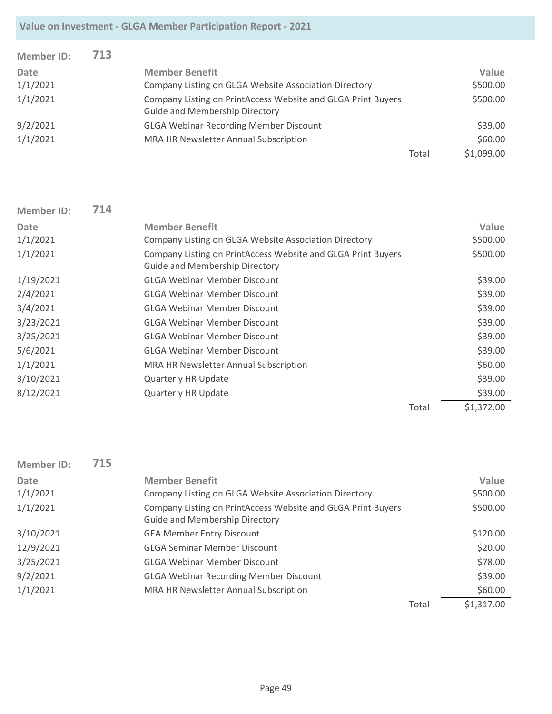| <b>Member ID:</b> | 713 |                                                                                                       |       |            |
|-------------------|-----|-------------------------------------------------------------------------------------------------------|-------|------------|
| Date              |     | <b>Member Benefit</b>                                                                                 |       | Value      |
| 1/1/2021          |     | Company Listing on GLGA Website Association Directory                                                 |       | \$500.00   |
| 1/1/2021          |     | Company Listing on PrintAccess Website and GLGA Print Buyers<br><b>Guide and Membership Directory</b> |       | \$500.00   |
| 9/2/2021          |     | <b>GLGA Webinar Recording Member Discount</b>                                                         |       | \$39.00    |
| 1/1/2021          |     | MRA HR Newsletter Annual Subscription                                                                 |       | \$60.00    |
|                   |     |                                                                                                       | Total | \$1,099.00 |

| <b>Member ID:</b> | 714 |                                                                                                       |       |            |
|-------------------|-----|-------------------------------------------------------------------------------------------------------|-------|------------|
| Date              |     | <b>Member Benefit</b>                                                                                 |       | Value      |
| 1/1/2021          |     | Company Listing on GLGA Website Association Directory                                                 |       | \$500.00   |
| 1/1/2021          |     | Company Listing on PrintAccess Website and GLGA Print Buyers<br><b>Guide and Membership Directory</b> |       | \$500.00   |
| 1/19/2021         |     | <b>GLGA Webinar Member Discount</b>                                                                   |       | \$39.00    |
| 2/4/2021          |     | <b>GLGA Webinar Member Discount</b>                                                                   |       | \$39.00    |
| 3/4/2021          |     | <b>GLGA Webinar Member Discount</b>                                                                   |       | \$39.00    |
| 3/23/2021         |     | <b>GLGA Webinar Member Discount</b>                                                                   |       | \$39.00    |
| 3/25/2021         |     | <b>GLGA Webinar Member Discount</b>                                                                   |       | \$39.00    |
| 5/6/2021          |     | <b>GLGA Webinar Member Discount</b>                                                                   |       | \$39.00    |
| 1/1/2021          |     | MRA HR Newsletter Annual Subscription                                                                 |       | \$60.00    |
| 3/10/2021         |     | <b>Quarterly HR Update</b>                                                                            |       | \$39.00    |
| 8/12/2021         |     | <b>Quarterly HR Update</b>                                                                            |       | \$39.00    |
|                   |     |                                                                                                       | Total | \$1,372.00 |

| <b>Member ID:</b> | 715 |                                                                                                       |       |            |
|-------------------|-----|-------------------------------------------------------------------------------------------------------|-------|------------|
| <b>Date</b>       |     | <b>Member Benefit</b>                                                                                 |       | Value      |
| 1/1/2021          |     | Company Listing on GLGA Website Association Directory                                                 |       | \$500.00   |
| 1/1/2021          |     | Company Listing on PrintAccess Website and GLGA Print Buyers<br><b>Guide and Membership Directory</b> |       | \$500.00   |
| 3/10/2021         |     | <b>GEA Member Entry Discount</b>                                                                      |       | \$120.00   |
| 12/9/2021         |     | <b>GLGA Seminar Member Discount</b>                                                                   |       | \$20.00    |
| 3/25/2021         |     | <b>GLGA Webinar Member Discount</b>                                                                   |       | \$78.00    |
| 9/2/2021          |     | <b>GLGA Webinar Recording Member Discount</b>                                                         |       | \$39.00    |
| 1/1/2021          |     | MRA HR Newsletter Annual Subscription                                                                 |       | \$60.00    |
|                   |     |                                                                                                       | Total | \$1,317.00 |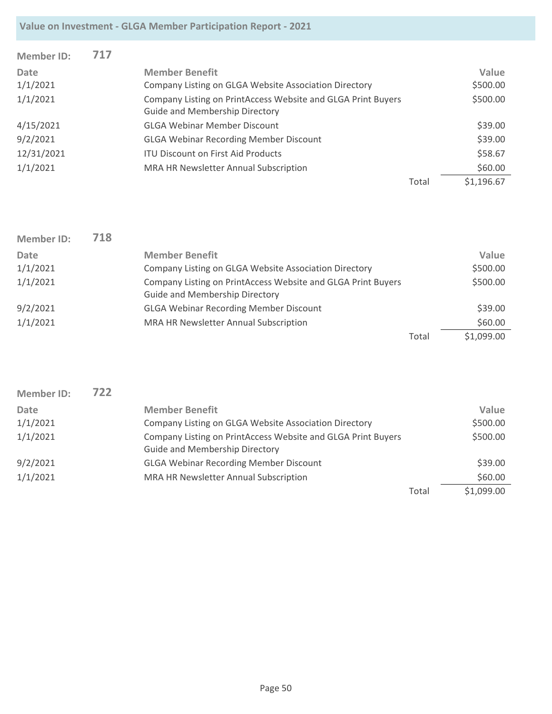| <b>Member ID:</b> | 717 |                                                                                                       |       |            |
|-------------------|-----|-------------------------------------------------------------------------------------------------------|-------|------------|
| Date              |     | <b>Member Benefit</b>                                                                                 |       | Value      |
| 1/1/2021          |     | Company Listing on GLGA Website Association Directory                                                 |       | \$500.00   |
| 1/1/2021          |     | Company Listing on PrintAccess Website and GLGA Print Buyers<br><b>Guide and Membership Directory</b> |       | \$500.00   |
| 4/15/2021         |     | <b>GLGA Webinar Member Discount</b>                                                                   |       | \$39.00    |
| 9/2/2021          |     | <b>GLGA Webinar Recording Member Discount</b>                                                         |       | \$39.00    |
| 12/31/2021        |     | <b>ITU Discount on First Aid Products</b>                                                             |       | \$58.67    |
| 1/1/2021          |     | MRA HR Newsletter Annual Subscription                                                                 |       | \$60.00    |
|                   |     |                                                                                                       | Total | \$1,196.67 |

| <b>Member ID:</b> | 718 |                                                              |       |            |
|-------------------|-----|--------------------------------------------------------------|-------|------------|
| Date              |     | <b>Member Benefit</b>                                        |       | Value      |
| 1/1/2021          |     | Company Listing on GLGA Website Association Directory        |       | \$500.00   |
| 1/1/2021          |     | Company Listing on PrintAccess Website and GLGA Print Buyers |       | \$500.00   |
|                   |     | <b>Guide and Membership Directory</b>                        |       |            |
| 9/2/2021          |     | <b>GLGA Webinar Recording Member Discount</b>                |       | \$39.00    |
| 1/1/2021          |     | MRA HR Newsletter Annual Subscription                        |       | \$60.00    |
|                   |     |                                                              | Total | \$1,099.00 |

| <b>Member ID:</b> | 722 |                                                                                                       |       |            |
|-------------------|-----|-------------------------------------------------------------------------------------------------------|-------|------------|
| Date              |     | <b>Member Benefit</b>                                                                                 |       | Value      |
| 1/1/2021          |     | Company Listing on GLGA Website Association Directory                                                 |       | \$500.00   |
| 1/1/2021          |     | Company Listing on PrintAccess Website and GLGA Print Buyers<br><b>Guide and Membership Directory</b> |       | \$500.00   |
| 9/2/2021          |     | <b>GLGA Webinar Recording Member Discount</b>                                                         |       | \$39.00    |
| 1/1/2021          |     | MRA HR Newsletter Annual Subscription                                                                 |       | \$60.00    |
|                   |     |                                                                                                       | Total | \$1,099.00 |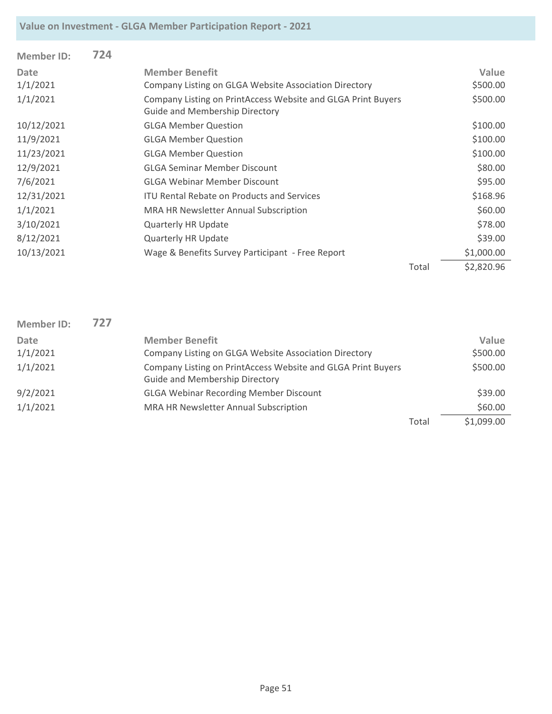| <b>Member ID:</b> | 724 |                                                                                                       |       |            |
|-------------------|-----|-------------------------------------------------------------------------------------------------------|-------|------------|
| <b>Date</b>       |     | <b>Member Benefit</b>                                                                                 |       | Value      |
| 1/1/2021          |     | Company Listing on GLGA Website Association Directory                                                 |       | \$500.00   |
| 1/1/2021          |     | Company Listing on PrintAccess Website and GLGA Print Buyers<br><b>Guide and Membership Directory</b> |       | \$500.00   |
| 10/12/2021        |     | <b>GLGA Member Question</b>                                                                           |       | \$100.00   |
| 11/9/2021         |     | <b>GLGA Member Question</b>                                                                           |       | \$100.00   |
| 11/23/2021        |     | <b>GLGA Member Question</b>                                                                           |       | \$100.00   |
| 12/9/2021         |     | <b>GLGA Seminar Member Discount</b>                                                                   |       | \$80.00    |
| 7/6/2021          |     | <b>GLGA Webinar Member Discount</b>                                                                   |       | \$95.00    |
| 12/31/2021        |     | <b>ITU Rental Rebate on Products and Services</b>                                                     |       | \$168.96   |
| 1/1/2021          |     | <b>MRA HR Newsletter Annual Subscription</b>                                                          |       | \$60.00    |
| 3/10/2021         |     | <b>Quarterly HR Update</b>                                                                            |       | \$78.00    |
| 8/12/2021         |     | <b>Quarterly HR Update</b>                                                                            |       | \$39.00    |
| 10/13/2021        |     | Wage & Benefits Survey Participant - Free Report                                                      |       | \$1,000.00 |
|                   |     |                                                                                                       | Total | \$2,820.96 |

| <b>Member ID:</b> | 727 |                                                              |       |            |
|-------------------|-----|--------------------------------------------------------------|-------|------------|
| <b>Date</b>       |     | <b>Member Benefit</b>                                        |       | Value      |
| 1/1/2021          |     | Company Listing on GLGA Website Association Directory        |       | \$500.00   |
| 1/1/2021          |     | Company Listing on PrintAccess Website and GLGA Print Buyers |       | \$500.00   |
|                   |     | <b>Guide and Membership Directory</b>                        |       |            |
| 9/2/2021          |     | <b>GLGA Webinar Recording Member Discount</b>                |       | \$39.00    |
| 1/1/2021          |     | MRA HR Newsletter Annual Subscription                        |       | \$60.00    |
|                   |     |                                                              | Total | \$1,099.00 |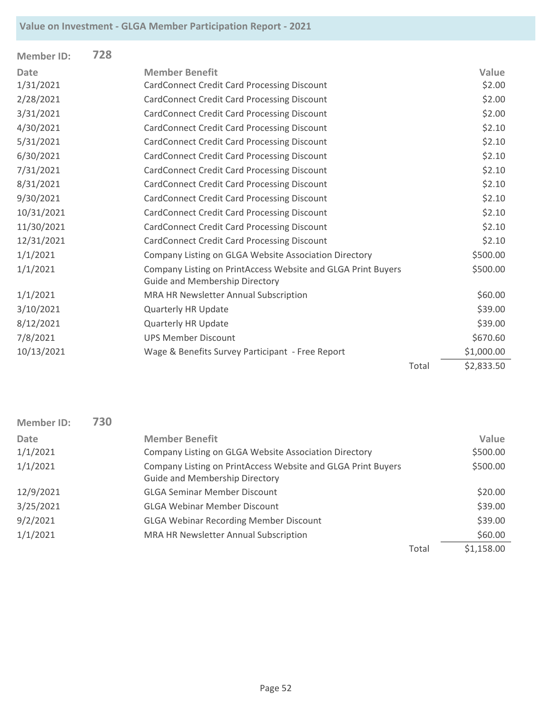| <b>Member ID:</b> | 728 |                                                                                                |       |            |
|-------------------|-----|------------------------------------------------------------------------------------------------|-------|------------|
| <b>Date</b>       |     | <b>Member Benefit</b>                                                                          |       | Value      |
| 1/31/2021         |     | <b>CardConnect Credit Card Processing Discount</b>                                             |       | \$2.00     |
| 2/28/2021         |     | <b>CardConnect Credit Card Processing Discount</b>                                             |       | \$2.00     |
| 3/31/2021         |     | <b>CardConnect Credit Card Processing Discount</b>                                             |       | \$2.00     |
| 4/30/2021         |     | <b>CardConnect Credit Card Processing Discount</b>                                             |       | \$2.10     |
| 5/31/2021         |     | <b>CardConnect Credit Card Processing Discount</b>                                             |       | \$2.10     |
| 6/30/2021         |     | <b>CardConnect Credit Card Processing Discount</b>                                             |       | \$2.10     |
| 7/31/2021         |     | <b>CardConnect Credit Card Processing Discount</b>                                             |       | \$2.10     |
| 8/31/2021         |     | <b>CardConnect Credit Card Processing Discount</b>                                             |       | \$2.10     |
| 9/30/2021         |     | <b>CardConnect Credit Card Processing Discount</b>                                             |       | \$2.10     |
| 10/31/2021        |     | <b>CardConnect Credit Card Processing Discount</b>                                             |       | \$2.10     |
| 11/30/2021        |     | <b>CardConnect Credit Card Processing Discount</b>                                             |       | \$2.10     |
| 12/31/2021        |     | <b>CardConnect Credit Card Processing Discount</b>                                             |       | \$2.10     |
| 1/1/2021          |     | Company Listing on GLGA Website Association Directory                                          |       | \$500.00   |
| 1/1/2021          |     | Company Listing on PrintAccess Website and GLGA Print Buyers<br>Guide and Membership Directory |       | \$500.00   |
| 1/1/2021          |     | MRA HR Newsletter Annual Subscription                                                          |       | \$60.00    |
| 3/10/2021         |     | Quarterly HR Update                                                                            |       | \$39.00    |
| 8/12/2021         |     | <b>Quarterly HR Update</b>                                                                     |       | \$39.00    |
| 7/8/2021          |     | <b>UPS Member Discount</b>                                                                     |       | \$670.60   |
| 10/13/2021        |     | Wage & Benefits Survey Participant - Free Report                                               |       | \$1,000.00 |
|                   |     |                                                                                                | Total | \$2,833.50 |

| <b>Member ID:</b> | 730 |                                                                                                       |       |            |
|-------------------|-----|-------------------------------------------------------------------------------------------------------|-------|------------|
| Date              |     | <b>Member Benefit</b>                                                                                 |       | Value      |
| 1/1/2021          |     | Company Listing on GLGA Website Association Directory                                                 |       | \$500.00   |
| 1/1/2021          |     | Company Listing on PrintAccess Website and GLGA Print Buyers<br><b>Guide and Membership Directory</b> |       | \$500.00   |
| 12/9/2021         |     | <b>GLGA Seminar Member Discount</b>                                                                   |       | \$20.00    |
| 3/25/2021         |     | <b>GLGA Webinar Member Discount</b>                                                                   |       | \$39.00    |
| 9/2/2021          |     | <b>GLGA Webinar Recording Member Discount</b>                                                         |       | \$39.00    |
| 1/1/2021          |     | MRA HR Newsletter Annual Subscription                                                                 |       | \$60.00    |
|                   |     |                                                                                                       | Total | \$1,158.00 |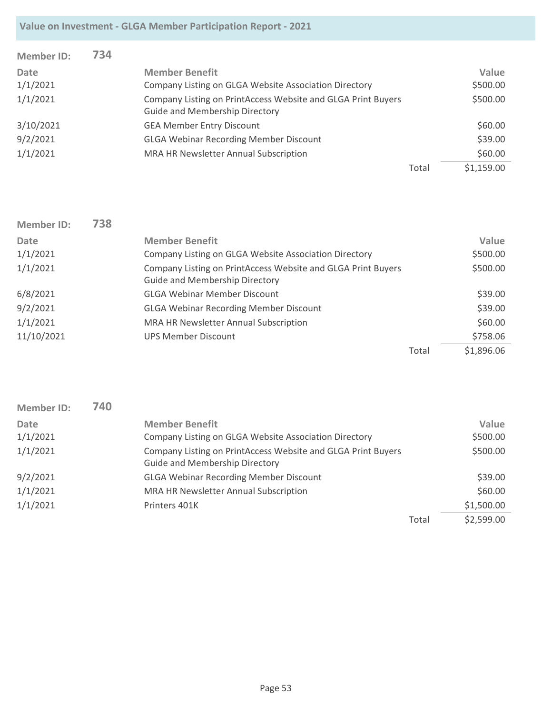| <b>Member ID:</b> | 734 |                                                                                                       |       |            |
|-------------------|-----|-------------------------------------------------------------------------------------------------------|-------|------------|
| Date              |     | <b>Member Benefit</b>                                                                                 |       | Value      |
| 1/1/2021          |     | Company Listing on GLGA Website Association Directory                                                 |       | \$500.00   |
| 1/1/2021          |     | Company Listing on PrintAccess Website and GLGA Print Buyers<br><b>Guide and Membership Directory</b> |       | \$500.00   |
| 3/10/2021         |     | <b>GEA Member Entry Discount</b>                                                                      |       | \$60.00    |
| 9/2/2021          |     | <b>GLGA Webinar Recording Member Discount</b>                                                         |       | \$39.00    |
| 1/1/2021          |     | MRA HR Newsletter Annual Subscription                                                                 |       | \$60.00    |
|                   |     |                                                                                                       | Total | \$1,159.00 |

| <b>Member ID:</b> | 738 |                                                                                                       |       |            |
|-------------------|-----|-------------------------------------------------------------------------------------------------------|-------|------------|
| <b>Date</b>       |     | <b>Member Benefit</b>                                                                                 |       | Value      |
| 1/1/2021          |     | Company Listing on GLGA Website Association Directory                                                 |       | \$500.00   |
| 1/1/2021          |     | Company Listing on PrintAccess Website and GLGA Print Buyers<br><b>Guide and Membership Directory</b> |       | \$500.00   |
| 6/8/2021          |     | <b>GLGA Webinar Member Discount</b>                                                                   |       | \$39.00    |
| 9/2/2021          |     | <b>GLGA Webinar Recording Member Discount</b>                                                         |       | \$39.00    |
| 1/1/2021          |     | MRA HR Newsletter Annual Subscription                                                                 |       | \$60.00    |
| 11/10/2021        |     | <b>UPS Member Discount</b>                                                                            |       | \$758.06   |
|                   |     |                                                                                                       | Total | \$1,896.06 |

| <b>Member ID:</b> | 740 |                                                                                                       |       |            |
|-------------------|-----|-------------------------------------------------------------------------------------------------------|-------|------------|
| <b>Date</b>       |     | <b>Member Benefit</b>                                                                                 |       | Value      |
| 1/1/2021          |     | Company Listing on GLGA Website Association Directory                                                 |       | \$500.00   |
| 1/1/2021          |     | Company Listing on PrintAccess Website and GLGA Print Buyers<br><b>Guide and Membership Directory</b> |       | \$500.00   |
| 9/2/2021          |     | <b>GLGA Webinar Recording Member Discount</b>                                                         |       | \$39.00    |
| 1/1/2021          |     | MRA HR Newsletter Annual Subscription                                                                 |       | \$60.00    |
| 1/1/2021          |     | Printers 401K                                                                                         |       | \$1,500.00 |
|                   |     |                                                                                                       | Total | \$2,599.00 |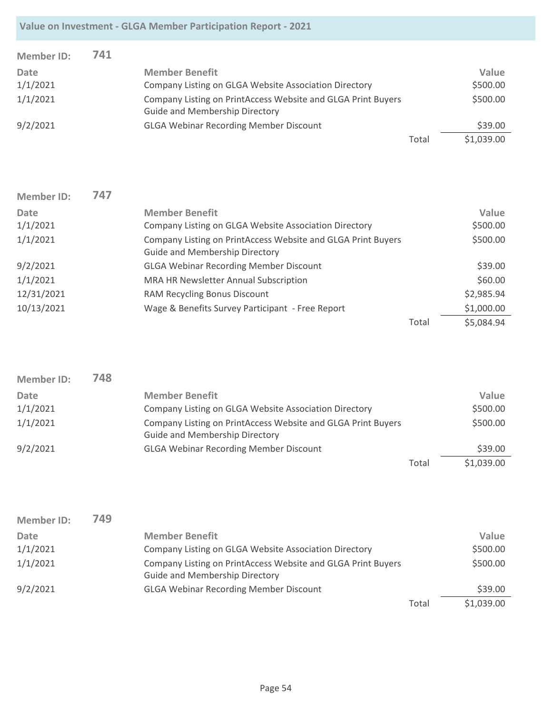| <b>Member ID:</b> | 741 |                                                                                                       |       |            |
|-------------------|-----|-------------------------------------------------------------------------------------------------------|-------|------------|
| Date              |     | <b>Member Benefit</b>                                                                                 |       | Value      |
| 1/1/2021          |     | Company Listing on GLGA Website Association Directory                                                 |       | \$500.00   |
| 1/1/2021          |     | Company Listing on PrintAccess Website and GLGA Print Buyers<br><b>Guide and Membership Directory</b> |       | \$500.00   |
| 9/2/2021          |     | <b>GLGA Webinar Recording Member Discount</b>                                                         |       | \$39.00    |
|                   |     |                                                                                                       | Total | \$1,039.00 |

| <b>Member ID:</b> | 747 |                                                                                                       |       |            |
|-------------------|-----|-------------------------------------------------------------------------------------------------------|-------|------------|
| <b>Date</b>       |     | <b>Member Benefit</b>                                                                                 |       | Value      |
| 1/1/2021          |     | Company Listing on GLGA Website Association Directory                                                 |       | \$500.00   |
| 1/1/2021          |     | Company Listing on PrintAccess Website and GLGA Print Buyers<br><b>Guide and Membership Directory</b> |       | \$500.00   |
| 9/2/2021          |     | <b>GLGA Webinar Recording Member Discount</b>                                                         |       | \$39.00    |
| 1/1/2021          |     | MRA HR Newsletter Annual Subscription                                                                 |       | \$60.00    |
| 12/31/2021        |     | RAM Recycling Bonus Discount                                                                          |       | \$2,985.94 |
| 10/13/2021        |     | Wage & Benefits Survey Participant - Free Report                                                      |       | \$1,000.00 |
|                   |     |                                                                                                       | Total | \$5,084.94 |

| <b>Member ID:</b> | 748 |                                                                                                       |       |            |
|-------------------|-----|-------------------------------------------------------------------------------------------------------|-------|------------|
| <b>Date</b>       |     | <b>Member Benefit</b>                                                                                 |       | Value      |
| 1/1/2021          |     | Company Listing on GLGA Website Association Directory                                                 |       | \$500.00   |
| 1/1/2021          |     | Company Listing on PrintAccess Website and GLGA Print Buyers<br><b>Guide and Membership Directory</b> |       | \$500.00   |
| 9/2/2021          |     | <b>GLGA Webinar Recording Member Discount</b>                                                         |       | \$39.00    |
|                   |     |                                                                                                       | Total | \$1,039.00 |

| Member ID: | 749 |                                                                                                       |       |            |
|------------|-----|-------------------------------------------------------------------------------------------------------|-------|------------|
| Date       |     | <b>Member Benefit</b>                                                                                 |       | Value      |
| 1/1/2021   |     | Company Listing on GLGA Website Association Directory                                                 |       | \$500.00   |
| 1/1/2021   |     | Company Listing on PrintAccess Website and GLGA Print Buyers<br><b>Guide and Membership Directory</b> |       | \$500.00   |
| 9/2/2021   |     | <b>GLGA Webinar Recording Member Discount</b>                                                         |       | \$39.00    |
|            |     |                                                                                                       | Total | \$1,039.00 |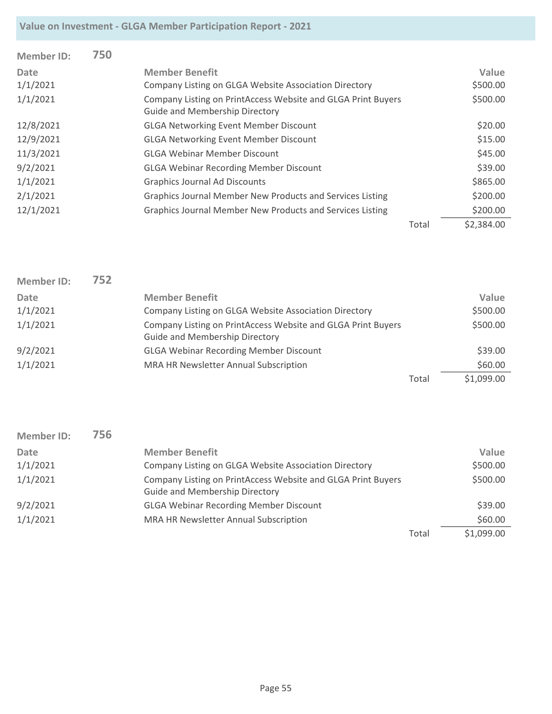| <b>Member ID:</b> | 750 |                                                                                                       |       |            |
|-------------------|-----|-------------------------------------------------------------------------------------------------------|-------|------------|
| <b>Date</b>       |     | <b>Member Benefit</b>                                                                                 |       | Value      |
| 1/1/2021          |     | Company Listing on GLGA Website Association Directory                                                 |       | \$500.00   |
| 1/1/2021          |     | Company Listing on PrintAccess Website and GLGA Print Buyers<br><b>Guide and Membership Directory</b> |       | \$500.00   |
| 12/8/2021         |     | <b>GLGA Networking Event Member Discount</b>                                                          |       | \$20.00    |
| 12/9/2021         |     | <b>GLGA Networking Event Member Discount</b>                                                          |       | \$15.00    |
| 11/3/2021         |     | <b>GLGA Webinar Member Discount</b>                                                                   |       | \$45.00    |
| 9/2/2021          |     | <b>GLGA Webinar Recording Member Discount</b>                                                         |       | \$39.00    |
| 1/1/2021          |     | <b>Graphics Journal Ad Discounts</b>                                                                  |       | \$865.00   |
| 2/1/2021          |     | Graphics Journal Member New Products and Services Listing                                             |       | \$200.00   |
| 12/1/2021         |     | <b>Graphics Journal Member New Products and Services Listing</b>                                      |       | \$200.00   |
|                   |     |                                                                                                       | Total | \$2,384.00 |

| <b>Member ID:</b> | 752 |                                                                                                       |       |            |
|-------------------|-----|-------------------------------------------------------------------------------------------------------|-------|------------|
| Date              |     | <b>Member Benefit</b>                                                                                 |       | Value      |
| 1/1/2021          |     | Company Listing on GLGA Website Association Directory                                                 |       | \$500.00   |
| 1/1/2021          |     | Company Listing on PrintAccess Website and GLGA Print Buyers<br><b>Guide and Membership Directory</b> |       | \$500.00   |
| 9/2/2021          |     | <b>GLGA Webinar Recording Member Discount</b>                                                         |       | \$39.00    |
| 1/1/2021          |     | MRA HR Newsletter Annual Subscription                                                                 |       | \$60.00    |
|                   |     |                                                                                                       | Total | \$1,099.00 |

| <b>Member ID:</b> | 756 |                                                              |       |            |
|-------------------|-----|--------------------------------------------------------------|-------|------------|
| <b>Date</b>       |     | <b>Member Benefit</b>                                        |       | Value      |
| 1/1/2021          |     | Company Listing on GLGA Website Association Directory        |       | \$500.00   |
| 1/1/2021          |     | Company Listing on PrintAccess Website and GLGA Print Buyers |       | \$500.00   |
|                   |     | <b>Guide and Membership Directory</b>                        |       |            |
| 9/2/2021          |     | <b>GLGA Webinar Recording Member Discount</b>                |       | \$39.00    |
| 1/1/2021          |     | MRA HR Newsletter Annual Subscription                        |       | \$60.00    |
|                   |     |                                                              | Total | \$1,099.00 |
|                   |     |                                                              |       |            |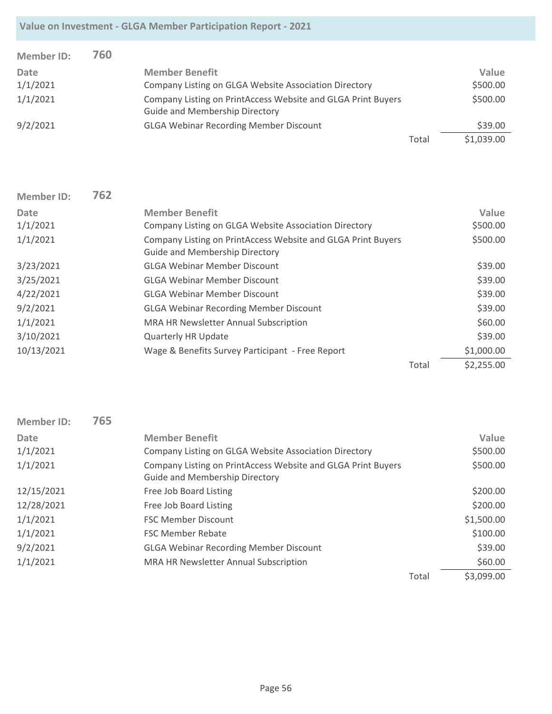| <b>Member ID:</b> | 760 |                                                                                                       |       |            |
|-------------------|-----|-------------------------------------------------------------------------------------------------------|-------|------------|
| <b>Date</b>       |     | <b>Member Benefit</b>                                                                                 |       | Value      |
| 1/1/2021          |     | Company Listing on GLGA Website Association Directory                                                 |       | \$500.00   |
| 1/1/2021          |     | Company Listing on PrintAccess Website and GLGA Print Buyers<br><b>Guide and Membership Directory</b> |       | \$500.00   |
| 9/2/2021          |     | <b>GLGA Webinar Recording Member Discount</b>                                                         |       | \$39.00    |
|                   |     |                                                                                                       | Total | \$1,039.00 |

| <b>Member ID:</b> | 762 |                                                                                                       |       |            |
|-------------------|-----|-------------------------------------------------------------------------------------------------------|-------|------------|
| Date              |     | <b>Member Benefit</b>                                                                                 |       | Value      |
| 1/1/2021          |     | Company Listing on GLGA Website Association Directory                                                 |       | \$500.00   |
| 1/1/2021          |     | Company Listing on PrintAccess Website and GLGA Print Buyers<br><b>Guide and Membership Directory</b> |       | \$500.00   |
| 3/23/2021         |     | <b>GLGA Webinar Member Discount</b>                                                                   |       | \$39.00    |
| 3/25/2021         |     | <b>GLGA Webinar Member Discount</b>                                                                   |       | \$39.00    |
| 4/22/2021         |     | <b>GLGA Webinar Member Discount</b>                                                                   |       | \$39.00    |
| 9/2/2021          |     | <b>GLGA Webinar Recording Member Discount</b>                                                         |       | \$39.00    |
| 1/1/2021          |     | MRA HR Newsletter Annual Subscription                                                                 |       | \$60.00    |
| 3/10/2021         |     | <b>Quarterly HR Update</b>                                                                            |       | \$39.00    |
| 10/13/2021        |     | Wage & Benefits Survey Participant - Free Report                                                      |       | \$1,000.00 |
|                   |     |                                                                                                       | Total | \$2,255.00 |

| <b>Member ID:</b> | 765 |                                                              |       |            |
|-------------------|-----|--------------------------------------------------------------|-------|------------|
| Date              |     | <b>Member Benefit</b>                                        |       | Value      |
| 1/1/2021          |     | Company Listing on GLGA Website Association Directory        |       | \$500.00   |
| 1/1/2021          |     | Company Listing on PrintAccess Website and GLGA Print Buyers |       | \$500.00   |
|                   |     | <b>Guide and Membership Directory</b>                        |       |            |
| 12/15/2021        |     | Free Job Board Listing                                       |       | \$200.00   |
| 12/28/2021        |     | Free Job Board Listing                                       |       | \$200.00   |
| 1/1/2021          |     | <b>FSC Member Discount</b>                                   |       | \$1,500.00 |
| 1/1/2021          |     | <b>FSC Member Rebate</b>                                     |       | \$100.00   |
| 9/2/2021          |     | <b>GLGA Webinar Recording Member Discount</b>                |       | \$39.00    |
| 1/1/2021          |     | MRA HR Newsletter Annual Subscription                        |       | \$60.00    |
|                   |     |                                                              | Total | \$3,099.00 |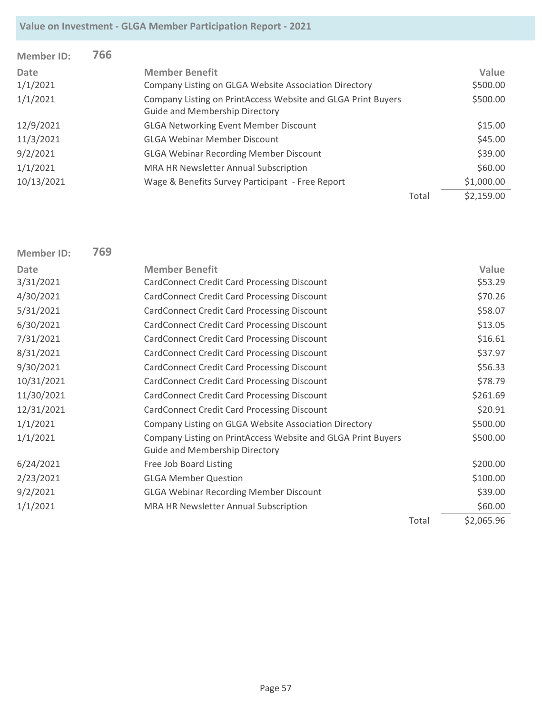| <b>Member ID:</b> | 766 |                                                                                                       |       |            |
|-------------------|-----|-------------------------------------------------------------------------------------------------------|-------|------------|
| <b>Date</b>       |     | <b>Member Benefit</b>                                                                                 |       | Value      |
| 1/1/2021          |     | Company Listing on GLGA Website Association Directory                                                 |       | \$500.00   |
| 1/1/2021          |     | Company Listing on PrintAccess Website and GLGA Print Buyers<br><b>Guide and Membership Directory</b> |       | \$500.00   |
| 12/9/2021         |     | <b>GLGA Networking Event Member Discount</b>                                                          |       | \$15.00    |
| 11/3/2021         |     | <b>GLGA Webinar Member Discount</b>                                                                   |       | \$45.00    |
| 9/2/2021          |     | <b>GLGA Webinar Recording Member Discount</b>                                                         |       | \$39.00    |
| 1/1/2021          |     | MRA HR Newsletter Annual Subscription                                                                 |       | \$60.00    |
| 10/13/2021        |     | Wage & Benefits Survey Participant - Free Report                                                      |       | \$1,000.00 |
|                   |     |                                                                                                       | Total | \$2,159.00 |

| <b>Member ID:</b> | 769 |                                                                                                       |       |            |
|-------------------|-----|-------------------------------------------------------------------------------------------------------|-------|------------|
| <b>Date</b>       |     | <b>Member Benefit</b>                                                                                 |       | Value      |
| 3/31/2021         |     | <b>CardConnect Credit Card Processing Discount</b>                                                    |       | \$53.29    |
| 4/30/2021         |     | <b>CardConnect Credit Card Processing Discount</b>                                                    |       | \$70.26    |
| 5/31/2021         |     | <b>CardConnect Credit Card Processing Discount</b>                                                    |       | \$58.07    |
| 6/30/2021         |     | <b>CardConnect Credit Card Processing Discount</b>                                                    |       | \$13.05    |
| 7/31/2021         |     | <b>CardConnect Credit Card Processing Discount</b>                                                    |       | \$16.61    |
| 8/31/2021         |     | <b>CardConnect Credit Card Processing Discount</b>                                                    |       | \$37.97    |
| 9/30/2021         |     | <b>CardConnect Credit Card Processing Discount</b>                                                    |       | \$56.33    |
| 10/31/2021        |     | CardConnect Credit Card Processing Discount                                                           |       | \$78.79    |
| 11/30/2021        |     | CardConnect Credit Card Processing Discount                                                           |       | \$261.69   |
| 12/31/2021        |     | CardConnect Credit Card Processing Discount                                                           |       | \$20.91    |
| 1/1/2021          |     | Company Listing on GLGA Website Association Directory                                                 |       | \$500.00   |
| 1/1/2021          |     | Company Listing on PrintAccess Website and GLGA Print Buyers<br><b>Guide and Membership Directory</b> |       | \$500.00   |
| 6/24/2021         |     | Free Job Board Listing                                                                                |       | \$200.00   |
| 2/23/2021         |     | <b>GLGA Member Question</b>                                                                           |       | \$100.00   |
| 9/2/2021          |     | <b>GLGA Webinar Recording Member Discount</b>                                                         |       | \$39.00    |
| 1/1/2021          |     | MRA HR Newsletter Annual Subscription                                                                 |       | \$60.00    |
|                   |     |                                                                                                       | Total | \$2,065.96 |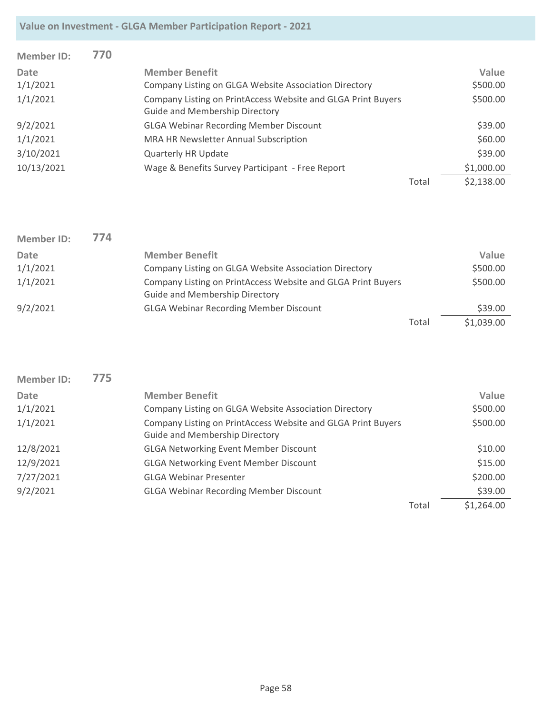| <b>Member ID:</b> | 770 |                                                                                                       |       |            |
|-------------------|-----|-------------------------------------------------------------------------------------------------------|-------|------------|
| Date              |     | <b>Member Benefit</b>                                                                                 |       | Value      |
| 1/1/2021          |     | Company Listing on GLGA Website Association Directory                                                 |       | \$500.00   |
| 1/1/2021          |     | Company Listing on PrintAccess Website and GLGA Print Buyers<br><b>Guide and Membership Directory</b> |       | \$500.00   |
| 9/2/2021          |     | <b>GLGA Webinar Recording Member Discount</b>                                                         |       | \$39.00    |
| 1/1/2021          |     | MRA HR Newsletter Annual Subscription                                                                 |       | \$60.00    |
| 3/10/2021         |     | <b>Quarterly HR Update</b>                                                                            |       | \$39.00    |
| 10/13/2021        |     | Wage & Benefits Survey Participant - Free Report                                                      |       | \$1,000.00 |
|                   |     |                                                                                                       | Total | \$2,138.00 |

| Member ID:  | 774 |                                                                                                       |       |            |
|-------------|-----|-------------------------------------------------------------------------------------------------------|-------|------------|
| <b>Date</b> |     | <b>Member Benefit</b>                                                                                 |       | Value      |
| 1/1/2021    |     | Company Listing on GLGA Website Association Directory                                                 |       | \$500.00   |
| 1/1/2021    |     | Company Listing on PrintAccess Website and GLGA Print Buyers<br><b>Guide and Membership Directory</b> |       | \$500.00   |
| 9/2/2021    |     | <b>GLGA Webinar Recording Member Discount</b>                                                         |       | \$39.00    |
|             |     |                                                                                                       | Total | \$1,039.00 |

| <b>Member ID:</b> | 775 |                                                                                                       |       |            |
|-------------------|-----|-------------------------------------------------------------------------------------------------------|-------|------------|
| Date              |     | <b>Member Benefit</b>                                                                                 |       | Value      |
| 1/1/2021          |     | Company Listing on GLGA Website Association Directory                                                 |       | \$500.00   |
| 1/1/2021          |     | Company Listing on PrintAccess Website and GLGA Print Buyers<br><b>Guide and Membership Directory</b> |       | \$500.00   |
| 12/8/2021         |     | <b>GLGA Networking Event Member Discount</b>                                                          |       | \$10.00    |
| 12/9/2021         |     | <b>GLGA Networking Event Member Discount</b>                                                          |       | \$15.00    |
| 7/27/2021         |     | <b>GLGA Webinar Presenter</b>                                                                         |       | \$200.00   |
| 9/2/2021          |     | <b>GLGA Webinar Recording Member Discount</b>                                                         |       | \$39.00    |
|                   |     |                                                                                                       | Total | \$1,264.00 |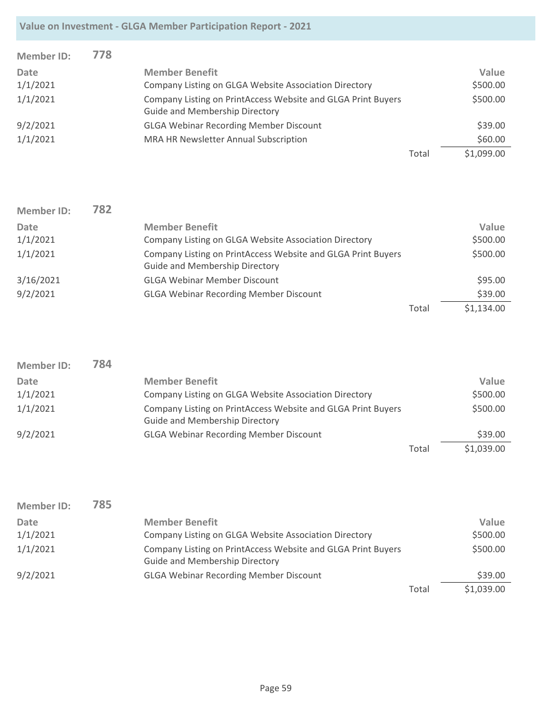| <b>Member ID:</b> | 778 |                                                                                                       |       |            |
|-------------------|-----|-------------------------------------------------------------------------------------------------------|-------|------------|
| Date              |     | <b>Member Benefit</b>                                                                                 |       | Value      |
| 1/1/2021          |     | Company Listing on GLGA Website Association Directory                                                 |       | \$500.00   |
| 1/1/2021          |     | Company Listing on PrintAccess Website and GLGA Print Buyers<br><b>Guide and Membership Directory</b> |       | \$500.00   |
| 9/2/2021          |     | <b>GLGA Webinar Recording Member Discount</b>                                                         |       | \$39.00    |
| 1/1/2021          |     | MRA HR Newsletter Annual Subscription                                                                 |       | \$60.00    |
|                   |     |                                                                                                       | Total | \$1,099.00 |

| <b>Member ID:</b> | 782 |                                                              |       |            |
|-------------------|-----|--------------------------------------------------------------|-------|------------|
| Date              |     | <b>Member Benefit</b>                                        |       | Value      |
| 1/1/2021          |     | Company Listing on GLGA Website Association Directory        |       | \$500.00   |
| 1/1/2021          |     | Company Listing on PrintAccess Website and GLGA Print Buyers |       | \$500.00   |
|                   |     | <b>Guide and Membership Directory</b>                        |       |            |
| 3/16/2021         |     | <b>GLGA Webinar Member Discount</b>                          |       | \$95.00    |
| 9/2/2021          |     | <b>GLGA Webinar Recording Member Discount</b>                |       | \$39.00    |
|                   |     |                                                              | Total | \$1,134.00 |

| <b>Member ID:</b> | 784 |                                                                                                |       |            |
|-------------------|-----|------------------------------------------------------------------------------------------------|-------|------------|
| Date              |     | <b>Member Benefit</b>                                                                          |       | Value      |
| 1/1/2021          |     | Company Listing on GLGA Website Association Directory                                          |       | \$500.00   |
| 1/1/2021          |     | Company Listing on PrintAccess Website and GLGA Print Buyers<br>Guide and Membership Directory |       | \$500.00   |
| 9/2/2021          |     | <b>GLGA Webinar Recording Member Discount</b>                                                  |       | \$39.00    |
|                   |     |                                                                                                | Total | \$1,039.00 |

| Member ID: | 785 |                                                                                                       |       |            |
|------------|-----|-------------------------------------------------------------------------------------------------------|-------|------------|
| Date       |     | <b>Member Benefit</b>                                                                                 |       | Value      |
| 1/1/2021   |     | Company Listing on GLGA Website Association Directory                                                 |       | \$500.00   |
| 1/1/2021   |     | Company Listing on PrintAccess Website and GLGA Print Buyers<br><b>Guide and Membership Directory</b> |       | \$500.00   |
| 9/2/2021   |     | <b>GLGA Webinar Recording Member Discount</b>                                                         |       | \$39.00    |
|            |     |                                                                                                       | Total | \$1,039.00 |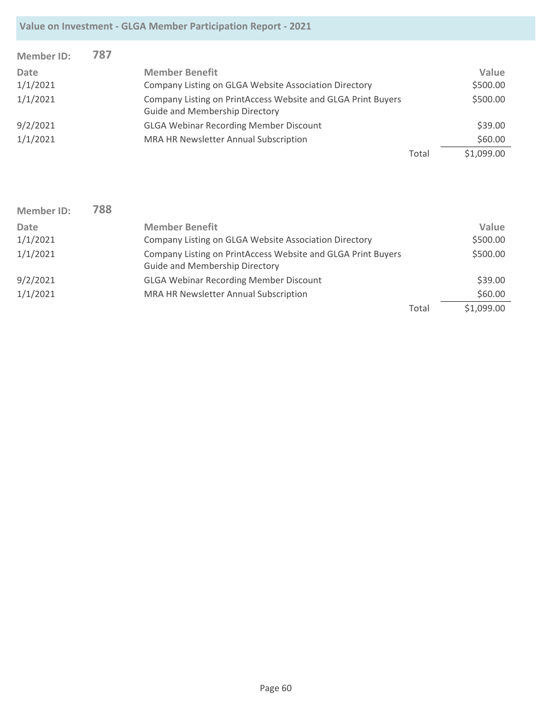| <b>Member ID:</b> | 787 |                                                                                                       |       |            |
|-------------------|-----|-------------------------------------------------------------------------------------------------------|-------|------------|
| Date              |     | <b>Member Benefit</b>                                                                                 |       | Value      |
| 1/1/2021          |     | Company Listing on GLGA Website Association Directory                                                 |       | \$500.00   |
| 1/1/2021          |     | Company Listing on PrintAccess Website and GLGA Print Buyers<br><b>Guide and Membership Directory</b> |       | \$500.00   |
| 9/2/2021          |     | <b>GLGA Webinar Recording Member Discount</b>                                                         |       | \$39.00    |
| 1/1/2021          |     | MRA HR Newsletter Annual Subscription                                                                 |       | \$60.00    |
|                   |     |                                                                                                       | Total | \$1,099.00 |

| <b>Member ID:</b> | 788 |                                                              |       |            |
|-------------------|-----|--------------------------------------------------------------|-------|------------|
| Date              |     | <b>Member Benefit</b>                                        |       | Value      |
| 1/1/2021          |     | Company Listing on GLGA Website Association Directory        |       | \$500.00   |
| 1/1/2021          |     | Company Listing on PrintAccess Website and GLGA Print Buyers |       | \$500.00   |
|                   |     | <b>Guide and Membership Directory</b>                        |       |            |
| 9/2/2021          |     | <b>GLGA Webinar Recording Member Discount</b>                |       | \$39.00    |
| 1/1/2021          |     | MRA HR Newsletter Annual Subscription                        |       | \$60.00    |
|                   |     |                                                              | Total | \$1,099.00 |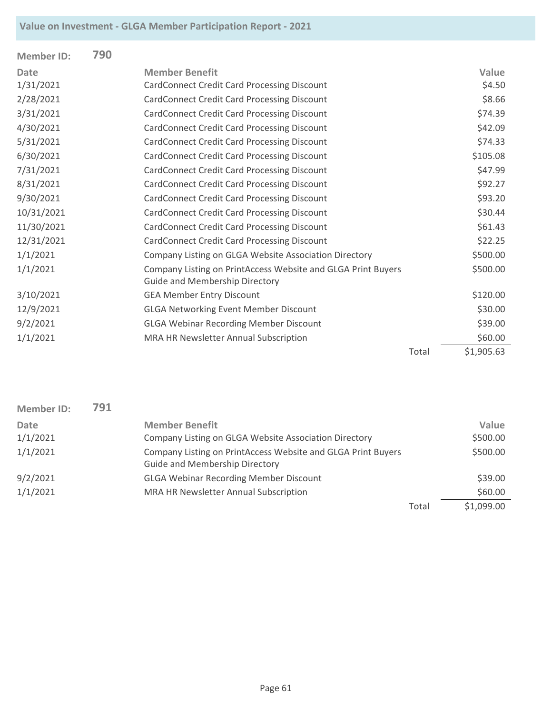| <b>Member ID:</b> | 790 |                                                              |       |            |
|-------------------|-----|--------------------------------------------------------------|-------|------------|
| <b>Date</b>       |     | <b>Member Benefit</b>                                        |       | Value      |
| 1/31/2021         |     | <b>CardConnect Credit Card Processing Discount</b>           |       | \$4.50     |
| 2/28/2021         |     | <b>CardConnect Credit Card Processing Discount</b>           |       | \$8.66     |
| 3/31/2021         |     | <b>CardConnect Credit Card Processing Discount</b>           |       | \$74.39    |
| 4/30/2021         |     | <b>CardConnect Credit Card Processing Discount</b>           |       | \$42.09    |
| 5/31/2021         |     | <b>CardConnect Credit Card Processing Discount</b>           |       | \$74.33    |
| 6/30/2021         |     | <b>CardConnect Credit Card Processing Discount</b>           |       | \$105.08   |
| 7/31/2021         |     | <b>CardConnect Credit Card Processing Discount</b>           |       | \$47.99    |
| 8/31/2021         |     | <b>CardConnect Credit Card Processing Discount</b>           |       | \$92.27    |
| 9/30/2021         |     | <b>CardConnect Credit Card Processing Discount</b>           |       | \$93.20    |
| 10/31/2021        |     | <b>CardConnect Credit Card Processing Discount</b>           |       | \$30.44    |
| 11/30/2021        |     | <b>CardConnect Credit Card Processing Discount</b>           |       | \$61.43    |
| 12/31/2021        |     | <b>CardConnect Credit Card Processing Discount</b>           |       | \$22.25    |
| 1/1/2021          |     | Company Listing on GLGA Website Association Directory        |       | \$500.00   |
| 1/1/2021          |     | Company Listing on PrintAccess Website and GLGA Print Buyers |       | \$500.00   |
|                   |     | <b>Guide and Membership Directory</b>                        |       |            |
| 3/10/2021         |     | <b>GEA Member Entry Discount</b>                             |       | \$120.00   |
| 12/9/2021         |     | <b>GLGA Networking Event Member Discount</b>                 |       | \$30.00    |
| 9/2/2021          |     | <b>GLGA Webinar Recording Member Discount</b>                |       | \$39.00    |
| 1/1/2021          |     | MRA HR Newsletter Annual Subscription                        |       | \$60.00    |
|                   |     |                                                              | Total | \$1,905.63 |

| <b>Member ID:</b> | 791 |                                                              |       |            |
|-------------------|-----|--------------------------------------------------------------|-------|------------|
| Date              |     | <b>Member Benefit</b>                                        |       | Value      |
| 1/1/2021          |     | Company Listing on GLGA Website Association Directory        |       | \$500.00   |
| 1/1/2021          |     | Company Listing on PrintAccess Website and GLGA Print Buyers |       | \$500.00   |
|                   |     | <b>Guide and Membership Directory</b>                        |       |            |
| 9/2/2021          |     | <b>GLGA Webinar Recording Member Discount</b>                |       | \$39.00    |
| 1/1/2021          |     | MRA HR Newsletter Annual Subscription                        |       | \$60.00    |
|                   |     |                                                              | Total | \$1,099.00 |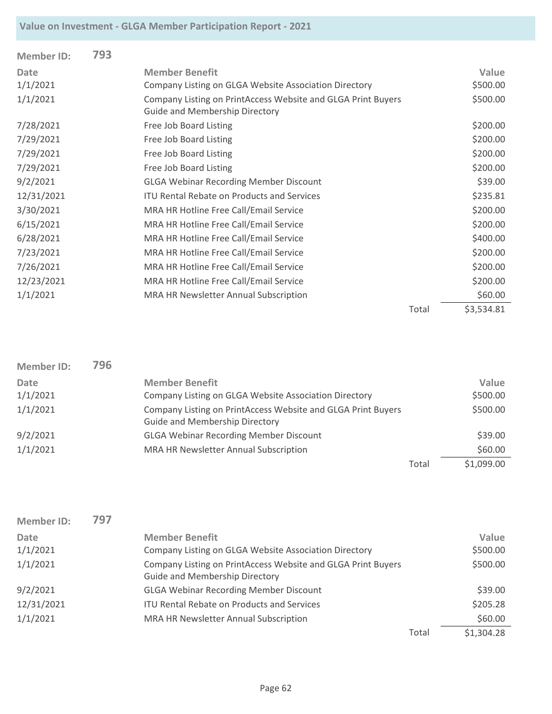| <b>Member ID:</b> | 793 |                                                                                                       |       |            |
|-------------------|-----|-------------------------------------------------------------------------------------------------------|-------|------------|
| Date              |     | <b>Member Benefit</b>                                                                                 |       | Value      |
| 1/1/2021          |     | Company Listing on GLGA Website Association Directory                                                 |       | \$500.00   |
| 1/1/2021          |     | Company Listing on PrintAccess Website and GLGA Print Buyers<br><b>Guide and Membership Directory</b> |       | \$500.00   |
| 7/28/2021         |     | Free Job Board Listing                                                                                |       | \$200.00   |
| 7/29/2021         |     | Free Job Board Listing                                                                                |       | \$200.00   |
| 7/29/2021         |     | Free Job Board Listing                                                                                |       | \$200.00   |
| 7/29/2021         |     | Free Job Board Listing                                                                                |       | \$200.00   |
| 9/2/2021          |     | <b>GLGA Webinar Recording Member Discount</b>                                                         |       | \$39.00    |
| 12/31/2021        |     | <b>ITU Rental Rebate on Products and Services</b>                                                     |       | \$235.81   |
| 3/30/2021         |     | MRA HR Hotline Free Call/Email Service                                                                |       | \$200.00   |
| 6/15/2021         |     | MRA HR Hotline Free Call/Email Service                                                                |       | \$200.00   |
| 6/28/2021         |     | MRA HR Hotline Free Call/Email Service                                                                |       | \$400.00   |
| 7/23/2021         |     | MRA HR Hotline Free Call/Email Service                                                                |       | \$200.00   |
| 7/26/2021         |     | MRA HR Hotline Free Call/Email Service                                                                |       | \$200.00   |
| 12/23/2021        |     | MRA HR Hotline Free Call/Email Service                                                                |       | \$200.00   |
| 1/1/2021          |     | MRA HR Newsletter Annual Subscription                                                                 |       | \$60.00    |
|                   |     |                                                                                                       | Total | \$3,534.81 |

| Member ID:  | 796 |                                                                                                       |       |            |
|-------------|-----|-------------------------------------------------------------------------------------------------------|-------|------------|
| <b>Date</b> |     | <b>Member Benefit</b>                                                                                 |       | Value      |
| 1/1/2021    |     | Company Listing on GLGA Website Association Directory                                                 |       | \$500.00   |
| 1/1/2021    |     | Company Listing on PrintAccess Website and GLGA Print Buyers<br><b>Guide and Membership Directory</b> |       | \$500.00   |
| 9/2/2021    |     | <b>GLGA Webinar Recording Member Discount</b>                                                         |       | \$39.00    |
| 1/1/2021    |     | MRA HR Newsletter Annual Subscription                                                                 |       | \$60.00    |
|             |     |                                                                                                       | Total | \$1,099.00 |

| <b>Member ID:</b> | 797 |                                                                                                       |       |            |
|-------------------|-----|-------------------------------------------------------------------------------------------------------|-------|------------|
| Date              |     | <b>Member Benefit</b>                                                                                 |       | Value      |
| 1/1/2021          |     | Company Listing on GLGA Website Association Directory                                                 |       | \$500.00   |
| 1/1/2021          |     | Company Listing on PrintAccess Website and GLGA Print Buyers<br><b>Guide and Membership Directory</b> |       | \$500.00   |
| 9/2/2021          |     | <b>GLGA Webinar Recording Member Discount</b>                                                         |       | \$39.00    |
| 12/31/2021        |     | <b>ITU Rental Rebate on Products and Services</b>                                                     |       | \$205.28   |
| 1/1/2021          |     | MRA HR Newsletter Annual Subscription                                                                 |       | \$60.00    |
|                   |     |                                                                                                       | Total | \$1,304.28 |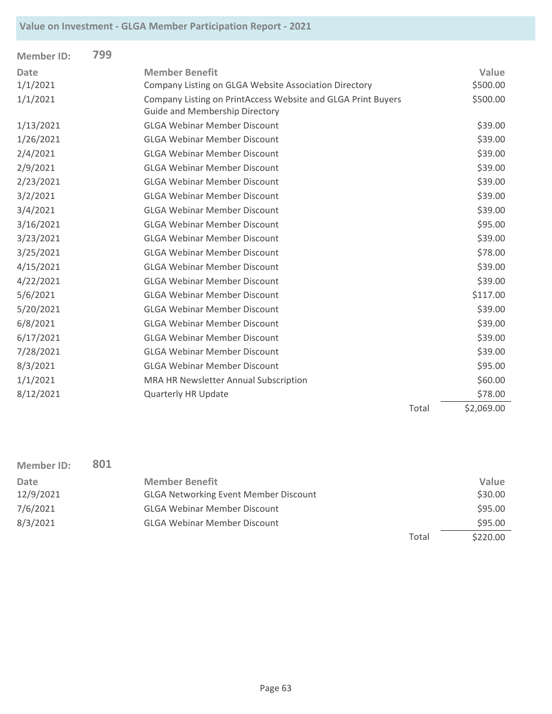| <b>Member ID:</b> | 799 |                                                                                                       |       |            |
|-------------------|-----|-------------------------------------------------------------------------------------------------------|-------|------------|
| <b>Date</b>       |     | <b>Member Benefit</b>                                                                                 |       | Value      |
| 1/1/2021          |     | Company Listing on GLGA Website Association Directory                                                 |       | \$500.00   |
| 1/1/2021          |     | Company Listing on PrintAccess Website and GLGA Print Buyers<br><b>Guide and Membership Directory</b> |       | \$500.00   |
| 1/13/2021         |     | <b>GLGA Webinar Member Discount</b>                                                                   |       | \$39.00    |
| 1/26/2021         |     | <b>GLGA Webinar Member Discount</b>                                                                   |       | \$39.00    |
| 2/4/2021          |     | <b>GLGA Webinar Member Discount</b>                                                                   |       | \$39.00    |
| 2/9/2021          |     | <b>GLGA Webinar Member Discount</b>                                                                   |       | \$39.00    |
| 2/23/2021         |     | <b>GLGA Webinar Member Discount</b>                                                                   |       | \$39.00    |
| 3/2/2021          |     | <b>GLGA Webinar Member Discount</b>                                                                   |       | \$39.00    |
| 3/4/2021          |     | <b>GLGA Webinar Member Discount</b>                                                                   |       | \$39.00    |
| 3/16/2021         |     | <b>GLGA Webinar Member Discount</b>                                                                   |       | \$95.00    |
| 3/23/2021         |     | <b>GLGA Webinar Member Discount</b>                                                                   |       | \$39.00    |
| 3/25/2021         |     | <b>GLGA Webinar Member Discount</b>                                                                   |       | \$78.00    |
| 4/15/2021         |     | <b>GLGA Webinar Member Discount</b>                                                                   |       | \$39.00    |
| 4/22/2021         |     | <b>GLGA Webinar Member Discount</b>                                                                   |       | \$39.00    |
| 5/6/2021          |     | <b>GLGA Webinar Member Discount</b>                                                                   |       | \$117.00   |
| 5/20/2021         |     | <b>GLGA Webinar Member Discount</b>                                                                   |       | \$39.00    |
| 6/8/2021          |     | <b>GLGA Webinar Member Discount</b>                                                                   |       | \$39.00    |
| 6/17/2021         |     | <b>GLGA Webinar Member Discount</b>                                                                   |       | \$39.00    |
| 7/28/2021         |     | <b>GLGA Webinar Member Discount</b>                                                                   |       | \$39.00    |
| 8/3/2021          |     | <b>GLGA Webinar Member Discount</b>                                                                   |       | \$95.00    |
| 1/1/2021          |     | MRA HR Newsletter Annual Subscription                                                                 |       | \$60.00    |
| 8/12/2021         |     | <b>Quarterly HR Update</b>                                                                            |       | \$78.00    |
|                   |     |                                                                                                       | Total | \$2,069.00 |

|                   |     |                                              | Total | \$220.00 |
|-------------------|-----|----------------------------------------------|-------|----------|
| 8/3/2021          |     | <b>GLGA Webinar Member Discount</b>          |       | \$95.00  |
| 7/6/2021          |     | <b>GLGA Webinar Member Discount</b>          |       | \$95.00  |
| 12/9/2021         |     | <b>GLGA Networking Event Member Discount</b> |       | \$30.00  |
| Date              |     | <b>Member Benefit</b>                        |       | Value    |
| <b>Member ID:</b> | 801 |                                              |       |          |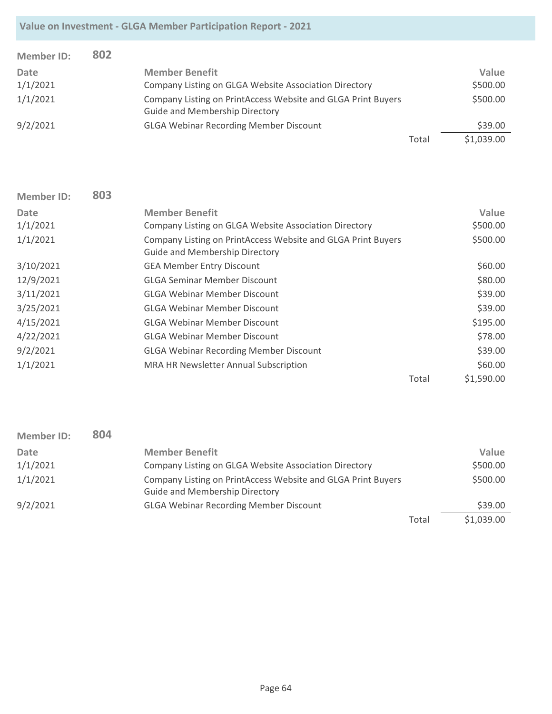| <b>Member ID:</b> | 802 |                                                                                                       |       |            |
|-------------------|-----|-------------------------------------------------------------------------------------------------------|-------|------------|
| <b>Date</b>       |     | <b>Member Benefit</b>                                                                                 |       | Value      |
| 1/1/2021          |     | Company Listing on GLGA Website Association Directory                                                 |       | \$500.00   |
| 1/1/2021          |     | Company Listing on PrintAccess Website and GLGA Print Buyers<br><b>Guide and Membership Directory</b> |       | \$500.00   |
| 9/2/2021          |     | <b>GLGA Webinar Recording Member Discount</b>                                                         |       | \$39.00    |
|                   |     |                                                                                                       | Total | \$1,039.00 |

| <b>Member ID:</b> | 803 |                                                                                                       |       |            |
|-------------------|-----|-------------------------------------------------------------------------------------------------------|-------|------------|
| <b>Date</b>       |     | <b>Member Benefit</b>                                                                                 |       | Value      |
| 1/1/2021          |     | Company Listing on GLGA Website Association Directory                                                 |       | \$500.00   |
| 1/1/2021          |     | Company Listing on PrintAccess Website and GLGA Print Buyers<br><b>Guide and Membership Directory</b> |       | \$500.00   |
| 3/10/2021         |     | <b>GEA Member Entry Discount</b>                                                                      |       | \$60.00    |
| 12/9/2021         |     | <b>GLGA Seminar Member Discount</b>                                                                   |       | \$80.00    |
| 3/11/2021         |     | <b>GLGA Webinar Member Discount</b>                                                                   |       | \$39.00    |
| 3/25/2021         |     | <b>GLGA Webinar Member Discount</b>                                                                   |       | \$39.00    |
| 4/15/2021         |     | <b>GLGA Webinar Member Discount</b>                                                                   |       | \$195.00   |
| 4/22/2021         |     | <b>GLGA Webinar Member Discount</b>                                                                   |       | \$78.00    |
| 9/2/2021          |     | <b>GLGA Webinar Recording Member Discount</b>                                                         |       | \$39.00    |
| 1/1/2021          |     | MRA HR Newsletter Annual Subscription                                                                 |       | \$60.00    |
|                   |     |                                                                                                       | Total | \$1,590.00 |

| <b>Member ID:</b> | 804 |                                                                                                       |       |            |
|-------------------|-----|-------------------------------------------------------------------------------------------------------|-------|------------|
| Date              |     | <b>Member Benefit</b>                                                                                 |       | Value      |
| 1/1/2021          |     | Company Listing on GLGA Website Association Directory                                                 |       | \$500.00   |
| 1/1/2021          |     | Company Listing on PrintAccess Website and GLGA Print Buyers<br><b>Guide and Membership Directory</b> |       | \$500.00   |
| 9/2/2021          |     | <b>GLGA Webinar Recording Member Discount</b>                                                         |       | \$39.00    |
|                   |     |                                                                                                       | Total | \$1,039.00 |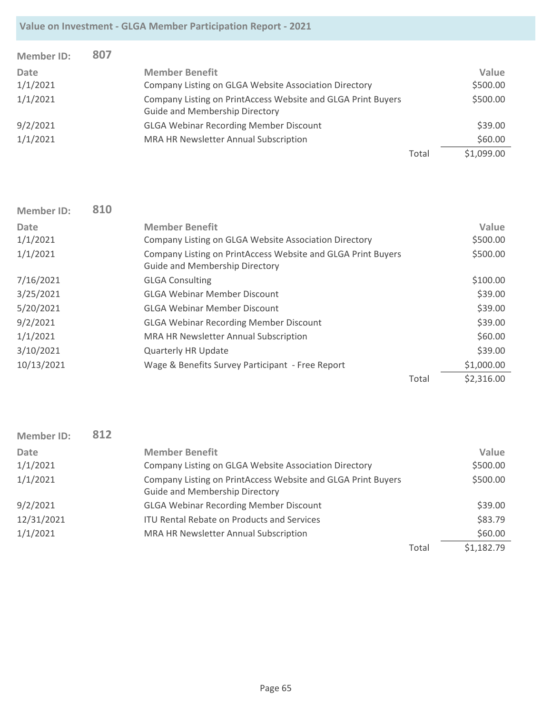| <b>Member ID:</b> | 807 |                                                                                                       |       |            |
|-------------------|-----|-------------------------------------------------------------------------------------------------------|-------|------------|
| Date              |     | <b>Member Benefit</b>                                                                                 |       | Value      |
| 1/1/2021          |     | Company Listing on GLGA Website Association Directory                                                 |       | \$500.00   |
| 1/1/2021          |     | Company Listing on PrintAccess Website and GLGA Print Buyers<br><b>Guide and Membership Directory</b> |       | \$500.00   |
| 9/2/2021          |     | <b>GLGA Webinar Recording Member Discount</b>                                                         |       | \$39.00    |
| 1/1/2021          |     | MRA HR Newsletter Annual Subscription                                                                 |       | \$60.00    |
|                   |     |                                                                                                       | Total | \$1,099.00 |

| <b>Member ID:</b> | 810 |                                                                                                       |       |            |
|-------------------|-----|-------------------------------------------------------------------------------------------------------|-------|------------|
| <b>Date</b>       |     | <b>Member Benefit</b>                                                                                 |       | Value      |
| 1/1/2021          |     | Company Listing on GLGA Website Association Directory                                                 |       | \$500.00   |
| 1/1/2021          |     | Company Listing on PrintAccess Website and GLGA Print Buyers<br><b>Guide and Membership Directory</b> |       | \$500.00   |
| 7/16/2021         |     | <b>GLGA Consulting</b>                                                                                |       | \$100.00   |
| 3/25/2021         |     | <b>GLGA Webinar Member Discount</b>                                                                   |       | \$39.00    |
| 5/20/2021         |     | <b>GLGA Webinar Member Discount</b>                                                                   |       | \$39.00    |
| 9/2/2021          |     | <b>GLGA Webinar Recording Member Discount</b>                                                         |       | \$39.00    |
| 1/1/2021          |     | MRA HR Newsletter Annual Subscription                                                                 |       | \$60.00    |
| 3/10/2021         |     | <b>Quarterly HR Update</b>                                                                            |       | \$39.00    |
| 10/13/2021        |     | Wage & Benefits Survey Participant - Free Report                                                      |       | \$1,000.00 |
|                   |     |                                                                                                       | Total | \$2,316.00 |

| <b>Member ID:</b> | 812 |                                                                                                       |       |            |
|-------------------|-----|-------------------------------------------------------------------------------------------------------|-------|------------|
| <b>Date</b>       |     | <b>Member Benefit</b>                                                                                 |       | Value      |
| 1/1/2021          |     | Company Listing on GLGA Website Association Directory                                                 |       | \$500.00   |
| 1/1/2021          |     | Company Listing on PrintAccess Website and GLGA Print Buyers<br><b>Guide and Membership Directory</b> |       | \$500.00   |
| 9/2/2021          |     | <b>GLGA Webinar Recording Member Discount</b>                                                         |       | \$39.00    |
| 12/31/2021        |     | <b>ITU Rental Rebate on Products and Services</b>                                                     |       | \$83.79    |
| 1/1/2021          |     | MRA HR Newsletter Annual Subscription                                                                 |       | \$60.00    |
|                   |     |                                                                                                       | Total | \$1,182.79 |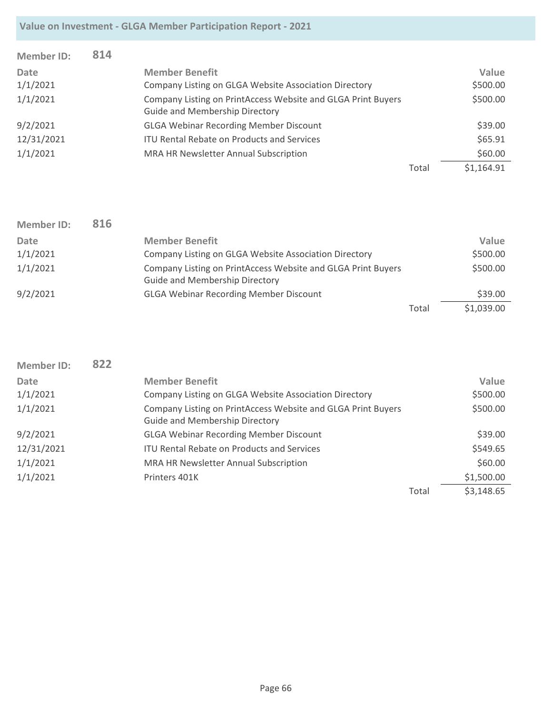| <b>Member ID:</b> | 814 |                                                                                                       |       |            |
|-------------------|-----|-------------------------------------------------------------------------------------------------------|-------|------------|
| Date              |     | <b>Member Benefit</b>                                                                                 |       | Value      |
| 1/1/2021          |     | Company Listing on GLGA Website Association Directory                                                 |       | \$500.00   |
| 1/1/2021          |     | Company Listing on PrintAccess Website and GLGA Print Buyers<br><b>Guide and Membership Directory</b> |       | \$500.00   |
| 9/2/2021          |     | <b>GLGA Webinar Recording Member Discount</b>                                                         |       | \$39.00    |
| 12/31/2021        |     | <b>ITU Rental Rebate on Products and Services</b>                                                     |       | \$65.91    |
| 1/1/2021          |     | MRA HR Newsletter Annual Subscription                                                                 |       | \$60.00    |
|                   |     |                                                                                                       | Total | \$1,164.91 |

| <b>Member ID:</b> | 816 |                                                                                                       |       |            |
|-------------------|-----|-------------------------------------------------------------------------------------------------------|-------|------------|
| Date              |     | <b>Member Benefit</b>                                                                                 |       | Value      |
| 1/1/2021          |     | Company Listing on GLGA Website Association Directory                                                 |       | \$500.00   |
| 1/1/2021          |     | Company Listing on PrintAccess Website and GLGA Print Buyers<br><b>Guide and Membership Directory</b> |       | \$500.00   |
| 9/2/2021          |     | <b>GLGA Webinar Recording Member Discount</b>                                                         |       | \$39.00    |
|                   |     |                                                                                                       | Total | \$1,039.00 |

| <b>Member ID:</b> | 822 |                                                                                                       |       |            |
|-------------------|-----|-------------------------------------------------------------------------------------------------------|-------|------------|
| <b>Date</b>       |     | <b>Member Benefit</b>                                                                                 |       | Value      |
| 1/1/2021          |     | Company Listing on GLGA Website Association Directory                                                 |       | \$500.00   |
| 1/1/2021          |     | Company Listing on PrintAccess Website and GLGA Print Buyers<br><b>Guide and Membership Directory</b> |       | \$500.00   |
| 9/2/2021          |     | <b>GLGA Webinar Recording Member Discount</b>                                                         |       | \$39.00    |
| 12/31/2021        |     | <b>ITU Rental Rebate on Products and Services</b>                                                     |       | \$549.65   |
| 1/1/2021          |     | MRA HR Newsletter Annual Subscription                                                                 |       | \$60.00    |
| 1/1/2021          |     | Printers 401K                                                                                         |       | \$1,500.00 |
|                   |     |                                                                                                       | Total | \$3,148.65 |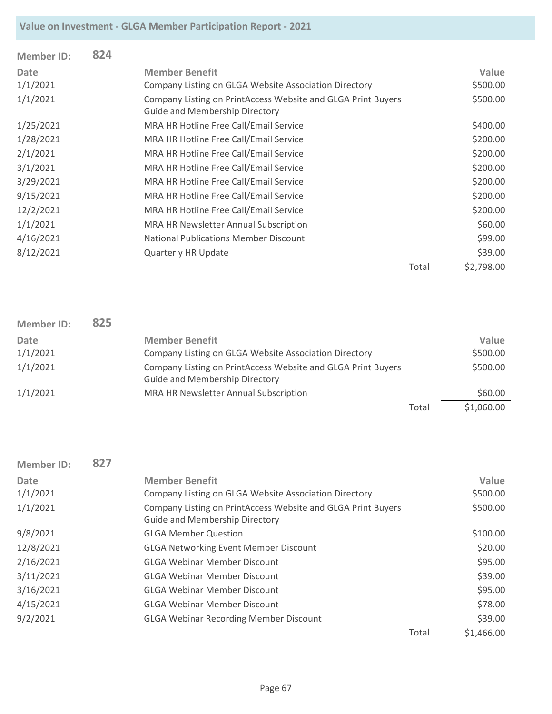| <b>Member ID:</b> | 824 |                                                                                                       |       |            |
|-------------------|-----|-------------------------------------------------------------------------------------------------------|-------|------------|
| Date              |     | <b>Member Benefit</b>                                                                                 |       | Value      |
| 1/1/2021          |     | Company Listing on GLGA Website Association Directory                                                 |       | \$500.00   |
| 1/1/2021          |     | Company Listing on PrintAccess Website and GLGA Print Buyers<br><b>Guide and Membership Directory</b> |       | \$500.00   |
| 1/25/2021         |     | MRA HR Hotline Free Call/Email Service                                                                |       | \$400.00   |
| 1/28/2021         |     | MRA HR Hotline Free Call/Email Service                                                                |       | \$200.00   |
| 2/1/2021          |     | MRA HR Hotline Free Call/Email Service                                                                |       | \$200.00   |
| 3/1/2021          |     | MRA HR Hotline Free Call/Email Service                                                                |       | \$200.00   |
| 3/29/2021         |     | MRA HR Hotline Free Call/Email Service                                                                |       | \$200.00   |
| 9/15/2021         |     | MRA HR Hotline Free Call/Email Service                                                                |       | \$200.00   |
| 12/2/2021         |     | MRA HR Hotline Free Call/Email Service                                                                |       | \$200.00   |
| 1/1/2021          |     | <b>MRA HR Newsletter Annual Subscription</b>                                                          |       | \$60.00    |
| 4/16/2021         |     | <b>National Publications Member Discount</b>                                                          |       | \$99.00    |
| 8/12/2021         |     | <b>Quarterly HR Update</b>                                                                            |       | \$39.00    |
|                   |     |                                                                                                       | Total | \$2,798.00 |

| <b>Member ID:</b> | 825 |                                                                                                       |       |            |
|-------------------|-----|-------------------------------------------------------------------------------------------------------|-------|------------|
| <b>Date</b>       |     | <b>Member Benefit</b>                                                                                 |       | Value      |
| 1/1/2021          |     | Company Listing on GLGA Website Association Directory                                                 |       | \$500.00   |
| 1/1/2021          |     | Company Listing on PrintAccess Website and GLGA Print Buyers<br><b>Guide and Membership Directory</b> |       | \$500.00   |
| 1/1/2021          |     | MRA HR Newsletter Annual Subscription                                                                 |       | \$60.00    |
|                   |     |                                                                                                       | Total | \$1,060.00 |

| <b>Member ID:</b> | 827 |                                                                                                       |       |            |
|-------------------|-----|-------------------------------------------------------------------------------------------------------|-------|------------|
| Date              |     | <b>Member Benefit</b>                                                                                 |       | Value      |
| 1/1/2021          |     | Company Listing on GLGA Website Association Directory                                                 |       | \$500.00   |
| 1/1/2021          |     | Company Listing on PrintAccess Website and GLGA Print Buyers<br><b>Guide and Membership Directory</b> |       | \$500.00   |
| 9/8/2021          |     | <b>GLGA Member Question</b>                                                                           |       | \$100.00   |
| 12/8/2021         |     | <b>GLGA Networking Event Member Discount</b>                                                          |       | \$20.00    |
| 2/16/2021         |     | <b>GLGA Webinar Member Discount</b>                                                                   |       | \$95.00    |
| 3/11/2021         |     | <b>GLGA Webinar Member Discount</b>                                                                   |       | \$39.00    |
| 3/16/2021         |     | <b>GLGA Webinar Member Discount</b>                                                                   |       | \$95.00    |
| 4/15/2021         |     | <b>GLGA Webinar Member Discount</b>                                                                   |       | \$78.00    |
| 9/2/2021          |     | <b>GLGA Webinar Recording Member Discount</b>                                                         |       | \$39.00    |
|                   |     |                                                                                                       | Total | \$1,466.00 |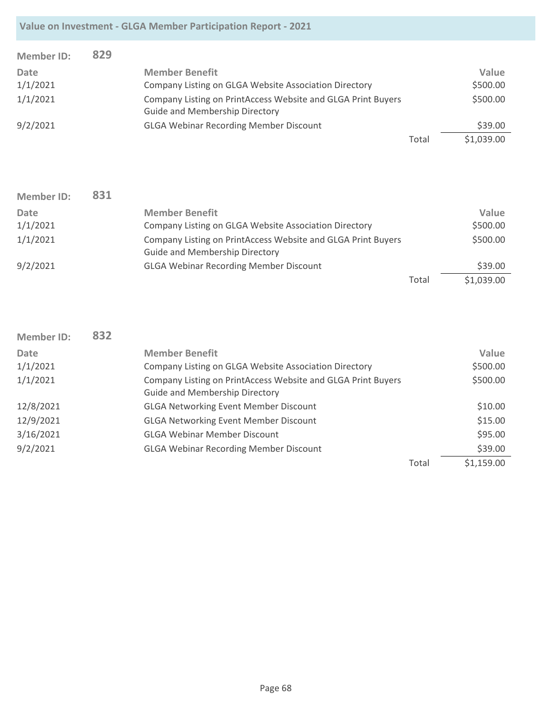| Value on Investment - GLGA Member Participation Report - 2021 |  |  |  |
|---------------------------------------------------------------|--|--|--|
|---------------------------------------------------------------|--|--|--|

| <b>Member ID:</b> | 829 |                                                                                                       |       |            |
|-------------------|-----|-------------------------------------------------------------------------------------------------------|-------|------------|
| Date              |     | <b>Member Benefit</b>                                                                                 |       | Value      |
| 1/1/2021          |     | Company Listing on GLGA Website Association Directory                                                 |       | \$500.00   |
| 1/1/2021          |     | Company Listing on PrintAccess Website and GLGA Print Buyers<br><b>Guide and Membership Directory</b> |       | \$500.00   |
| 9/2/2021          |     | <b>GLGA Webinar Recording Member Discount</b>                                                         |       | \$39.00    |
|                   |     |                                                                                                       | Total | \$1,039.00 |

| Member ID: | 831 |                                                                                                       |       |            |
|------------|-----|-------------------------------------------------------------------------------------------------------|-------|------------|
| Date       |     | <b>Member Benefit</b>                                                                                 |       | Value      |
| 1/1/2021   |     | Company Listing on GLGA Website Association Directory                                                 |       | \$500.00   |
| 1/1/2021   |     | Company Listing on PrintAccess Website and GLGA Print Buyers<br><b>Guide and Membership Directory</b> |       | \$500.00   |
| 9/2/2021   |     | <b>GLGA Webinar Recording Member Discount</b>                                                         |       | \$39.00    |
|            |     |                                                                                                       | Total | \$1,039.00 |

| <b>Member ID:</b> | 832 |                                                                                                       |       |            |
|-------------------|-----|-------------------------------------------------------------------------------------------------------|-------|------------|
| Date              |     | <b>Member Benefit</b>                                                                                 |       | Value      |
| 1/1/2021          |     | Company Listing on GLGA Website Association Directory                                                 |       | \$500.00   |
| 1/1/2021          |     | Company Listing on PrintAccess Website and GLGA Print Buyers<br><b>Guide and Membership Directory</b> |       | \$500.00   |
| 12/8/2021         |     | <b>GLGA Networking Event Member Discount</b>                                                          |       | \$10.00    |
| 12/9/2021         |     | <b>GLGA Networking Event Member Discount</b>                                                          |       | \$15.00    |
| 3/16/2021         |     | <b>GLGA Webinar Member Discount</b>                                                                   |       | \$95.00    |
| 9/2/2021          |     | <b>GLGA Webinar Recording Member Discount</b>                                                         |       | \$39.00    |
|                   |     |                                                                                                       | Total | \$1,159.00 |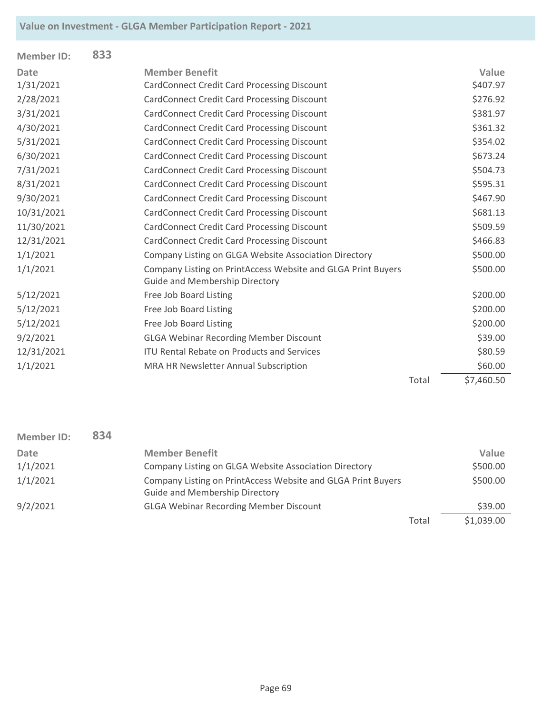| <b>Member ID:</b> | 833 |                                                                                                |       |            |
|-------------------|-----|------------------------------------------------------------------------------------------------|-------|------------|
| <b>Date</b>       |     | <b>Member Benefit</b>                                                                          |       | Value      |
| 1/31/2021         |     | CardConnect Credit Card Processing Discount                                                    |       | \$407.97   |
| 2/28/2021         |     | <b>CardConnect Credit Card Processing Discount</b>                                             |       | \$276.92   |
| 3/31/2021         |     | <b>CardConnect Credit Card Processing Discount</b>                                             |       | \$381.97   |
| 4/30/2021         |     | CardConnect Credit Card Processing Discount                                                    |       | \$361.32   |
| 5/31/2021         |     | <b>CardConnect Credit Card Processing Discount</b>                                             |       | \$354.02   |
| 6/30/2021         |     | <b>CardConnect Credit Card Processing Discount</b>                                             |       | \$673.24   |
| 7/31/2021         |     | <b>CardConnect Credit Card Processing Discount</b>                                             |       | \$504.73   |
| 8/31/2021         |     | <b>CardConnect Credit Card Processing Discount</b>                                             |       | \$595.31   |
| 9/30/2021         |     | <b>CardConnect Credit Card Processing Discount</b>                                             |       | \$467.90   |
| 10/31/2021        |     | CardConnect Credit Card Processing Discount                                                    |       | \$681.13   |
| 11/30/2021        |     | <b>CardConnect Credit Card Processing Discount</b>                                             |       | \$509.59   |
| 12/31/2021        |     | <b>CardConnect Credit Card Processing Discount</b>                                             |       | \$466.83   |
| 1/1/2021          |     | Company Listing on GLGA Website Association Directory                                          |       | \$500.00   |
| 1/1/2021          |     | Company Listing on PrintAccess Website and GLGA Print Buyers<br>Guide and Membership Directory |       | \$500.00   |
| 5/12/2021         |     | Free Job Board Listing                                                                         |       | \$200.00   |
| 5/12/2021         |     | Free Job Board Listing                                                                         |       | \$200.00   |
| 5/12/2021         |     | Free Job Board Listing                                                                         |       | \$200.00   |
| 9/2/2021          |     | <b>GLGA Webinar Recording Member Discount</b>                                                  |       | \$39.00    |
| 12/31/2021        |     | <b>ITU Rental Rebate on Products and Services</b>                                              |       | \$80.59    |
| 1/1/2021          |     | MRA HR Newsletter Annual Subscription                                                          |       | \$60.00    |
|                   |     |                                                                                                | Total | \$7,460.50 |

| <b>Member ID:</b> | 834 |                                                                                                       |       |            |
|-------------------|-----|-------------------------------------------------------------------------------------------------------|-------|------------|
| Date              |     | <b>Member Benefit</b>                                                                                 |       | Value      |
| 1/1/2021          |     | Company Listing on GLGA Website Association Directory                                                 |       | \$500.00   |
| 1/1/2021          |     | Company Listing on PrintAccess Website and GLGA Print Buyers<br><b>Guide and Membership Directory</b> |       | \$500.00   |
| 9/2/2021          |     | <b>GLGA Webinar Recording Member Discount</b>                                                         |       | \$39.00    |
|                   |     |                                                                                                       | Total | \$1,039.00 |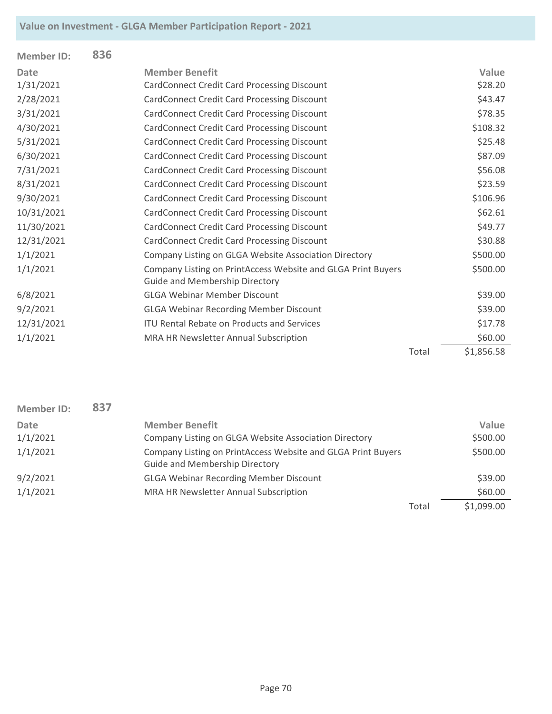| <b>Member ID:</b> | 836 |                                                              |       |            |
|-------------------|-----|--------------------------------------------------------------|-------|------------|
| <b>Date</b>       |     | <b>Member Benefit</b>                                        |       | Value      |
| 1/31/2021         |     | <b>CardConnect Credit Card Processing Discount</b>           |       | \$28.20    |
| 2/28/2021         |     | <b>CardConnect Credit Card Processing Discount</b>           |       | \$43.47    |
| 3/31/2021         |     | <b>CardConnect Credit Card Processing Discount</b>           |       | \$78.35    |
| 4/30/2021         |     | <b>CardConnect Credit Card Processing Discount</b>           |       | \$108.32   |
| 5/31/2021         |     | <b>CardConnect Credit Card Processing Discount</b>           |       | \$25.48    |
| 6/30/2021         |     | <b>CardConnect Credit Card Processing Discount</b>           |       | \$87.09    |
| 7/31/2021         |     | <b>CardConnect Credit Card Processing Discount</b>           |       | \$56.08    |
| 8/31/2021         |     | <b>CardConnect Credit Card Processing Discount</b>           |       | \$23.59    |
| 9/30/2021         |     | <b>CardConnect Credit Card Processing Discount</b>           |       | \$106.96   |
| 10/31/2021        |     | <b>CardConnect Credit Card Processing Discount</b>           |       | \$62.61    |
| 11/30/2021        |     | <b>CardConnect Credit Card Processing Discount</b>           |       | \$49.77    |
| 12/31/2021        |     | <b>CardConnect Credit Card Processing Discount</b>           |       | \$30.88    |
| 1/1/2021          |     | Company Listing on GLGA Website Association Directory        |       | \$500.00   |
| 1/1/2021          |     | Company Listing on PrintAccess Website and GLGA Print Buyers |       | \$500.00   |
|                   |     | <b>Guide and Membership Directory</b>                        |       |            |
| 6/8/2021          |     | <b>GLGA Webinar Member Discount</b>                          |       | \$39.00    |
| 9/2/2021          |     | <b>GLGA Webinar Recording Member Discount</b>                |       | \$39.00    |
| 12/31/2021        |     | <b>ITU Rental Rebate on Products and Services</b>            |       | \$17.78    |
| 1/1/2021          |     | MRA HR Newsletter Annual Subscription                        |       | \$60.00    |
|                   |     |                                                              | Total | \$1,856.58 |

| <b>Member ID:</b> | 837 |                                                                                                       |       |            |
|-------------------|-----|-------------------------------------------------------------------------------------------------------|-------|------------|
| Date              |     | <b>Member Benefit</b>                                                                                 |       | Value      |
| 1/1/2021          |     | Company Listing on GLGA Website Association Directory                                                 |       | \$500.00   |
| 1/1/2021          |     | Company Listing on PrintAccess Website and GLGA Print Buyers<br><b>Guide and Membership Directory</b> |       | \$500.00   |
| 9/2/2021          |     | <b>GLGA Webinar Recording Member Discount</b>                                                         |       | \$39.00    |
| 1/1/2021          |     | MRA HR Newsletter Annual Subscription                                                                 |       | \$60.00    |
|                   |     |                                                                                                       | Total | \$1,099.00 |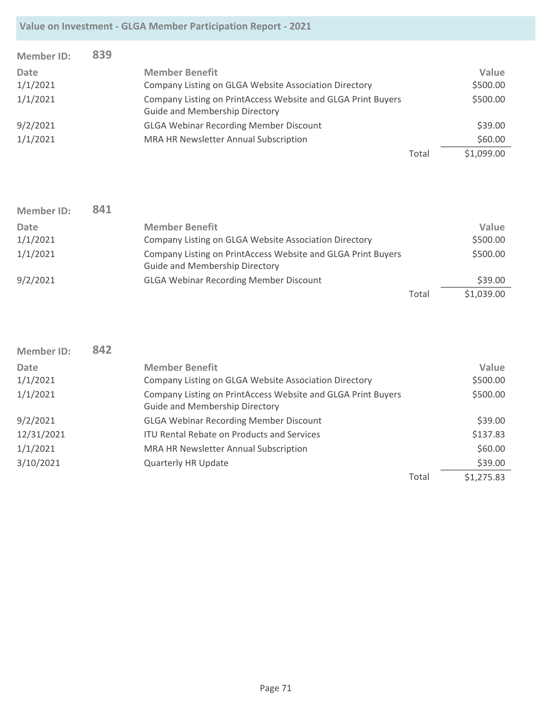| <b>Member ID:</b> | 839 |                                                              |       |            |
|-------------------|-----|--------------------------------------------------------------|-------|------------|
| Date              |     | <b>Member Benefit</b>                                        |       | Value      |
| 1/1/2021          |     | Company Listing on GLGA Website Association Directory        |       | \$500.00   |
| 1/1/2021          |     | Company Listing on PrintAccess Website and GLGA Print Buyers |       | \$500.00   |
|                   |     | <b>Guide and Membership Directory</b>                        |       |            |
| 9/2/2021          |     | <b>GLGA Webinar Recording Member Discount</b>                |       | \$39.00    |
| 1/1/2021          |     | MRA HR Newsletter Annual Subscription                        |       | \$60.00    |
|                   |     |                                                              | Total | \$1,099.00 |

| <b>Member ID:</b> | 841 |                                                                                                       |       |            |
|-------------------|-----|-------------------------------------------------------------------------------------------------------|-------|------------|
| Date              |     | <b>Member Benefit</b>                                                                                 |       | Value      |
| 1/1/2021          |     | Company Listing on GLGA Website Association Directory                                                 |       | \$500.00   |
| 1/1/2021          |     | Company Listing on PrintAccess Website and GLGA Print Buyers<br><b>Guide and Membership Directory</b> |       | \$500.00   |
| 9/2/2021          |     | <b>GLGA Webinar Recording Member Discount</b>                                                         |       | \$39.00    |
|                   |     |                                                                                                       | Total | \$1,039.00 |

| <b>Member ID:</b> | 842 |                                                                                                       |       |            |
|-------------------|-----|-------------------------------------------------------------------------------------------------------|-------|------------|
| Date              |     | <b>Member Benefit</b>                                                                                 |       | Value      |
| 1/1/2021          |     | Company Listing on GLGA Website Association Directory                                                 |       | \$500.00   |
| 1/1/2021          |     | Company Listing on PrintAccess Website and GLGA Print Buyers<br><b>Guide and Membership Directory</b> |       | \$500.00   |
| 9/2/2021          |     | <b>GLGA Webinar Recording Member Discount</b>                                                         |       | \$39.00    |
| 12/31/2021        |     | <b>ITU Rental Rebate on Products and Services</b>                                                     |       | \$137.83   |
| 1/1/2021          |     | MRA HR Newsletter Annual Subscription                                                                 |       | \$60.00    |
| 3/10/2021         |     | <b>Quarterly HR Update</b>                                                                            |       | \$39.00    |
|                   |     |                                                                                                       | Total | \$1,275.83 |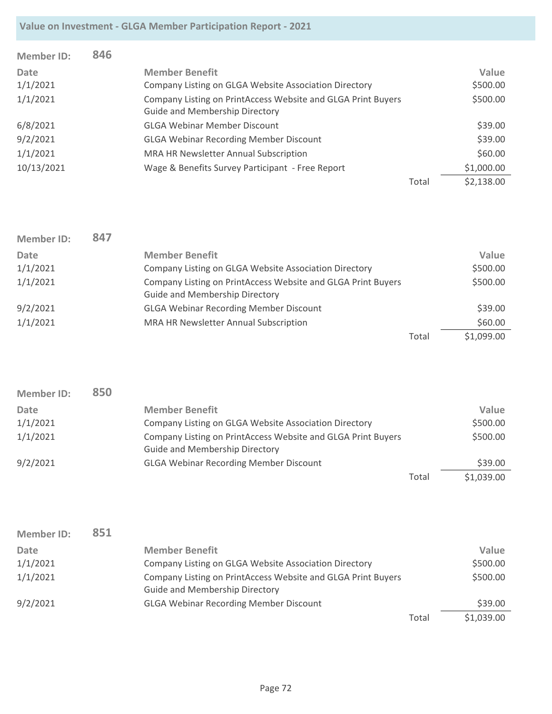| <b>Member ID:</b> | 846 |                                                                                                       |       |            |
|-------------------|-----|-------------------------------------------------------------------------------------------------------|-------|------------|
| Date              |     | <b>Member Benefit</b>                                                                                 |       | Value      |
| 1/1/2021          |     | Company Listing on GLGA Website Association Directory                                                 |       | \$500.00   |
| 1/1/2021          |     | Company Listing on PrintAccess Website and GLGA Print Buyers<br><b>Guide and Membership Directory</b> |       | \$500.00   |
| 6/8/2021          |     | <b>GLGA Webinar Member Discount</b>                                                                   |       | \$39.00    |
| 9/2/2021          |     | <b>GLGA Webinar Recording Member Discount</b>                                                         |       | \$39.00    |
| 1/1/2021          |     | MRA HR Newsletter Annual Subscription                                                                 |       | \$60.00    |
| 10/13/2021        |     | Wage & Benefits Survey Participant - Free Report                                                      |       | \$1,000.00 |
|                   |     |                                                                                                       | Total | \$2,138.00 |

| <b>Member ID:</b> | 847 |                                                              |       |            |
|-------------------|-----|--------------------------------------------------------------|-------|------------|
| Date              |     | <b>Member Benefit</b>                                        |       | Value      |
| 1/1/2021          |     | Company Listing on GLGA Website Association Directory        |       | \$500.00   |
| 1/1/2021          |     | Company Listing on PrintAccess Website and GLGA Print Buyers |       | \$500.00   |
|                   |     | <b>Guide and Membership Directory</b>                        |       |            |
| 9/2/2021          |     | <b>GLGA Webinar Recording Member Discount</b>                |       | \$39.00    |
| 1/1/2021          |     | MRA HR Newsletter Annual Subscription                        |       | \$60.00    |
|                   |     |                                                              | Total | \$1,099.00 |

| <b>Member ID:</b> | 850 |                                                                                                       |       |            |
|-------------------|-----|-------------------------------------------------------------------------------------------------------|-------|------------|
| Date              |     | <b>Member Benefit</b>                                                                                 |       | Value      |
| 1/1/2021          |     | Company Listing on GLGA Website Association Directory                                                 |       | \$500.00   |
| 1/1/2021          |     | Company Listing on PrintAccess Website and GLGA Print Buyers<br><b>Guide and Membership Directory</b> |       | \$500.00   |
| 9/2/2021          |     | <b>GLGA Webinar Recording Member Discount</b>                                                         |       | \$39.00    |
|                   |     |                                                                                                       | Total | \$1,039.00 |

| <b>Member ID:</b> | 851 |                                                                                                       |       |            |
|-------------------|-----|-------------------------------------------------------------------------------------------------------|-------|------------|
| Date              |     | <b>Member Benefit</b>                                                                                 |       | Value      |
| 1/1/2021          |     | Company Listing on GLGA Website Association Directory                                                 |       | \$500.00   |
| 1/1/2021          |     | Company Listing on PrintAccess Website and GLGA Print Buyers<br><b>Guide and Membership Directory</b> |       | \$500.00   |
| 9/2/2021          |     | <b>GLGA Webinar Recording Member Discount</b>                                                         |       | \$39.00    |
|                   |     |                                                                                                       | Total | \$1,039.00 |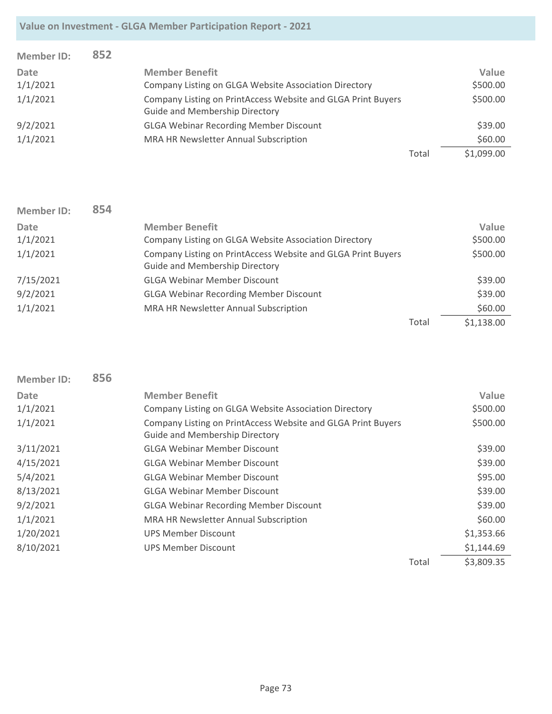| <b>Member ID:</b> | 852 |                                                              |       |            |
|-------------------|-----|--------------------------------------------------------------|-------|------------|
| Date              |     | <b>Member Benefit</b>                                        |       | Value      |
| 1/1/2021          |     | Company Listing on GLGA Website Association Directory        |       | \$500.00   |
| 1/1/2021          |     | Company Listing on PrintAccess Website and GLGA Print Buyers |       | \$500.00   |
|                   |     | <b>Guide and Membership Directory</b>                        |       |            |
| 9/2/2021          |     | <b>GLGA Webinar Recording Member Discount</b>                |       | \$39.00    |
| 1/1/2021          |     | MRA HR Newsletter Annual Subscription                        |       | \$60.00    |
|                   |     |                                                              | Total | \$1,099.00 |

| <b>Member ID:</b> | 854 |                                                                                                       |       |            |
|-------------------|-----|-------------------------------------------------------------------------------------------------------|-------|------------|
| <b>Date</b>       |     | <b>Member Benefit</b>                                                                                 |       | Value      |
| 1/1/2021          |     | Company Listing on GLGA Website Association Directory                                                 |       | \$500.00   |
| 1/1/2021          |     | Company Listing on PrintAccess Website and GLGA Print Buyers<br><b>Guide and Membership Directory</b> |       | \$500.00   |
| 7/15/2021         |     | <b>GLGA Webinar Member Discount</b>                                                                   |       | \$39.00    |
| 9/2/2021          |     | <b>GLGA Webinar Recording Member Discount</b>                                                         |       | \$39.00    |
| 1/1/2021          |     | MRA HR Newsletter Annual Subscription                                                                 |       | \$60.00    |
|                   |     |                                                                                                       | Total | \$1,138.00 |

| <b>Member ID:</b> | 856 |                                                                                                       |       |            |
|-------------------|-----|-------------------------------------------------------------------------------------------------------|-------|------------|
| Date              |     | <b>Member Benefit</b>                                                                                 |       | Value      |
| 1/1/2021          |     | Company Listing on GLGA Website Association Directory                                                 |       | \$500.00   |
| 1/1/2021          |     | Company Listing on PrintAccess Website and GLGA Print Buyers<br><b>Guide and Membership Directory</b> |       | \$500.00   |
| 3/11/2021         |     | <b>GLGA Webinar Member Discount</b>                                                                   |       | \$39.00    |
| 4/15/2021         |     | <b>GLGA Webinar Member Discount</b>                                                                   |       | \$39.00    |
| 5/4/2021          |     | <b>GLGA Webinar Member Discount</b>                                                                   |       | \$95.00    |
| 8/13/2021         |     | <b>GLGA Webinar Member Discount</b>                                                                   |       | \$39.00    |
| 9/2/2021          |     | <b>GLGA Webinar Recording Member Discount</b>                                                         |       | \$39.00    |
| 1/1/2021          |     | MRA HR Newsletter Annual Subscription                                                                 |       | \$60.00    |
| 1/20/2021         |     | <b>UPS Member Discount</b>                                                                            |       | \$1,353.66 |
| 8/10/2021         |     | UPS Member Discount                                                                                   |       | \$1,144.69 |
|                   |     |                                                                                                       | Total | \$3,809.35 |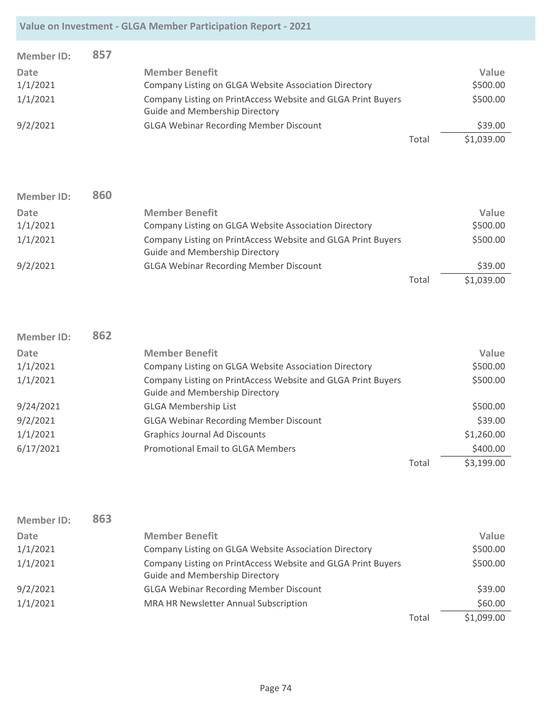| <b>Member ID:</b> | 857 |                                                                                                       |       |            |
|-------------------|-----|-------------------------------------------------------------------------------------------------------|-------|------------|
| Date              |     | <b>Member Benefit</b>                                                                                 |       | Value      |
| 1/1/2021          |     | Company Listing on GLGA Website Association Directory                                                 |       | \$500.00   |
| 1/1/2021          |     | Company Listing on PrintAccess Website and GLGA Print Buyers<br><b>Guide and Membership Directory</b> |       | \$500.00   |
| 9/2/2021          |     | <b>GLGA Webinar Recording Member Discount</b>                                                         |       | \$39.00    |
|                   |     |                                                                                                       | Total | \$1,039.00 |

| <b>Member ID:</b> | 860 |                                                                                                       |       |            |
|-------------------|-----|-------------------------------------------------------------------------------------------------------|-------|------------|
| Date              |     | <b>Member Benefit</b>                                                                                 |       | Value      |
| 1/1/2021          |     | Company Listing on GLGA Website Association Directory                                                 |       | \$500.00   |
| 1/1/2021          |     | Company Listing on PrintAccess Website and GLGA Print Buyers<br><b>Guide and Membership Directory</b> |       | \$500.00   |
| 9/2/2021          |     | <b>GLGA Webinar Recording Member Discount</b>                                                         |       | \$39.00    |
|                   |     |                                                                                                       | Total | \$1,039.00 |

| <b>Member ID:</b> | 862 |                                                                                                       |       |            |
|-------------------|-----|-------------------------------------------------------------------------------------------------------|-------|------------|
| <b>Date</b>       |     | <b>Member Benefit</b>                                                                                 |       | Value      |
| 1/1/2021          |     | Company Listing on GLGA Website Association Directory                                                 |       | \$500.00   |
| 1/1/2021          |     | Company Listing on PrintAccess Website and GLGA Print Buyers<br><b>Guide and Membership Directory</b> |       | \$500.00   |
| 9/24/2021         |     | <b>GLGA Membership List</b>                                                                           |       | \$500.00   |
| 9/2/2021          |     | <b>GLGA Webinar Recording Member Discount</b>                                                         |       | \$39.00    |
| 1/1/2021          |     | <b>Graphics Journal Ad Discounts</b>                                                                  |       | \$1,260.00 |
| 6/17/2021         |     | <b>Promotional Email to GLGA Members</b>                                                              |       | \$400.00   |
|                   |     |                                                                                                       | Total | \$3,199.00 |

| <b>Member ID:</b> | 863 |                                                                                                       |       |            |
|-------------------|-----|-------------------------------------------------------------------------------------------------------|-------|------------|
| Date              |     | <b>Member Benefit</b>                                                                                 |       | Value      |
| 1/1/2021          |     | Company Listing on GLGA Website Association Directory                                                 |       | \$500.00   |
| 1/1/2021          |     | Company Listing on PrintAccess Website and GLGA Print Buyers<br><b>Guide and Membership Directory</b> |       | \$500.00   |
| 9/2/2021          |     | <b>GLGA Webinar Recording Member Discount</b>                                                         |       | \$39.00    |
| 1/1/2021          |     | MRA HR Newsletter Annual Subscription                                                                 |       | \$60.00    |
|                   |     |                                                                                                       | Total | \$1,099.00 |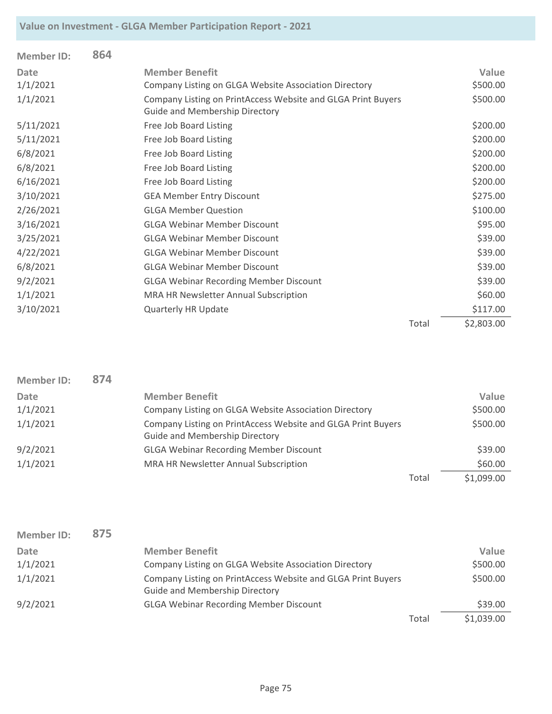| <b>Member ID:</b> | 864 |                                                                                                       |            |
|-------------------|-----|-------------------------------------------------------------------------------------------------------|------------|
| <b>Date</b>       |     | <b>Member Benefit</b>                                                                                 | Value      |
| 1/1/2021          |     | Company Listing on GLGA Website Association Directory                                                 | \$500.00   |
| 1/1/2021          |     | Company Listing on PrintAccess Website and GLGA Print Buyers<br><b>Guide and Membership Directory</b> | \$500.00   |
| 5/11/2021         |     | Free Job Board Listing                                                                                | \$200.00   |
| 5/11/2021         |     | Free Job Board Listing                                                                                | \$200.00   |
| 6/8/2021          |     | Free Job Board Listing                                                                                | \$200.00   |
| 6/8/2021          |     | Free Job Board Listing                                                                                | \$200.00   |
| 6/16/2021         |     | Free Job Board Listing                                                                                | \$200.00   |
| 3/10/2021         |     | <b>GEA Member Entry Discount</b>                                                                      | \$275.00   |
| 2/26/2021         |     | <b>GLGA Member Question</b>                                                                           | \$100.00   |
| 3/16/2021         |     | <b>GLGA Webinar Member Discount</b>                                                                   | \$95.00    |
| 3/25/2021         |     | <b>GLGA Webinar Member Discount</b>                                                                   | \$39.00    |
| 4/22/2021         |     | <b>GLGA Webinar Member Discount</b>                                                                   | \$39.00    |
| 6/8/2021          |     | <b>GLGA Webinar Member Discount</b>                                                                   | \$39.00    |
| 9/2/2021          |     | <b>GLGA Webinar Recording Member Discount</b>                                                         | \$39.00    |
| 1/1/2021          |     | MRA HR Newsletter Annual Subscription                                                                 | \$60.00    |
| 3/10/2021         |     | <b>Quarterly HR Update</b>                                                                            | \$117.00   |
|                   |     | Total                                                                                                 | \$2,803.00 |

| <b>Member ID:</b> | 874 |                                                                                                       |       |            |
|-------------------|-----|-------------------------------------------------------------------------------------------------------|-------|------------|
| Date              |     | <b>Member Benefit</b>                                                                                 |       | Value      |
| 1/1/2021          |     | Company Listing on GLGA Website Association Directory                                                 |       | \$500.00   |
| 1/1/2021          |     | Company Listing on PrintAccess Website and GLGA Print Buyers<br><b>Guide and Membership Directory</b> |       | \$500.00   |
| 9/2/2021          |     | <b>GLGA Webinar Recording Member Discount</b>                                                         |       | \$39.00    |
| 1/1/2021          |     | MRA HR Newsletter Annual Subscription                                                                 |       | \$60.00    |
|                   |     |                                                                                                       | Total | \$1,099.00 |

| Member ID:  | 875 |                                                                                                       |       |            |
|-------------|-----|-------------------------------------------------------------------------------------------------------|-------|------------|
| <b>Date</b> |     | <b>Member Benefit</b>                                                                                 |       | Value      |
| 1/1/2021    |     | Company Listing on GLGA Website Association Directory                                                 |       | \$500.00   |
| 1/1/2021    |     | Company Listing on PrintAccess Website and GLGA Print Buyers<br><b>Guide and Membership Directory</b> |       | \$500.00   |
| 9/2/2021    |     | <b>GLGA Webinar Recording Member Discount</b>                                                         |       | \$39.00    |
|             |     |                                                                                                       | Total | \$1,039.00 |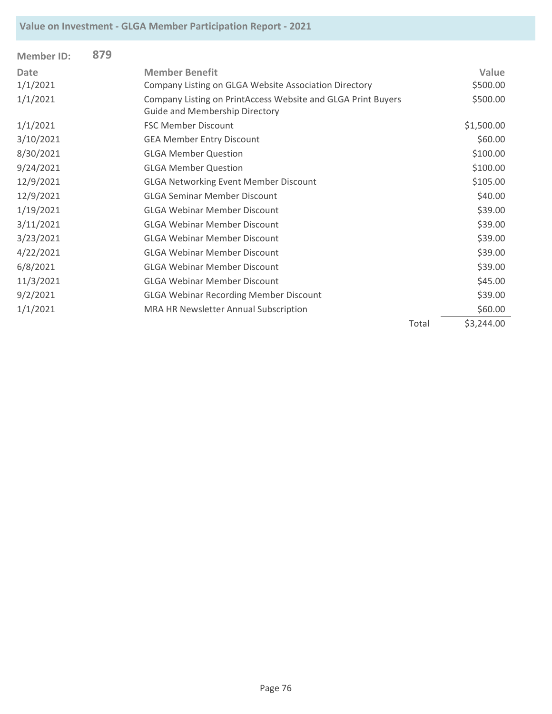| <b>Member ID:</b> | 879 |                                                                                                |       |            |
|-------------------|-----|------------------------------------------------------------------------------------------------|-------|------------|
| <b>Date</b>       |     | <b>Member Benefit</b>                                                                          |       | Value      |
| 1/1/2021          |     | Company Listing on GLGA Website Association Directory                                          |       | \$500.00   |
| 1/1/2021          |     | Company Listing on PrintAccess Website and GLGA Print Buyers<br>Guide and Membership Directory |       | \$500.00   |
| 1/1/2021          |     | <b>FSC Member Discount</b>                                                                     |       | \$1,500.00 |
| 3/10/2021         |     | <b>GEA Member Entry Discount</b>                                                               |       | \$60.00    |
| 8/30/2021         |     | <b>GLGA Member Question</b>                                                                    |       | \$100.00   |
| 9/24/2021         |     | <b>GLGA Member Question</b>                                                                    |       | \$100.00   |
| 12/9/2021         |     | <b>GLGA Networking Event Member Discount</b>                                                   |       | \$105.00   |
| 12/9/2021         |     | <b>GLGA Seminar Member Discount</b>                                                            |       | \$40.00    |
| 1/19/2021         |     | <b>GLGA Webinar Member Discount</b>                                                            |       | \$39.00    |
| 3/11/2021         |     | <b>GLGA Webinar Member Discount</b>                                                            |       | \$39.00    |
| 3/23/2021         |     | <b>GLGA Webinar Member Discount</b>                                                            |       | \$39.00    |
| 4/22/2021         |     | <b>GLGA Webinar Member Discount</b>                                                            |       | \$39.00    |
| 6/8/2021          |     | <b>GLGA Webinar Member Discount</b>                                                            |       | \$39.00    |
| 11/3/2021         |     | <b>GLGA Webinar Member Discount</b>                                                            |       | \$45.00    |
| 9/2/2021          |     | <b>GLGA Webinar Recording Member Discount</b>                                                  |       | \$39.00    |
| 1/1/2021          |     | MRA HR Newsletter Annual Subscription                                                          |       | \$60.00    |
|                   |     |                                                                                                | Total | \$3,244.00 |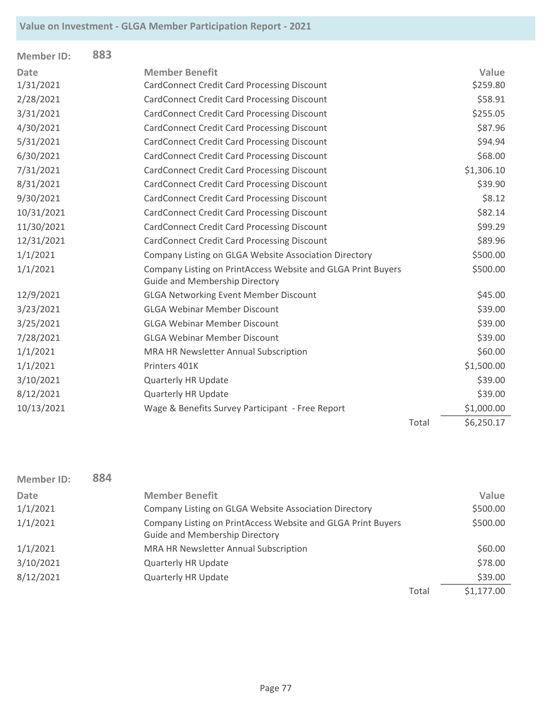| <b>Member ID:</b> | 883 |                                                                                                       |       |            |
|-------------------|-----|-------------------------------------------------------------------------------------------------------|-------|------------|
| <b>Date</b>       |     | <b>Member Benefit</b>                                                                                 |       | Value      |
| 1/31/2021         |     | CardConnect Credit Card Processing Discount                                                           |       | \$259.80   |
| 2/28/2021         |     | <b>CardConnect Credit Card Processing Discount</b>                                                    |       | \$58.91    |
| 3/31/2021         |     | <b>CardConnect Credit Card Processing Discount</b>                                                    |       | \$255.05   |
| 4/30/2021         |     | <b>CardConnect Credit Card Processing Discount</b>                                                    |       | \$87.96    |
| 5/31/2021         |     | <b>CardConnect Credit Card Processing Discount</b>                                                    |       | \$94.94    |
| 6/30/2021         |     | <b>CardConnect Credit Card Processing Discount</b>                                                    |       | \$68.00    |
| 7/31/2021         |     | <b>CardConnect Credit Card Processing Discount</b>                                                    |       | \$1,306.10 |
| 8/31/2021         |     | <b>CardConnect Credit Card Processing Discount</b>                                                    |       | \$39.90    |
| 9/30/2021         |     | <b>CardConnect Credit Card Processing Discount</b>                                                    |       | \$8.12     |
| 10/31/2021        |     | <b>CardConnect Credit Card Processing Discount</b>                                                    |       | \$82.14    |
| 11/30/2021        |     | <b>CardConnect Credit Card Processing Discount</b>                                                    |       | \$99.29    |
| 12/31/2021        |     | <b>CardConnect Credit Card Processing Discount</b>                                                    |       | \$89.96    |
| 1/1/2021          |     | Company Listing on GLGA Website Association Directory                                                 |       | \$500.00   |
| 1/1/2021          |     | Company Listing on PrintAccess Website and GLGA Print Buyers<br><b>Guide and Membership Directory</b> |       | \$500.00   |
| 12/9/2021         |     | <b>GLGA Networking Event Member Discount</b>                                                          |       | \$45.00    |
| 3/23/2021         |     | <b>GLGA Webinar Member Discount</b>                                                                   |       | \$39.00    |
| 3/25/2021         |     | <b>GLGA Webinar Member Discount</b>                                                                   |       | \$39.00    |
| 7/28/2021         |     | <b>GLGA Webinar Member Discount</b>                                                                   |       | \$39.00    |
| 1/1/2021          |     | MRA HR Newsletter Annual Subscription                                                                 |       | \$60.00    |
| 1/1/2021          |     | Printers 401K                                                                                         |       | \$1,500.00 |
| 3/10/2021         |     | Quarterly HR Update                                                                                   |       | \$39.00    |
| 8/12/2021         |     | <b>Quarterly HR Update</b>                                                                            |       | \$39.00    |
| 10/13/2021        |     | Wage & Benefits Survey Participant - Free Report                                                      |       | \$1,000.00 |
|                   |     |                                                                                                       | Total | \$6,250.17 |

| Member ID: | 884 |                                                                                                       |       |            |
|------------|-----|-------------------------------------------------------------------------------------------------------|-------|------------|
| Date       |     | <b>Member Benefit</b>                                                                                 |       | Value      |
| 1/1/2021   |     | Company Listing on GLGA Website Association Directory                                                 |       | \$500.00   |
| 1/1/2021   |     | Company Listing on PrintAccess Website and GLGA Print Buyers<br><b>Guide and Membership Directory</b> |       | \$500.00   |
| 1/1/2021   |     | MRA HR Newsletter Annual Subscription                                                                 |       | \$60.00    |
| 3/10/2021  |     | <b>Quarterly HR Update</b>                                                                            |       | \$78.00    |
| 8/12/2021  |     | <b>Quarterly HR Update</b>                                                                            |       | \$39.00    |
|            |     |                                                                                                       | Total | \$1,177.00 |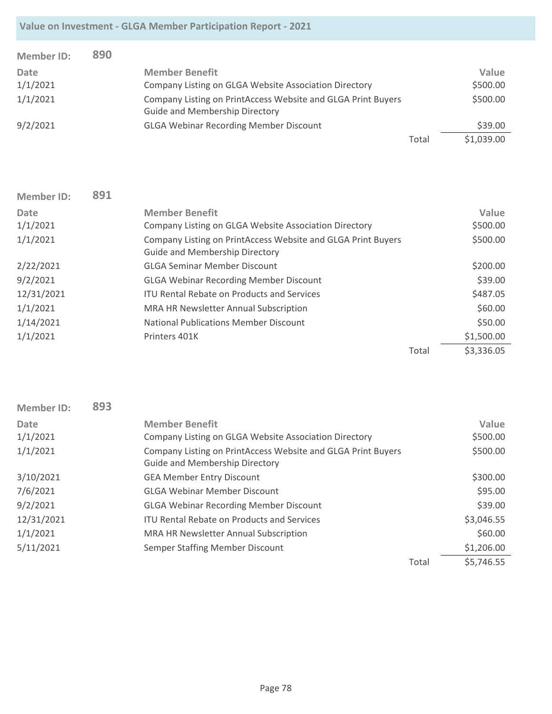| <b>Member ID:</b> | 890 |                                                                                                       |       |            |
|-------------------|-----|-------------------------------------------------------------------------------------------------------|-------|------------|
| Date              |     | <b>Member Benefit</b>                                                                                 |       | Value      |
| 1/1/2021          |     | Company Listing on GLGA Website Association Directory                                                 |       | \$500.00   |
| 1/1/2021          |     | Company Listing on PrintAccess Website and GLGA Print Buyers<br><b>Guide and Membership Directory</b> |       | \$500.00   |
| 9/2/2021          |     | <b>GLGA Webinar Recording Member Discount</b>                                                         |       | \$39.00    |
|                   |     |                                                                                                       | Total | \$1,039.00 |

| <b>Member ID:</b> | 891 |                                                                                                       |       |            |
|-------------------|-----|-------------------------------------------------------------------------------------------------------|-------|------------|
| Date              |     | <b>Member Benefit</b>                                                                                 |       | Value      |
| 1/1/2021          |     | Company Listing on GLGA Website Association Directory                                                 |       | \$500.00   |
| 1/1/2021          |     | Company Listing on PrintAccess Website and GLGA Print Buyers<br><b>Guide and Membership Directory</b> |       | \$500.00   |
| 2/22/2021         |     | <b>GLGA Seminar Member Discount</b>                                                                   |       | \$200.00   |
| 9/2/2021          |     | <b>GLGA Webinar Recording Member Discount</b>                                                         |       | \$39.00    |
| 12/31/2021        |     | <b>ITU Rental Rebate on Products and Services</b>                                                     |       | \$487.05   |
| 1/1/2021          |     | <b>MRA HR Newsletter Annual Subscription</b>                                                          |       | \$60.00    |
| 1/14/2021         |     | National Publications Member Discount                                                                 |       | \$50.00    |
| 1/1/2021          |     | Printers 401K                                                                                         |       | \$1,500.00 |
|                   |     |                                                                                                       | Total | \$3,336.05 |

| <b>Member ID:</b> | 893 |                                                                                                       |       |            |
|-------------------|-----|-------------------------------------------------------------------------------------------------------|-------|------------|
| <b>Date</b>       |     | <b>Member Benefit</b>                                                                                 |       | Value      |
| 1/1/2021          |     | Company Listing on GLGA Website Association Directory                                                 |       | \$500.00   |
| 1/1/2021          |     | Company Listing on PrintAccess Website and GLGA Print Buyers<br><b>Guide and Membership Directory</b> |       | \$500.00   |
| 3/10/2021         |     | <b>GEA Member Entry Discount</b>                                                                      |       | \$300.00   |
| 7/6/2021          |     | <b>GLGA Webinar Member Discount</b>                                                                   |       | \$95.00    |
| 9/2/2021          |     | <b>GLGA Webinar Recording Member Discount</b>                                                         |       | \$39.00    |
| 12/31/2021        |     | <b>ITU Rental Rebate on Products and Services</b>                                                     |       | \$3,046.55 |
| 1/1/2021          |     | <b>MRA HR Newsletter Annual Subscription</b>                                                          |       | \$60.00    |
| 5/11/2021         |     | Semper Staffing Member Discount                                                                       |       | \$1,206.00 |
|                   |     |                                                                                                       | Total | \$5,746.55 |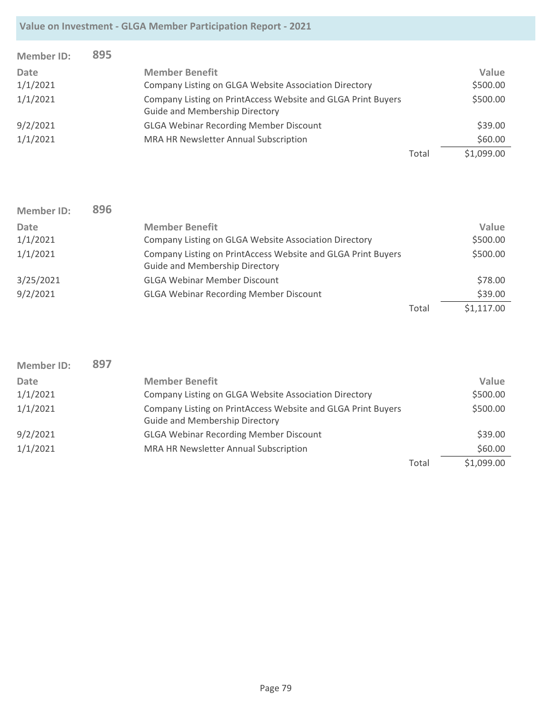| <b>Member ID:</b> | 895 |                                                                                                       |       |            |
|-------------------|-----|-------------------------------------------------------------------------------------------------------|-------|------------|
| Date              |     | <b>Member Benefit</b>                                                                                 |       | Value      |
| 1/1/2021          |     | Company Listing on GLGA Website Association Directory                                                 |       | \$500.00   |
| 1/1/2021          |     | Company Listing on PrintAccess Website and GLGA Print Buyers<br><b>Guide and Membership Directory</b> |       | \$500.00   |
| 9/2/2021          |     | <b>GLGA Webinar Recording Member Discount</b>                                                         |       | \$39.00    |
| 1/1/2021          |     | MRA HR Newsletter Annual Subscription                                                                 |       | \$60.00    |
|                   |     |                                                                                                       | Total | \$1,099.00 |

| <b>Member ID:</b> | 896 |                                                              |       |            |
|-------------------|-----|--------------------------------------------------------------|-------|------------|
| Date              |     | <b>Member Benefit</b>                                        |       | Value      |
| 1/1/2021          |     | Company Listing on GLGA Website Association Directory        |       | \$500.00   |
| 1/1/2021          |     | Company Listing on PrintAccess Website and GLGA Print Buyers |       | \$500.00   |
|                   |     | <b>Guide and Membership Directory</b>                        |       |            |
| 3/25/2021         |     | <b>GLGA Webinar Member Discount</b>                          |       | \$78.00    |
| 9/2/2021          |     | <b>GLGA Webinar Recording Member Discount</b>                |       | \$39.00    |
|                   |     |                                                              | Total | \$1,117.00 |

| <b>Member ID:</b> | 897 |                                                              |       |            |
|-------------------|-----|--------------------------------------------------------------|-------|------------|
| Date              |     | <b>Member Benefit</b>                                        |       | Value      |
| 1/1/2021          |     | Company Listing on GLGA Website Association Directory        |       | \$500.00   |
| 1/1/2021          |     | Company Listing on PrintAccess Website and GLGA Print Buyers |       | \$500.00   |
|                   |     | <b>Guide and Membership Directory</b>                        |       |            |
| 9/2/2021          |     | <b>GLGA Webinar Recording Member Discount</b>                |       | \$39.00    |
| 1/1/2021          |     | MRA HR Newsletter Annual Subscription                        |       | \$60.00    |
|                   |     |                                                              | Total | \$1,099.00 |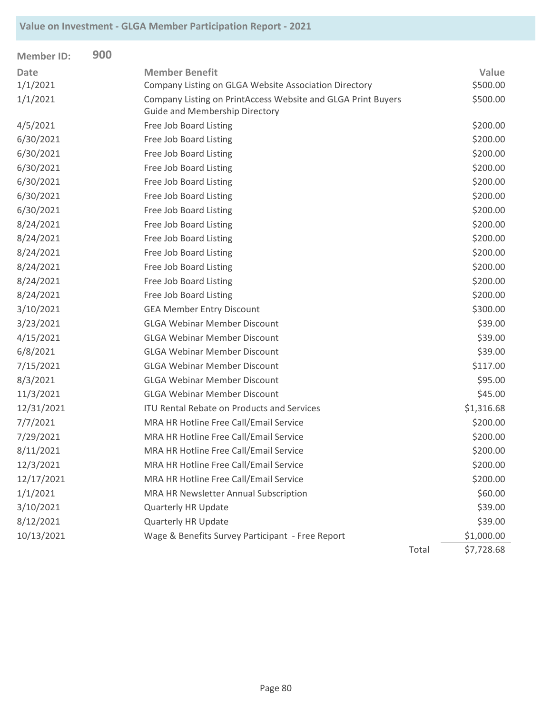| <b>Member ID:</b> | 900 |                                                                                                       |       |            |
|-------------------|-----|-------------------------------------------------------------------------------------------------------|-------|------------|
| <b>Date</b>       |     | <b>Member Benefit</b>                                                                                 |       | Value      |
| 1/1/2021          |     | Company Listing on GLGA Website Association Directory                                                 |       | \$500.00   |
| 1/1/2021          |     | Company Listing on PrintAccess Website and GLGA Print Buyers<br><b>Guide and Membership Directory</b> |       | \$500.00   |
| 4/5/2021          |     | Free Job Board Listing                                                                                |       | \$200.00   |
| 6/30/2021         |     | Free Job Board Listing                                                                                |       | \$200.00   |
| 6/30/2021         |     | Free Job Board Listing                                                                                |       | \$200.00   |
| 6/30/2021         |     | Free Job Board Listing                                                                                |       | \$200.00   |
| 6/30/2021         |     | Free Job Board Listing                                                                                |       | \$200.00   |
| 6/30/2021         |     | Free Job Board Listing                                                                                |       | \$200.00   |
| 6/30/2021         |     | Free Job Board Listing                                                                                |       | \$200.00   |
| 8/24/2021         |     | Free Job Board Listing                                                                                |       | \$200.00   |
| 8/24/2021         |     | Free Job Board Listing                                                                                |       | \$200.00   |
| 8/24/2021         |     | Free Job Board Listing                                                                                |       | \$200.00   |
| 8/24/2021         |     | Free Job Board Listing                                                                                |       | \$200.00   |
| 8/24/2021         |     | Free Job Board Listing                                                                                |       | \$200.00   |
| 8/24/2021         |     | Free Job Board Listing                                                                                |       | \$200.00   |
| 3/10/2021         |     | <b>GEA Member Entry Discount</b>                                                                      |       | \$300.00   |
| 3/23/2021         |     | <b>GLGA Webinar Member Discount</b>                                                                   |       | \$39.00    |
| 4/15/2021         |     | <b>GLGA Webinar Member Discount</b>                                                                   |       | \$39.00    |
| 6/8/2021          |     | <b>GLGA Webinar Member Discount</b>                                                                   |       | \$39.00    |
| 7/15/2021         |     | <b>GLGA Webinar Member Discount</b>                                                                   |       | \$117.00   |
| 8/3/2021          |     | <b>GLGA Webinar Member Discount</b>                                                                   |       | \$95.00    |
| 11/3/2021         |     | <b>GLGA Webinar Member Discount</b>                                                                   |       | \$45.00    |
| 12/31/2021        |     | <b>ITU Rental Rebate on Products and Services</b>                                                     |       | \$1,316.68 |
| 7/7/2021          |     | MRA HR Hotline Free Call/Email Service                                                                |       | \$200.00   |
| 7/29/2021         |     | MRA HR Hotline Free Call/Email Service                                                                |       | \$200.00   |
| 8/11/2021         |     | MRA HR Hotline Free Call/Email Service                                                                |       | \$200.00   |
| 12/3/2021         |     | MRA HR Hotline Free Call/Email Service                                                                |       | \$200.00   |
| 12/17/2021        |     | MRA HR Hotline Free Call/Email Service                                                                |       | \$200.00   |
| 1/1/2021          |     | MRA HR Newsletter Annual Subscription                                                                 |       | \$60.00    |
| 3/10/2021         |     | <b>Quarterly HR Update</b>                                                                            |       | \$39.00    |
| 8/12/2021         |     | Quarterly HR Update                                                                                   |       | \$39.00    |
| 10/13/2021        |     | Wage & Benefits Survey Participant - Free Report                                                      |       | \$1,000.00 |
|                   |     |                                                                                                       | Total | \$7,728.68 |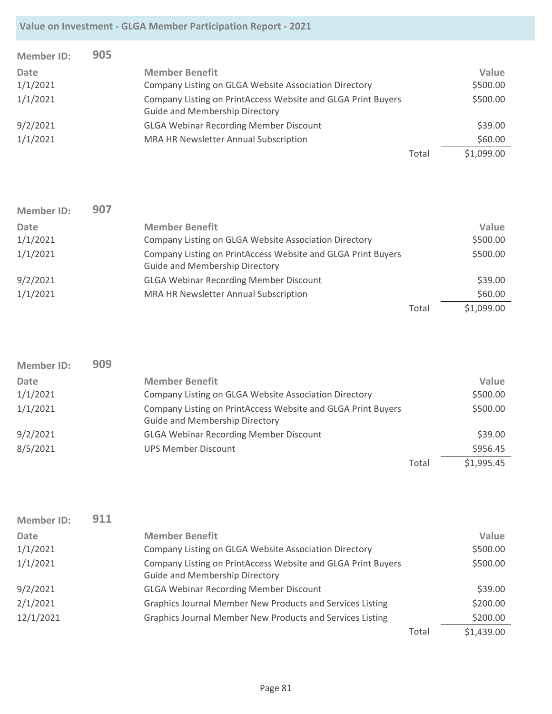| <b>Member ID:</b> | 905 |                                                                                                       |       |            |
|-------------------|-----|-------------------------------------------------------------------------------------------------------|-------|------------|
| Date              |     | <b>Member Benefit</b>                                                                                 |       | Value      |
| 1/1/2021          |     | Company Listing on GLGA Website Association Directory                                                 |       | \$500.00   |
| 1/1/2021          |     | Company Listing on PrintAccess Website and GLGA Print Buyers<br><b>Guide and Membership Directory</b> |       | \$500.00   |
| 9/2/2021          |     | <b>GLGA Webinar Recording Member Discount</b>                                                         |       | \$39.00    |
| 1/1/2021          |     | MRA HR Newsletter Annual Subscription                                                                 |       | \$60.00    |
|                   |     |                                                                                                       | Total | \$1,099.00 |

| <b>Member ID:</b> | 907 |                                                              |       |            |
|-------------------|-----|--------------------------------------------------------------|-------|------------|
| Date              |     | <b>Member Benefit</b>                                        |       | Value      |
| 1/1/2021          |     | Company Listing on GLGA Website Association Directory        |       | \$500.00   |
| 1/1/2021          |     | Company Listing on PrintAccess Website and GLGA Print Buyers |       | \$500.00   |
|                   |     | <b>Guide and Membership Directory</b>                        |       |            |
| 9/2/2021          |     | <b>GLGA Webinar Recording Member Discount</b>                |       | \$39.00    |
| 1/1/2021          |     | MRA HR Newsletter Annual Subscription                        |       | \$60.00    |
|                   |     |                                                              | Total | \$1,099.00 |

| <b>Member ID:</b> | 909 |                                                              |       |            |
|-------------------|-----|--------------------------------------------------------------|-------|------------|
| Date              |     | <b>Member Benefit</b>                                        |       | Value      |
| 1/1/2021          |     | Company Listing on GLGA Website Association Directory        |       | \$500.00   |
| 1/1/2021          |     | Company Listing on PrintAccess Website and GLGA Print Buyers |       | \$500.00   |
|                   |     | <b>Guide and Membership Directory</b>                        |       |            |
| 9/2/2021          |     | <b>GLGA Webinar Recording Member Discount</b>                |       | \$39.00    |
| 8/5/2021          |     | <b>UPS Member Discount</b>                                   |       | \$956.45   |
|                   |     |                                                              | Total | \$1,995.45 |

| <b>Member ID:</b> | 911 |                                                                                                       |       |            |
|-------------------|-----|-------------------------------------------------------------------------------------------------------|-------|------------|
| Date              |     | <b>Member Benefit</b>                                                                                 |       | Value      |
| 1/1/2021          |     | Company Listing on GLGA Website Association Directory                                                 |       | \$500.00   |
| 1/1/2021          |     | Company Listing on PrintAccess Website and GLGA Print Buyers<br><b>Guide and Membership Directory</b> |       | \$500.00   |
| 9/2/2021          |     | <b>GLGA Webinar Recording Member Discount</b>                                                         |       | \$39.00    |
| 2/1/2021          |     | Graphics Journal Member New Products and Services Listing                                             |       | \$200.00   |
| 12/1/2021         |     | Graphics Journal Member New Products and Services Listing                                             |       | \$200.00   |
|                   |     |                                                                                                       | Total | \$1,439.00 |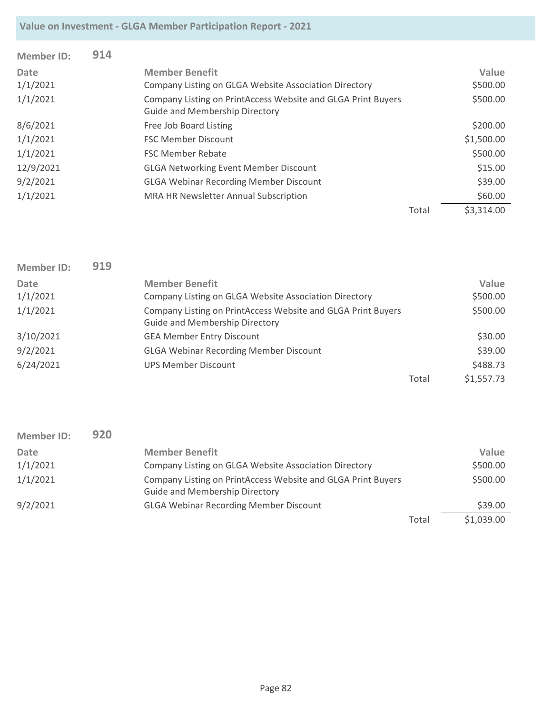| <b>Member ID:</b> | 914 |                                                                                                       |       |            |
|-------------------|-----|-------------------------------------------------------------------------------------------------------|-------|------------|
| <b>Date</b>       |     | <b>Member Benefit</b>                                                                                 |       | Value      |
| 1/1/2021          |     | Company Listing on GLGA Website Association Directory                                                 |       | \$500.00   |
| 1/1/2021          |     | Company Listing on PrintAccess Website and GLGA Print Buyers<br><b>Guide and Membership Directory</b> |       | \$500.00   |
| 8/6/2021          |     | Free Job Board Listing                                                                                |       | \$200.00   |
| 1/1/2021          |     | <b>FSC Member Discount</b>                                                                            |       | \$1,500.00 |
| 1/1/2021          |     | <b>FSC Member Rebate</b>                                                                              |       | \$500.00   |
| 12/9/2021         |     | <b>GLGA Networking Event Member Discount</b>                                                          |       | \$15.00    |
| 9/2/2021          |     | <b>GLGA Webinar Recording Member Discount</b>                                                         |       | \$39.00    |
| 1/1/2021          |     | MRA HR Newsletter Annual Subscription                                                                 |       | \$60.00    |
|                   |     |                                                                                                       | Total | \$3,314.00 |

| <b>Member ID:</b> | 919 |                                                                                                       |       |            |
|-------------------|-----|-------------------------------------------------------------------------------------------------------|-------|------------|
| Date              |     | <b>Member Benefit</b>                                                                                 |       | Value      |
| 1/1/2021          |     | Company Listing on GLGA Website Association Directory                                                 |       | \$500.00   |
| 1/1/2021          |     | Company Listing on PrintAccess Website and GLGA Print Buyers<br><b>Guide and Membership Directory</b> |       | \$500.00   |
| 3/10/2021         |     | <b>GEA Member Entry Discount</b>                                                                      |       | \$30.00    |
| 9/2/2021          |     | <b>GLGA Webinar Recording Member Discount</b>                                                         |       | \$39.00    |
| 6/24/2021         |     | <b>UPS Member Discount</b>                                                                            |       | \$488.73   |
|                   |     |                                                                                                       | Total | \$1,557.73 |

| <b>Member ID:</b> | 920 |                                                                                                       |       |            |
|-------------------|-----|-------------------------------------------------------------------------------------------------------|-------|------------|
| <b>Date</b>       |     | <b>Member Benefit</b>                                                                                 |       | Value      |
| 1/1/2021          |     | Company Listing on GLGA Website Association Directory                                                 |       | \$500.00   |
| 1/1/2021          |     | Company Listing on PrintAccess Website and GLGA Print Buyers<br><b>Guide and Membership Directory</b> |       | \$500.00   |
| 9/2/2021          |     | <b>GLGA Webinar Recording Member Discount</b>                                                         |       | \$39.00    |
|                   |     |                                                                                                       | Total | \$1,039.00 |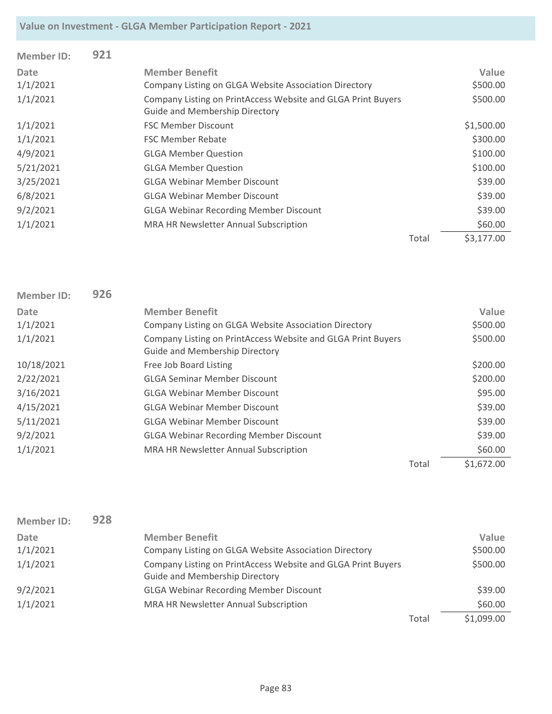| <b>Member ID:</b> | 921 |                                                                                                       |       |            |
|-------------------|-----|-------------------------------------------------------------------------------------------------------|-------|------------|
| <b>Date</b>       |     | <b>Member Benefit</b>                                                                                 |       | Value      |
| 1/1/2021          |     | Company Listing on GLGA Website Association Directory                                                 |       | \$500.00   |
| 1/1/2021          |     | Company Listing on PrintAccess Website and GLGA Print Buyers<br><b>Guide and Membership Directory</b> |       | \$500.00   |
| 1/1/2021          |     | <b>FSC Member Discount</b>                                                                            |       | \$1,500.00 |
| 1/1/2021          |     | <b>FSC Member Rebate</b>                                                                              |       | \$300.00   |
| 4/9/2021          |     | <b>GLGA Member Question</b>                                                                           |       | \$100.00   |
| 5/21/2021         |     | <b>GLGA Member Question</b>                                                                           |       | \$100.00   |
| 3/25/2021         |     | <b>GLGA Webinar Member Discount</b>                                                                   |       | \$39.00    |
| 6/8/2021          |     | <b>GLGA Webinar Member Discount</b>                                                                   |       | \$39.00    |
| 9/2/2021          |     | <b>GLGA Webinar Recording Member Discount</b>                                                         |       | \$39.00    |
| 1/1/2021          |     | MRA HR Newsletter Annual Subscription                                                                 |       | \$60.00    |
|                   |     |                                                                                                       | Total | \$3,177.00 |

| <b>Member ID:</b> | 926 |                                                                                                       |       |            |
|-------------------|-----|-------------------------------------------------------------------------------------------------------|-------|------------|
| <b>Date</b>       |     | <b>Member Benefit</b>                                                                                 |       | Value      |
| 1/1/2021          |     | Company Listing on GLGA Website Association Directory                                                 |       | \$500.00   |
| 1/1/2021          |     | Company Listing on PrintAccess Website and GLGA Print Buyers<br><b>Guide and Membership Directory</b> |       | \$500.00   |
| 10/18/2021        |     | Free Job Board Listing                                                                                |       | \$200.00   |
| 2/22/2021         |     | <b>GLGA Seminar Member Discount</b>                                                                   |       | \$200.00   |
| 3/16/2021         |     | <b>GLGA Webinar Member Discount</b>                                                                   |       | \$95.00    |
| 4/15/2021         |     | <b>GLGA Webinar Member Discount</b>                                                                   |       | \$39.00    |
| 5/11/2021         |     | <b>GLGA Webinar Member Discount</b>                                                                   |       | \$39.00    |
| 9/2/2021          |     | <b>GLGA Webinar Recording Member Discount</b>                                                         |       | \$39.00    |
| 1/1/2021          |     | MRA HR Newsletter Annual Subscription                                                                 |       | \$60.00    |
|                   |     |                                                                                                       | Total | \$1,672.00 |

| <b>Member ID:</b> | 928 |                                                                                                       |       |            |
|-------------------|-----|-------------------------------------------------------------------------------------------------------|-------|------------|
| Date              |     | <b>Member Benefit</b>                                                                                 |       | Value      |
| 1/1/2021          |     | Company Listing on GLGA Website Association Directory                                                 |       | \$500.00   |
| 1/1/2021          |     | Company Listing on PrintAccess Website and GLGA Print Buyers<br><b>Guide and Membership Directory</b> |       | \$500.00   |
| 9/2/2021          |     | <b>GLGA Webinar Recording Member Discount</b>                                                         |       | \$39.00    |
| 1/1/2021          |     | MRA HR Newsletter Annual Subscription                                                                 |       | \$60.00    |
|                   |     |                                                                                                       | Total | \$1,099.00 |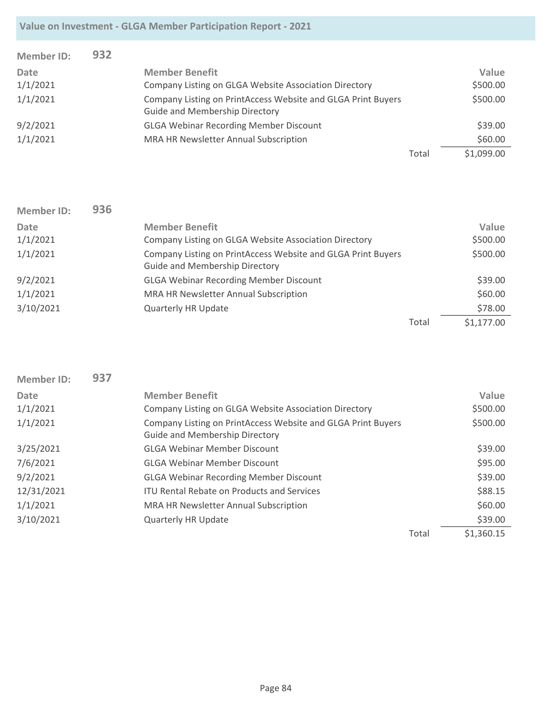| <b>Member ID:</b> | 932 |                                                                                                       |       |            |
|-------------------|-----|-------------------------------------------------------------------------------------------------------|-------|------------|
| Date              |     | <b>Member Benefit</b>                                                                                 |       | Value      |
| 1/1/2021          |     | Company Listing on GLGA Website Association Directory                                                 |       | \$500.00   |
| 1/1/2021          |     | Company Listing on PrintAccess Website and GLGA Print Buyers<br><b>Guide and Membership Directory</b> |       | \$500.00   |
| 9/2/2021          |     | <b>GLGA Webinar Recording Member Discount</b>                                                         |       | \$39.00    |
| 1/1/2021          |     | MRA HR Newsletter Annual Subscription                                                                 |       | \$60.00    |
|                   |     |                                                                                                       | Total | \$1,099.00 |

| <b>Member ID:</b> | 936 |                                                                                                       |       |            |
|-------------------|-----|-------------------------------------------------------------------------------------------------------|-------|------------|
| <b>Date</b>       |     | <b>Member Benefit</b>                                                                                 |       | Value      |
| 1/1/2021          |     | Company Listing on GLGA Website Association Directory                                                 |       | \$500.00   |
| 1/1/2021          |     | Company Listing on PrintAccess Website and GLGA Print Buyers<br><b>Guide and Membership Directory</b> |       | \$500.00   |
| 9/2/2021          |     | <b>GLGA Webinar Recording Member Discount</b>                                                         |       | \$39.00    |
| 1/1/2021          |     | MRA HR Newsletter Annual Subscription                                                                 |       | \$60.00    |
| 3/10/2021         |     | <b>Quarterly HR Update</b>                                                                            |       | \$78.00    |
|                   |     |                                                                                                       | Total | \$1,177.00 |

| <b>Member ID:</b> | 937 |                                                                                                       |       |            |
|-------------------|-----|-------------------------------------------------------------------------------------------------------|-------|------------|
| Date              |     | <b>Member Benefit</b>                                                                                 |       | Value      |
| 1/1/2021          |     | Company Listing on GLGA Website Association Directory                                                 |       | \$500.00   |
| 1/1/2021          |     | Company Listing on PrintAccess Website and GLGA Print Buyers<br><b>Guide and Membership Directory</b> |       | \$500.00   |
| 3/25/2021         |     | <b>GLGA Webinar Member Discount</b>                                                                   |       | \$39.00    |
| 7/6/2021          |     | <b>GLGA Webinar Member Discount</b>                                                                   |       | \$95.00    |
| 9/2/2021          |     | <b>GLGA Webinar Recording Member Discount</b>                                                         |       | \$39.00    |
| 12/31/2021        |     | <b>ITU Rental Rebate on Products and Services</b>                                                     |       | \$88.15    |
| 1/1/2021          |     | MRA HR Newsletter Annual Subscription                                                                 |       | \$60.00    |
| 3/10/2021         |     | <b>Quarterly HR Update</b>                                                                            |       | \$39.00    |
|                   |     |                                                                                                       | Total | \$1,360.15 |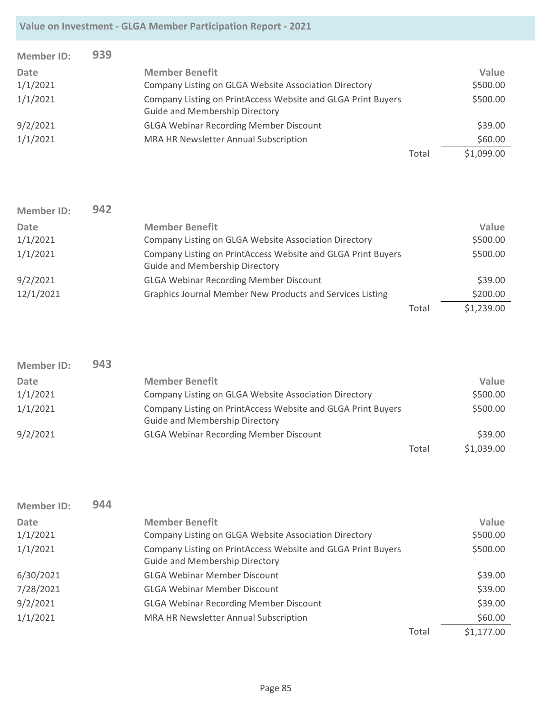| <b>Member ID:</b> | 939 |                                                                                                       |       |            |
|-------------------|-----|-------------------------------------------------------------------------------------------------------|-------|------------|
| Date              |     | <b>Member Benefit</b>                                                                                 |       | Value      |
| 1/1/2021          |     | Company Listing on GLGA Website Association Directory                                                 |       | \$500.00   |
| 1/1/2021          |     | Company Listing on PrintAccess Website and GLGA Print Buyers<br><b>Guide and Membership Directory</b> |       | \$500.00   |
| 9/2/2021          |     | <b>GLGA Webinar Recording Member Discount</b>                                                         |       | \$39.00    |
| 1/1/2021          |     | MRA HR Newsletter Annual Subscription                                                                 |       | \$60.00    |
|                   |     |                                                                                                       | Total | \$1,099.00 |

| <b>Member ID:</b> | 942 |                                                              |       |            |
|-------------------|-----|--------------------------------------------------------------|-------|------------|
| Date              |     | <b>Member Benefit</b>                                        |       | Value      |
| 1/1/2021          |     | Company Listing on GLGA Website Association Directory        |       | \$500.00   |
| 1/1/2021          |     | Company Listing on PrintAccess Website and GLGA Print Buyers |       | \$500.00   |
|                   |     | <b>Guide and Membership Directory</b>                        |       |            |
| 9/2/2021          |     | <b>GLGA Webinar Recording Member Discount</b>                |       | \$39.00    |
| 12/1/2021         |     | Graphics Journal Member New Products and Services Listing    |       | \$200.00   |
|                   |     |                                                              | Total | \$1,239.00 |

| Member ID: | 943 |                                                                                                       |       |            |
|------------|-----|-------------------------------------------------------------------------------------------------------|-------|------------|
| Date       |     | <b>Member Benefit</b>                                                                                 |       | Value      |
| 1/1/2021   |     | Company Listing on GLGA Website Association Directory                                                 |       | \$500.00   |
| 1/1/2021   |     | Company Listing on PrintAccess Website and GLGA Print Buyers<br><b>Guide and Membership Directory</b> |       | \$500.00   |
| 9/2/2021   |     | <b>GLGA Webinar Recording Member Discount</b>                                                         |       | \$39.00    |
|            |     |                                                                                                       | Total | \$1,039.00 |

| <b>Member ID:</b> | 944 |                                                                                                       |       |            |
|-------------------|-----|-------------------------------------------------------------------------------------------------------|-------|------------|
| Date              |     | <b>Member Benefit</b>                                                                                 |       | Value      |
| 1/1/2021          |     | Company Listing on GLGA Website Association Directory                                                 |       | \$500.00   |
| 1/1/2021          |     | Company Listing on PrintAccess Website and GLGA Print Buyers<br><b>Guide and Membership Directory</b> |       | \$500.00   |
| 6/30/2021         |     | <b>GLGA Webinar Member Discount</b>                                                                   |       | \$39.00    |
| 7/28/2021         |     | <b>GLGA Webinar Member Discount</b>                                                                   |       | \$39.00    |
| 9/2/2021          |     | <b>GLGA Webinar Recording Member Discount</b>                                                         |       | \$39.00    |
| 1/1/2021          |     | MRA HR Newsletter Annual Subscription                                                                 |       | \$60.00    |
|                   |     |                                                                                                       | Total | \$1,177.00 |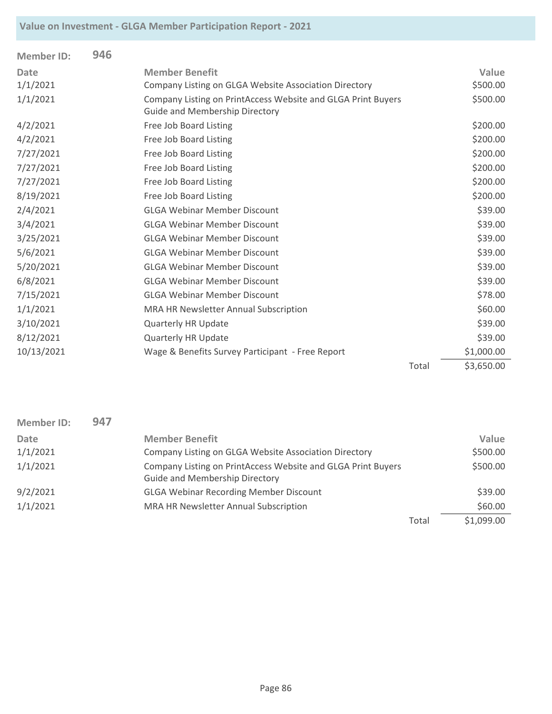| <b>Member ID:</b> | 946 |                                                                                                       |       |            |
|-------------------|-----|-------------------------------------------------------------------------------------------------------|-------|------------|
| <b>Date</b>       |     | <b>Member Benefit</b>                                                                                 |       | Value      |
| 1/1/2021          |     | Company Listing on GLGA Website Association Directory                                                 |       | \$500.00   |
| 1/1/2021          |     | Company Listing on PrintAccess Website and GLGA Print Buyers<br><b>Guide and Membership Directory</b> |       | \$500.00   |
| 4/2/2021          |     | Free Job Board Listing                                                                                |       | \$200.00   |
| 4/2/2021          |     | Free Job Board Listing                                                                                |       | \$200.00   |
| 7/27/2021         |     | Free Job Board Listing                                                                                |       | \$200.00   |
| 7/27/2021         |     | Free Job Board Listing                                                                                |       | \$200.00   |
| 7/27/2021         |     | Free Job Board Listing                                                                                |       | \$200.00   |
| 8/19/2021         |     | Free Job Board Listing                                                                                |       | \$200.00   |
| 2/4/2021          |     | <b>GLGA Webinar Member Discount</b>                                                                   |       | \$39.00    |
| 3/4/2021          |     | <b>GLGA Webinar Member Discount</b>                                                                   |       | \$39.00    |
| 3/25/2021         |     | <b>GLGA Webinar Member Discount</b>                                                                   |       | \$39.00    |
| 5/6/2021          |     | <b>GLGA Webinar Member Discount</b>                                                                   |       | \$39.00    |
| 5/20/2021         |     | <b>GLGA Webinar Member Discount</b>                                                                   |       | \$39.00    |
| 6/8/2021          |     | <b>GLGA Webinar Member Discount</b>                                                                   |       | \$39.00    |
| 7/15/2021         |     | <b>GLGA Webinar Member Discount</b>                                                                   |       | \$78.00    |
| 1/1/2021          |     | MRA HR Newsletter Annual Subscription                                                                 |       | \$60.00    |
| 3/10/2021         |     | <b>Quarterly HR Update</b>                                                                            |       | \$39.00    |
| 8/12/2021         |     | <b>Quarterly HR Update</b>                                                                            |       | \$39.00    |
| 10/13/2021        |     | Wage & Benefits Survey Participant - Free Report                                                      |       | \$1,000.00 |
|                   |     |                                                                                                       | Total | \$3,650.00 |

| <b>Member ID:</b> | 947 |                                                                                                       |       |            |
|-------------------|-----|-------------------------------------------------------------------------------------------------------|-------|------------|
| Date              |     | <b>Member Benefit</b>                                                                                 |       | Value      |
| 1/1/2021          |     | Company Listing on GLGA Website Association Directory                                                 |       | \$500.00   |
| 1/1/2021          |     | Company Listing on PrintAccess Website and GLGA Print Buyers<br><b>Guide and Membership Directory</b> |       | \$500.00   |
| 9/2/2021          |     | <b>GLGA Webinar Recording Member Discount</b>                                                         |       | \$39.00    |
| 1/1/2021          |     | MRA HR Newsletter Annual Subscription                                                                 |       | \$60.00    |
|                   |     |                                                                                                       | Total | \$1,099.00 |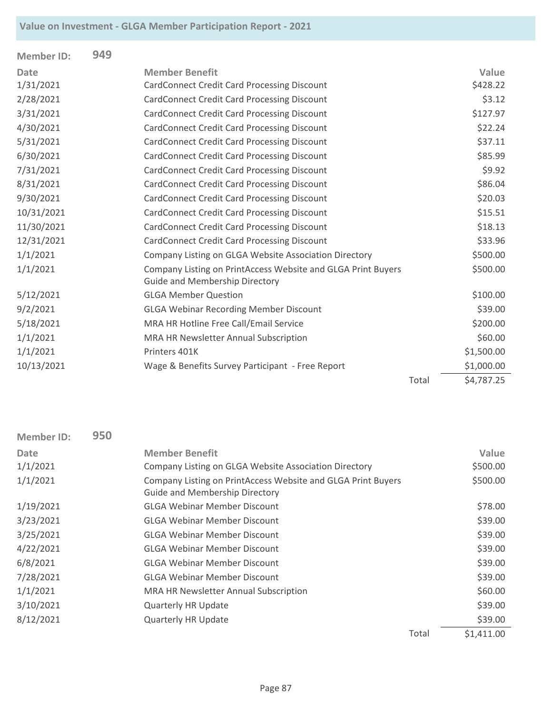| <b>Member ID:</b> | 949 |                                                                                                       |       |            |
|-------------------|-----|-------------------------------------------------------------------------------------------------------|-------|------------|
| <b>Date</b>       |     | <b>Member Benefit</b>                                                                                 |       | Value      |
| 1/31/2021         |     | CardConnect Credit Card Processing Discount                                                           |       | \$428.22   |
| 2/28/2021         |     | <b>CardConnect Credit Card Processing Discount</b>                                                    |       | \$3.12     |
| 3/31/2021         |     | <b>CardConnect Credit Card Processing Discount</b>                                                    |       | \$127.97   |
| 4/30/2021         |     | <b>CardConnect Credit Card Processing Discount</b>                                                    |       | \$22.24    |
| 5/31/2021         |     | <b>CardConnect Credit Card Processing Discount</b>                                                    |       | \$37.11    |
| 6/30/2021         |     | <b>CardConnect Credit Card Processing Discount</b>                                                    |       | \$85.99    |
| 7/31/2021         |     | <b>CardConnect Credit Card Processing Discount</b>                                                    |       | \$9.92     |
| 8/31/2021         |     | <b>CardConnect Credit Card Processing Discount</b>                                                    |       | \$86.04    |
| 9/30/2021         |     | <b>CardConnect Credit Card Processing Discount</b>                                                    |       | \$20.03    |
| 10/31/2021        |     | <b>CardConnect Credit Card Processing Discount</b>                                                    |       | \$15.51    |
| 11/30/2021        |     | <b>CardConnect Credit Card Processing Discount</b>                                                    |       | \$18.13    |
| 12/31/2021        |     | <b>CardConnect Credit Card Processing Discount</b>                                                    |       | \$33.96    |
| 1/1/2021          |     | Company Listing on GLGA Website Association Directory                                                 |       | \$500.00   |
| 1/1/2021          |     | Company Listing on PrintAccess Website and GLGA Print Buyers<br><b>Guide and Membership Directory</b> |       | \$500.00   |
| 5/12/2021         |     | <b>GLGA Member Question</b>                                                                           |       | \$100.00   |
| 9/2/2021          |     | <b>GLGA Webinar Recording Member Discount</b>                                                         |       | \$39.00    |
| 5/18/2021         |     | MRA HR Hotline Free Call/Email Service                                                                |       | \$200.00   |
| 1/1/2021          |     | MRA HR Newsletter Annual Subscription                                                                 |       | \$60.00    |
| 1/1/2021          |     | Printers 401K                                                                                         |       | \$1,500.00 |
| 10/13/2021        |     | Wage & Benefits Survey Participant - Free Report                                                      |       | \$1,000.00 |
|                   |     |                                                                                                       | Total | \$4,787.25 |

| <b>Member ID:</b> | 950 |                                                                                                       |       |            |
|-------------------|-----|-------------------------------------------------------------------------------------------------------|-------|------------|
| Date              |     | <b>Member Benefit</b>                                                                                 |       | Value      |
| 1/1/2021          |     | Company Listing on GLGA Website Association Directory                                                 |       | \$500.00   |
| 1/1/2021          |     | Company Listing on PrintAccess Website and GLGA Print Buyers<br><b>Guide and Membership Directory</b> |       | \$500.00   |
| 1/19/2021         |     | <b>GLGA Webinar Member Discount</b>                                                                   |       | \$78.00    |
| 3/23/2021         |     | <b>GLGA Webinar Member Discount</b>                                                                   |       | \$39.00    |
| 3/25/2021         |     | <b>GLGA Webinar Member Discount</b>                                                                   |       | \$39.00    |
| 4/22/2021         |     | <b>GLGA Webinar Member Discount</b>                                                                   |       | \$39.00    |
| 6/8/2021          |     | <b>GLGA Webinar Member Discount</b>                                                                   |       | \$39.00    |
| 7/28/2021         |     | <b>GLGA Webinar Member Discount</b>                                                                   |       | \$39.00    |
| 1/1/2021          |     | MRA HR Newsletter Annual Subscription                                                                 |       | \$60.00    |
| 3/10/2021         |     | <b>Quarterly HR Update</b>                                                                            |       | \$39.00    |
| 8/12/2021         |     | <b>Quarterly HR Update</b>                                                                            |       | \$39.00    |
|                   |     |                                                                                                       | Total | \$1,411.00 |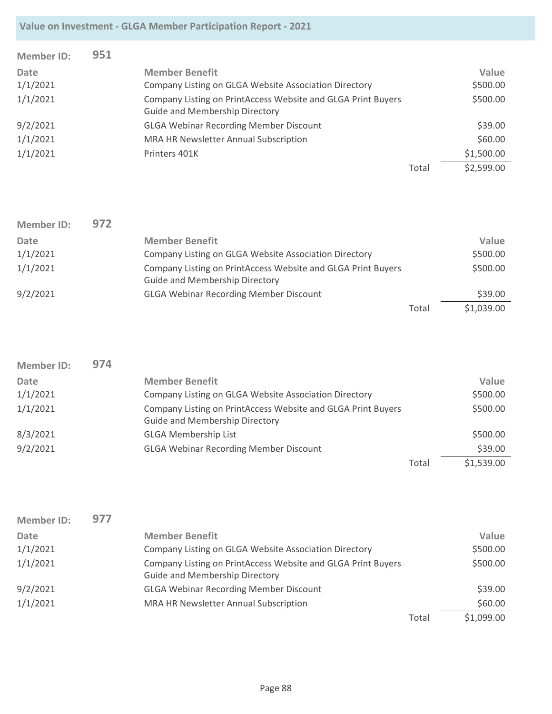| <b>Member ID:</b> | 951 |                                                                                                       |       |            |
|-------------------|-----|-------------------------------------------------------------------------------------------------------|-------|------------|
| Date              |     | <b>Member Benefit</b>                                                                                 |       | Value      |
| 1/1/2021          |     | Company Listing on GLGA Website Association Directory                                                 |       | \$500.00   |
| 1/1/2021          |     | Company Listing on PrintAccess Website and GLGA Print Buyers<br><b>Guide and Membership Directory</b> |       | \$500.00   |
| 9/2/2021          |     | <b>GLGA Webinar Recording Member Discount</b>                                                         |       | \$39.00    |
| 1/1/2021          |     | MRA HR Newsletter Annual Subscription                                                                 |       | \$60.00    |
| 1/1/2021          |     | Printers 401K                                                                                         |       | \$1,500.00 |
|                   |     |                                                                                                       | Total | \$2,599.00 |

| <b>Member ID:</b> | 972 |                                                                                                       |       |            |
|-------------------|-----|-------------------------------------------------------------------------------------------------------|-------|------------|
| Date              |     | <b>Member Benefit</b>                                                                                 |       | Value      |
| 1/1/2021          |     | Company Listing on GLGA Website Association Directory                                                 |       | \$500.00   |
| 1/1/2021          |     | Company Listing on PrintAccess Website and GLGA Print Buyers<br><b>Guide and Membership Directory</b> |       | \$500.00   |
| 9/2/2021          |     | <b>GLGA Webinar Recording Member Discount</b>                                                         |       | \$39.00    |
|                   |     |                                                                                                       | Total | \$1,039.00 |

| <b>Member ID:</b> | 974 |                                                                                                       |       |            |
|-------------------|-----|-------------------------------------------------------------------------------------------------------|-------|------------|
| Date              |     | <b>Member Benefit</b>                                                                                 |       | Value      |
| 1/1/2021          |     | Company Listing on GLGA Website Association Directory                                                 |       | \$500.00   |
| 1/1/2021          |     | Company Listing on PrintAccess Website and GLGA Print Buyers<br><b>Guide and Membership Directory</b> |       | \$500.00   |
| 8/3/2021          |     | <b>GLGA Membership List</b>                                                                           |       | \$500.00   |
| 9/2/2021          |     | <b>GLGA Webinar Recording Member Discount</b>                                                         |       | \$39.00    |
|                   |     |                                                                                                       | Total | \$1,539.00 |

| <b>Member ID:</b> | 977 |                                                                                                       |       |            |
|-------------------|-----|-------------------------------------------------------------------------------------------------------|-------|------------|
| Date              |     | <b>Member Benefit</b>                                                                                 |       | Value      |
| 1/1/2021          |     | Company Listing on GLGA Website Association Directory                                                 |       | \$500.00   |
| 1/1/2021          |     | Company Listing on PrintAccess Website and GLGA Print Buyers<br><b>Guide and Membership Directory</b> |       | \$500.00   |
| 9/2/2021          |     | <b>GLGA Webinar Recording Member Discount</b>                                                         |       | \$39.00    |
| 1/1/2021          |     | MRA HR Newsletter Annual Subscription                                                                 |       | \$60.00    |
|                   |     |                                                                                                       | Total | \$1,099.00 |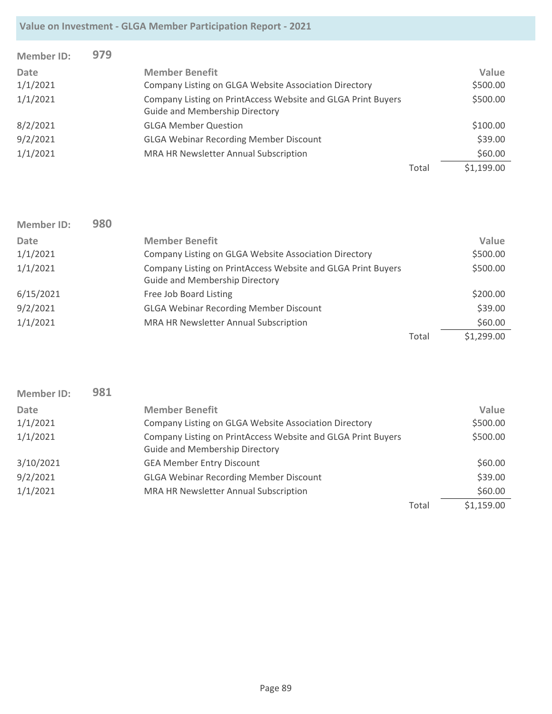| <b>Member ID:</b> | 979 |                                                                                                       |       |            |
|-------------------|-----|-------------------------------------------------------------------------------------------------------|-------|------------|
| Date              |     | <b>Member Benefit</b>                                                                                 |       | Value      |
| 1/1/2021          |     | Company Listing on GLGA Website Association Directory                                                 |       | \$500.00   |
| 1/1/2021          |     | Company Listing on PrintAccess Website and GLGA Print Buyers<br><b>Guide and Membership Directory</b> |       | \$500.00   |
| 8/2/2021          |     | <b>GLGA Member Question</b>                                                                           |       | \$100.00   |
| 9/2/2021          |     | <b>GLGA Webinar Recording Member Discount</b>                                                         |       | \$39.00    |
| 1/1/2021          |     | MRA HR Newsletter Annual Subscription                                                                 |       | \$60.00    |
|                   |     |                                                                                                       | Total | \$1,199.00 |

| <b>Member ID:</b> | 980 |                                                                                                       |       |            |
|-------------------|-----|-------------------------------------------------------------------------------------------------------|-------|------------|
| <b>Date</b>       |     | <b>Member Benefit</b>                                                                                 |       | Value      |
| 1/1/2021          |     | Company Listing on GLGA Website Association Directory                                                 |       | \$500.00   |
| 1/1/2021          |     | Company Listing on PrintAccess Website and GLGA Print Buyers<br><b>Guide and Membership Directory</b> |       | \$500.00   |
| 6/15/2021         |     | Free Job Board Listing                                                                                |       | \$200.00   |
| 9/2/2021          |     | <b>GLGA Webinar Recording Member Discount</b>                                                         |       | \$39.00    |
| 1/1/2021          |     | MRA HR Newsletter Annual Subscription                                                                 |       | \$60.00    |
|                   |     |                                                                                                       | Total | \$1,299.00 |

| <b>Member ID:</b> | 981 |                                                                                                       |       |            |
|-------------------|-----|-------------------------------------------------------------------------------------------------------|-------|------------|
| Date              |     | <b>Member Benefit</b>                                                                                 |       | Value      |
| 1/1/2021          |     | Company Listing on GLGA Website Association Directory                                                 |       | \$500.00   |
| 1/1/2021          |     | Company Listing on PrintAccess Website and GLGA Print Buyers<br><b>Guide and Membership Directory</b> |       | \$500.00   |
| 3/10/2021         |     | <b>GEA Member Entry Discount</b>                                                                      |       | \$60.00    |
| 9/2/2021          |     | <b>GLGA Webinar Recording Member Discount</b>                                                         |       | \$39.00    |
| 1/1/2021          |     | MRA HR Newsletter Annual Subscription                                                                 |       | \$60.00    |
|                   |     |                                                                                                       | Total | \$1,159.00 |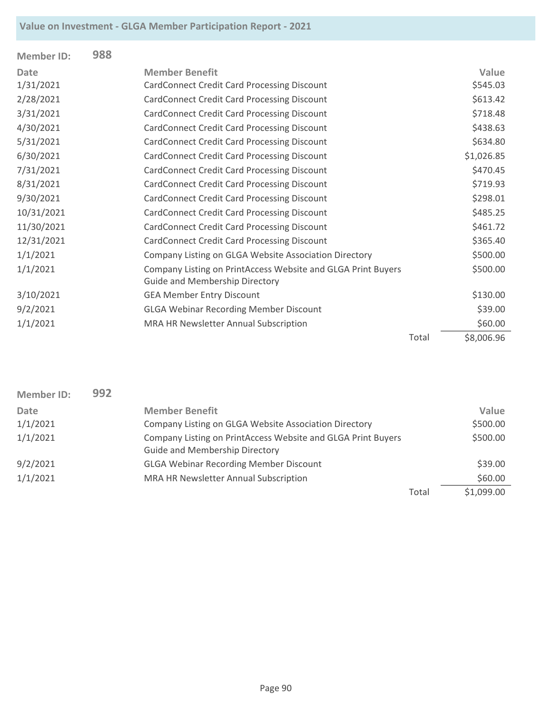| <b>Member ID:</b> | 988 |                                                              |       |            |
|-------------------|-----|--------------------------------------------------------------|-------|------------|
| Date              |     | <b>Member Benefit</b>                                        |       | Value      |
| 1/31/2021         |     | CardConnect Credit Card Processing Discount                  |       | \$545.03   |
| 2/28/2021         |     | CardConnect Credit Card Processing Discount                  |       | \$613.42   |
| 3/31/2021         |     | <b>CardConnect Credit Card Processing Discount</b>           |       | \$718.48   |
| 4/30/2021         |     | CardConnect Credit Card Processing Discount                  |       | \$438.63   |
| 5/31/2021         |     | CardConnect Credit Card Processing Discount                  |       | \$634.80   |
| 6/30/2021         |     | CardConnect Credit Card Processing Discount                  |       | \$1,026.85 |
| 7/31/2021         |     | <b>CardConnect Credit Card Processing Discount</b>           |       | \$470.45   |
| 8/31/2021         |     | CardConnect Credit Card Processing Discount                  |       | \$719.93   |
| 9/30/2021         |     | CardConnect Credit Card Processing Discount                  |       | \$298.01   |
| 10/31/2021        |     | CardConnect Credit Card Processing Discount                  |       | \$485.25   |
| 11/30/2021        |     | <b>CardConnect Credit Card Processing Discount</b>           |       | \$461.72   |
| 12/31/2021        |     | CardConnect Credit Card Processing Discount                  |       | \$365.40   |
| 1/1/2021          |     | Company Listing on GLGA Website Association Directory        |       | \$500.00   |
| 1/1/2021          |     | Company Listing on PrintAccess Website and GLGA Print Buyers |       | \$500.00   |
|                   |     | Guide and Membership Directory                               |       |            |
| 3/10/2021         |     | <b>GEA Member Entry Discount</b>                             |       | \$130.00   |
| 9/2/2021          |     | <b>GLGA Webinar Recording Member Discount</b>                |       | \$39.00    |
| 1/1/2021          |     | MRA HR Newsletter Annual Subscription                        |       | \$60.00    |
|                   |     |                                                              | Total | \$8,006.96 |

| <b>Member ID:</b> | 992 |                                                                                                       |       |            |
|-------------------|-----|-------------------------------------------------------------------------------------------------------|-------|------------|
| Date              |     | <b>Member Benefit</b>                                                                                 |       | Value      |
| 1/1/2021          |     | Company Listing on GLGA Website Association Directory                                                 |       | \$500.00   |
| 1/1/2021          |     | Company Listing on PrintAccess Website and GLGA Print Buyers<br><b>Guide and Membership Directory</b> |       | \$500.00   |
| 9/2/2021          |     | <b>GLGA Webinar Recording Member Discount</b>                                                         |       | \$39.00    |
| 1/1/2021          |     | MRA HR Newsletter Annual Subscription                                                                 |       | \$60.00    |
|                   |     |                                                                                                       | Total | \$1,099.00 |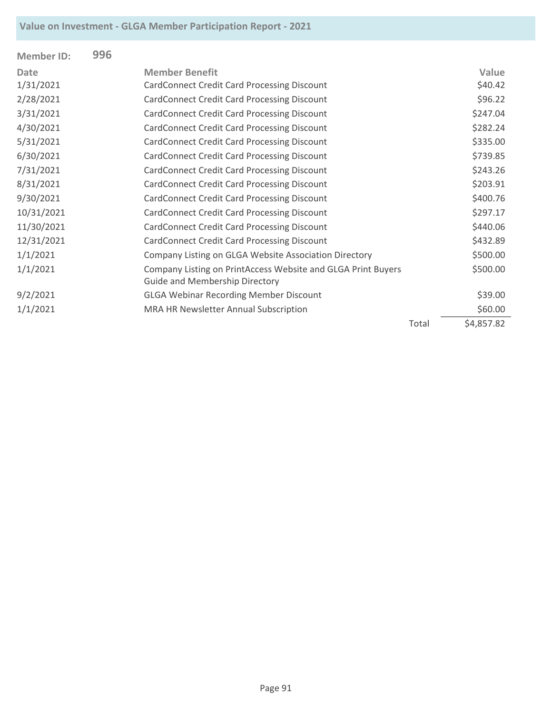| <b>Member ID:</b> | 996 |                                                                                                       |       |            |
|-------------------|-----|-------------------------------------------------------------------------------------------------------|-------|------------|
| <b>Date</b>       |     | <b>Member Benefit</b>                                                                                 |       | Value      |
| 1/31/2021         |     | <b>CardConnect Credit Card Processing Discount</b>                                                    |       | \$40.42    |
| 2/28/2021         |     | <b>CardConnect Credit Card Processing Discount</b>                                                    |       | \$96.22    |
| 3/31/2021         |     | <b>CardConnect Credit Card Processing Discount</b>                                                    |       | \$247.04   |
| 4/30/2021         |     | <b>CardConnect Credit Card Processing Discount</b>                                                    |       | \$282.24   |
| 5/31/2021         |     | <b>CardConnect Credit Card Processing Discount</b>                                                    |       | \$335.00   |
| 6/30/2021         |     | <b>CardConnect Credit Card Processing Discount</b>                                                    |       | \$739.85   |
| 7/31/2021         |     | <b>CardConnect Credit Card Processing Discount</b>                                                    |       | \$243.26   |
| 8/31/2021         |     | <b>CardConnect Credit Card Processing Discount</b>                                                    |       | \$203.91   |
| 9/30/2021         |     | <b>CardConnect Credit Card Processing Discount</b>                                                    |       | \$400.76   |
| 10/31/2021        |     | <b>CardConnect Credit Card Processing Discount</b>                                                    |       | \$297.17   |
| 11/30/2021        |     | <b>CardConnect Credit Card Processing Discount</b>                                                    |       | \$440.06   |
| 12/31/2021        |     | <b>CardConnect Credit Card Processing Discount</b>                                                    |       | \$432.89   |
| 1/1/2021          |     | Company Listing on GLGA Website Association Directory                                                 |       | \$500.00   |
| 1/1/2021          |     | Company Listing on PrintAccess Website and GLGA Print Buyers<br><b>Guide and Membership Directory</b> |       | \$500.00   |
| 9/2/2021          |     | <b>GLGA Webinar Recording Member Discount</b>                                                         |       | \$39.00    |
| 1/1/2021          |     | MRA HR Newsletter Annual Subscription                                                                 |       | \$60.00    |
|                   |     |                                                                                                       | Total | \$4,857.82 |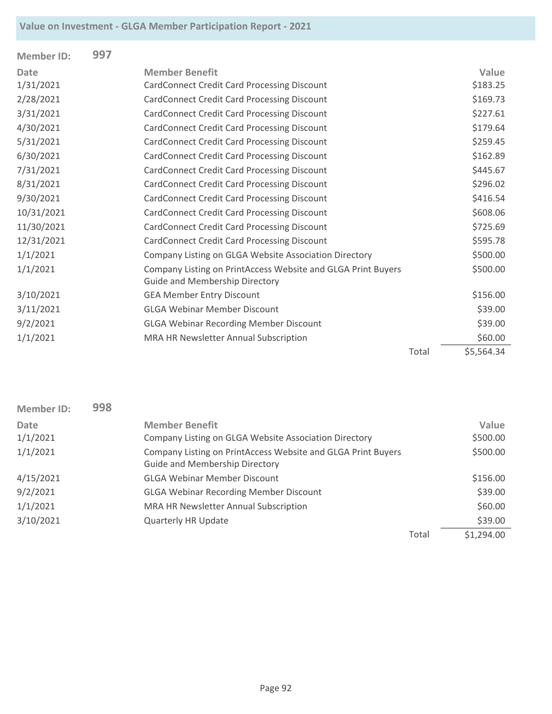| <b>Member ID:</b> | 997 |                                                              |       |            |
|-------------------|-----|--------------------------------------------------------------|-------|------------|
| <b>Date</b>       |     | <b>Member Benefit</b>                                        |       | Value      |
| 1/31/2021         |     | CardConnect Credit Card Processing Discount                  |       | \$183.25   |
| 2/28/2021         |     | <b>CardConnect Credit Card Processing Discount</b>           |       | \$169.73   |
| 3/31/2021         |     | <b>CardConnect Credit Card Processing Discount</b>           |       | \$227.61   |
| 4/30/2021         |     | <b>CardConnect Credit Card Processing Discount</b>           |       | \$179.64   |
| 5/31/2021         |     | <b>CardConnect Credit Card Processing Discount</b>           |       | \$259.45   |
| 6/30/2021         |     | <b>CardConnect Credit Card Processing Discount</b>           |       | \$162.89   |
| 7/31/2021         |     | <b>CardConnect Credit Card Processing Discount</b>           |       | \$445.67   |
| 8/31/2021         |     | <b>CardConnect Credit Card Processing Discount</b>           |       | \$296.02   |
| 9/30/2021         |     | <b>CardConnect Credit Card Processing Discount</b>           |       | \$416.54   |
| 10/31/2021        |     | <b>CardConnect Credit Card Processing Discount</b>           |       | \$608.06   |
| 11/30/2021        |     | <b>CardConnect Credit Card Processing Discount</b>           |       | \$725.69   |
| 12/31/2021        |     | <b>CardConnect Credit Card Processing Discount</b>           |       | \$595.78   |
| 1/1/2021          |     | Company Listing on GLGA Website Association Directory        |       | \$500.00   |
| 1/1/2021          |     | Company Listing on PrintAccess Website and GLGA Print Buyers |       | \$500.00   |
|                   |     | Guide and Membership Directory                               |       |            |
| 3/10/2021         |     | <b>GEA Member Entry Discount</b>                             |       | \$156.00   |
| 3/11/2021         |     | <b>GLGA Webinar Member Discount</b>                          |       | \$39.00    |
| 9/2/2021          |     | <b>GLGA Webinar Recording Member Discount</b>                |       | \$39.00    |
| 1/1/2021          |     | MRA HR Newsletter Annual Subscription                        |       | \$60.00    |
|                   |     |                                                              | Total | \$5,564.34 |

| <b>Member ID:</b> | 998 |                                                                                                       |       |            |
|-------------------|-----|-------------------------------------------------------------------------------------------------------|-------|------------|
| Date              |     | <b>Member Benefit</b>                                                                                 |       | Value      |
| 1/1/2021          |     | Company Listing on GLGA Website Association Directory                                                 |       | \$500.00   |
| 1/1/2021          |     | Company Listing on PrintAccess Website and GLGA Print Buyers<br><b>Guide and Membership Directory</b> |       | \$500.00   |
| 4/15/2021         |     | <b>GLGA Webinar Member Discount</b>                                                                   |       | \$156.00   |
| 9/2/2021          |     | <b>GLGA Webinar Recording Member Discount</b>                                                         |       | \$39.00    |
| 1/1/2021          |     | MRA HR Newsletter Annual Subscription                                                                 |       | \$60.00    |
| 3/10/2021         |     | <b>Quarterly HR Update</b>                                                                            |       | \$39.00    |
|                   |     |                                                                                                       | Total | \$1,294.00 |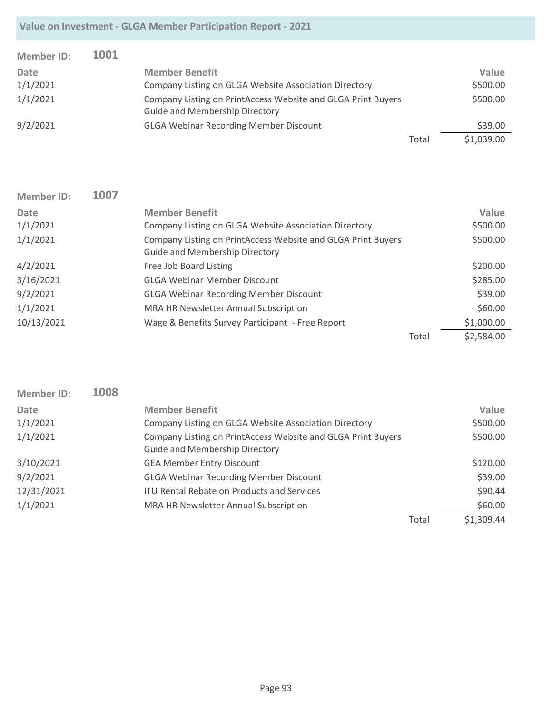| <b>Member ID:</b> | 1001 |                                                                                                       |       |            |
|-------------------|------|-------------------------------------------------------------------------------------------------------|-------|------------|
| Date              |      | <b>Member Benefit</b>                                                                                 |       | Value      |
| 1/1/2021          |      | Company Listing on GLGA Website Association Directory                                                 |       | \$500.00   |
| 1/1/2021          |      | Company Listing on PrintAccess Website and GLGA Print Buyers<br><b>Guide and Membership Directory</b> |       | \$500.00   |
| 9/2/2021          |      | <b>GLGA Webinar Recording Member Discount</b>                                                         |       | \$39.00    |
|                   |      |                                                                                                       | Total | \$1,039.00 |

| Member ID:  | 1007 |                                                                                                       |       |            |
|-------------|------|-------------------------------------------------------------------------------------------------------|-------|------------|
| <b>Date</b> |      | <b>Member Benefit</b>                                                                                 |       | Value      |
| 1/1/2021    |      | Company Listing on GLGA Website Association Directory                                                 |       | \$500.00   |
| 1/1/2021    |      | Company Listing on PrintAccess Website and GLGA Print Buyers<br><b>Guide and Membership Directory</b> |       | \$500.00   |
| 4/2/2021    |      | Free Job Board Listing                                                                                |       | \$200.00   |
| 3/16/2021   |      | <b>GLGA Webinar Member Discount</b>                                                                   |       | \$285.00   |
| 9/2/2021    |      | <b>GLGA Webinar Recording Member Discount</b>                                                         |       | \$39.00    |
| 1/1/2021    |      | <b>MRA HR Newsletter Annual Subscription</b>                                                          |       | \$60.00    |
| 10/13/2021  |      | Wage & Benefits Survey Participant - Free Report                                                      |       | \$1,000.00 |
|             |      |                                                                                                       | Total | \$2,584.00 |

| <b>Member ID:</b> | 1008 |                                                                                                       |       |            |
|-------------------|------|-------------------------------------------------------------------------------------------------------|-------|------------|
| Date              |      | <b>Member Benefit</b>                                                                                 |       | Value      |
| 1/1/2021          |      | Company Listing on GLGA Website Association Directory                                                 |       | \$500.00   |
| 1/1/2021          |      | Company Listing on PrintAccess Website and GLGA Print Buyers<br><b>Guide and Membership Directory</b> |       | \$500.00   |
| 3/10/2021         |      | <b>GEA Member Entry Discount</b>                                                                      |       | \$120.00   |
| 9/2/2021          |      | <b>GLGA Webinar Recording Member Discount</b>                                                         |       | \$39.00    |
| 12/31/2021        |      | <b>ITU Rental Rebate on Products and Services</b>                                                     |       | \$90.44    |
| 1/1/2021          |      | MRA HR Newsletter Annual Subscription                                                                 |       | \$60.00    |
|                   |      |                                                                                                       | Total | \$1,309.44 |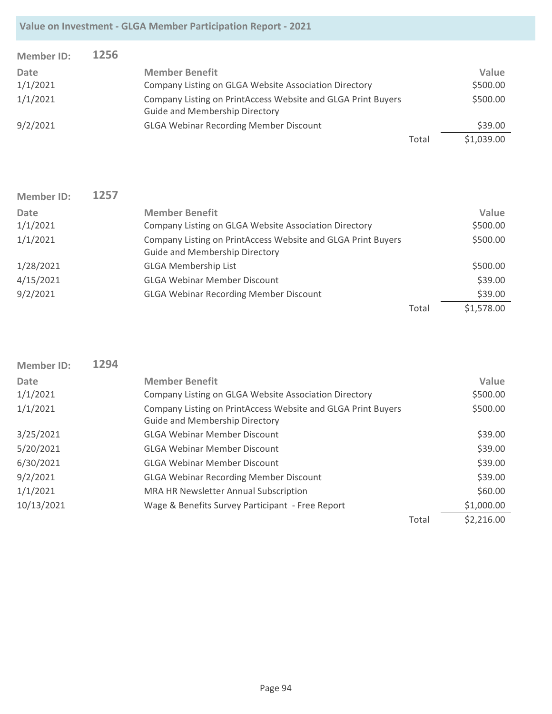| <b>Member ID:</b> | 1256 |                                                                                                       |       |            |
|-------------------|------|-------------------------------------------------------------------------------------------------------|-------|------------|
| Date              |      | <b>Member Benefit</b>                                                                                 |       | Value      |
| 1/1/2021          |      | Company Listing on GLGA Website Association Directory                                                 |       | \$500.00   |
| 1/1/2021          |      | Company Listing on PrintAccess Website and GLGA Print Buyers<br><b>Guide and Membership Directory</b> |       | \$500.00   |
| 9/2/2021          |      | <b>GLGA Webinar Recording Member Discount</b>                                                         |       | \$39.00    |
|                   |      |                                                                                                       | Total | \$1,039.00 |

| <b>Member ID:</b> | 1257 |                                                                                                       |       |            |
|-------------------|------|-------------------------------------------------------------------------------------------------------|-------|------------|
| <b>Date</b>       |      | <b>Member Benefit</b>                                                                                 |       | Value      |
| 1/1/2021          |      | Company Listing on GLGA Website Association Directory                                                 |       | \$500.00   |
| 1/1/2021          |      | Company Listing on PrintAccess Website and GLGA Print Buyers<br><b>Guide and Membership Directory</b> |       | \$500.00   |
| 1/28/2021         |      | <b>GLGA Membership List</b>                                                                           |       | \$500.00   |
| 4/15/2021         |      | <b>GLGA Webinar Member Discount</b>                                                                   |       | \$39.00    |
| 9/2/2021          |      | <b>GLGA Webinar Recording Member Discount</b>                                                         |       | \$39.00    |
|                   |      |                                                                                                       | Total | \$1,578.00 |

| <b>Member ID:</b> | 1294 |                                                                                                       |       |            |
|-------------------|------|-------------------------------------------------------------------------------------------------------|-------|------------|
| Date              |      | <b>Member Benefit</b>                                                                                 |       | Value      |
| 1/1/2021          |      | Company Listing on GLGA Website Association Directory                                                 |       | \$500.00   |
| 1/1/2021          |      | Company Listing on PrintAccess Website and GLGA Print Buyers<br><b>Guide and Membership Directory</b> |       | \$500.00   |
| 3/25/2021         |      | <b>GLGA Webinar Member Discount</b>                                                                   |       | \$39.00    |
| 5/20/2021         |      | <b>GLGA Webinar Member Discount</b>                                                                   |       | \$39.00    |
| 6/30/2021         |      | <b>GLGA Webinar Member Discount</b>                                                                   |       | \$39.00    |
| 9/2/2021          |      | <b>GLGA Webinar Recording Member Discount</b>                                                         |       | \$39.00    |
| 1/1/2021          |      | MRA HR Newsletter Annual Subscription                                                                 |       | \$60.00    |
| 10/13/2021        |      | Wage & Benefits Survey Participant - Free Report                                                      |       | \$1,000.00 |
|                   |      |                                                                                                       | Total | \$2,216.00 |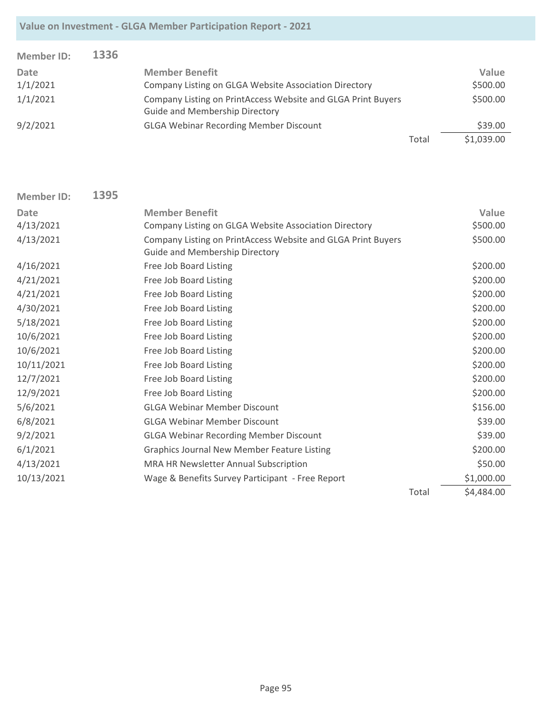| <b>Member ID:</b> | 1336 |                                                                                                       |       |            |
|-------------------|------|-------------------------------------------------------------------------------------------------------|-------|------------|
| Date              |      | <b>Member Benefit</b>                                                                                 |       | Value      |
| 1/1/2021          |      | Company Listing on GLGA Website Association Directory                                                 |       | \$500.00   |
| 1/1/2021          |      | Company Listing on PrintAccess Website and GLGA Print Buyers<br><b>Guide and Membership Directory</b> |       | \$500.00   |
| 9/2/2021          |      | <b>GLGA Webinar Recording Member Discount</b>                                                         |       | \$39.00    |
|                   |      |                                                                                                       | Total | \$1,039.00 |

| <b>Member ID:</b> | 1395 |                                                                                                |       |            |
|-------------------|------|------------------------------------------------------------------------------------------------|-------|------------|
| <b>Date</b>       |      | <b>Member Benefit</b>                                                                          |       | Value      |
| 4/13/2021         |      | Company Listing on GLGA Website Association Directory                                          |       | \$500.00   |
| 4/13/2021         |      | Company Listing on PrintAccess Website and GLGA Print Buyers<br>Guide and Membership Directory |       | \$500.00   |
| 4/16/2021         |      | Free Job Board Listing                                                                         |       | \$200.00   |
| 4/21/2021         |      | Free Job Board Listing                                                                         |       | \$200.00   |
| 4/21/2021         |      | Free Job Board Listing                                                                         |       | \$200.00   |
| 4/30/2021         |      | Free Job Board Listing                                                                         |       | \$200.00   |
| 5/18/2021         |      | Free Job Board Listing                                                                         |       | \$200.00   |
| 10/6/2021         |      | Free Job Board Listing                                                                         |       | \$200.00   |
| 10/6/2021         |      | Free Job Board Listing                                                                         |       | \$200.00   |
| 10/11/2021        |      | Free Job Board Listing                                                                         |       | \$200.00   |
| 12/7/2021         |      | Free Job Board Listing                                                                         |       | \$200.00   |
| 12/9/2021         |      | Free Job Board Listing                                                                         |       | \$200.00   |
| 5/6/2021          |      | <b>GLGA Webinar Member Discount</b>                                                            |       | \$156.00   |
| 6/8/2021          |      | <b>GLGA Webinar Member Discount</b>                                                            |       | \$39.00    |
| 9/2/2021          |      | <b>GLGA Webinar Recording Member Discount</b>                                                  |       | \$39.00    |
| 6/1/2021          |      | <b>Graphics Journal New Member Feature Listing</b>                                             |       | \$200.00   |
| 4/13/2021         |      | MRA HR Newsletter Annual Subscription                                                          |       | \$50.00    |
| 10/13/2021        |      | Wage & Benefits Survey Participant - Free Report                                               |       | \$1,000.00 |
|                   |      |                                                                                                | Total | \$4,484.00 |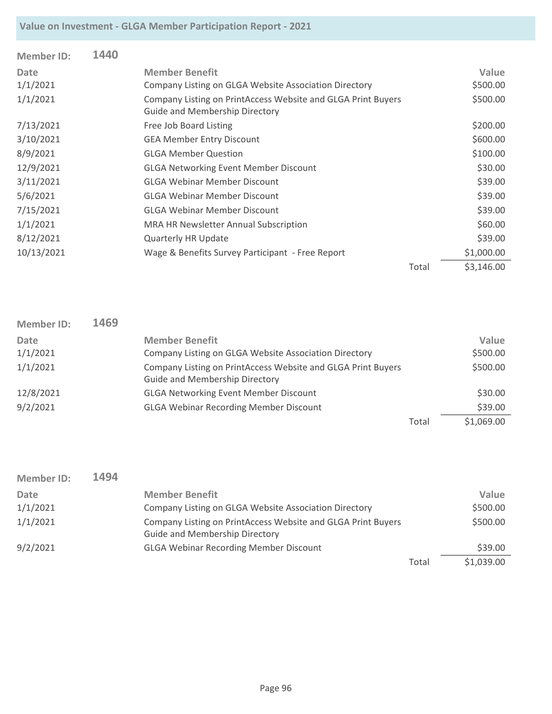| <b>Member ID:</b> | 1440 |                                                                                                       |       |            |
|-------------------|------|-------------------------------------------------------------------------------------------------------|-------|------------|
| <b>Date</b>       |      | <b>Member Benefit</b>                                                                                 |       | Value      |
| 1/1/2021          |      | Company Listing on GLGA Website Association Directory                                                 |       | \$500.00   |
| 1/1/2021          |      | Company Listing on PrintAccess Website and GLGA Print Buyers<br><b>Guide and Membership Directory</b> |       | \$500.00   |
| 7/13/2021         |      | Free Job Board Listing                                                                                |       | \$200.00   |
| 3/10/2021         |      | <b>GEA Member Entry Discount</b>                                                                      |       | \$600.00   |
| 8/9/2021          |      | <b>GLGA Member Question</b>                                                                           |       | \$100.00   |
| 12/9/2021         |      | <b>GLGA Networking Event Member Discount</b>                                                          |       | \$30.00    |
| 3/11/2021         |      | <b>GLGA Webinar Member Discount</b>                                                                   |       | \$39.00    |
| 5/6/2021          |      | <b>GLGA Webinar Member Discount</b>                                                                   |       | \$39.00    |
| 7/15/2021         |      | <b>GLGA Webinar Member Discount</b>                                                                   |       | \$39.00    |
| 1/1/2021          |      | <b>MRA HR Newsletter Annual Subscription</b>                                                          |       | \$60.00    |
| 8/12/2021         |      | <b>Quarterly HR Update</b>                                                                            |       | \$39.00    |
| 10/13/2021        |      | Wage & Benefits Survey Participant - Free Report                                                      |       | \$1,000.00 |
|                   |      |                                                                                                       | Total | \$3,146.00 |

| <b>Member ID:</b> | 1469 |                                                              |       |            |
|-------------------|------|--------------------------------------------------------------|-------|------------|
| <b>Date</b>       |      | <b>Member Benefit</b>                                        |       | Value      |
| 1/1/2021          |      | Company Listing on GLGA Website Association Directory        |       | \$500.00   |
| 1/1/2021          |      | Company Listing on PrintAccess Website and GLGA Print Buyers |       | \$500.00   |
|                   |      | <b>Guide and Membership Directory</b>                        |       |            |
| 12/8/2021         |      | <b>GLGA Networking Event Member Discount</b>                 |       | \$30.00    |
| 9/2/2021          |      | <b>GLGA Webinar Recording Member Discount</b>                |       | \$39.00    |
|                   |      |                                                              | Total | \$1,069.00 |

| <b>Member ID:</b> | 1494 |                                                                                                       |       |            |
|-------------------|------|-------------------------------------------------------------------------------------------------------|-------|------------|
| Date              |      | <b>Member Benefit</b>                                                                                 |       | Value      |
| 1/1/2021          |      | Company Listing on GLGA Website Association Directory                                                 |       | \$500.00   |
| 1/1/2021          |      | Company Listing on PrintAccess Website and GLGA Print Buyers<br><b>Guide and Membership Directory</b> |       | \$500.00   |
| 9/2/2021          |      | <b>GLGA Webinar Recording Member Discount</b>                                                         |       | \$39.00    |
|                   |      |                                                                                                       | Total | \$1,039.00 |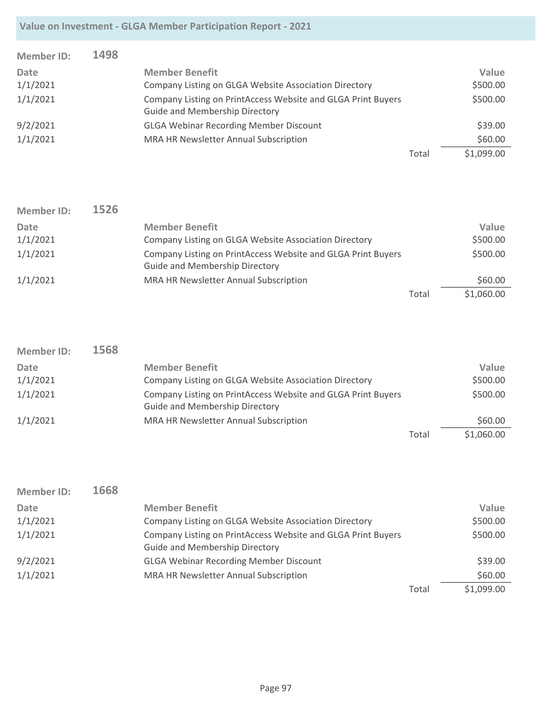| <b>Member ID:</b> | 1498 |                                                                                                       |       |            |
|-------------------|------|-------------------------------------------------------------------------------------------------------|-------|------------|
| Date              |      | <b>Member Benefit</b>                                                                                 |       | Value      |
| 1/1/2021          |      | Company Listing on GLGA Website Association Directory                                                 |       | \$500.00   |
| 1/1/2021          |      | Company Listing on PrintAccess Website and GLGA Print Buyers<br><b>Guide and Membership Directory</b> |       | \$500.00   |
| 9/2/2021          |      | <b>GLGA Webinar Recording Member Discount</b>                                                         |       | \$39.00    |
| 1/1/2021          |      | MRA HR Newsletter Annual Subscription                                                                 |       | \$60.00    |
|                   |      |                                                                                                       | Total | \$1,099.00 |

| <b>Member ID:</b> | 1526 |                                                                                                       |       |            |
|-------------------|------|-------------------------------------------------------------------------------------------------------|-------|------------|
| Date              |      | <b>Member Benefit</b>                                                                                 |       | Value      |
| 1/1/2021          |      | Company Listing on GLGA Website Association Directory                                                 |       | \$500.00   |
| 1/1/2021          |      | Company Listing on PrintAccess Website and GLGA Print Buyers<br><b>Guide and Membership Directory</b> |       | \$500.00   |
| 1/1/2021          |      | MRA HR Newsletter Annual Subscription                                                                 |       | \$60.00    |
|                   |      |                                                                                                       | Total | \$1,060.00 |

| <b>Member ID:</b> | 1568 |                                                                                                       |       |            |
|-------------------|------|-------------------------------------------------------------------------------------------------------|-------|------------|
| Date              |      | <b>Member Benefit</b>                                                                                 |       | Value      |
| 1/1/2021          |      | Company Listing on GLGA Website Association Directory                                                 |       | \$500.00   |
| 1/1/2021          |      | Company Listing on PrintAccess Website and GLGA Print Buyers<br><b>Guide and Membership Directory</b> |       | \$500.00   |
| 1/1/2021          |      | MRA HR Newsletter Annual Subscription                                                                 |       | \$60.00    |
|                   |      |                                                                                                       | Total | \$1,060.00 |

| <b>Member ID:</b> | 1668 |                                                                                                       |       |            |
|-------------------|------|-------------------------------------------------------------------------------------------------------|-------|------------|
| Date              |      | <b>Member Benefit</b>                                                                                 |       | Value      |
| 1/1/2021          |      | Company Listing on GLGA Website Association Directory                                                 |       | \$500.00   |
| 1/1/2021          |      | Company Listing on PrintAccess Website and GLGA Print Buyers<br><b>Guide and Membership Directory</b> |       | \$500.00   |
| 9/2/2021          |      | <b>GLGA Webinar Recording Member Discount</b>                                                         |       | \$39.00    |
| 1/1/2021          |      | MRA HR Newsletter Annual Subscription                                                                 |       | \$60.00    |
|                   |      |                                                                                                       | Total | \$1,099.00 |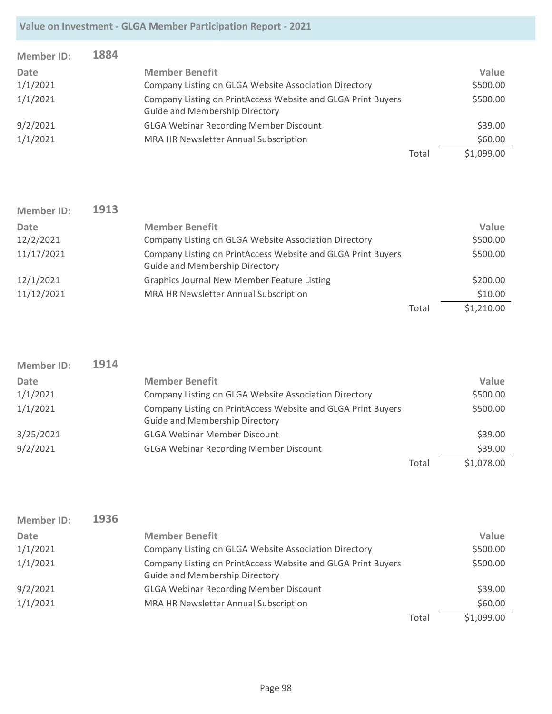| <b>Member ID:</b> | 1884 |                                                                                                       |       |            |
|-------------------|------|-------------------------------------------------------------------------------------------------------|-------|------------|
| Date              |      | <b>Member Benefit</b>                                                                                 |       | Value      |
| 1/1/2021          |      | Company Listing on GLGA Website Association Directory                                                 |       | \$500.00   |
| 1/1/2021          |      | Company Listing on PrintAccess Website and GLGA Print Buyers<br><b>Guide and Membership Directory</b> |       | \$500.00   |
| 9/2/2021          |      | <b>GLGA Webinar Recording Member Discount</b>                                                         |       | \$39.00    |
| 1/1/2021          |      | MRA HR Newsletter Annual Subscription                                                                 |       | \$60.00    |
|                   |      |                                                                                                       | Total | \$1,099.00 |

| <b>Member ID:</b> | 1913 |                                                                                                       |       |            |
|-------------------|------|-------------------------------------------------------------------------------------------------------|-------|------------|
| Date              |      | <b>Member Benefit</b>                                                                                 |       | Value      |
| 12/2/2021         |      | Company Listing on GLGA Website Association Directory                                                 |       | \$500.00   |
| 11/17/2021        |      | Company Listing on PrintAccess Website and GLGA Print Buyers<br><b>Guide and Membership Directory</b> |       | \$500.00   |
| 12/1/2021         |      | <b>Graphics Journal New Member Feature Listing</b>                                                    |       | \$200.00   |
| 11/12/2021        |      | MRA HR Newsletter Annual Subscription                                                                 |       | \$10.00    |
|                   |      |                                                                                                       | Total | \$1,210.00 |

| <b>Member ID:</b> | 1914 |                                                                                                       |       |            |
|-------------------|------|-------------------------------------------------------------------------------------------------------|-------|------------|
| Date              |      | <b>Member Benefit</b>                                                                                 |       | Value      |
| 1/1/2021          |      | Company Listing on GLGA Website Association Directory                                                 |       | \$500.00   |
| 1/1/2021          |      | Company Listing on PrintAccess Website and GLGA Print Buyers<br><b>Guide and Membership Directory</b> |       | \$500.00   |
| 3/25/2021         |      | <b>GLGA Webinar Member Discount</b>                                                                   |       | \$39.00    |
| 9/2/2021          |      | <b>GLGA Webinar Recording Member Discount</b>                                                         |       | \$39.00    |
|                   |      |                                                                                                       | Total | \$1,078.00 |

| <b>Member ID:</b> | 1936 |                                                                                                       |       |            |
|-------------------|------|-------------------------------------------------------------------------------------------------------|-------|------------|
| Date              |      | <b>Member Benefit</b>                                                                                 |       | Value      |
| 1/1/2021          |      | Company Listing on GLGA Website Association Directory                                                 |       | \$500.00   |
| 1/1/2021          |      | Company Listing on PrintAccess Website and GLGA Print Buyers<br><b>Guide and Membership Directory</b> |       | \$500.00   |
| 9/2/2021          |      | <b>GLGA Webinar Recording Member Discount</b>                                                         |       | \$39.00    |
| 1/1/2021          |      | MRA HR Newsletter Annual Subscription                                                                 |       | \$60.00    |
|                   |      |                                                                                                       | Total | \$1,099.00 |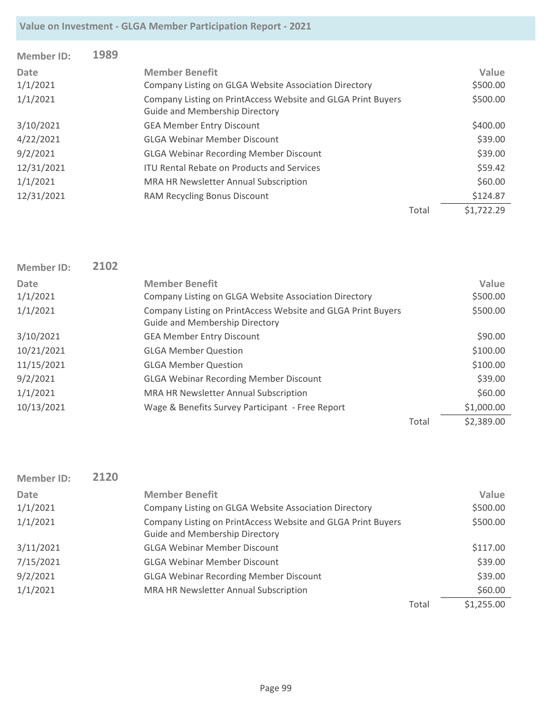| <b>Member ID:</b> | 1989 |                                                                                                       |       |            |
|-------------------|------|-------------------------------------------------------------------------------------------------------|-------|------------|
| <b>Date</b>       |      | <b>Member Benefit</b>                                                                                 |       | Value      |
| 1/1/2021          |      | Company Listing on GLGA Website Association Directory                                                 |       | \$500.00   |
| 1/1/2021          |      | Company Listing on PrintAccess Website and GLGA Print Buyers<br><b>Guide and Membership Directory</b> |       | \$500.00   |
| 3/10/2021         |      | <b>GEA Member Entry Discount</b>                                                                      |       | \$400.00   |
| 4/22/2021         |      | <b>GLGA Webinar Member Discount</b>                                                                   |       | \$39.00    |
| 9/2/2021          |      | <b>GLGA Webinar Recording Member Discount</b>                                                         |       | \$39.00    |
| 12/31/2021        |      | <b>ITU Rental Rebate on Products and Services</b>                                                     |       | \$59.42    |
| 1/1/2021          |      | MRA HR Newsletter Annual Subscription                                                                 |       | \$60.00    |
| 12/31/2021        |      | RAM Recycling Bonus Discount                                                                          |       | \$124.87   |
|                   |      |                                                                                                       | Total | \$1,722.29 |

| Member ID:  | 2102 |                                                                                                       |       |            |
|-------------|------|-------------------------------------------------------------------------------------------------------|-------|------------|
| <b>Date</b> |      | <b>Member Benefit</b>                                                                                 |       | Value      |
| 1/1/2021    |      | Company Listing on GLGA Website Association Directory                                                 |       | \$500.00   |
| 1/1/2021    |      | Company Listing on PrintAccess Website and GLGA Print Buyers<br><b>Guide and Membership Directory</b> |       | \$500.00   |
| 3/10/2021   |      | <b>GEA Member Entry Discount</b>                                                                      |       | \$90.00    |
| 10/21/2021  |      | <b>GLGA Member Question</b>                                                                           |       | \$100.00   |
| 11/15/2021  |      | <b>GLGA Member Question</b>                                                                           |       | \$100.00   |
| 9/2/2021    |      | <b>GLGA Webinar Recording Member Discount</b>                                                         |       | \$39.00    |
| 1/1/2021    |      | MRA HR Newsletter Annual Subscription                                                                 |       | \$60.00    |
| 10/13/2021  |      | Wage & Benefits Survey Participant - Free Report                                                      |       | \$1,000.00 |
|             |      |                                                                                                       | Total | \$2,389.00 |

| <b>Member ID:</b> | 2120 |                                                                                                       |       |            |
|-------------------|------|-------------------------------------------------------------------------------------------------------|-------|------------|
| Date              |      | <b>Member Benefit</b>                                                                                 |       | Value      |
| 1/1/2021          |      | Company Listing on GLGA Website Association Directory                                                 |       | \$500.00   |
| 1/1/2021          |      | Company Listing on PrintAccess Website and GLGA Print Buyers<br><b>Guide and Membership Directory</b> |       | \$500.00   |
| 3/11/2021         |      | <b>GLGA Webinar Member Discount</b>                                                                   |       | \$117.00   |
| 7/15/2021         |      | <b>GLGA Webinar Member Discount</b>                                                                   |       | \$39.00    |
| 9/2/2021          |      | <b>GLGA Webinar Recording Member Discount</b>                                                         |       | \$39.00    |
| 1/1/2021          |      | MRA HR Newsletter Annual Subscription                                                                 |       | \$60.00    |
|                   |      |                                                                                                       | Total | \$1,255.00 |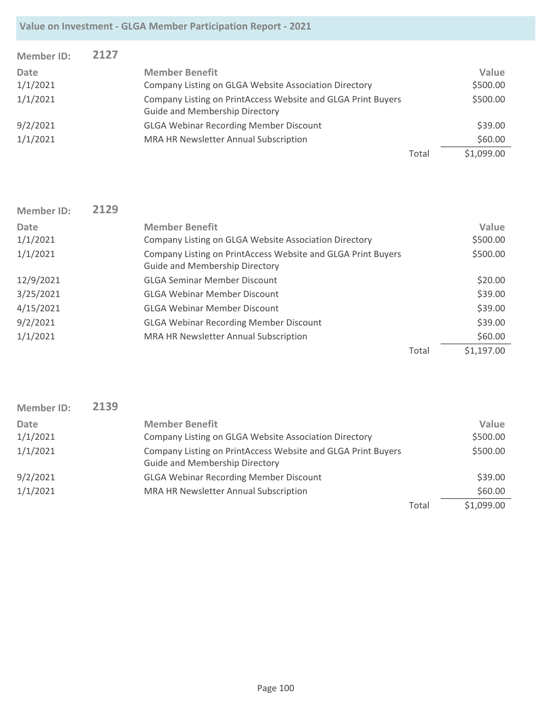| <b>Member ID:</b> | 2127 |                                                                                                       |       |            |
|-------------------|------|-------------------------------------------------------------------------------------------------------|-------|------------|
| Date              |      | <b>Member Benefit</b>                                                                                 |       | Value      |
| 1/1/2021          |      | Company Listing on GLGA Website Association Directory                                                 |       | \$500.00   |
| 1/1/2021          |      | Company Listing on PrintAccess Website and GLGA Print Buyers<br><b>Guide and Membership Directory</b> |       | \$500.00   |
| 9/2/2021          |      | <b>GLGA Webinar Recording Member Discount</b>                                                         |       | \$39.00    |
| 1/1/2021          |      | MRA HR Newsletter Annual Subscription                                                                 |       | \$60.00    |
|                   |      |                                                                                                       | Total | \$1,099.00 |

| Member ID:  | 2129 |                                                                                                       |       |            |
|-------------|------|-------------------------------------------------------------------------------------------------------|-------|------------|
| <b>Date</b> |      | <b>Member Benefit</b>                                                                                 |       | Value      |
| 1/1/2021    |      | Company Listing on GLGA Website Association Directory                                                 |       | \$500.00   |
| 1/1/2021    |      | Company Listing on PrintAccess Website and GLGA Print Buyers<br><b>Guide and Membership Directory</b> |       | \$500.00   |
| 12/9/2021   |      | <b>GLGA Seminar Member Discount</b>                                                                   |       | \$20.00    |
| 3/25/2021   |      | <b>GLGA Webinar Member Discount</b>                                                                   |       | \$39.00    |
| 4/15/2021   |      | <b>GLGA Webinar Member Discount</b>                                                                   |       | \$39.00    |
| 9/2/2021    |      | <b>GLGA Webinar Recording Member Discount</b>                                                         |       | \$39.00    |
| 1/1/2021    |      | MRA HR Newsletter Annual Subscription                                                                 |       | \$60.00    |
|             |      |                                                                                                       | Total | \$1,197.00 |

| <b>Member ID:</b> | 2139 |                                                                                                       |       |            |
|-------------------|------|-------------------------------------------------------------------------------------------------------|-------|------------|
| Date              |      | <b>Member Benefit</b>                                                                                 |       | Value      |
| 1/1/2021          |      | Company Listing on GLGA Website Association Directory                                                 |       | \$500.00   |
| 1/1/2021          |      | Company Listing on PrintAccess Website and GLGA Print Buyers<br><b>Guide and Membership Directory</b> |       | \$500.00   |
| 9/2/2021          |      | <b>GLGA Webinar Recording Member Discount</b>                                                         |       | \$39.00    |
| 1/1/2021          |      | MRA HR Newsletter Annual Subscription                                                                 |       | \$60.00    |
|                   |      |                                                                                                       | Total | \$1,099.00 |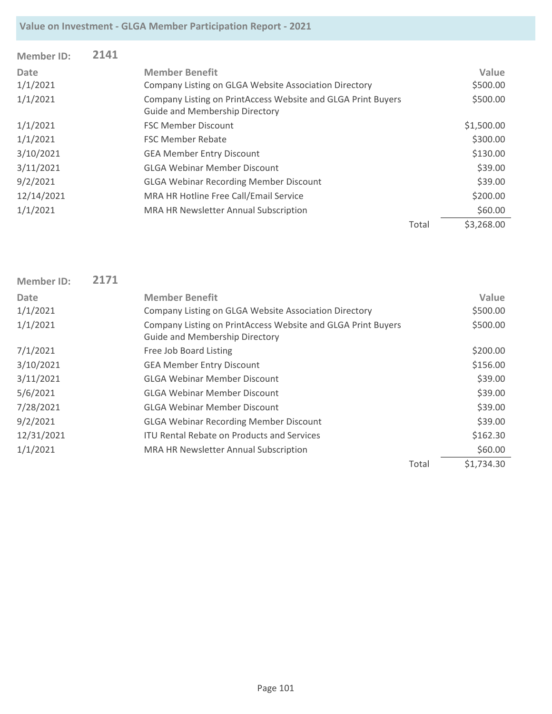| <b>Member ID:</b> | 2141 |                                                                                                       |       |            |
|-------------------|------|-------------------------------------------------------------------------------------------------------|-------|------------|
| <b>Date</b>       |      | <b>Member Benefit</b>                                                                                 |       | Value      |
| 1/1/2021          |      | Company Listing on GLGA Website Association Directory                                                 |       | \$500.00   |
| 1/1/2021          |      | Company Listing on PrintAccess Website and GLGA Print Buyers<br><b>Guide and Membership Directory</b> |       | \$500.00   |
| 1/1/2021          |      | <b>FSC Member Discount</b>                                                                            |       | \$1,500.00 |
| 1/1/2021          |      | <b>FSC Member Rebate</b>                                                                              |       | \$300.00   |
| 3/10/2021         |      | <b>GEA Member Entry Discount</b>                                                                      |       | \$130.00   |
| 3/11/2021         |      | <b>GLGA Webinar Member Discount</b>                                                                   |       | \$39.00    |
| 9/2/2021          |      | <b>GLGA Webinar Recording Member Discount</b>                                                         |       | \$39.00    |
| 12/14/2021        |      | MRA HR Hotline Free Call/Email Service                                                                |       | \$200.00   |
| 1/1/2021          |      | <b>MRA HR Newsletter Annual Subscription</b>                                                          |       | \$60.00    |
|                   |      |                                                                                                       | Total | \$3,268.00 |

| <b>Member ID:</b> | 2171 |                                                                                                       |       |            |
|-------------------|------|-------------------------------------------------------------------------------------------------------|-------|------------|
| <b>Date</b>       |      | <b>Member Benefit</b>                                                                                 |       | Value      |
| 1/1/2021          |      | Company Listing on GLGA Website Association Directory                                                 |       | \$500.00   |
| 1/1/2021          |      | Company Listing on PrintAccess Website and GLGA Print Buyers<br><b>Guide and Membership Directory</b> |       | \$500.00   |
| 7/1/2021          |      | Free Job Board Listing                                                                                |       | \$200.00   |
| 3/10/2021         |      | <b>GEA Member Entry Discount</b>                                                                      |       | \$156.00   |
| 3/11/2021         |      | <b>GLGA Webinar Member Discount</b>                                                                   |       | \$39.00    |
| 5/6/2021          |      | <b>GLGA Webinar Member Discount</b>                                                                   |       | \$39.00    |
| 7/28/2021         |      | <b>GLGA Webinar Member Discount</b>                                                                   |       | \$39.00    |
| 9/2/2021          |      | <b>GLGA Webinar Recording Member Discount</b>                                                         |       | \$39.00    |
| 12/31/2021        |      | <b>ITU Rental Rebate on Products and Services</b>                                                     |       | \$162.30   |
| 1/1/2021          |      | MRA HR Newsletter Annual Subscription                                                                 |       | \$60.00    |
|                   |      |                                                                                                       | Total | \$1,734.30 |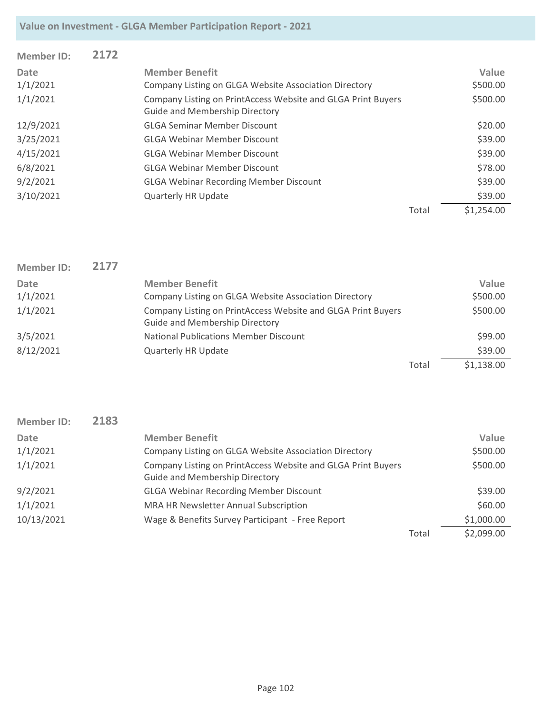| <b>Member ID:</b> | 2172 |                                                                                                       |       |            |
|-------------------|------|-------------------------------------------------------------------------------------------------------|-------|------------|
| <b>Date</b>       |      | <b>Member Benefit</b>                                                                                 |       | Value      |
| 1/1/2021          |      | Company Listing on GLGA Website Association Directory                                                 |       | \$500.00   |
| 1/1/2021          |      | Company Listing on PrintAccess Website and GLGA Print Buyers<br><b>Guide and Membership Directory</b> |       | \$500.00   |
| 12/9/2021         |      | <b>GLGA Seminar Member Discount</b>                                                                   |       | \$20.00    |
| 3/25/2021         |      | <b>GLGA Webinar Member Discount</b>                                                                   |       | \$39.00    |
| 4/15/2021         |      | <b>GLGA Webinar Member Discount</b>                                                                   |       | \$39.00    |
| 6/8/2021          |      | <b>GLGA Webinar Member Discount</b>                                                                   |       | \$78.00    |
| 9/2/2021          |      | <b>GLGA Webinar Recording Member Discount</b>                                                         |       | \$39.00    |
| 3/10/2021         |      | <b>Quarterly HR Update</b>                                                                            |       | \$39.00    |
|                   |      |                                                                                                       | Total | \$1,254.00 |

| <b>Member ID:</b> | 2177 |                                                                                                       |       |            |
|-------------------|------|-------------------------------------------------------------------------------------------------------|-------|------------|
| Date              |      | <b>Member Benefit</b>                                                                                 |       | Value      |
| 1/1/2021          |      | Company Listing on GLGA Website Association Directory                                                 |       | \$500.00   |
| 1/1/2021          |      | Company Listing on PrintAccess Website and GLGA Print Buyers<br><b>Guide and Membership Directory</b> |       | \$500.00   |
| 3/5/2021          |      | <b>National Publications Member Discount</b>                                                          |       | \$99.00    |
| 8/12/2021         |      | <b>Quarterly HR Update</b>                                                                            |       | \$39.00    |
|                   |      |                                                                                                       | Total | \$1,138.00 |

| <b>Member ID:</b> | 2183 |                                                                                                       |       |            |
|-------------------|------|-------------------------------------------------------------------------------------------------------|-------|------------|
| Date              |      | <b>Member Benefit</b>                                                                                 |       | Value      |
| 1/1/2021          |      | Company Listing on GLGA Website Association Directory                                                 |       | \$500.00   |
| 1/1/2021          |      | Company Listing on PrintAccess Website and GLGA Print Buyers<br><b>Guide and Membership Directory</b> |       | \$500.00   |
| 9/2/2021          |      | <b>GLGA Webinar Recording Member Discount</b>                                                         |       | \$39.00    |
| 1/1/2021          |      | MRA HR Newsletter Annual Subscription                                                                 |       | \$60.00    |
| 10/13/2021        |      | Wage & Benefits Survey Participant - Free Report                                                      |       | \$1,000.00 |
|                   |      |                                                                                                       | Total | \$2,099.00 |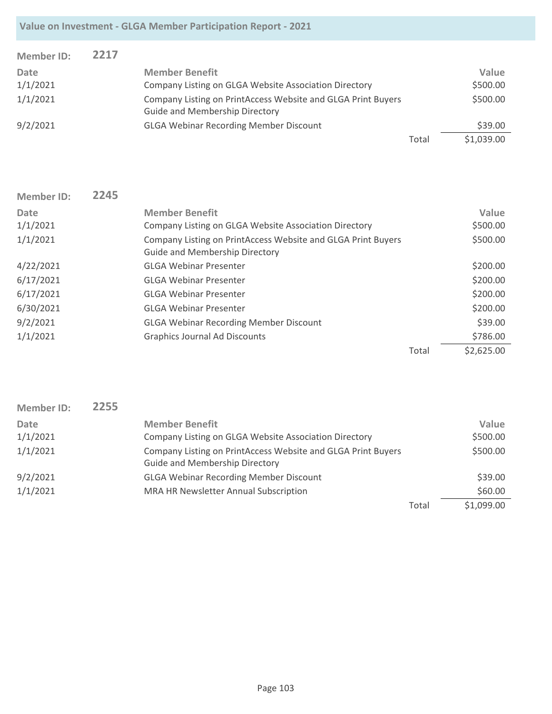| <b>Member ID:</b> | 2217 |                                                                                                       |       |            |
|-------------------|------|-------------------------------------------------------------------------------------------------------|-------|------------|
| Date              |      | <b>Member Benefit</b>                                                                                 |       | Value      |
| 1/1/2021          |      | Company Listing on GLGA Website Association Directory                                                 |       | \$500.00   |
| 1/1/2021          |      | Company Listing on PrintAccess Website and GLGA Print Buyers<br><b>Guide and Membership Directory</b> |       | \$500.00   |
| 9/2/2021          |      | <b>GLGA Webinar Recording Member Discount</b>                                                         |       | \$39.00    |
|                   |      |                                                                                                       | Total | \$1,039.00 |

| <b>Member ID:</b> | 2245 |                                                                                                       |       |            |
|-------------------|------|-------------------------------------------------------------------------------------------------------|-------|------------|
| <b>Date</b>       |      | <b>Member Benefit</b>                                                                                 |       | Value      |
| 1/1/2021          |      | Company Listing on GLGA Website Association Directory                                                 |       | \$500.00   |
| 1/1/2021          |      | Company Listing on PrintAccess Website and GLGA Print Buyers<br><b>Guide and Membership Directory</b> |       | \$500.00   |
| 4/22/2021         |      | <b>GLGA Webinar Presenter</b>                                                                         |       | \$200.00   |
| 6/17/2021         |      | <b>GLGA Webinar Presenter</b>                                                                         |       | \$200.00   |
| 6/17/2021         |      | <b>GLGA Webinar Presenter</b>                                                                         |       | \$200.00   |
| 6/30/2021         |      | <b>GLGA Webinar Presenter</b>                                                                         |       | \$200.00   |
| 9/2/2021          |      | <b>GLGA Webinar Recording Member Discount</b>                                                         |       | \$39.00    |
| 1/1/2021          |      | <b>Graphics Journal Ad Discounts</b>                                                                  |       | \$786.00   |
|                   |      |                                                                                                       | Total | \$2,625.00 |

| <b>Member ID:</b> | 2255 |                                                                                                       |       |            |
|-------------------|------|-------------------------------------------------------------------------------------------------------|-------|------------|
| Date              |      | <b>Member Benefit</b>                                                                                 |       | Value      |
| 1/1/2021          |      | Company Listing on GLGA Website Association Directory                                                 |       | \$500.00   |
| 1/1/2021          |      | Company Listing on PrintAccess Website and GLGA Print Buyers<br><b>Guide and Membership Directory</b> |       | \$500.00   |
| 9/2/2021          |      | <b>GLGA Webinar Recording Member Discount</b>                                                         |       | \$39.00    |
| 1/1/2021          |      | MRA HR Newsletter Annual Subscription                                                                 |       | \$60.00    |
|                   |      |                                                                                                       | Total | \$1,099.00 |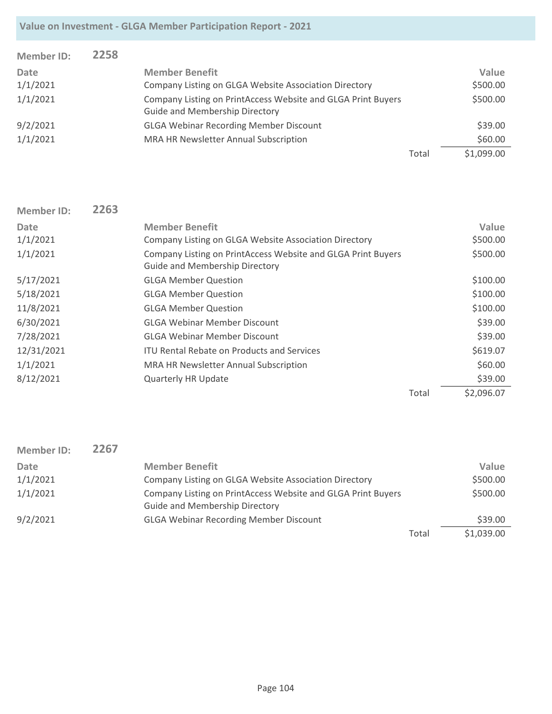| <b>Member ID:</b> | 2258 |                                                                                                       |       |            |
|-------------------|------|-------------------------------------------------------------------------------------------------------|-------|------------|
| Date              |      | <b>Member Benefit</b>                                                                                 |       | Value      |
| 1/1/2021          |      | Company Listing on GLGA Website Association Directory                                                 |       | \$500.00   |
| 1/1/2021          |      | Company Listing on PrintAccess Website and GLGA Print Buyers<br><b>Guide and Membership Directory</b> |       | \$500.00   |
| 9/2/2021          |      | <b>GLGA Webinar Recording Member Discount</b>                                                         |       | \$39.00    |
| 1/1/2021          |      | MRA HR Newsletter Annual Subscription                                                                 |       | \$60.00    |
|                   |      |                                                                                                       | Total | \$1,099.00 |

| <b>Member ID:</b> | 2263 |                                                                                                       |       |            |
|-------------------|------|-------------------------------------------------------------------------------------------------------|-------|------------|
| <b>Date</b>       |      | <b>Member Benefit</b>                                                                                 |       | Value      |
| 1/1/2021          |      | Company Listing on GLGA Website Association Directory                                                 |       | \$500.00   |
| 1/1/2021          |      | Company Listing on PrintAccess Website and GLGA Print Buyers<br><b>Guide and Membership Directory</b> |       | \$500.00   |
| 5/17/2021         |      | <b>GLGA Member Question</b>                                                                           |       | \$100.00   |
| 5/18/2021         |      | <b>GLGA Member Question</b>                                                                           |       | \$100.00   |
| 11/8/2021         |      | <b>GLGA Member Question</b>                                                                           |       | \$100.00   |
| 6/30/2021         |      | <b>GLGA Webinar Member Discount</b>                                                                   |       | \$39.00    |
| 7/28/2021         |      | <b>GLGA Webinar Member Discount</b>                                                                   |       | \$39.00    |
| 12/31/2021        |      | <b>ITU Rental Rebate on Products and Services</b>                                                     |       | \$619.07   |
| 1/1/2021          |      | MRA HR Newsletter Annual Subscription                                                                 |       | \$60.00    |
| 8/12/2021         |      | <b>Quarterly HR Update</b>                                                                            |       | \$39.00    |
|                   |      |                                                                                                       | Total | \$2,096.07 |

| Member ID:  | 2267 |                                                                                                       |       |            |
|-------------|------|-------------------------------------------------------------------------------------------------------|-------|------------|
| <b>Date</b> |      | <b>Member Benefit</b>                                                                                 |       | Value      |
| 1/1/2021    |      | Company Listing on GLGA Website Association Directory                                                 |       | \$500.00   |
| 1/1/2021    |      | Company Listing on PrintAccess Website and GLGA Print Buyers<br><b>Guide and Membership Directory</b> |       | \$500.00   |
| 9/2/2021    |      | <b>GLGA Webinar Recording Member Discount</b>                                                         |       | \$39.00    |
|             |      |                                                                                                       | Total | \$1,039.00 |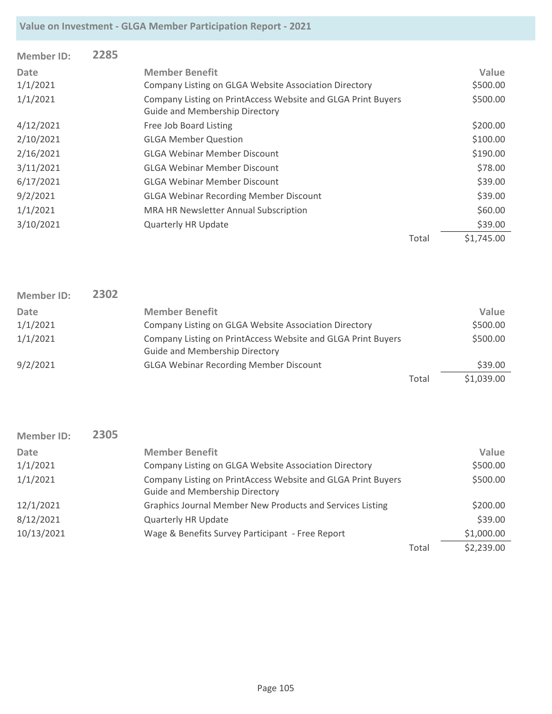| <b>Member ID:</b> | 2285 |                                                                                                       |       |            |
|-------------------|------|-------------------------------------------------------------------------------------------------------|-------|------------|
| Date              |      | <b>Member Benefit</b>                                                                                 |       | Value      |
| 1/1/2021          |      | Company Listing on GLGA Website Association Directory                                                 |       | \$500.00   |
| 1/1/2021          |      | Company Listing on PrintAccess Website and GLGA Print Buyers<br><b>Guide and Membership Directory</b> |       | \$500.00   |
| 4/12/2021         |      | Free Job Board Listing                                                                                |       | \$200.00   |
| 2/10/2021         |      | <b>GLGA Member Question</b>                                                                           |       | \$100.00   |
| 2/16/2021         |      | <b>GLGA Webinar Member Discount</b>                                                                   |       | \$190.00   |
| 3/11/2021         |      | <b>GLGA Webinar Member Discount</b>                                                                   |       | \$78.00    |
| 6/17/2021         |      | <b>GLGA Webinar Member Discount</b>                                                                   |       | \$39.00    |
| 9/2/2021          |      | <b>GLGA Webinar Recording Member Discount</b>                                                         |       | \$39.00    |
| 1/1/2021          |      | MRA HR Newsletter Annual Subscription                                                                 |       | \$60.00    |
| 3/10/2021         |      | <b>Quarterly HR Update</b>                                                                            |       | \$39.00    |
|                   |      |                                                                                                       | Total | \$1,745.00 |

| Member ID:  | 2302 |                                                                                                       |       |            |
|-------------|------|-------------------------------------------------------------------------------------------------------|-------|------------|
| <b>Date</b> |      | <b>Member Benefit</b>                                                                                 |       | Value      |
| 1/1/2021    |      | Company Listing on GLGA Website Association Directory                                                 |       | \$500.00   |
| 1/1/2021    |      | Company Listing on PrintAccess Website and GLGA Print Buyers<br><b>Guide and Membership Directory</b> |       | \$500.00   |
| 9/2/2021    |      | <b>GLGA Webinar Recording Member Discount</b>                                                         |       | \$39.00    |
|             |      |                                                                                                       | Total | \$1,039.00 |

| <b>Member ID:</b> | 2305 |                                                                                                       |       |            |
|-------------------|------|-------------------------------------------------------------------------------------------------------|-------|------------|
| Date              |      | <b>Member Benefit</b>                                                                                 |       | Value      |
| 1/1/2021          |      | Company Listing on GLGA Website Association Directory                                                 |       | \$500.00   |
| 1/1/2021          |      | Company Listing on PrintAccess Website and GLGA Print Buyers<br><b>Guide and Membership Directory</b> |       | \$500.00   |
| 12/1/2021         |      | Graphics Journal Member New Products and Services Listing                                             |       | \$200.00   |
| 8/12/2021         |      | <b>Quarterly HR Update</b>                                                                            |       | \$39.00    |
| 10/13/2021        |      | Wage & Benefits Survey Participant - Free Report                                                      |       | \$1,000.00 |
|                   |      |                                                                                                       | Total | \$2,239.00 |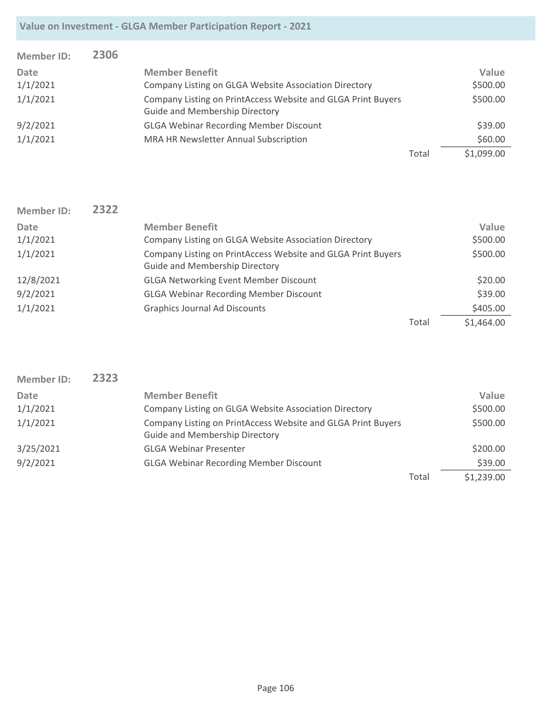| <b>Member ID:</b> | 2306 |                                                                                                       |       |            |
|-------------------|------|-------------------------------------------------------------------------------------------------------|-------|------------|
| Date              |      | <b>Member Benefit</b>                                                                                 |       | Value      |
| 1/1/2021          |      | Company Listing on GLGA Website Association Directory                                                 |       | \$500.00   |
| 1/1/2021          |      | Company Listing on PrintAccess Website and GLGA Print Buyers<br><b>Guide and Membership Directory</b> |       | \$500.00   |
| 9/2/2021          |      | <b>GLGA Webinar Recording Member Discount</b>                                                         |       | \$39.00    |
| 1/1/2021          |      | MRA HR Newsletter Annual Subscription                                                                 |       | \$60.00    |
|                   |      |                                                                                                       | Total | \$1,099.00 |

| Member ID:  | 2322 |                                                                                                       |       |            |
|-------------|------|-------------------------------------------------------------------------------------------------------|-------|------------|
| <b>Date</b> |      | <b>Member Benefit</b>                                                                                 |       | Value      |
| 1/1/2021    |      | Company Listing on GLGA Website Association Directory                                                 |       | \$500.00   |
| 1/1/2021    |      | Company Listing on PrintAccess Website and GLGA Print Buyers<br><b>Guide and Membership Directory</b> |       | \$500.00   |
| 12/8/2021   |      | <b>GLGA Networking Event Member Discount</b>                                                          |       | \$20.00    |
| 9/2/2021    |      | <b>GLGA Webinar Recording Member Discount</b>                                                         |       | \$39.00    |
| 1/1/2021    |      | <b>Graphics Journal Ad Discounts</b>                                                                  |       | \$405.00   |
|             |      |                                                                                                       | Total | \$1,464.00 |

| <b>Member ID:</b> | 2323 |                                                                                                       |       |            |
|-------------------|------|-------------------------------------------------------------------------------------------------------|-------|------------|
| Date              |      | <b>Member Benefit</b>                                                                                 |       | Value      |
| 1/1/2021          |      | Company Listing on GLGA Website Association Directory                                                 |       | \$500.00   |
| 1/1/2021          |      | Company Listing on PrintAccess Website and GLGA Print Buyers<br><b>Guide and Membership Directory</b> |       | \$500.00   |
| 3/25/2021         |      | <b>GLGA Webinar Presenter</b>                                                                         |       | \$200.00   |
| 9/2/2021          |      | <b>GLGA Webinar Recording Member Discount</b>                                                         |       | \$39.00    |
|                   |      |                                                                                                       | Total | \$1,239.00 |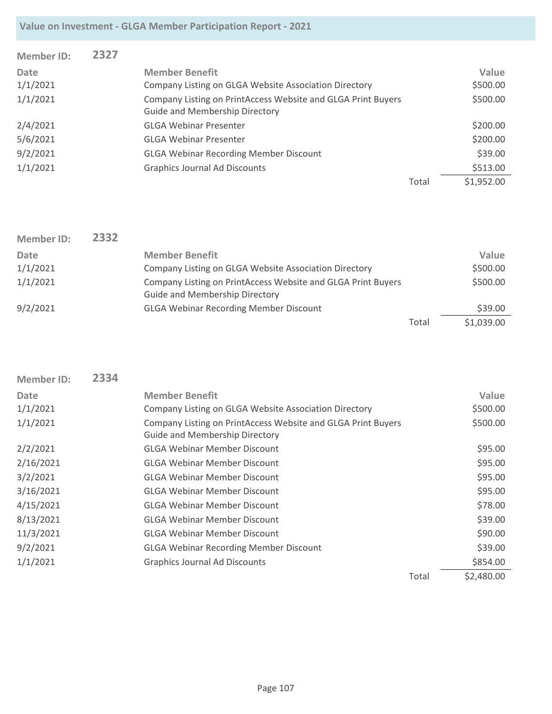| <b>Member ID:</b> | 2327 |                                                                                                       |       |            |
|-------------------|------|-------------------------------------------------------------------------------------------------------|-------|------------|
| Date              |      | <b>Member Benefit</b>                                                                                 |       | Value      |
| 1/1/2021          |      | Company Listing on GLGA Website Association Directory                                                 |       | \$500.00   |
| 1/1/2021          |      | Company Listing on PrintAccess Website and GLGA Print Buyers<br><b>Guide and Membership Directory</b> |       | \$500.00   |
| 2/4/2021          |      | <b>GLGA Webinar Presenter</b>                                                                         |       | \$200.00   |
| 5/6/2021          |      | <b>GLGA Webinar Presenter</b>                                                                         |       | \$200.00   |
| 9/2/2021          |      | <b>GLGA Webinar Recording Member Discount</b>                                                         |       | \$39.00    |
| 1/1/2021          |      | <b>Graphics Journal Ad Discounts</b>                                                                  |       | \$513.00   |
|                   |      |                                                                                                       | Total | \$1,952.00 |

| Member ID: | 2332 |                                                                                                       |       |            |
|------------|------|-------------------------------------------------------------------------------------------------------|-------|------------|
| Date       |      | <b>Member Benefit</b>                                                                                 |       | Value      |
| 1/1/2021   |      | Company Listing on GLGA Website Association Directory                                                 |       | \$500.00   |
| 1/1/2021   |      | Company Listing on PrintAccess Website and GLGA Print Buyers<br><b>Guide and Membership Directory</b> |       | \$500.00   |
| 9/2/2021   |      | <b>GLGA Webinar Recording Member Discount</b>                                                         |       | \$39.00    |
|            |      |                                                                                                       | Total | \$1,039.00 |

| Member ID: | 2334 |                                                                                                       |       |            |
|------------|------|-------------------------------------------------------------------------------------------------------|-------|------------|
| Date       |      | <b>Member Benefit</b>                                                                                 |       | Value      |
| 1/1/2021   |      | Company Listing on GLGA Website Association Directory                                                 |       | \$500.00   |
| 1/1/2021   |      | Company Listing on PrintAccess Website and GLGA Print Buyers<br><b>Guide and Membership Directory</b> |       | \$500.00   |
| 2/2/2021   |      | <b>GLGA Webinar Member Discount</b>                                                                   |       | \$95.00    |
| 2/16/2021  |      | <b>GLGA Webinar Member Discount</b>                                                                   |       | \$95.00    |
| 3/2/2021   |      | <b>GLGA Webinar Member Discount</b>                                                                   |       | \$95.00    |
| 3/16/2021  |      | <b>GLGA Webinar Member Discount</b>                                                                   |       | \$95.00    |
| 4/15/2021  |      | <b>GLGA Webinar Member Discount</b>                                                                   |       | \$78.00    |
| 8/13/2021  |      | <b>GLGA Webinar Member Discount</b>                                                                   |       | \$39.00    |
| 11/3/2021  |      | <b>GLGA Webinar Member Discount</b>                                                                   |       | \$90.00    |
| 9/2/2021   |      | <b>GLGA Webinar Recording Member Discount</b>                                                         |       | \$39.00    |
| 1/1/2021   |      | <b>Graphics Journal Ad Discounts</b>                                                                  |       | \$854.00   |
|            |      |                                                                                                       | Total | \$2,480.00 |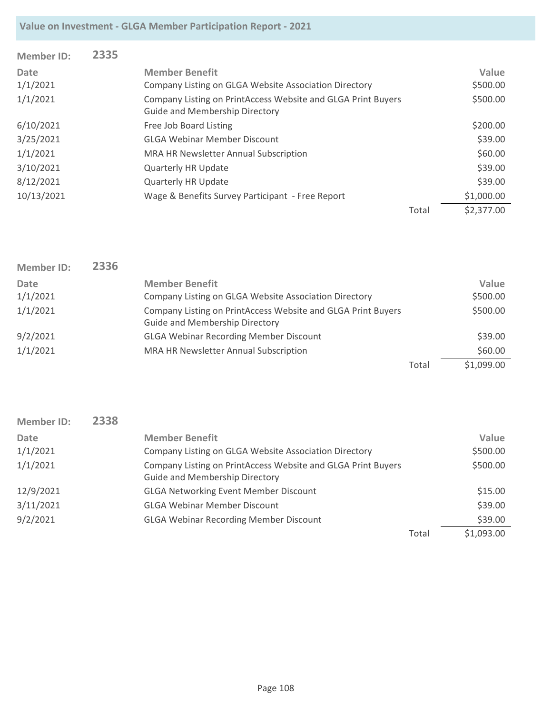| <b>Member ID:</b> | 2335 |                                                                                                       |       |            |
|-------------------|------|-------------------------------------------------------------------------------------------------------|-------|------------|
| <b>Date</b>       |      | <b>Member Benefit</b>                                                                                 |       | Value      |
| 1/1/2021          |      | Company Listing on GLGA Website Association Directory                                                 |       | \$500.00   |
| 1/1/2021          |      | Company Listing on PrintAccess Website and GLGA Print Buyers<br><b>Guide and Membership Directory</b> |       | \$500.00   |
| 6/10/2021         |      | Free Job Board Listing                                                                                |       | \$200.00   |
| 3/25/2021         |      | <b>GLGA Webinar Member Discount</b>                                                                   |       | \$39.00    |
| 1/1/2021          |      | <b>MRA HR Newsletter Annual Subscription</b>                                                          |       | \$60.00    |
| 3/10/2021         |      | <b>Quarterly HR Update</b>                                                                            |       | \$39.00    |
| 8/12/2021         |      | <b>Quarterly HR Update</b>                                                                            |       | \$39.00    |
| 10/13/2021        |      | Wage & Benefits Survey Participant - Free Report                                                      |       | \$1,000.00 |
|                   |      |                                                                                                       | Total | \$2,377.00 |

| <b>Member ID:</b> | 2336 |                                                                                                       |       |            |
|-------------------|------|-------------------------------------------------------------------------------------------------------|-------|------------|
| Date              |      | <b>Member Benefit</b>                                                                                 |       | Value      |
| 1/1/2021          |      | Company Listing on GLGA Website Association Directory                                                 |       | \$500.00   |
| 1/1/2021          |      | Company Listing on PrintAccess Website and GLGA Print Buyers<br><b>Guide and Membership Directory</b> |       | \$500.00   |
| 9/2/2021          |      | <b>GLGA Webinar Recording Member Discount</b>                                                         |       | \$39.00    |
| 1/1/2021          |      | MRA HR Newsletter Annual Subscription                                                                 |       | \$60.00    |
|                   |      |                                                                                                       | Total | \$1,099.00 |

| <b>Member ID:</b> | 2338 |                                                                                                       |       |            |
|-------------------|------|-------------------------------------------------------------------------------------------------------|-------|------------|
| Date              |      | <b>Member Benefit</b>                                                                                 |       | Value      |
| 1/1/2021          |      | Company Listing on GLGA Website Association Directory                                                 |       | \$500.00   |
| 1/1/2021          |      | Company Listing on PrintAccess Website and GLGA Print Buyers<br><b>Guide and Membership Directory</b> |       | \$500.00   |
| 12/9/2021         |      | <b>GLGA Networking Event Member Discount</b>                                                          |       | \$15.00    |
| 3/11/2021         |      | <b>GLGA Webinar Member Discount</b>                                                                   |       | \$39.00    |
| 9/2/2021          |      | <b>GLGA Webinar Recording Member Discount</b>                                                         |       | \$39.00    |
|                   |      |                                                                                                       | Total | \$1,093.00 |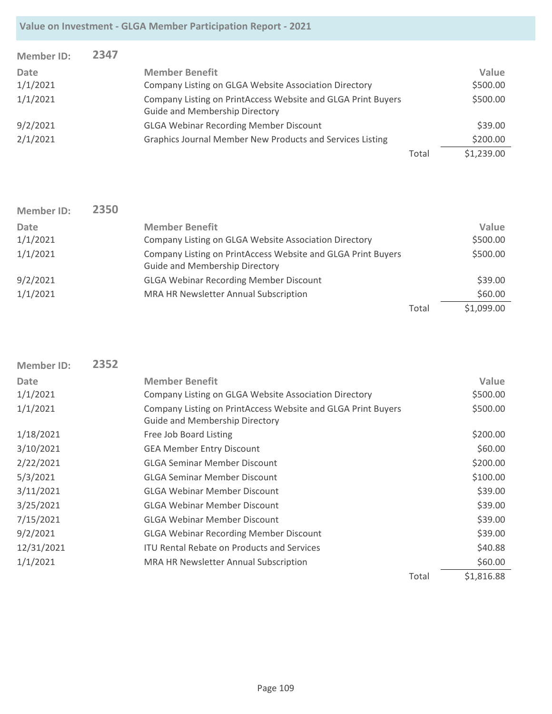| <b>Member ID:</b> | 2347 |                                                                                                       |       |            |
|-------------------|------|-------------------------------------------------------------------------------------------------------|-------|------------|
| Date              |      | <b>Member Benefit</b>                                                                                 |       | Value      |
| 1/1/2021          |      | Company Listing on GLGA Website Association Directory                                                 |       | \$500.00   |
| 1/1/2021          |      | Company Listing on PrintAccess Website and GLGA Print Buyers<br><b>Guide and Membership Directory</b> |       | \$500.00   |
| 9/2/2021          |      | <b>GLGA Webinar Recording Member Discount</b>                                                         |       | \$39.00    |
| 2/1/2021          |      | Graphics Journal Member New Products and Services Listing                                             |       | \$200.00   |
|                   |      |                                                                                                       | Total | \$1,239.00 |

| <b>Member ID:</b> | 2350 |                                                              |       |            |
|-------------------|------|--------------------------------------------------------------|-------|------------|
| Date              |      | <b>Member Benefit</b>                                        |       | Value      |
| 1/1/2021          |      | Company Listing on GLGA Website Association Directory        |       | \$500.00   |
| 1/1/2021          |      | Company Listing on PrintAccess Website and GLGA Print Buyers |       | \$500.00   |
|                   |      | <b>Guide and Membership Directory</b>                        |       |            |
| 9/2/2021          |      | <b>GLGA Webinar Recording Member Discount</b>                |       | \$39.00    |
| 1/1/2021          |      | MRA HR Newsletter Annual Subscription                        |       | \$60.00    |
|                   |      |                                                              | Total | \$1,099.00 |

| <b>Member ID:</b> | 2352 |                                                                                                       |       |            |
|-------------------|------|-------------------------------------------------------------------------------------------------------|-------|------------|
| Date              |      | <b>Member Benefit</b>                                                                                 |       | Value      |
| 1/1/2021          |      | Company Listing on GLGA Website Association Directory                                                 |       | \$500.00   |
| 1/1/2021          |      | Company Listing on PrintAccess Website and GLGA Print Buyers<br><b>Guide and Membership Directory</b> |       | \$500.00   |
| 1/18/2021         |      | Free Job Board Listing                                                                                |       | \$200.00   |
| 3/10/2021         |      | <b>GEA Member Entry Discount</b>                                                                      |       | \$60.00    |
| 2/22/2021         |      | <b>GLGA Seminar Member Discount</b>                                                                   |       | \$200.00   |
| 5/3/2021          |      | <b>GLGA Seminar Member Discount</b>                                                                   |       | \$100.00   |
| 3/11/2021         |      | <b>GLGA Webinar Member Discount</b>                                                                   |       | \$39.00    |
| 3/25/2021         |      | <b>GLGA Webinar Member Discount</b>                                                                   |       | \$39.00    |
| 7/15/2021         |      | <b>GLGA Webinar Member Discount</b>                                                                   |       | \$39.00    |
| 9/2/2021          |      | <b>GLGA Webinar Recording Member Discount</b>                                                         |       | \$39.00    |
| 12/31/2021        |      | <b>ITU Rental Rebate on Products and Services</b>                                                     |       | \$40.88    |
| 1/1/2021          |      | <b>MRA HR Newsletter Annual Subscription</b>                                                          |       | \$60.00    |
|                   |      |                                                                                                       | Total | \$1,816.88 |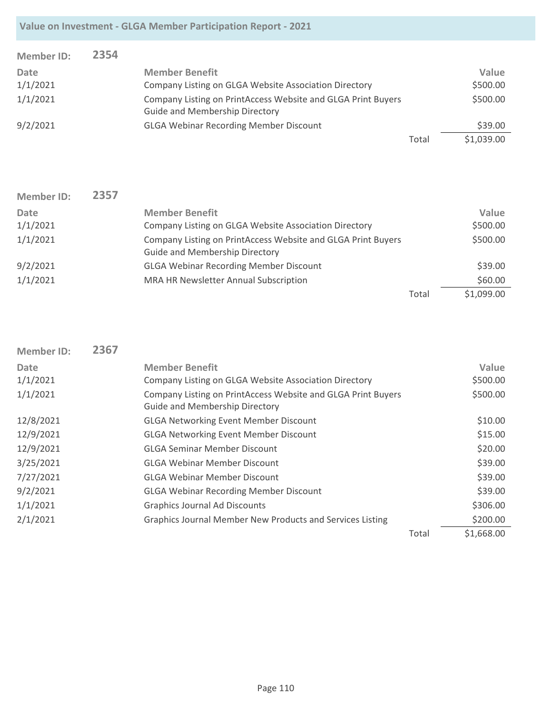| <b>Member ID:</b> | 2354 |                                                                                                       |       |            |
|-------------------|------|-------------------------------------------------------------------------------------------------------|-------|------------|
| Date              |      | <b>Member Benefit</b>                                                                                 |       | Value      |
| 1/1/2021          |      | Company Listing on GLGA Website Association Directory                                                 |       | \$500.00   |
| 1/1/2021          |      | Company Listing on PrintAccess Website and GLGA Print Buyers<br><b>Guide and Membership Directory</b> |       | \$500.00   |
| 9/2/2021          |      | <b>GLGA Webinar Recording Member Discount</b>                                                         |       | \$39.00    |
|                   |      |                                                                                                       | Total | \$1,039.00 |

| <b>Member ID:</b> | 2357 |                                                                                                       |       |                   |
|-------------------|------|-------------------------------------------------------------------------------------------------------|-------|-------------------|
| Date<br>1/1/2021  |      | <b>Member Benefit</b><br>Company Listing on GLGA Website Association Directory                        |       | Value<br>\$500.00 |
| 1/1/2021          |      | Company Listing on PrintAccess Website and GLGA Print Buyers<br><b>Guide and Membership Directory</b> |       | \$500.00          |
| 9/2/2021          |      | <b>GLGA Webinar Recording Member Discount</b>                                                         |       | \$39.00           |
| 1/1/2021          |      | MRA HR Newsletter Annual Subscription                                                                 |       | \$60.00           |
|                   |      |                                                                                                       | Total | \$1,099.00        |

| <b>Member ID:</b> | 2367 |                                                                                                       |       |            |
|-------------------|------|-------------------------------------------------------------------------------------------------------|-------|------------|
| Date              |      | <b>Member Benefit</b>                                                                                 |       | Value      |
| 1/1/2021          |      | Company Listing on GLGA Website Association Directory                                                 |       | \$500.00   |
| 1/1/2021          |      | Company Listing on PrintAccess Website and GLGA Print Buyers<br><b>Guide and Membership Directory</b> |       | \$500.00   |
| 12/8/2021         |      | <b>GLGA Networking Event Member Discount</b>                                                          |       | \$10.00    |
| 12/9/2021         |      | <b>GLGA Networking Event Member Discount</b>                                                          |       | \$15.00    |
| 12/9/2021         |      | <b>GLGA Seminar Member Discount</b>                                                                   |       | \$20.00    |
| 3/25/2021         |      | <b>GLGA Webinar Member Discount</b>                                                                   |       | \$39.00    |
| 7/27/2021         |      | <b>GLGA Webinar Member Discount</b>                                                                   |       | \$39.00    |
| 9/2/2021          |      | <b>GLGA Webinar Recording Member Discount</b>                                                         |       | \$39.00    |
| 1/1/2021          |      | <b>Graphics Journal Ad Discounts</b>                                                                  |       | \$306.00   |
| 2/1/2021          |      | Graphics Journal Member New Products and Services Listing                                             |       | \$200.00   |
|                   |      |                                                                                                       | Total | \$1,668.00 |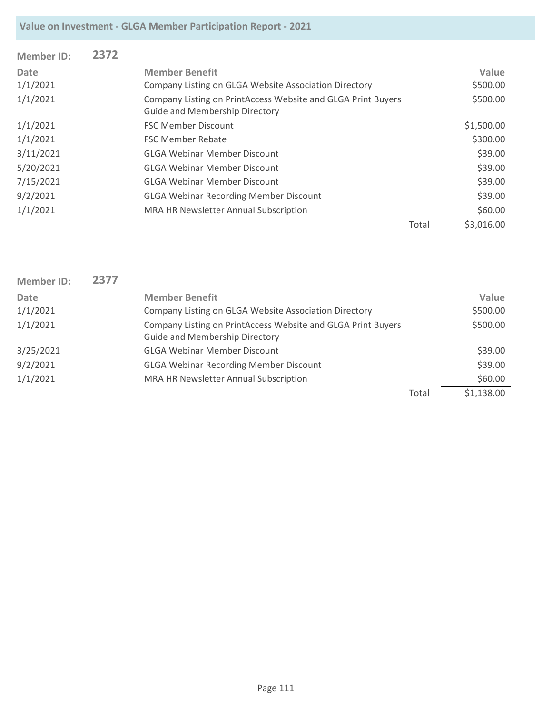| <b>Member ID:</b> | 2372 |                                                                                                       |       |            |
|-------------------|------|-------------------------------------------------------------------------------------------------------|-------|------------|
| <b>Date</b>       |      | <b>Member Benefit</b>                                                                                 |       | Value      |
| 1/1/2021          |      | Company Listing on GLGA Website Association Directory                                                 |       | \$500.00   |
| 1/1/2021          |      | Company Listing on PrintAccess Website and GLGA Print Buyers<br><b>Guide and Membership Directory</b> |       | \$500.00   |
| 1/1/2021          |      | <b>FSC Member Discount</b>                                                                            |       | \$1,500.00 |
| 1/1/2021          |      | <b>FSC Member Rebate</b>                                                                              |       | \$300.00   |
| 3/11/2021         |      | <b>GLGA Webinar Member Discount</b>                                                                   |       | \$39.00    |
| 5/20/2021         |      | <b>GLGA Webinar Member Discount</b>                                                                   |       | \$39.00    |
| 7/15/2021         |      | <b>GLGA Webinar Member Discount</b>                                                                   |       | \$39.00    |
| 9/2/2021          |      | <b>GLGA Webinar Recording Member Discount</b>                                                         |       | \$39.00    |
| 1/1/2021          |      | <b>MRA HR Newsletter Annual Subscription</b>                                                          |       | \$60.00    |
|                   |      |                                                                                                       | Total | \$3,016.00 |

| <b>Member ID:</b> | 2377 |                                                                                                       |       |            |
|-------------------|------|-------------------------------------------------------------------------------------------------------|-------|------------|
| <b>Date</b>       |      | <b>Member Benefit</b>                                                                                 |       | Value      |
| 1/1/2021          |      | Company Listing on GLGA Website Association Directory                                                 |       | \$500.00   |
| 1/1/2021          |      | Company Listing on PrintAccess Website and GLGA Print Buyers<br><b>Guide and Membership Directory</b> |       | \$500.00   |
| 3/25/2021         |      | <b>GLGA Webinar Member Discount</b>                                                                   |       | \$39.00    |
| 9/2/2021          |      | <b>GLGA Webinar Recording Member Discount</b>                                                         |       | \$39.00    |
| 1/1/2021          |      | MRA HR Newsletter Annual Subscription                                                                 |       | \$60.00    |
|                   |      |                                                                                                       | Total | \$1,138.00 |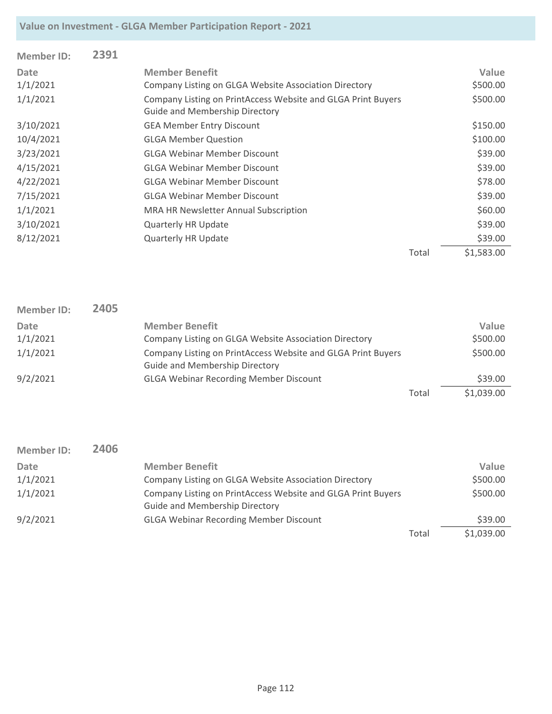| <b>Member ID:</b> | 2391 |                                                                                                       |       |            |
|-------------------|------|-------------------------------------------------------------------------------------------------------|-------|------------|
| Date              |      | <b>Member Benefit</b>                                                                                 |       | Value      |
| 1/1/2021          |      | Company Listing on GLGA Website Association Directory                                                 |       | \$500.00   |
| 1/1/2021          |      | Company Listing on PrintAccess Website and GLGA Print Buyers<br><b>Guide and Membership Directory</b> |       | \$500.00   |
| 3/10/2021         |      | <b>GEA Member Entry Discount</b>                                                                      |       | \$150.00   |
| 10/4/2021         |      | <b>GLGA Member Question</b>                                                                           |       | \$100.00   |
| 3/23/2021         |      | <b>GLGA Webinar Member Discount</b>                                                                   |       | \$39.00    |
| 4/15/2021         |      | <b>GLGA Webinar Member Discount</b>                                                                   |       | \$39.00    |
| 4/22/2021         |      | <b>GLGA Webinar Member Discount</b>                                                                   |       | \$78.00    |
| 7/15/2021         |      | <b>GLGA Webinar Member Discount</b>                                                                   |       | \$39.00    |
| 1/1/2021          |      | MRA HR Newsletter Annual Subscription                                                                 |       | \$60.00    |
| 3/10/2021         |      | <b>Quarterly HR Update</b>                                                                            |       | \$39.00    |
| 8/12/2021         |      | <b>Quarterly HR Update</b>                                                                            |       | \$39.00    |
|                   |      |                                                                                                       | Total | \$1,583.00 |

| <b>Member ID:</b> | 2405 |                                                                                                       |       |            |
|-------------------|------|-------------------------------------------------------------------------------------------------------|-------|------------|
| Date              |      | <b>Member Benefit</b>                                                                                 |       | Value      |
| 1/1/2021          |      | Company Listing on GLGA Website Association Directory                                                 |       | \$500.00   |
| 1/1/2021          |      | Company Listing on PrintAccess Website and GLGA Print Buyers<br><b>Guide and Membership Directory</b> |       | \$500.00   |
| 9/2/2021          |      | <b>GLGA Webinar Recording Member Discount</b>                                                         |       | \$39.00    |
|                   |      |                                                                                                       | Total | \$1,039.00 |

| <b>Member ID:</b> | 2406 |                                                                                                       |       |            |
|-------------------|------|-------------------------------------------------------------------------------------------------------|-------|------------|
| Date              |      | <b>Member Benefit</b>                                                                                 |       | Value      |
| 1/1/2021          |      | Company Listing on GLGA Website Association Directory                                                 |       | \$500.00   |
| 1/1/2021          |      | Company Listing on PrintAccess Website and GLGA Print Buyers<br><b>Guide and Membership Directory</b> |       | \$500.00   |
| 9/2/2021          |      | <b>GLGA Webinar Recording Member Discount</b>                                                         |       | \$39.00    |
|                   |      |                                                                                                       | Total | \$1,039.00 |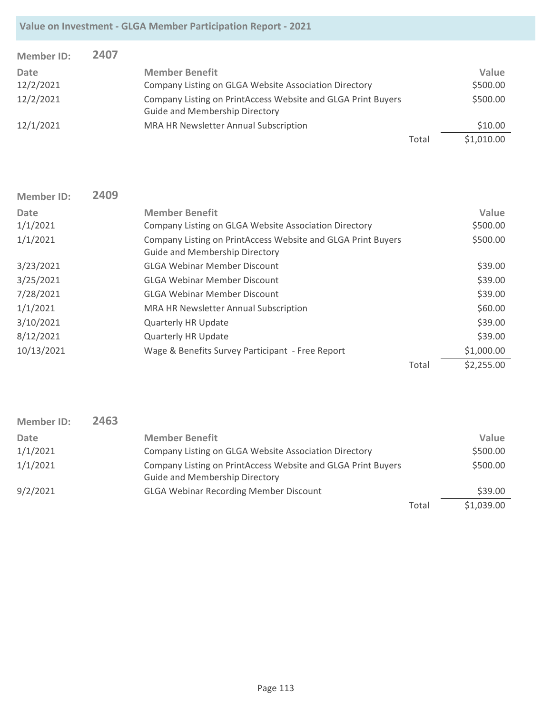| <b>Member ID:</b> | 2407 |                                                                                                       |       |            |
|-------------------|------|-------------------------------------------------------------------------------------------------------|-------|------------|
| <b>Date</b>       |      | <b>Member Benefit</b>                                                                                 |       | Value      |
| 12/2/2021         |      | Company Listing on GLGA Website Association Directory                                                 |       | \$500.00   |
| 12/2/2021         |      | Company Listing on PrintAccess Website and GLGA Print Buyers<br><b>Guide and Membership Directory</b> |       | \$500.00   |
| 12/1/2021         |      | MRA HR Newsletter Annual Subscription                                                                 |       | \$10.00    |
|                   |      |                                                                                                       | Total | \$1,010.00 |

| <b>Member ID:</b> | 2409 |                                                                                                       |       |            |
|-------------------|------|-------------------------------------------------------------------------------------------------------|-------|------------|
| Date              |      | <b>Member Benefit</b>                                                                                 |       | Value      |
| 1/1/2021          |      | Company Listing on GLGA Website Association Directory                                                 |       | \$500.00   |
| 1/1/2021          |      | Company Listing on PrintAccess Website and GLGA Print Buyers<br><b>Guide and Membership Directory</b> |       | \$500.00   |
| 3/23/2021         |      | <b>GLGA Webinar Member Discount</b>                                                                   |       | \$39.00    |
| 3/25/2021         |      | <b>GLGA Webinar Member Discount</b>                                                                   |       | \$39.00    |
| 7/28/2021         |      | <b>GLGA Webinar Member Discount</b>                                                                   |       | \$39.00    |
| 1/1/2021          |      | MRA HR Newsletter Annual Subscription                                                                 |       | \$60.00    |
| 3/10/2021         |      | <b>Quarterly HR Update</b>                                                                            |       | \$39.00    |
| 8/12/2021         |      | <b>Quarterly HR Update</b>                                                                            |       | \$39.00    |
| 10/13/2021        |      | Wage & Benefits Survey Participant - Free Report                                                      |       | \$1,000.00 |
|                   |      |                                                                                                       | Total | \$2,255.00 |

| <b>Member ID:</b> | 2463 |                                                                                                       |       |            |
|-------------------|------|-------------------------------------------------------------------------------------------------------|-------|------------|
| <b>Date</b>       |      | <b>Member Benefit</b>                                                                                 |       | Value      |
| 1/1/2021          |      | Company Listing on GLGA Website Association Directory                                                 |       | \$500.00   |
| 1/1/2021          |      | Company Listing on PrintAccess Website and GLGA Print Buyers<br><b>Guide and Membership Directory</b> |       | \$500.00   |
| 9/2/2021          |      | <b>GLGA Webinar Recording Member Discount</b>                                                         |       | \$39.00    |
|                   |      |                                                                                                       | Total | \$1,039.00 |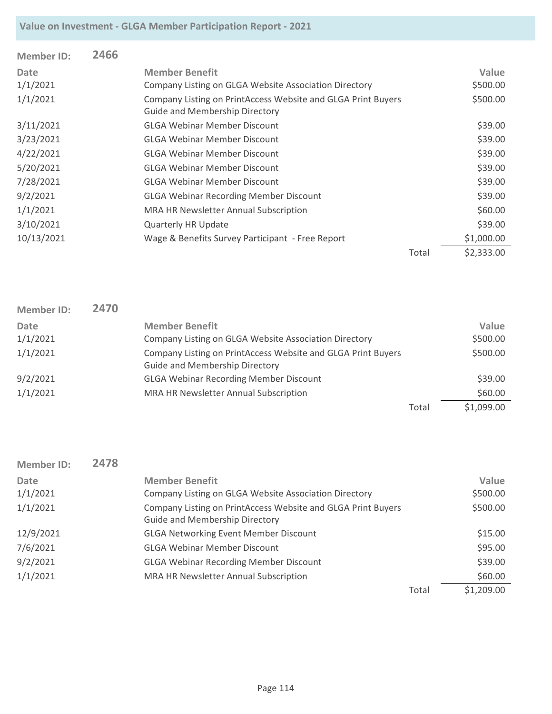| <b>Member ID:</b> | 2466 |                                                                                                       |       |            |
|-------------------|------|-------------------------------------------------------------------------------------------------------|-------|------------|
| <b>Date</b>       |      | <b>Member Benefit</b>                                                                                 |       | Value      |
| 1/1/2021          |      | Company Listing on GLGA Website Association Directory                                                 |       | \$500.00   |
| 1/1/2021          |      | Company Listing on PrintAccess Website and GLGA Print Buyers<br><b>Guide and Membership Directory</b> |       | \$500.00   |
| 3/11/2021         |      | <b>GLGA Webinar Member Discount</b>                                                                   |       | \$39.00    |
| 3/23/2021         |      | <b>GLGA Webinar Member Discount</b>                                                                   |       | \$39.00    |
| 4/22/2021         |      | <b>GLGA Webinar Member Discount</b>                                                                   |       | \$39.00    |
| 5/20/2021         |      | <b>GLGA Webinar Member Discount</b>                                                                   |       | \$39.00    |
| 7/28/2021         |      | <b>GLGA Webinar Member Discount</b>                                                                   |       | \$39.00    |
| 9/2/2021          |      | <b>GLGA Webinar Recording Member Discount</b>                                                         |       | \$39.00    |
| 1/1/2021          |      | MRA HR Newsletter Annual Subscription                                                                 |       | \$60.00    |
| 3/10/2021         |      | <b>Quarterly HR Update</b>                                                                            |       | \$39.00    |
| 10/13/2021        |      | Wage & Benefits Survey Participant - Free Report                                                      |       | \$1,000.00 |
|                   |      |                                                                                                       | Total | \$2,333.00 |

| <b>Member ID:</b> | 2470 |                                                                                                       |       |            |
|-------------------|------|-------------------------------------------------------------------------------------------------------|-------|------------|
| <b>Date</b>       |      | <b>Member Benefit</b>                                                                                 |       | Value      |
| 1/1/2021          |      | Company Listing on GLGA Website Association Directory                                                 |       | \$500.00   |
| 1/1/2021          |      | Company Listing on PrintAccess Website and GLGA Print Buyers<br><b>Guide and Membership Directory</b> |       | \$500.00   |
| 9/2/2021          |      | <b>GLGA Webinar Recording Member Discount</b>                                                         |       | \$39.00    |
| 1/1/2021          |      | MRA HR Newsletter Annual Subscription                                                                 |       | \$60.00    |
|                   |      |                                                                                                       | Total | \$1,099.00 |

| <b>Member ID:</b> | 2478 |                                                                                                       |       |            |
|-------------------|------|-------------------------------------------------------------------------------------------------------|-------|------------|
| <b>Date</b>       |      | <b>Member Benefit</b>                                                                                 |       | Value      |
| 1/1/2021          |      | Company Listing on GLGA Website Association Directory                                                 |       | \$500.00   |
| 1/1/2021          |      | Company Listing on PrintAccess Website and GLGA Print Buyers<br><b>Guide and Membership Directory</b> |       | \$500.00   |
| 12/9/2021         |      | <b>GLGA Networking Event Member Discount</b>                                                          |       | \$15.00    |
| 7/6/2021          |      | <b>GLGA Webinar Member Discount</b>                                                                   |       | \$95.00    |
| 9/2/2021          |      | <b>GLGA Webinar Recording Member Discount</b>                                                         |       | \$39.00    |
| 1/1/2021          |      | MRA HR Newsletter Annual Subscription                                                                 |       | \$60.00    |
|                   |      |                                                                                                       | Total | \$1,209.00 |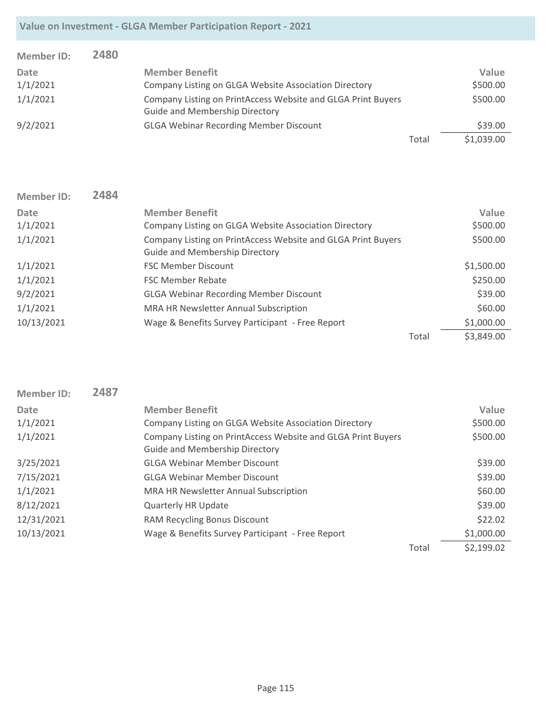| <b>Member ID:</b> | 2480 |                                                                                                       |       |            |
|-------------------|------|-------------------------------------------------------------------------------------------------------|-------|------------|
| Date              |      | <b>Member Benefit</b>                                                                                 |       | Value      |
| 1/1/2021          |      | Company Listing on GLGA Website Association Directory                                                 |       | \$500.00   |
| 1/1/2021          |      | Company Listing on PrintAccess Website and GLGA Print Buyers<br><b>Guide and Membership Directory</b> |       | \$500.00   |
| 9/2/2021          |      | <b>GLGA Webinar Recording Member Discount</b>                                                         |       | \$39.00    |
|                   |      |                                                                                                       | Total | \$1,039.00 |

| <b>Member ID:</b> | 2484 |                                                                                                       |       |            |
|-------------------|------|-------------------------------------------------------------------------------------------------------|-------|------------|
| Date              |      | <b>Member Benefit</b>                                                                                 |       | Value      |
| 1/1/2021          |      | Company Listing on GLGA Website Association Directory                                                 |       | \$500.00   |
| 1/1/2021          |      | Company Listing on PrintAccess Website and GLGA Print Buyers<br><b>Guide and Membership Directory</b> |       | \$500.00   |
| 1/1/2021          |      | <b>FSC Member Discount</b>                                                                            |       | \$1,500.00 |
| 1/1/2021          |      | <b>FSC Member Rebate</b>                                                                              |       | \$250.00   |
| 9/2/2021          |      | <b>GLGA Webinar Recording Member Discount</b>                                                         |       | \$39.00    |
| 1/1/2021          |      | MRA HR Newsletter Annual Subscription                                                                 |       | \$60.00    |
| 10/13/2021        |      | Wage & Benefits Survey Participant - Free Report                                                      |       | \$1,000.00 |
|                   |      |                                                                                                       | Total | \$3,849.00 |

| <b>Member ID:</b> | 2487 |                                                                                                       |       |            |
|-------------------|------|-------------------------------------------------------------------------------------------------------|-------|------------|
| Date              |      | <b>Member Benefit</b>                                                                                 |       | Value      |
| 1/1/2021          |      | Company Listing on GLGA Website Association Directory                                                 |       | \$500.00   |
| 1/1/2021          |      | Company Listing on PrintAccess Website and GLGA Print Buyers<br><b>Guide and Membership Directory</b> |       | \$500.00   |
| 3/25/2021         |      | <b>GLGA Webinar Member Discount</b>                                                                   |       | \$39.00    |
| 7/15/2021         |      | <b>GLGA Webinar Member Discount</b>                                                                   |       | \$39.00    |
| 1/1/2021          |      | <b>MRA HR Newsletter Annual Subscription</b>                                                          |       | \$60.00    |
| 8/12/2021         |      | Quarterly HR Update                                                                                   |       | \$39.00    |
| 12/31/2021        |      | RAM Recycling Bonus Discount                                                                          |       | \$22.02    |
| 10/13/2021        |      | Wage & Benefits Survey Participant - Free Report                                                      |       | \$1,000.00 |
|                   |      |                                                                                                       | Total | \$2,199.02 |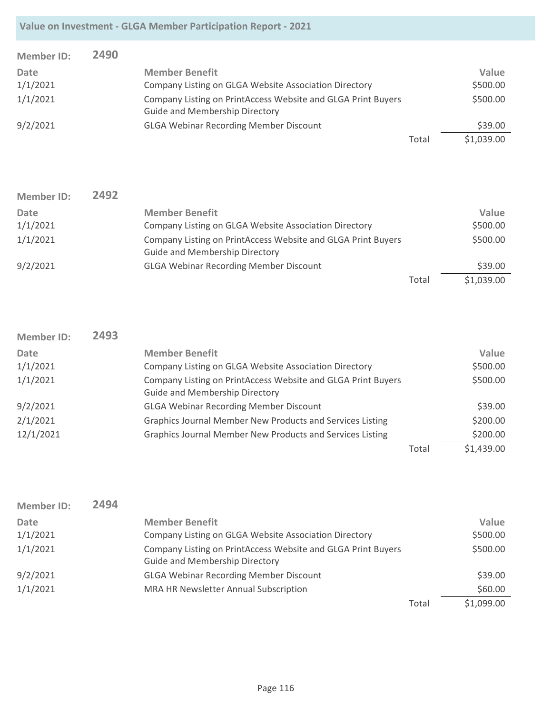| <b>Member ID:</b> | 2490 |                                                                                                       |       |            |
|-------------------|------|-------------------------------------------------------------------------------------------------------|-------|------------|
| <b>Date</b>       |      | <b>Member Benefit</b>                                                                                 |       | Value      |
| 1/1/2021          |      | Company Listing on GLGA Website Association Directory                                                 |       | \$500.00   |
| 1/1/2021          |      | Company Listing on PrintAccess Website and GLGA Print Buyers<br><b>Guide and Membership Directory</b> |       | \$500.00   |
| 9/2/2021          |      | <b>GLGA Webinar Recording Member Discount</b>                                                         |       | \$39.00    |
|                   |      |                                                                                                       | Total | \$1,039.00 |

| <b>Member ID:</b> | 2492 |                                                                                                       |       |            |
|-------------------|------|-------------------------------------------------------------------------------------------------------|-------|------------|
| Date              |      | <b>Member Benefit</b>                                                                                 |       | Value      |
| 1/1/2021          |      | Company Listing on GLGA Website Association Directory                                                 |       | \$500.00   |
| 1/1/2021          |      | Company Listing on PrintAccess Website and GLGA Print Buyers<br><b>Guide and Membership Directory</b> |       | \$500.00   |
| 9/2/2021          |      | <b>GLGA Webinar Recording Member Discount</b>                                                         |       | \$39.00    |
|                   |      |                                                                                                       | Total | \$1,039.00 |

| <b>Member ID:</b> | 2493 |                                                                                                       |       |            |
|-------------------|------|-------------------------------------------------------------------------------------------------------|-------|------------|
| Date              |      | <b>Member Benefit</b>                                                                                 |       | Value      |
| 1/1/2021          |      | Company Listing on GLGA Website Association Directory                                                 |       | \$500.00   |
| 1/1/2021          |      | Company Listing on PrintAccess Website and GLGA Print Buyers<br><b>Guide and Membership Directory</b> |       | \$500.00   |
| 9/2/2021          |      | <b>GLGA Webinar Recording Member Discount</b>                                                         |       | \$39.00    |
| 2/1/2021          |      | Graphics Journal Member New Products and Services Listing                                             |       | \$200.00   |
| 12/1/2021         |      | Graphics Journal Member New Products and Services Listing                                             |       | \$200.00   |
|                   |      |                                                                                                       | Total | \$1,439.00 |

| <b>Member ID:</b> | 2494 |                                                                                                       |       |            |
|-------------------|------|-------------------------------------------------------------------------------------------------------|-------|------------|
| <b>Date</b>       |      | <b>Member Benefit</b>                                                                                 |       | Value      |
| 1/1/2021          |      | Company Listing on GLGA Website Association Directory                                                 |       | \$500.00   |
| 1/1/2021          |      | Company Listing on PrintAccess Website and GLGA Print Buyers<br><b>Guide and Membership Directory</b> |       | \$500.00   |
| 9/2/2021          |      | <b>GLGA Webinar Recording Member Discount</b>                                                         |       | \$39.00    |
| 1/1/2021          |      | MRA HR Newsletter Annual Subscription                                                                 |       | \$60.00    |
|                   |      |                                                                                                       | Total | \$1,099.00 |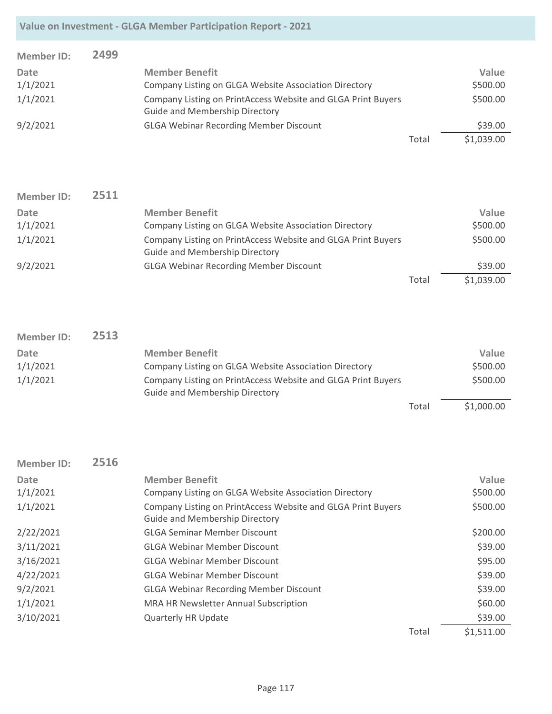| <b>Member ID:</b> | 2499 |                                                                                                       |       |            |
|-------------------|------|-------------------------------------------------------------------------------------------------------|-------|------------|
| Date              |      | <b>Member Benefit</b>                                                                                 |       | Value      |
| 1/1/2021          |      | Company Listing on GLGA Website Association Directory                                                 |       | \$500.00   |
| 1/1/2021          |      | Company Listing on PrintAccess Website and GLGA Print Buyers<br><b>Guide and Membership Directory</b> |       | \$500.00   |
| 9/2/2021          |      | <b>GLGA Webinar Recording Member Discount</b>                                                         |       | \$39.00    |
|                   |      |                                                                                                       | Total | \$1,039.00 |

| <b>Member ID:</b> | 2511 |                                                                                                       |       |            |
|-------------------|------|-------------------------------------------------------------------------------------------------------|-------|------------|
| Date              |      | <b>Member Benefit</b>                                                                                 |       | Value      |
| 1/1/2021          |      | Company Listing on GLGA Website Association Directory                                                 |       | \$500.00   |
| 1/1/2021          |      | Company Listing on PrintAccess Website and GLGA Print Buyers<br><b>Guide and Membership Directory</b> |       | \$500.00   |
| 9/2/2021          |      | <b>GLGA Webinar Recording Member Discount</b>                                                         |       | \$39.00    |
|                   |      |                                                                                                       | Total | \$1,039.00 |

| <b>Member ID:</b> | 2513 |                                                              |       |            |
|-------------------|------|--------------------------------------------------------------|-------|------------|
| Date              |      | <b>Member Benefit</b>                                        |       | Value      |
| 1/1/2021          |      | Company Listing on GLGA Website Association Directory        |       | \$500.00   |
| 1/1/2021          |      | Company Listing on PrintAccess Website and GLGA Print Buyers |       | \$500.00   |
|                   |      | <b>Guide and Membership Directory</b>                        |       |            |
|                   |      |                                                              | Total | \$1,000.00 |

| <b>Member ID:</b> | 2516 |                                                                                                       |       |            |
|-------------------|------|-------------------------------------------------------------------------------------------------------|-------|------------|
| Date              |      | <b>Member Benefit</b>                                                                                 |       | Value      |
| 1/1/2021          |      | Company Listing on GLGA Website Association Directory                                                 |       | \$500.00   |
| 1/1/2021          |      | Company Listing on PrintAccess Website and GLGA Print Buyers<br><b>Guide and Membership Directory</b> |       | \$500.00   |
| 2/22/2021         |      | <b>GLGA Seminar Member Discount</b>                                                                   |       | \$200.00   |
| 3/11/2021         |      | <b>GLGA Webinar Member Discount</b>                                                                   |       | \$39.00    |
| 3/16/2021         |      | <b>GLGA Webinar Member Discount</b>                                                                   |       | \$95.00    |
| 4/22/2021         |      | <b>GLGA Webinar Member Discount</b>                                                                   |       | \$39.00    |
| 9/2/2021          |      | <b>GLGA Webinar Recording Member Discount</b>                                                         |       | \$39.00    |
| 1/1/2021          |      | MRA HR Newsletter Annual Subscription                                                                 |       | \$60.00    |
| 3/10/2021         |      | <b>Quarterly HR Update</b>                                                                            |       | \$39.00    |
|                   |      |                                                                                                       | Total | \$1,511.00 |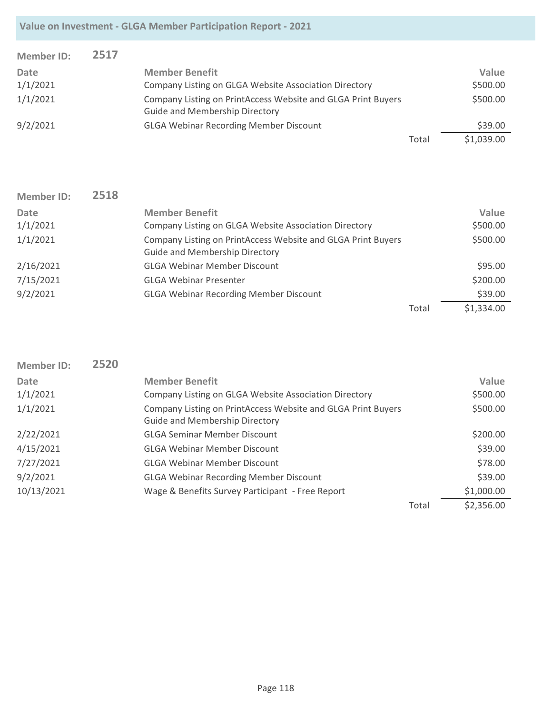| <b>Member ID:</b> | 2517 |                                                                                                       |       |            |
|-------------------|------|-------------------------------------------------------------------------------------------------------|-------|------------|
| Date              |      | <b>Member Benefit</b>                                                                                 |       | Value      |
| 1/1/2021          |      | Company Listing on GLGA Website Association Directory                                                 |       | \$500.00   |
| 1/1/2021          |      | Company Listing on PrintAccess Website and GLGA Print Buyers<br><b>Guide and Membership Directory</b> |       | \$500.00   |
| 9/2/2021          |      | <b>GLGA Webinar Recording Member Discount</b>                                                         |       | \$39.00    |
|                   |      |                                                                                                       | Total | \$1,039.00 |

| <b>Member ID:</b> | 2518 |                                                                                                       |       |            |
|-------------------|------|-------------------------------------------------------------------------------------------------------|-------|------------|
| <b>Date</b>       |      | <b>Member Benefit</b>                                                                                 |       | Value      |
| 1/1/2021          |      | Company Listing on GLGA Website Association Directory                                                 |       | \$500.00   |
| 1/1/2021          |      | Company Listing on PrintAccess Website and GLGA Print Buyers<br><b>Guide and Membership Directory</b> |       | \$500.00   |
| 2/16/2021         |      | <b>GLGA Webinar Member Discount</b>                                                                   |       | \$95.00    |
| 7/15/2021         |      | <b>GLGA Webinar Presenter</b>                                                                         |       | \$200.00   |
| 9/2/2021          |      | <b>GLGA Webinar Recording Member Discount</b>                                                         |       | \$39.00    |
|                   |      |                                                                                                       | Total | \$1,334.00 |

| <b>Member ID:</b> | 2520 |                                                                                                       |       |            |
|-------------------|------|-------------------------------------------------------------------------------------------------------|-------|------------|
| Date              |      | <b>Member Benefit</b>                                                                                 |       | Value      |
| 1/1/2021          |      | Company Listing on GLGA Website Association Directory                                                 |       | \$500.00   |
| 1/1/2021          |      | Company Listing on PrintAccess Website and GLGA Print Buyers<br><b>Guide and Membership Directory</b> |       | \$500.00   |
| 2/22/2021         |      | <b>GLGA Seminar Member Discount</b>                                                                   |       | \$200.00   |
| 4/15/2021         |      | <b>GLGA Webinar Member Discount</b>                                                                   |       | \$39.00    |
| 7/27/2021         |      | <b>GLGA Webinar Member Discount</b>                                                                   |       | \$78.00    |
| 9/2/2021          |      | <b>GLGA Webinar Recording Member Discount</b>                                                         |       | \$39.00    |
| 10/13/2021        |      | Wage & Benefits Survey Participant - Free Report                                                      |       | \$1,000.00 |
|                   |      |                                                                                                       | Total | \$2,356.00 |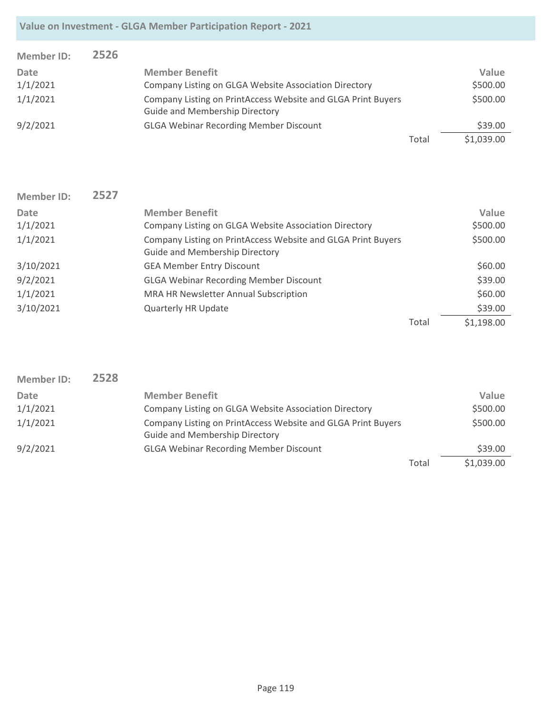| <b>Member ID:</b> | 2526 |                                                                                                       |       |            |
|-------------------|------|-------------------------------------------------------------------------------------------------------|-------|------------|
| Date              |      | <b>Member Benefit</b>                                                                                 |       | Value      |
| 1/1/2021          |      | Company Listing on GLGA Website Association Directory                                                 |       | \$500.00   |
| 1/1/2021          |      | Company Listing on PrintAccess Website and GLGA Print Buyers<br><b>Guide and Membership Directory</b> |       | \$500.00   |
| 9/2/2021          |      | <b>GLGA Webinar Recording Member Discount</b>                                                         |       | \$39.00    |
|                   |      |                                                                                                       | Total | \$1,039.00 |

| <b>Member ID:</b> | 2527 |                                                                                                       |       |            |
|-------------------|------|-------------------------------------------------------------------------------------------------------|-------|------------|
| <b>Date</b>       |      | <b>Member Benefit</b>                                                                                 |       | Value      |
| 1/1/2021          |      | Company Listing on GLGA Website Association Directory                                                 |       | \$500.00   |
| 1/1/2021          |      | Company Listing on PrintAccess Website and GLGA Print Buyers<br><b>Guide and Membership Directory</b> |       | \$500.00   |
| 3/10/2021         |      | <b>GEA Member Entry Discount</b>                                                                      |       | \$60.00    |
| 9/2/2021          |      | <b>GLGA Webinar Recording Member Discount</b>                                                         |       | \$39.00    |
| 1/1/2021          |      | MRA HR Newsletter Annual Subscription                                                                 |       | \$60.00    |
| 3/10/2021         |      | <b>Quarterly HR Update</b>                                                                            |       | \$39.00    |
|                   |      |                                                                                                       | Total | \$1,198.00 |

| <b>Member ID:</b> | 2528 |                                                                                                       |       |            |
|-------------------|------|-------------------------------------------------------------------------------------------------------|-------|------------|
| Date              |      | <b>Member Benefit</b>                                                                                 |       | Value      |
| 1/1/2021          |      | Company Listing on GLGA Website Association Directory                                                 |       | \$500.00   |
| 1/1/2021          |      | Company Listing on PrintAccess Website and GLGA Print Buyers<br><b>Guide and Membership Directory</b> |       | \$500.00   |
| 9/2/2021          |      | <b>GLGA Webinar Recording Member Discount</b>                                                         |       | \$39.00    |
|                   |      |                                                                                                       | Total | \$1,039.00 |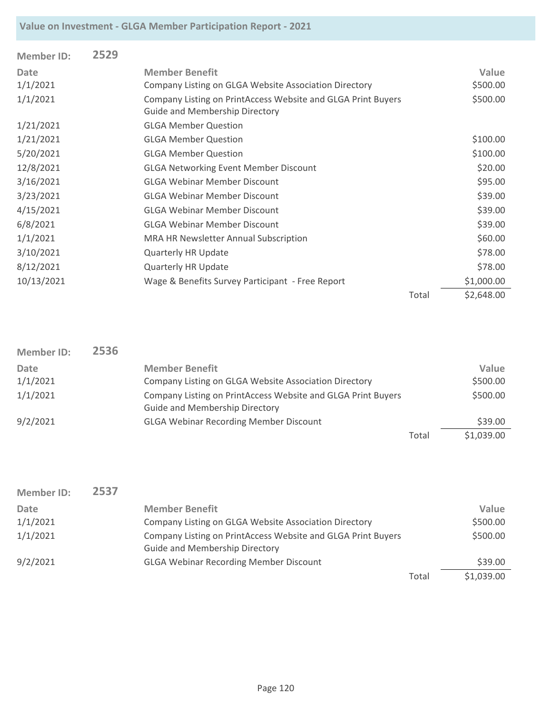| <b>Member ID:</b> | 2529 |                                                                                                       |       |            |
|-------------------|------|-------------------------------------------------------------------------------------------------------|-------|------------|
| <b>Date</b>       |      | <b>Member Benefit</b>                                                                                 |       | Value      |
| 1/1/2021          |      | Company Listing on GLGA Website Association Directory                                                 |       | \$500.00   |
| 1/1/2021          |      | Company Listing on PrintAccess Website and GLGA Print Buyers<br><b>Guide and Membership Directory</b> |       | \$500.00   |
| 1/21/2021         |      | <b>GLGA Member Question</b>                                                                           |       |            |
| 1/21/2021         |      | <b>GLGA Member Question</b>                                                                           |       | \$100.00   |
| 5/20/2021         |      | <b>GLGA Member Question</b>                                                                           |       | \$100.00   |
| 12/8/2021         |      | <b>GLGA Networking Event Member Discount</b>                                                          |       | \$20.00    |
| 3/16/2021         |      | <b>GLGA Webinar Member Discount</b>                                                                   |       | \$95.00    |
| 3/23/2021         |      | <b>GLGA Webinar Member Discount</b>                                                                   |       | \$39.00    |
| 4/15/2021         |      | <b>GLGA Webinar Member Discount</b>                                                                   |       | \$39.00    |
| 6/8/2021          |      | <b>GLGA Webinar Member Discount</b>                                                                   |       | \$39.00    |
| 1/1/2021          |      | <b>MRA HR Newsletter Annual Subscription</b>                                                          |       | \$60.00    |
| 3/10/2021         |      | <b>Quarterly HR Update</b>                                                                            |       | \$78.00    |
| 8/12/2021         |      | <b>Quarterly HR Update</b>                                                                            |       | \$78.00    |
| 10/13/2021        |      | Wage & Benefits Survey Participant - Free Report                                                      |       | \$1,000.00 |
|                   |      |                                                                                                       | Total | \$2,648.00 |

| <b>Member ID:</b> | 2536 |                                                                                                       |       |            |
|-------------------|------|-------------------------------------------------------------------------------------------------------|-------|------------|
| Date              |      | <b>Member Benefit</b>                                                                                 |       | Value      |
| 1/1/2021          |      | Company Listing on GLGA Website Association Directory                                                 |       | \$500.00   |
| 1/1/2021          |      | Company Listing on PrintAccess Website and GLGA Print Buyers<br><b>Guide and Membership Directory</b> |       | \$500.00   |
| 9/2/2021          |      | <b>GLGA Webinar Recording Member Discount</b>                                                         |       | \$39.00    |
|                   |      |                                                                                                       | Total | \$1,039.00 |

| <b>Member ID:</b> | 2537 |                                                                                                       |       |            |
|-------------------|------|-------------------------------------------------------------------------------------------------------|-------|------------|
| Date              |      | <b>Member Benefit</b>                                                                                 |       | Value      |
| 1/1/2021          |      | Company Listing on GLGA Website Association Directory                                                 |       | \$500.00   |
| 1/1/2021          |      | Company Listing on PrintAccess Website and GLGA Print Buyers<br><b>Guide and Membership Directory</b> |       | \$500.00   |
| 9/2/2021          |      | <b>GLGA Webinar Recording Member Discount</b>                                                         |       | \$39.00    |
|                   |      |                                                                                                       | Total | \$1,039.00 |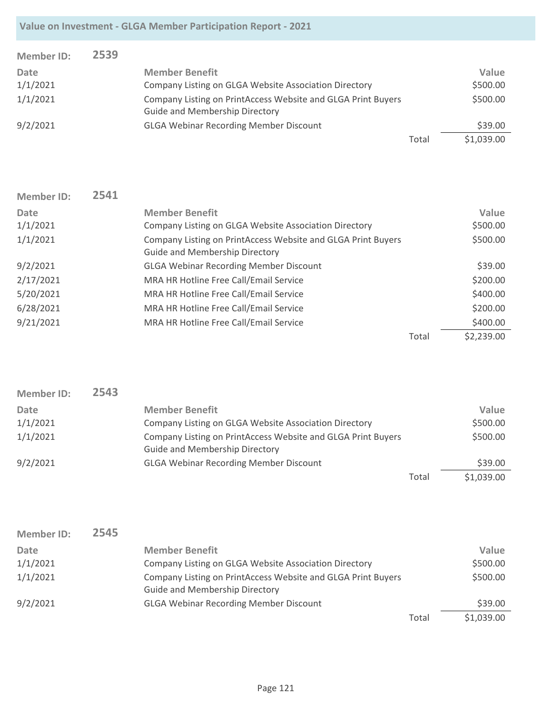| <b>Member ID:</b> | 2539 |                                                                                                       |       |            |
|-------------------|------|-------------------------------------------------------------------------------------------------------|-------|------------|
| Date              |      | <b>Member Benefit</b>                                                                                 |       | Value      |
| 1/1/2021          |      | Company Listing on GLGA Website Association Directory                                                 |       | \$500.00   |
| 1/1/2021          |      | Company Listing on PrintAccess Website and GLGA Print Buyers<br><b>Guide and Membership Directory</b> |       | \$500.00   |
| 9/2/2021          |      | <b>GLGA Webinar Recording Member Discount</b>                                                         |       | \$39.00    |
|                   |      |                                                                                                       | Total | \$1,039.00 |

| <b>Member ID:</b> | 2541 |                                                                                                       |       |            |
|-------------------|------|-------------------------------------------------------------------------------------------------------|-------|------------|
| <b>Date</b>       |      | <b>Member Benefit</b>                                                                                 |       | Value      |
| 1/1/2021          |      | Company Listing on GLGA Website Association Directory                                                 |       | \$500.00   |
| 1/1/2021          |      | Company Listing on PrintAccess Website and GLGA Print Buyers<br><b>Guide and Membership Directory</b> |       | \$500.00   |
| 9/2/2021          |      | <b>GLGA Webinar Recording Member Discount</b>                                                         |       | \$39.00    |
| 2/17/2021         |      | MRA HR Hotline Free Call/Email Service                                                                |       | \$200.00   |
| 5/20/2021         |      | MRA HR Hotline Free Call/Email Service                                                                |       | \$400.00   |
| 6/28/2021         |      | MRA HR Hotline Free Call/Email Service                                                                |       | \$200.00   |
| 9/21/2021         |      | MRA HR Hotline Free Call/Email Service                                                                |       | \$400.00   |
|                   |      |                                                                                                       | Total | \$2,239.00 |

| <b>Member ID:</b> | 2543 |                                                                                                       |       |            |
|-------------------|------|-------------------------------------------------------------------------------------------------------|-------|------------|
| Date              |      | <b>Member Benefit</b>                                                                                 |       | Value      |
| 1/1/2021          |      | Company Listing on GLGA Website Association Directory                                                 |       | \$500.00   |
| 1/1/2021          |      | Company Listing on PrintAccess Website and GLGA Print Buyers<br><b>Guide and Membership Directory</b> |       | \$500.00   |
| 9/2/2021          |      | <b>GLGA Webinar Recording Member Discount</b>                                                         |       | \$39.00    |
|                   |      |                                                                                                       | Total | \$1,039.00 |

| Member ID: | 2545 |                                                                                                       |       |            |
|------------|------|-------------------------------------------------------------------------------------------------------|-------|------------|
| Date       |      | <b>Member Benefit</b>                                                                                 |       | Value      |
| 1/1/2021   |      | Company Listing on GLGA Website Association Directory                                                 |       | \$500.00   |
| 1/1/2021   |      | Company Listing on PrintAccess Website and GLGA Print Buyers<br><b>Guide and Membership Directory</b> |       | \$500.00   |
| 9/2/2021   |      | <b>GLGA Webinar Recording Member Discount</b>                                                         |       | \$39.00    |
|            |      |                                                                                                       | Total | \$1,039.00 |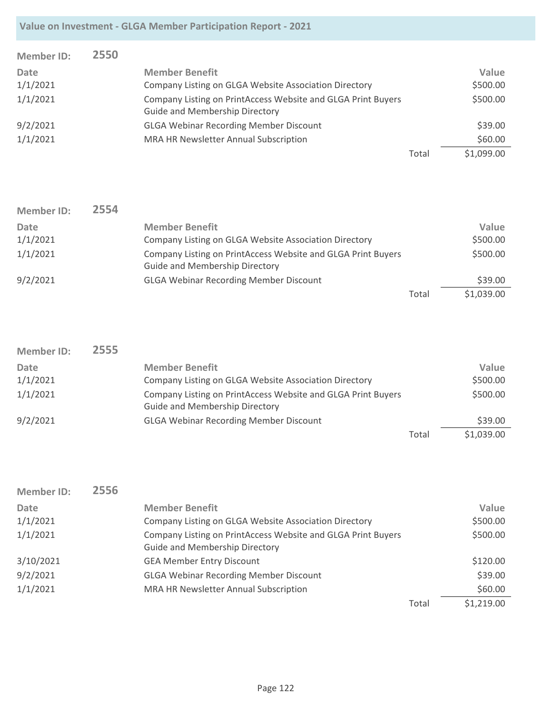| <b>Member ID:</b> | 2550 |                                                                                                       |       |            |
|-------------------|------|-------------------------------------------------------------------------------------------------------|-------|------------|
| Date              |      | <b>Member Benefit</b>                                                                                 |       | Value      |
| 1/1/2021          |      | Company Listing on GLGA Website Association Directory                                                 |       | \$500.00   |
| 1/1/2021          |      | Company Listing on PrintAccess Website and GLGA Print Buyers<br><b>Guide and Membership Directory</b> |       | \$500.00   |
| 9/2/2021          |      | <b>GLGA Webinar Recording Member Discount</b>                                                         |       | \$39.00    |
| 1/1/2021          |      | MRA HR Newsletter Annual Subscription                                                                 |       | \$60.00    |
|                   |      |                                                                                                       | Total | \$1,099.00 |

| <b>Member ID:</b> | 2554 |                                                                                                       |       |            |
|-------------------|------|-------------------------------------------------------------------------------------------------------|-------|------------|
| Date              |      | <b>Member Benefit</b>                                                                                 |       | Value      |
| 1/1/2021          |      | Company Listing on GLGA Website Association Directory                                                 |       | \$500.00   |
| 1/1/2021          |      | Company Listing on PrintAccess Website and GLGA Print Buyers<br><b>Guide and Membership Directory</b> |       | \$500.00   |
| 9/2/2021          |      | <b>GLGA Webinar Recording Member Discount</b>                                                         |       | \$39.00    |
|                   |      |                                                                                                       | Total | \$1,039.00 |

| <b>Member ID:</b> | 2555 |                                                                                                       |       |            |
|-------------------|------|-------------------------------------------------------------------------------------------------------|-------|------------|
| Date              |      | <b>Member Benefit</b>                                                                                 |       | Value      |
| 1/1/2021          |      | Company Listing on GLGA Website Association Directory                                                 |       | \$500.00   |
| 1/1/2021          |      | Company Listing on PrintAccess Website and GLGA Print Buyers<br><b>Guide and Membership Directory</b> |       | \$500.00   |
| 9/2/2021          |      | <b>GLGA Webinar Recording Member Discount</b>                                                         |       | \$39.00    |
|                   |      |                                                                                                       | Total | \$1,039.00 |

| <b>Member ID:</b> | 2556 |                                                                                                       |       |            |
|-------------------|------|-------------------------------------------------------------------------------------------------------|-------|------------|
| <b>Date</b>       |      | <b>Member Benefit</b>                                                                                 |       | Value      |
| 1/1/2021          |      | Company Listing on GLGA Website Association Directory                                                 |       | \$500.00   |
| 1/1/2021          |      | Company Listing on PrintAccess Website and GLGA Print Buyers<br><b>Guide and Membership Directory</b> |       | \$500.00   |
| 3/10/2021         |      | <b>GEA Member Entry Discount</b>                                                                      |       | \$120.00   |
| 9/2/2021          |      | <b>GLGA Webinar Recording Member Discount</b>                                                         |       | \$39.00    |
| 1/1/2021          |      | MRA HR Newsletter Annual Subscription                                                                 |       | \$60.00    |
|                   |      |                                                                                                       | Total | \$1,219.00 |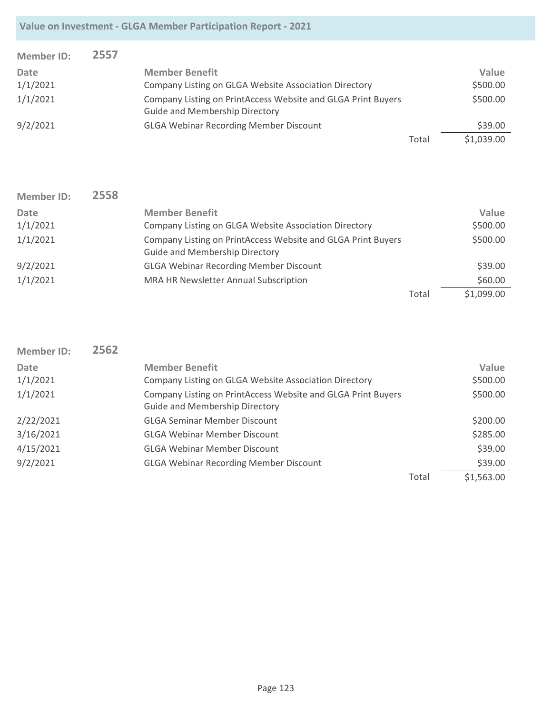| <b>Member ID:</b> | 2557 |                                                                                                       |       |            |
|-------------------|------|-------------------------------------------------------------------------------------------------------|-------|------------|
| Date              |      | <b>Member Benefit</b>                                                                                 |       | Value      |
| 1/1/2021          |      | Company Listing on GLGA Website Association Directory                                                 |       | \$500.00   |
| 1/1/2021          |      | Company Listing on PrintAccess Website and GLGA Print Buyers<br><b>Guide and Membership Directory</b> |       | \$500.00   |
| 9/2/2021          |      | <b>GLGA Webinar Recording Member Discount</b>                                                         |       | \$39.00    |
|                   |      |                                                                                                       | Total | \$1,039.00 |

| <b>Member ID:</b> | 2558 |                                                                                                       |       |                   |
|-------------------|------|-------------------------------------------------------------------------------------------------------|-------|-------------------|
| Date<br>1/1/2021  |      | <b>Member Benefit</b><br>Company Listing on GLGA Website Association Directory                        |       | Value<br>\$500.00 |
| 1/1/2021          |      | Company Listing on PrintAccess Website and GLGA Print Buyers<br><b>Guide and Membership Directory</b> |       | \$500.00          |
| 9/2/2021          |      | <b>GLGA Webinar Recording Member Discount</b>                                                         |       | \$39.00           |
| 1/1/2021          |      | MRA HR Newsletter Annual Subscription                                                                 |       | \$60.00           |
|                   |      |                                                                                                       | Total | \$1,099.00        |

| <b>Member ID:</b> | 2562 |                                                              |       |            |
|-------------------|------|--------------------------------------------------------------|-------|------------|
| Date              |      | <b>Member Benefit</b>                                        |       | Value      |
| 1/1/2021          |      | Company Listing on GLGA Website Association Directory        |       | \$500.00   |
| 1/1/2021          |      | Company Listing on PrintAccess Website and GLGA Print Buyers |       | \$500.00   |
|                   |      | <b>Guide and Membership Directory</b>                        |       |            |
| 2/22/2021         |      | <b>GLGA Seminar Member Discount</b>                          |       | \$200.00   |
| 3/16/2021         |      | <b>GLGA Webinar Member Discount</b>                          |       | \$285.00   |
| 4/15/2021         |      | <b>GLGA Webinar Member Discount</b>                          |       | \$39.00    |
| 9/2/2021          |      | <b>GLGA Webinar Recording Member Discount</b>                |       | \$39.00    |
|                   |      |                                                              | Total | \$1,563.00 |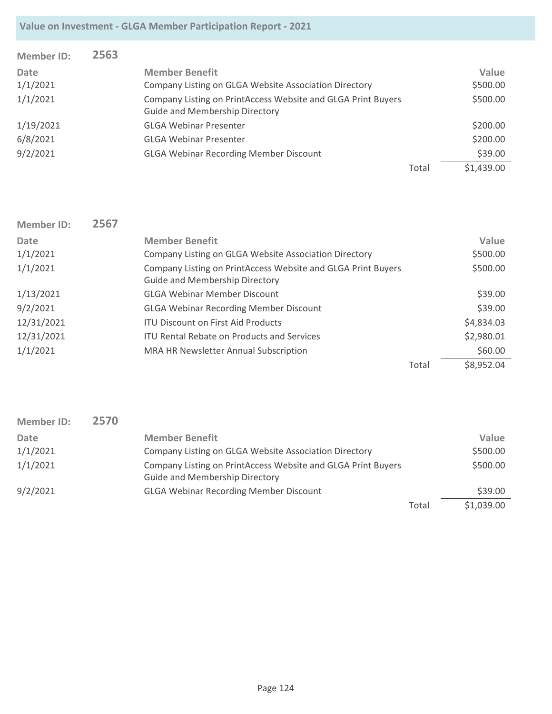| <b>Member ID:</b> | 2563 |                                                                                                       |       |            |
|-------------------|------|-------------------------------------------------------------------------------------------------------|-------|------------|
| Date              |      | <b>Member Benefit</b>                                                                                 |       | Value      |
| 1/1/2021          |      | Company Listing on GLGA Website Association Directory                                                 |       | \$500.00   |
| 1/1/2021          |      | Company Listing on PrintAccess Website and GLGA Print Buyers<br><b>Guide and Membership Directory</b> |       | \$500.00   |
| 1/19/2021         |      | <b>GLGA Webinar Presenter</b>                                                                         |       | \$200.00   |
| 6/8/2021          |      | <b>GLGA Webinar Presenter</b>                                                                         |       | \$200.00   |
| 9/2/2021          |      | <b>GLGA Webinar Recording Member Discount</b>                                                         |       | \$39.00    |
|                   |      |                                                                                                       | Total | \$1,439.00 |

| <b>Member ID:</b> | 2567 |                                                                                                       |       |            |
|-------------------|------|-------------------------------------------------------------------------------------------------------|-------|------------|
| <b>Date</b>       |      | <b>Member Benefit</b>                                                                                 |       | Value      |
| 1/1/2021          |      | Company Listing on GLGA Website Association Directory                                                 |       | \$500.00   |
| 1/1/2021          |      | Company Listing on PrintAccess Website and GLGA Print Buyers<br><b>Guide and Membership Directory</b> |       | \$500.00   |
| 1/13/2021         |      | <b>GLGA Webinar Member Discount</b>                                                                   |       | \$39.00    |
| 9/2/2021          |      | <b>GLGA Webinar Recording Member Discount</b>                                                         |       | \$39.00    |
| 12/31/2021        |      | <b>ITU Discount on First Aid Products</b>                                                             |       | \$4,834.03 |
| 12/31/2021        |      | <b>ITU Rental Rebate on Products and Services</b>                                                     |       | \$2,980.01 |
| 1/1/2021          |      | MRA HR Newsletter Annual Subscription                                                                 |       | \$60.00    |
|                   |      |                                                                                                       | Total | \$8,952.04 |

| <b>Member ID:</b> | 2570 |                                                                                                       |       |            |
|-------------------|------|-------------------------------------------------------------------------------------------------------|-------|------------|
| <b>Date</b>       |      | <b>Member Benefit</b>                                                                                 |       | Value      |
| 1/1/2021          |      | Company Listing on GLGA Website Association Directory                                                 |       | \$500.00   |
| 1/1/2021          |      | Company Listing on PrintAccess Website and GLGA Print Buyers<br><b>Guide and Membership Directory</b> |       | \$500.00   |
| 9/2/2021          |      | <b>GLGA Webinar Recording Member Discount</b>                                                         |       | \$39.00    |
|                   |      |                                                                                                       | Total | \$1,039.00 |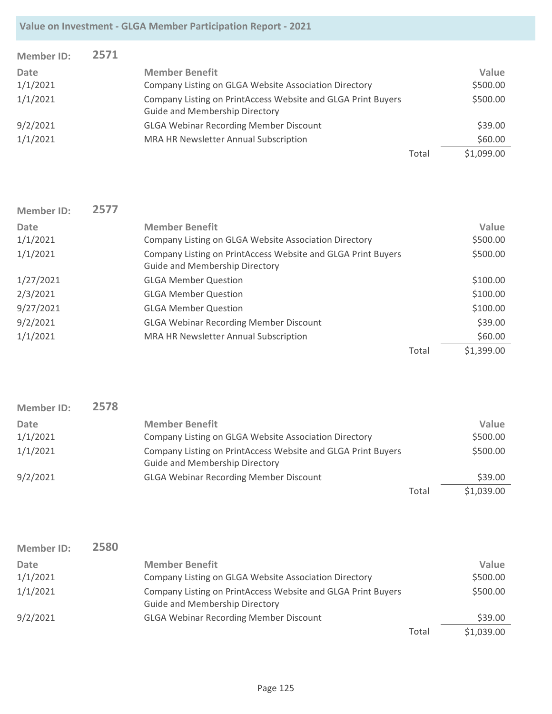| <b>Member ID:</b> | 2571 |                                                                                                       |       |            |
|-------------------|------|-------------------------------------------------------------------------------------------------------|-------|------------|
| Date              |      | <b>Member Benefit</b>                                                                                 |       | Value      |
| 1/1/2021          |      | Company Listing on GLGA Website Association Directory                                                 |       | \$500.00   |
| 1/1/2021          |      | Company Listing on PrintAccess Website and GLGA Print Buyers<br><b>Guide and Membership Directory</b> |       | \$500.00   |
| 9/2/2021          |      | <b>GLGA Webinar Recording Member Discount</b>                                                         |       | \$39.00    |
| 1/1/2021          |      | MRA HR Newsletter Annual Subscription                                                                 |       | \$60.00    |
|                   |      |                                                                                                       | Total | \$1,099.00 |

| <b>Member ID:</b> | 2577 |                                                                                                       |       |            |
|-------------------|------|-------------------------------------------------------------------------------------------------------|-------|------------|
| <b>Date</b>       |      | <b>Member Benefit</b>                                                                                 |       | Value      |
| 1/1/2021          |      | Company Listing on GLGA Website Association Directory                                                 |       | \$500.00   |
| 1/1/2021          |      | Company Listing on PrintAccess Website and GLGA Print Buyers<br><b>Guide and Membership Directory</b> |       | \$500.00   |
| 1/27/2021         |      | <b>GLGA Member Question</b>                                                                           |       | \$100.00   |
| 2/3/2021          |      | <b>GLGA Member Question</b>                                                                           |       | \$100.00   |
| 9/27/2021         |      | <b>GLGA Member Question</b>                                                                           |       | \$100.00   |
| 9/2/2021          |      | <b>GLGA Webinar Recording Member Discount</b>                                                         |       | \$39.00    |
| 1/1/2021          |      | MRA HR Newsletter Annual Subscription                                                                 |       | \$60.00    |
|                   |      |                                                                                                       | Total | \$1,399.00 |

| <b>Member ID:</b> | 2578 |                                                                                                       |       |            |
|-------------------|------|-------------------------------------------------------------------------------------------------------|-------|------------|
| Date              |      | <b>Member Benefit</b>                                                                                 |       | Value      |
| 1/1/2021          |      | Company Listing on GLGA Website Association Directory                                                 |       | \$500.00   |
| 1/1/2021          |      | Company Listing on PrintAccess Website and GLGA Print Buyers<br><b>Guide and Membership Directory</b> |       | \$500.00   |
| 9/2/2021          |      | <b>GLGA Webinar Recording Member Discount</b>                                                         |       | \$39.00    |
|                   |      |                                                                                                       | Total | \$1,039.00 |

| <b>Member ID:</b> | 2580 |                                                                                                       |       |            |
|-------------------|------|-------------------------------------------------------------------------------------------------------|-------|------------|
| Date              |      | <b>Member Benefit</b>                                                                                 |       | Value      |
| 1/1/2021          |      | Company Listing on GLGA Website Association Directory                                                 |       | \$500.00   |
| 1/1/2021          |      | Company Listing on PrintAccess Website and GLGA Print Buyers<br><b>Guide and Membership Directory</b> |       | \$500.00   |
| 9/2/2021          |      | <b>GLGA Webinar Recording Member Discount</b>                                                         |       | \$39.00    |
|                   |      |                                                                                                       | Total | \$1,039.00 |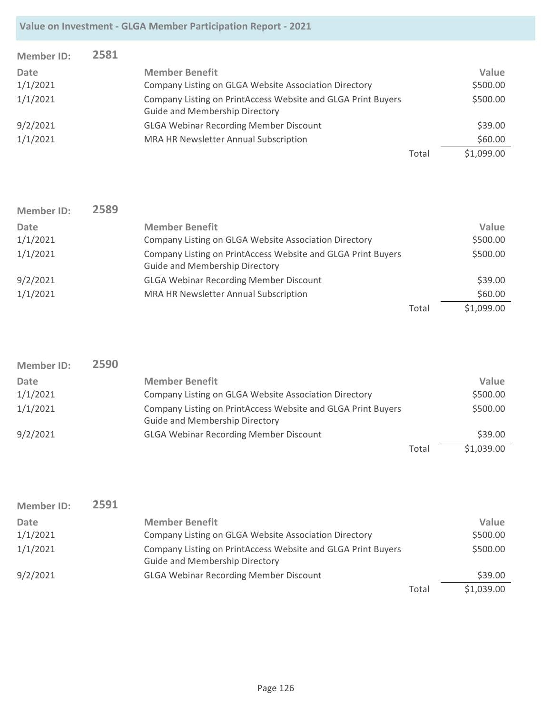| <b>Member ID:</b> | 2581 |                                                              |       |            |
|-------------------|------|--------------------------------------------------------------|-------|------------|
| Date              |      | <b>Member Benefit</b>                                        |       | Value      |
| 1/1/2021          |      | Company Listing on GLGA Website Association Directory        |       | \$500.00   |
| 1/1/2021          |      | Company Listing on PrintAccess Website and GLGA Print Buyers |       | \$500.00   |
|                   |      | <b>Guide and Membership Directory</b>                        |       |            |
| 9/2/2021          |      | <b>GLGA Webinar Recording Member Discount</b>                |       | \$39.00    |
| 1/1/2021          |      | MRA HR Newsletter Annual Subscription                        |       | \$60.00    |
|                   |      |                                                              | Total | \$1,099.00 |

| <b>Member ID:</b> | 2589 |                                                              |       |            |
|-------------------|------|--------------------------------------------------------------|-------|------------|
| Date              |      | <b>Member Benefit</b>                                        |       | Value      |
| 1/1/2021          |      | Company Listing on GLGA Website Association Directory        |       | \$500.00   |
| 1/1/2021          |      | Company Listing on PrintAccess Website and GLGA Print Buyers |       | \$500.00   |
|                   |      | <b>Guide and Membership Directory</b>                        |       |            |
| 9/2/2021          |      | <b>GLGA Webinar Recording Member Discount</b>                |       | \$39.00    |
| 1/1/2021          |      | <b>MRA HR Newsletter Annual Subscription</b>                 |       | \$60.00    |
|                   |      |                                                              | Total | \$1,099.00 |

| <b>Member ID:</b> | 2590 |                                                                                                       |       |            |
|-------------------|------|-------------------------------------------------------------------------------------------------------|-------|------------|
| Date              |      | <b>Member Benefit</b>                                                                                 |       | Value      |
| 1/1/2021          |      | Company Listing on GLGA Website Association Directory                                                 |       | \$500.00   |
| 1/1/2021          |      | Company Listing on PrintAccess Website and GLGA Print Buyers<br><b>Guide and Membership Directory</b> |       | \$500.00   |
| 9/2/2021          |      | <b>GLGA Webinar Recording Member Discount</b>                                                         |       | \$39.00    |
|                   |      |                                                                                                       | Total | \$1,039.00 |

| <b>Member ID:</b> | 2591 |                                                                                                       |       |            |
|-------------------|------|-------------------------------------------------------------------------------------------------------|-------|------------|
| Date              |      | <b>Member Benefit</b>                                                                                 |       | Value      |
| 1/1/2021          |      | Company Listing on GLGA Website Association Directory                                                 |       | \$500.00   |
| 1/1/2021          |      | Company Listing on PrintAccess Website and GLGA Print Buyers<br><b>Guide and Membership Directory</b> |       | \$500.00   |
| 9/2/2021          |      | <b>GLGA Webinar Recording Member Discount</b>                                                         |       | \$39.00    |
|                   |      |                                                                                                       | Total | \$1,039.00 |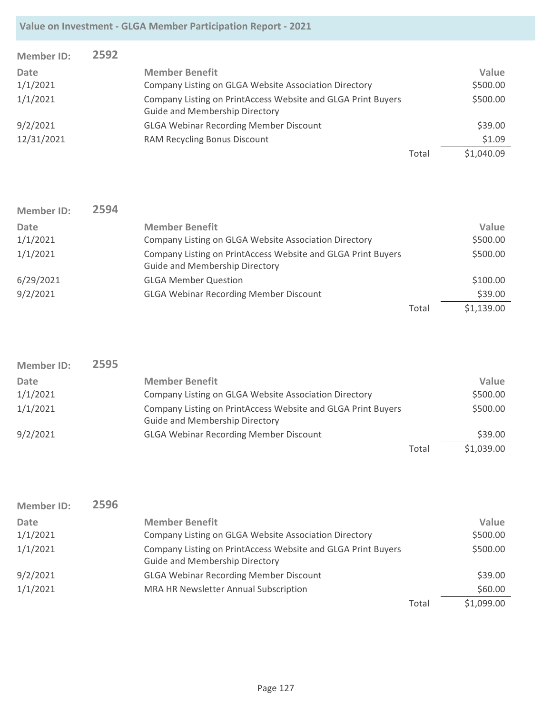| <b>Member ID:</b> | 2592 |                                                              |       |            |
|-------------------|------|--------------------------------------------------------------|-------|------------|
| Date              |      | <b>Member Benefit</b>                                        |       | Value      |
| 1/1/2021          |      | Company Listing on GLGA Website Association Directory        |       | \$500.00   |
| 1/1/2021          |      | Company Listing on PrintAccess Website and GLGA Print Buyers |       | \$500.00   |
|                   |      | <b>Guide and Membership Directory</b>                        |       |            |
| 9/2/2021          |      | <b>GLGA Webinar Recording Member Discount</b>                |       | \$39.00    |
| 12/31/2021        |      | RAM Recycling Bonus Discount                                 |       | \$1.09     |
|                   |      |                                                              | Total | \$1,040.09 |

| <b>Member ID:</b> | 2594 |                                                              |       |            |
|-------------------|------|--------------------------------------------------------------|-------|------------|
| Date              |      | <b>Member Benefit</b>                                        |       | Value      |
| 1/1/2021          |      | Company Listing on GLGA Website Association Directory        |       | \$500.00   |
| 1/1/2021          |      | Company Listing on PrintAccess Website and GLGA Print Buyers |       | \$500.00   |
|                   |      | <b>Guide and Membership Directory</b>                        |       |            |
| 6/29/2021         |      | <b>GLGA Member Question</b>                                  |       | \$100.00   |
| 9/2/2021          |      | <b>GLGA Webinar Recording Member Discount</b>                |       | \$39.00    |
|                   |      |                                                              | Total | \$1,139.00 |

| Member ID: | 2595 |                                                                                                       |       |            |
|------------|------|-------------------------------------------------------------------------------------------------------|-------|------------|
| Date       |      | <b>Member Benefit</b>                                                                                 |       | Value      |
| 1/1/2021   |      | Company Listing on GLGA Website Association Directory                                                 |       | \$500.00   |
| 1/1/2021   |      | Company Listing on PrintAccess Website and GLGA Print Buyers<br><b>Guide and Membership Directory</b> |       | \$500.00   |
| 9/2/2021   |      | <b>GLGA Webinar Recording Member Discount</b>                                                         |       | \$39.00    |
|            |      |                                                                                                       | Total | \$1,039.00 |

| Member ID:  | 2596 |                                                                                                       |       |            |
|-------------|------|-------------------------------------------------------------------------------------------------------|-------|------------|
| <b>Date</b> |      | <b>Member Benefit</b>                                                                                 |       | Value      |
| 1/1/2021    |      | Company Listing on GLGA Website Association Directory                                                 |       | \$500.00   |
| 1/1/2021    |      | Company Listing on PrintAccess Website and GLGA Print Buyers<br><b>Guide and Membership Directory</b> |       | \$500.00   |
| 9/2/2021    |      | <b>GLGA Webinar Recording Member Discount</b>                                                         |       | \$39.00    |
| 1/1/2021    |      | MRA HR Newsletter Annual Subscription                                                                 |       | \$60.00    |
|             |      |                                                                                                       | Total | \$1,099.00 |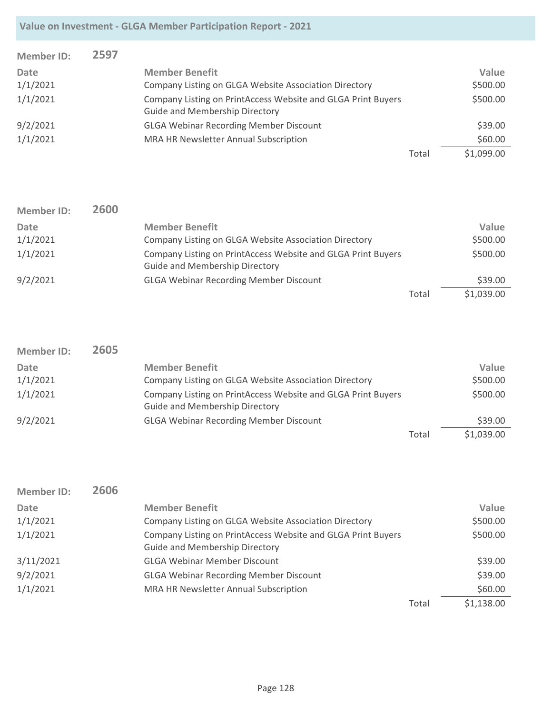| <b>Member ID:</b> | 2597 |                                                                                                       |       |            |
|-------------------|------|-------------------------------------------------------------------------------------------------------|-------|------------|
| Date              |      | <b>Member Benefit</b>                                                                                 |       | Value      |
| 1/1/2021          |      | Company Listing on GLGA Website Association Directory                                                 |       | \$500.00   |
| 1/1/2021          |      | Company Listing on PrintAccess Website and GLGA Print Buyers<br><b>Guide and Membership Directory</b> |       | \$500.00   |
| 9/2/2021          |      | <b>GLGA Webinar Recording Member Discount</b>                                                         |       | \$39.00    |
| 1/1/2021          |      | MRA HR Newsletter Annual Subscription                                                                 |       | \$60.00    |
|                   |      |                                                                                                       | Total | \$1,099.00 |

| <b>Member ID:</b> | 2600 |                                                                                                       |       |            |
|-------------------|------|-------------------------------------------------------------------------------------------------------|-------|------------|
| Date              |      | <b>Member Benefit</b>                                                                                 |       | Value      |
| 1/1/2021          |      | Company Listing on GLGA Website Association Directory                                                 |       | \$500.00   |
| 1/1/2021          |      | Company Listing on PrintAccess Website and GLGA Print Buyers<br><b>Guide and Membership Directory</b> |       | \$500.00   |
| 9/2/2021          |      | <b>GLGA Webinar Recording Member Discount</b>                                                         |       | \$39.00    |
|                   |      |                                                                                                       | Total | \$1,039.00 |

| Member ID: | 2605 |                                                                                                       |       |            |
|------------|------|-------------------------------------------------------------------------------------------------------|-------|------------|
| Date       |      | <b>Member Benefit</b>                                                                                 |       | Value      |
| 1/1/2021   |      | Company Listing on GLGA Website Association Directory                                                 |       | \$500.00   |
| 1/1/2021   |      | Company Listing on PrintAccess Website and GLGA Print Buyers<br><b>Guide and Membership Directory</b> |       | \$500.00   |
| 9/2/2021   |      | <b>GLGA Webinar Recording Member Discount</b>                                                         |       | \$39.00    |
|            |      |                                                                                                       | Total | \$1,039.00 |

| Member ID:  | 2606 |                                                                                                       |       |            |
|-------------|------|-------------------------------------------------------------------------------------------------------|-------|------------|
| <b>Date</b> |      | <b>Member Benefit</b>                                                                                 |       | Value      |
| 1/1/2021    |      | Company Listing on GLGA Website Association Directory                                                 |       | \$500.00   |
| 1/1/2021    |      | Company Listing on PrintAccess Website and GLGA Print Buyers<br><b>Guide and Membership Directory</b> |       | \$500.00   |
| 3/11/2021   |      | <b>GLGA Webinar Member Discount</b>                                                                   |       | \$39.00    |
| 9/2/2021    |      | <b>GLGA Webinar Recording Member Discount</b>                                                         |       | \$39.00    |
| 1/1/2021    |      | MRA HR Newsletter Annual Subscription                                                                 |       | \$60.00    |
|             |      |                                                                                                       | Total | \$1,138.00 |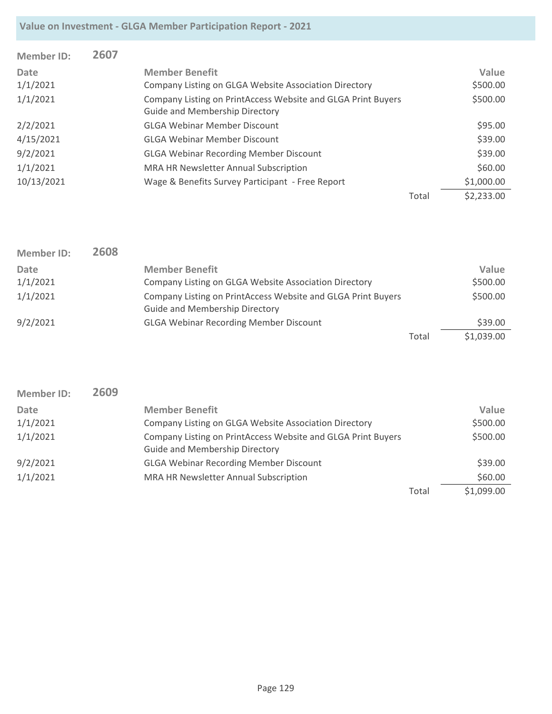| <b>Member ID:</b> | 2607 |                                                                                                       |       |            |
|-------------------|------|-------------------------------------------------------------------------------------------------------|-------|------------|
| <b>Date</b>       |      | <b>Member Benefit</b>                                                                                 |       | Value      |
| 1/1/2021          |      | Company Listing on GLGA Website Association Directory                                                 |       | \$500.00   |
| 1/1/2021          |      | Company Listing on PrintAccess Website and GLGA Print Buyers<br><b>Guide and Membership Directory</b> |       | \$500.00   |
| 2/2/2021          |      | <b>GLGA Webinar Member Discount</b>                                                                   |       | \$95.00    |
| 4/15/2021         |      | <b>GLGA Webinar Member Discount</b>                                                                   |       | \$39.00    |
| 9/2/2021          |      | <b>GLGA Webinar Recording Member Discount</b>                                                         |       | \$39.00    |
| 1/1/2021          |      | MRA HR Newsletter Annual Subscription                                                                 |       | \$60.00    |
| 10/13/2021        |      | Wage & Benefits Survey Participant - Free Report                                                      |       | \$1,000.00 |
|                   |      |                                                                                                       | Total | \$2,233.00 |

| <b>Member ID:</b> | 2608 |                                                                                                       |       |            |
|-------------------|------|-------------------------------------------------------------------------------------------------------|-------|------------|
| Date              |      | <b>Member Benefit</b>                                                                                 |       | Value      |
| 1/1/2021          |      | Company Listing on GLGA Website Association Directory                                                 |       | \$500.00   |
| 1/1/2021          |      | Company Listing on PrintAccess Website and GLGA Print Buyers<br><b>Guide and Membership Directory</b> |       | \$500.00   |
| 9/2/2021          |      | <b>GLGA Webinar Recording Member Discount</b>                                                         |       | \$39.00    |
|                   |      |                                                                                                       | Total | \$1,039.00 |

| <b>Member ID:</b> | 2609 |                                                                                                       |       |            |
|-------------------|------|-------------------------------------------------------------------------------------------------------|-------|------------|
| Date              |      | <b>Member Benefit</b>                                                                                 |       | Value      |
| 1/1/2021          |      | Company Listing on GLGA Website Association Directory                                                 |       | \$500.00   |
| 1/1/2021          |      | Company Listing on PrintAccess Website and GLGA Print Buyers<br><b>Guide and Membership Directory</b> |       | \$500.00   |
| 9/2/2021          |      | <b>GLGA Webinar Recording Member Discount</b>                                                         |       | \$39.00    |
| 1/1/2021          |      | MRA HR Newsletter Annual Subscription                                                                 |       | \$60.00    |
|                   |      |                                                                                                       | Total | \$1,099.00 |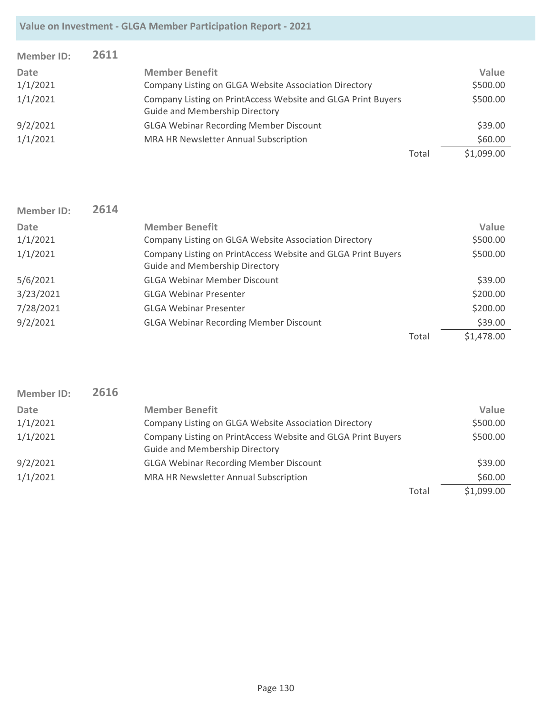| <b>Member ID:</b> | 2611 |                                                                                                       |       |            |
|-------------------|------|-------------------------------------------------------------------------------------------------------|-------|------------|
| Date              |      | <b>Member Benefit</b>                                                                                 |       | Value      |
| 1/1/2021          |      | Company Listing on GLGA Website Association Directory                                                 |       | \$500.00   |
| 1/1/2021          |      | Company Listing on PrintAccess Website and GLGA Print Buyers<br><b>Guide and Membership Directory</b> |       | \$500.00   |
| 9/2/2021          |      | <b>GLGA Webinar Recording Member Discount</b>                                                         |       | \$39.00    |
|                   |      |                                                                                                       |       |            |
| 1/1/2021          |      | MRA HR Newsletter Annual Subscription                                                                 |       | \$60.00    |
|                   |      |                                                                                                       | Total | \$1,099.00 |

| <b>Member ID:</b> | 2614 |                                                                                                       |       |            |
|-------------------|------|-------------------------------------------------------------------------------------------------------|-------|------------|
| <b>Date</b>       |      | <b>Member Benefit</b>                                                                                 |       | Value      |
| 1/1/2021          |      | Company Listing on GLGA Website Association Directory                                                 |       | \$500.00   |
| 1/1/2021          |      | Company Listing on PrintAccess Website and GLGA Print Buyers<br><b>Guide and Membership Directory</b> |       | \$500.00   |
| 5/6/2021          |      | <b>GLGA Webinar Member Discount</b>                                                                   |       | \$39.00    |
| 3/23/2021         |      | <b>GLGA Webinar Presenter</b>                                                                         |       | \$200.00   |
| 7/28/2021         |      | <b>GLGA Webinar Presenter</b>                                                                         |       | \$200.00   |
| 9/2/2021          |      | <b>GLGA Webinar Recording Member Discount</b>                                                         |       | \$39.00    |
|                   |      |                                                                                                       | Total | \$1,478.00 |

| <b>Member ID:</b> | 2616 |                                                                                                       |       |            |
|-------------------|------|-------------------------------------------------------------------------------------------------------|-------|------------|
| Date              |      | <b>Member Benefit</b>                                                                                 |       | Value      |
| 1/1/2021          |      | Company Listing on GLGA Website Association Directory                                                 |       | \$500.00   |
| 1/1/2021          |      | Company Listing on PrintAccess Website and GLGA Print Buyers<br><b>Guide and Membership Directory</b> |       | \$500.00   |
| 9/2/2021          |      | <b>GLGA Webinar Recording Member Discount</b>                                                         |       | \$39.00    |
| 1/1/2021          |      | MRA HR Newsletter Annual Subscription                                                                 |       | \$60.00    |
|                   |      |                                                                                                       | Total | \$1,099.00 |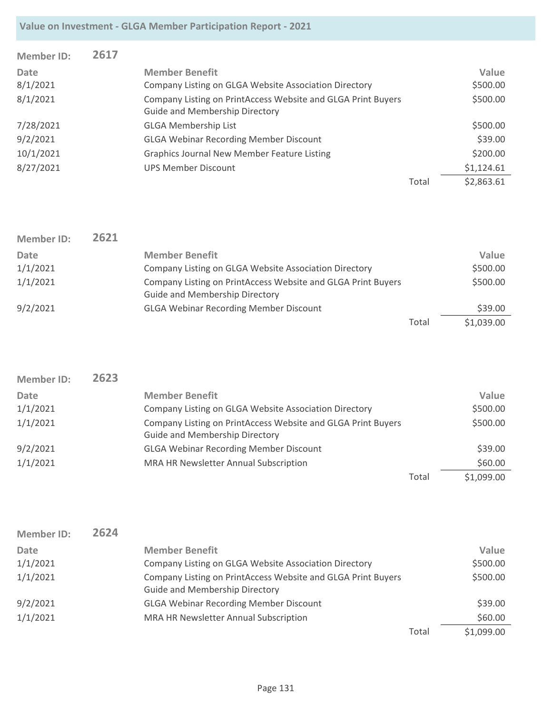| <b>Member ID:</b> | 2617 |                                                                                                       |       |            |
|-------------------|------|-------------------------------------------------------------------------------------------------------|-------|------------|
| Date              |      | <b>Member Benefit</b>                                                                                 |       | Value      |
| 8/1/2021          |      | Company Listing on GLGA Website Association Directory                                                 |       | \$500.00   |
| 8/1/2021          |      | Company Listing on PrintAccess Website and GLGA Print Buyers<br><b>Guide and Membership Directory</b> |       | \$500.00   |
| 7/28/2021         |      | <b>GLGA Membership List</b>                                                                           |       | \$500.00   |
| 9/2/2021          |      | <b>GLGA Webinar Recording Member Discount</b>                                                         |       | \$39.00    |
| 10/1/2021         |      | <b>Graphics Journal New Member Feature Listing</b>                                                    |       | \$200.00   |
| 8/27/2021         |      | <b>UPS Member Discount</b>                                                                            |       | \$1,124.61 |
|                   |      |                                                                                                       | Total | \$2,863.61 |

| Member ID: | 2621 |                                                                                                       |       |            |
|------------|------|-------------------------------------------------------------------------------------------------------|-------|------------|
| Date       |      | <b>Member Benefit</b>                                                                                 |       | Value      |
| 1/1/2021   |      | Company Listing on GLGA Website Association Directory                                                 |       | \$500.00   |
| 1/1/2021   |      | Company Listing on PrintAccess Website and GLGA Print Buyers<br><b>Guide and Membership Directory</b> |       | \$500.00   |
| 9/2/2021   |      | <b>GLGA Webinar Recording Member Discount</b>                                                         |       | \$39.00    |
|            |      |                                                                                                       | Total | \$1,039.00 |

| <b>Member ID:</b> | 2623 |                                                              |       |            |
|-------------------|------|--------------------------------------------------------------|-------|------------|
| Date              |      | <b>Member Benefit</b>                                        |       | Value      |
| 1/1/2021          |      | Company Listing on GLGA Website Association Directory        |       | \$500.00   |
| 1/1/2021          |      | Company Listing on PrintAccess Website and GLGA Print Buyers |       | \$500.00   |
|                   |      | <b>Guide and Membership Directory</b>                        |       |            |
| 9/2/2021          |      | <b>GLGA Webinar Recording Member Discount</b>                |       | \$39.00    |
| 1/1/2021          |      | MRA HR Newsletter Annual Subscription                        |       | \$60.00    |
|                   |      |                                                              | Total | \$1,099.00 |
|                   |      |                                                              |       |            |

| Member ID: | 2624 |                                                                                                       |       |            |
|------------|------|-------------------------------------------------------------------------------------------------------|-------|------------|
| Date       |      | <b>Member Benefit</b>                                                                                 |       | Value      |
| 1/1/2021   |      | Company Listing on GLGA Website Association Directory                                                 |       | \$500.00   |
| 1/1/2021   |      | Company Listing on PrintAccess Website and GLGA Print Buyers<br><b>Guide and Membership Directory</b> |       | \$500.00   |
| 9/2/2021   |      | <b>GLGA Webinar Recording Member Discount</b>                                                         |       | \$39.00    |
| 1/1/2021   |      | MRA HR Newsletter Annual Subscription                                                                 |       | \$60.00    |
|            |      |                                                                                                       | Total | \$1,099.00 |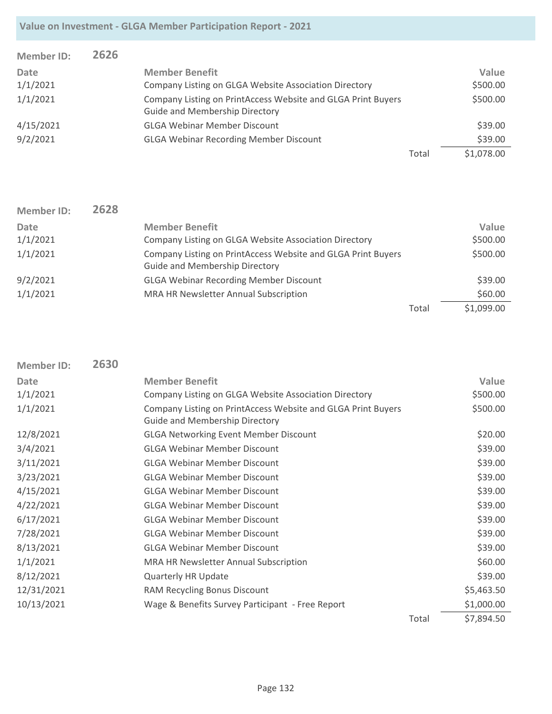| <b>Member ID:</b> | 2626 |                                                                                                       |       |            |
|-------------------|------|-------------------------------------------------------------------------------------------------------|-------|------------|
| <b>Date</b>       |      | <b>Member Benefit</b>                                                                                 |       | Value      |
| 1/1/2021          |      | Company Listing on GLGA Website Association Directory                                                 |       | \$500.00   |
| 1/1/2021          |      | Company Listing on PrintAccess Website and GLGA Print Buyers<br><b>Guide and Membership Directory</b> |       | \$500.00   |
| 4/15/2021         |      | <b>GLGA Webinar Member Discount</b>                                                                   |       | \$39.00    |
| 9/2/2021          |      | <b>GLGA Webinar Recording Member Discount</b>                                                         |       | \$39.00    |
|                   |      |                                                                                                       | Total | \$1,078.00 |

| <b>Member ID:</b> | 2628 |                                                              |       |            |
|-------------------|------|--------------------------------------------------------------|-------|------------|
| Date              |      | <b>Member Benefit</b>                                        |       | Value      |
| 1/1/2021          |      | Company Listing on GLGA Website Association Directory        |       | \$500.00   |
| 1/1/2021          |      | Company Listing on PrintAccess Website and GLGA Print Buyers |       | \$500.00   |
|                   |      | <b>Guide and Membership Directory</b>                        |       |            |
| 9/2/2021          |      | <b>GLGA Webinar Recording Member Discount</b>                |       | \$39.00    |
| 1/1/2021          |      | MRA HR Newsletter Annual Subscription                        |       | \$60.00    |
|                   |      |                                                              | Total | \$1,099.00 |

| <b>Member ID:</b> | 2630 |                                                                                                       |       |            |
|-------------------|------|-------------------------------------------------------------------------------------------------------|-------|------------|
| <b>Date</b>       |      | <b>Member Benefit</b>                                                                                 |       | Value      |
| 1/1/2021          |      | Company Listing on GLGA Website Association Directory                                                 |       | \$500.00   |
| 1/1/2021          |      | Company Listing on PrintAccess Website and GLGA Print Buyers<br><b>Guide and Membership Directory</b> |       | \$500.00   |
| 12/8/2021         |      | <b>GLGA Networking Event Member Discount</b>                                                          |       | \$20.00    |
| 3/4/2021          |      | <b>GLGA Webinar Member Discount</b>                                                                   |       | \$39.00    |
| 3/11/2021         |      | <b>GLGA Webinar Member Discount</b>                                                                   |       | \$39.00    |
| 3/23/2021         |      | <b>GLGA Webinar Member Discount</b>                                                                   |       | \$39.00    |
| 4/15/2021         |      | <b>GLGA Webinar Member Discount</b>                                                                   |       | \$39.00    |
| 4/22/2021         |      | <b>GLGA Webinar Member Discount</b>                                                                   |       | \$39.00    |
| 6/17/2021         |      | <b>GLGA Webinar Member Discount</b>                                                                   |       | \$39.00    |
| 7/28/2021         |      | <b>GLGA Webinar Member Discount</b>                                                                   |       | \$39.00    |
| 8/13/2021         |      | <b>GLGA Webinar Member Discount</b>                                                                   |       | \$39.00    |
| 1/1/2021          |      | <b>MRA HR Newsletter Annual Subscription</b>                                                          |       | \$60.00    |
| 8/12/2021         |      | <b>Quarterly HR Update</b>                                                                            |       | \$39.00    |
| 12/31/2021        |      | RAM Recycling Bonus Discount                                                                          |       | \$5,463.50 |
| 10/13/2021        |      | Wage & Benefits Survey Participant - Free Report                                                      |       | \$1,000.00 |
|                   |      |                                                                                                       | Total | \$7,894.50 |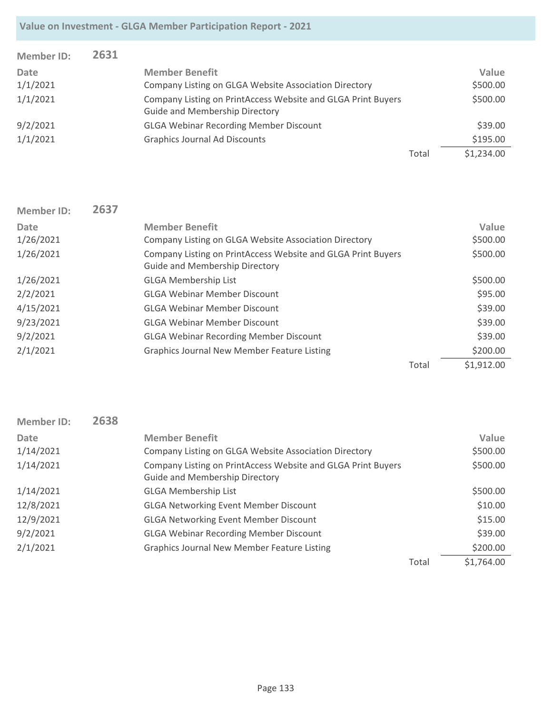| <b>Member ID:</b> | 2631 |                                                                                                       |       |            |
|-------------------|------|-------------------------------------------------------------------------------------------------------|-------|------------|
| Date              |      | <b>Member Benefit</b>                                                                                 |       | Value      |
| 1/1/2021          |      | Company Listing on GLGA Website Association Directory                                                 |       | \$500.00   |
| 1/1/2021          |      | Company Listing on PrintAccess Website and GLGA Print Buyers<br><b>Guide and Membership Directory</b> |       | \$500.00   |
| 9/2/2021          |      | <b>GLGA Webinar Recording Member Discount</b>                                                         |       | \$39.00    |
| 1/1/2021          |      | <b>Graphics Journal Ad Discounts</b>                                                                  |       | \$195.00   |
|                   |      |                                                                                                       | Total | \$1,234.00 |

| <b>Member ID:</b> | 2637 |                                                                                                       |       |            |
|-------------------|------|-------------------------------------------------------------------------------------------------------|-------|------------|
| <b>Date</b>       |      | <b>Member Benefit</b>                                                                                 |       | Value      |
| 1/26/2021         |      | Company Listing on GLGA Website Association Directory                                                 |       | \$500.00   |
| 1/26/2021         |      | Company Listing on PrintAccess Website and GLGA Print Buyers<br><b>Guide and Membership Directory</b> |       | \$500.00   |
| 1/26/2021         |      | <b>GLGA Membership List</b>                                                                           |       | \$500.00   |
| 2/2/2021          |      | <b>GLGA Webinar Member Discount</b>                                                                   |       | \$95.00    |
| 4/15/2021         |      | <b>GLGA Webinar Member Discount</b>                                                                   |       | \$39.00    |
| 9/23/2021         |      | <b>GLGA Webinar Member Discount</b>                                                                   |       | \$39.00    |
| 9/2/2021          |      | <b>GLGA Webinar Recording Member Discount</b>                                                         |       | \$39.00    |
| 2/1/2021          |      | <b>Graphics Journal New Member Feature Listing</b>                                                    |       | \$200.00   |
|                   |      |                                                                                                       | Total | \$1,912.00 |

| <b>Member ID:</b> | 2638 |                                                              |       |            |
|-------------------|------|--------------------------------------------------------------|-------|------------|
| Date              |      | <b>Member Benefit</b>                                        |       | Value      |
| 1/14/2021         |      | Company Listing on GLGA Website Association Directory        |       | \$500.00   |
| 1/14/2021         |      | Company Listing on PrintAccess Website and GLGA Print Buyers |       | \$500.00   |
|                   |      | <b>Guide and Membership Directory</b>                        |       |            |
| 1/14/2021         |      | <b>GLGA Membership List</b>                                  |       | \$500.00   |
| 12/8/2021         |      | <b>GLGA Networking Event Member Discount</b>                 |       | \$10.00    |
| 12/9/2021         |      | <b>GLGA Networking Event Member Discount</b>                 |       | \$15.00    |
| 9/2/2021          |      | <b>GLGA Webinar Recording Member Discount</b>                |       | \$39.00    |
| 2/1/2021          |      | <b>Graphics Journal New Member Feature Listing</b>           |       | \$200.00   |
|                   |      |                                                              | Total | \$1,764.00 |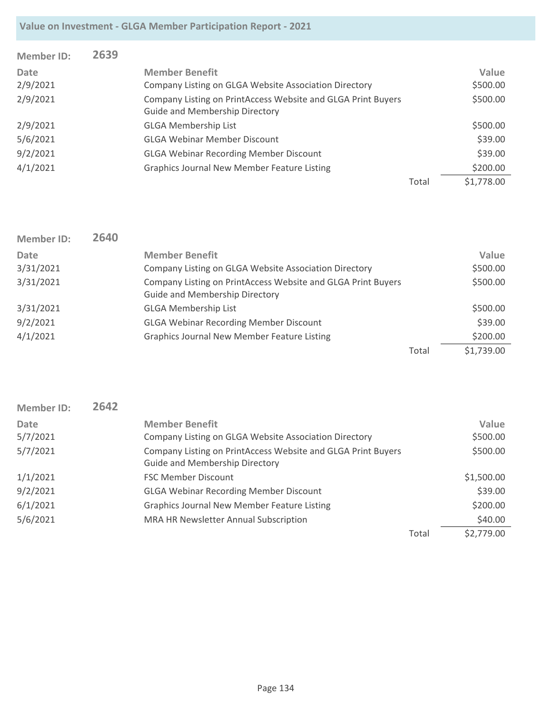| <b>Member ID:</b> | 2639 |                                                                                                       |       |            |
|-------------------|------|-------------------------------------------------------------------------------------------------------|-------|------------|
| Date              |      | <b>Member Benefit</b>                                                                                 |       | Value      |
| 2/9/2021          |      | Company Listing on GLGA Website Association Directory                                                 |       | \$500.00   |
| 2/9/2021          |      | Company Listing on PrintAccess Website and GLGA Print Buyers<br><b>Guide and Membership Directory</b> |       | \$500.00   |
| 2/9/2021          |      | <b>GLGA Membership List</b>                                                                           |       | \$500.00   |
| 5/6/2021          |      | <b>GLGA Webinar Member Discount</b>                                                                   |       | \$39.00    |
| 9/2/2021          |      | <b>GLGA Webinar Recording Member Discount</b>                                                         |       | \$39.00    |
| 4/1/2021          |      | <b>Graphics Journal New Member Feature Listing</b>                                                    |       | \$200.00   |
|                   |      |                                                                                                       | Total | \$1,778.00 |

| <b>Member ID:</b> | 2640 |                                                                                                       |       |            |
|-------------------|------|-------------------------------------------------------------------------------------------------------|-------|------------|
| <b>Date</b>       |      | <b>Member Benefit</b>                                                                                 |       | Value      |
| 3/31/2021         |      | Company Listing on GLGA Website Association Directory                                                 |       | \$500.00   |
| 3/31/2021         |      | Company Listing on PrintAccess Website and GLGA Print Buyers<br><b>Guide and Membership Directory</b> |       | \$500.00   |
| 3/31/2021         |      | <b>GLGA Membership List</b>                                                                           |       | \$500.00   |
| 9/2/2021          |      | <b>GLGA Webinar Recording Member Discount</b>                                                         |       | \$39.00    |
| 4/1/2021          |      | <b>Graphics Journal New Member Feature Listing</b>                                                    |       | \$200.00   |
|                   |      |                                                                                                       | Total | \$1,739.00 |

| <b>Member ID:</b> | 2642 |                                                                                                       |       |            |
|-------------------|------|-------------------------------------------------------------------------------------------------------|-------|------------|
| Date              |      | <b>Member Benefit</b>                                                                                 |       | Value      |
| 5/7/2021          |      | Company Listing on GLGA Website Association Directory                                                 |       | \$500.00   |
| 5/7/2021          |      | Company Listing on PrintAccess Website and GLGA Print Buyers<br><b>Guide and Membership Directory</b> |       | \$500.00   |
| 1/1/2021          |      | <b>FSC Member Discount</b>                                                                            |       | \$1,500.00 |
| 9/2/2021          |      | <b>GLGA Webinar Recording Member Discount</b>                                                         |       | \$39.00    |
| 6/1/2021          |      | <b>Graphics Journal New Member Feature Listing</b>                                                    |       | \$200.00   |
| 5/6/2021          |      | MRA HR Newsletter Annual Subscription                                                                 |       | \$40.00    |
|                   |      |                                                                                                       | Total | \$2,779.00 |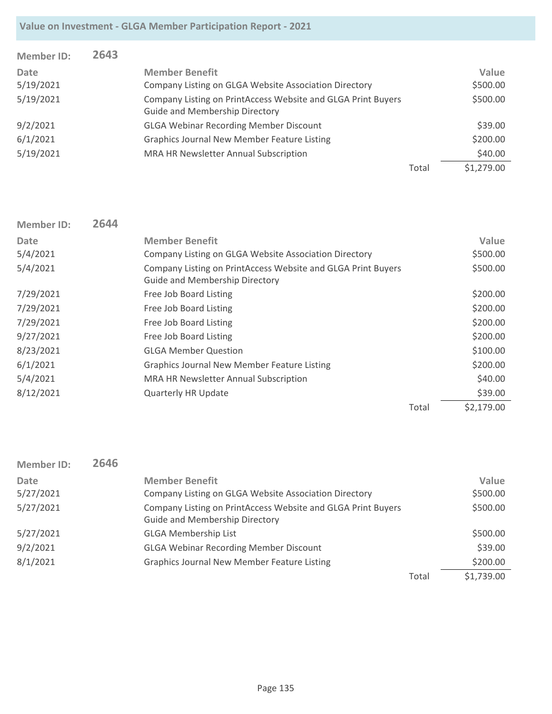| <b>Member ID:</b> | 2643 |                                                                                                       |       |            |
|-------------------|------|-------------------------------------------------------------------------------------------------------|-------|------------|
| Date              |      | <b>Member Benefit</b>                                                                                 |       | Value      |
| 5/19/2021         |      | Company Listing on GLGA Website Association Directory                                                 |       | \$500.00   |
| 5/19/2021         |      | Company Listing on PrintAccess Website and GLGA Print Buyers<br><b>Guide and Membership Directory</b> |       | \$500.00   |
| 9/2/2021          |      | <b>GLGA Webinar Recording Member Discount</b>                                                         |       | \$39.00    |
| 6/1/2021          |      | <b>Graphics Journal New Member Feature Listing</b>                                                    |       | \$200.00   |
| 5/19/2021         |      | MRA HR Newsletter Annual Subscription                                                                 |       | \$40.00    |
|                   |      |                                                                                                       | Total | \$1,279.00 |

| <b>Member ID:</b> | 2644 |                                                                                                       |       |            |
|-------------------|------|-------------------------------------------------------------------------------------------------------|-------|------------|
| <b>Date</b>       |      | <b>Member Benefit</b>                                                                                 |       | Value      |
| 5/4/2021          |      | Company Listing on GLGA Website Association Directory                                                 |       | \$500.00   |
| 5/4/2021          |      | Company Listing on PrintAccess Website and GLGA Print Buyers<br><b>Guide and Membership Directory</b> |       | \$500.00   |
| 7/29/2021         |      | Free Job Board Listing                                                                                |       | \$200.00   |
| 7/29/2021         |      | Free Job Board Listing                                                                                |       | \$200.00   |
| 7/29/2021         |      | Free Job Board Listing                                                                                |       | \$200.00   |
| 9/27/2021         |      | Free Job Board Listing                                                                                |       | \$200.00   |
| 8/23/2021         |      | <b>GLGA Member Question</b>                                                                           |       | \$100.00   |
| 6/1/2021          |      | <b>Graphics Journal New Member Feature Listing</b>                                                    |       | \$200.00   |
| 5/4/2021          |      | MRA HR Newsletter Annual Subscription                                                                 |       | \$40.00    |
| 8/12/2021         |      | <b>Quarterly HR Update</b>                                                                            |       | \$39.00    |
|                   |      |                                                                                                       | Total | \$2,179.00 |

| <b>Member ID:</b> | 2646 |                                                                                                |       |            |
|-------------------|------|------------------------------------------------------------------------------------------------|-------|------------|
| <b>Date</b>       |      | <b>Member Benefit</b>                                                                          |       | Value      |
| 5/27/2021         |      | Company Listing on GLGA Website Association Directory                                          |       | \$500.00   |
| 5/27/2021         |      | Company Listing on PrintAccess Website and GLGA Print Buyers<br>Guide and Membership Directory |       | \$500.00   |
| 5/27/2021         |      | <b>GLGA Membership List</b>                                                                    |       | \$500.00   |
| 9/2/2021          |      | <b>GLGA Webinar Recording Member Discount</b>                                                  |       | \$39.00    |
| 8/1/2021          |      | <b>Graphics Journal New Member Feature Listing</b>                                             |       | \$200.00   |
|                   |      |                                                                                                | Total | \$1,739.00 |